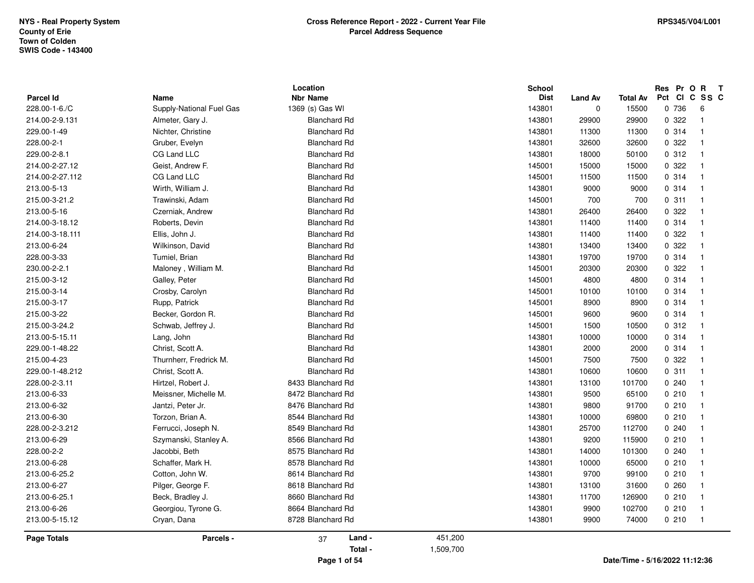| <b>Parcel Id</b>   | Name                               | Location<br><b>Nbr Name</b> |           | <b>School</b><br><b>Dist</b> | <b>Land Av</b> | Total Av | Pct Cl | Res Pr O R | $\mathbf{T}$<br>C SS C  |  |
|--------------------|------------------------------------|-----------------------------|-----------|------------------------------|----------------|----------|--------|------------|-------------------------|--|
| 228.00-1-6./C      | Supply-National Fuel Gas           | 1369 (s) Gas WI             |           | 143801                       | $\mathbf 0$    | 15500    |        | 0 736      | 6                       |  |
| 214.00-2-9.131     | Almeter, Gary J.                   | <b>Blanchard Rd</b>         |           | 143801                       | 29900          | 29900    |        | 0.322      | $\overline{1}$          |  |
| 229.00-1-49        | Nichter, Christine                 | <b>Blanchard Rd</b>         |           | 143801                       | 11300          | 11300    |        | 0.314      | $\overline{\mathbf{1}}$ |  |
| 228.00-2-1         | Gruber, Evelyn                     | <b>Blanchard Rd</b>         |           | 143801                       | 32600          | 32600    |        | 0.322      | $\overline{\mathbf{1}}$ |  |
| 229.00-2-8.1       | CG Land LLC                        | <b>Blanchard Rd</b>         |           | 143801                       | 18000          | 50100    |        | 0.312      | $\overline{1}$          |  |
| 214.00-2-27.12     | Geist, Andrew F.                   | <b>Blanchard Rd</b>         |           | 145001                       | 15000          | 15000    |        | 0.322      | $\overline{\mathbf{1}}$ |  |
| 214.00-2-27.112    | CG Land LLC                        | <b>Blanchard Rd</b>         |           | 145001                       | 11500          | 11500    |        | 0.314      | -1                      |  |
| 213.00-5-13        | Wirth, William J.                  | <b>Blanchard Rd</b>         |           | 143801                       | 9000           | 9000     |        | 0.314      | -1                      |  |
| 215.00-3-21.2      | Trawinski, Adam                    | <b>Blanchard Rd</b>         |           | 145001                       | 700            | 700      |        | 0.311      | -1                      |  |
| 213.00-5-16        | Czerniak, Andrew                   | <b>Blanchard Rd</b>         |           | 143801                       | 26400          | 26400    |        | 0.322      | -1                      |  |
| 214.00-3-18.12     | Roberts, Devin                     | <b>Blanchard Rd</b>         |           | 143801                       | 11400          | 11400    |        | 0.314      | $\overline{\mathbf{1}}$ |  |
| 214.00-3-18.111    | Ellis, John J.                     | <b>Blanchard Rd</b>         |           | 143801                       | 11400          | 11400    |        | 0.322      | -1                      |  |
| 213.00-6-24        | Wilkinson, David                   | <b>Blanchard Rd</b>         |           | 143801                       | 13400          | 13400    |        | 0.322      | $\overline{1}$          |  |
| 228.00-3-33        | Tumiel, Brian                      | <b>Blanchard Rd</b>         |           | 143801                       | 19700          | 19700    |        | 0.314      | -1                      |  |
| 230.00-2-2.1       | Maloney, William M.                | <b>Blanchard Rd</b>         |           | 145001                       | 20300          | 20300    |        | 0.322      |                         |  |
| 215.00-3-12        | Galley, Peter                      | <b>Blanchard Rd</b>         |           | 145001                       | 4800           | 4800     |        | 0.314      | -1                      |  |
| 215.00-3-14        | Crosby, Carolyn                    | <b>Blanchard Rd</b>         |           | 145001                       | 10100          | 10100    |        | 0.314      | -1                      |  |
| 215.00-3-17        |                                    | <b>Blanchard Rd</b>         |           | 145001                       | 8900           | 8900     |        | 0.314      | $\overline{1}$          |  |
| 215.00-3-22        | Rupp, Patrick<br>Becker, Gordon R. | <b>Blanchard Rd</b>         |           | 145001                       | 9600           | 9600     |        | 0.314      | -1                      |  |
|                    |                                    |                             |           |                              |                |          |        | 0.312      |                         |  |
| 215.00-3-24.2      | Schwab, Jeffrey J.                 | <b>Blanchard Rd</b>         |           | 145001                       | 1500           | 10500    |        |            |                         |  |
| 213.00-5-15.11     | Lang, John                         | <b>Blanchard Rd</b>         |           | 143801                       | 10000          | 10000    |        | 0.314      |                         |  |
| 229.00-1-48.22     | Christ, Scott A.                   | <b>Blanchard Rd</b>         |           | 143801                       | 2000           | 2000     |        | 0.314      | -1                      |  |
| 215.00-4-23        | Thurnherr, Fredrick M.             | <b>Blanchard Rd</b>         |           | 145001                       | 7500           | 7500     |        | 0.322      | $\overline{1}$          |  |
| 229.00-1-48.212    | Christ, Scott A.                   | <b>Blanchard Rd</b>         |           | 143801                       | 10600          | 10600    |        | 0.311      | $\overline{\mathbf{1}}$ |  |
| 228.00-2-3.11      | Hirtzel, Robert J.                 | 8433 Blanchard Rd           |           | 143801                       | 13100          | 101700   |        | 0.240      | $\overline{\mathbf{1}}$ |  |
| 213.00-6-33        | Meissner, Michelle M.              | 8472 Blanchard Rd           |           | 143801                       | 9500           | 65100    |        | 0210       | -1                      |  |
| 213.00-6-32        | Jantzi, Peter Jr.                  | 8476 Blanchard Rd           |           | 143801                       | 9800           | 91700    |        | 0210       | -1                      |  |
| 213.00-6-30        | Torzon, Brian A.                   | 8544 Blanchard Rd           |           | 143801                       | 10000          | 69800    |        | 0210       | $\overline{\mathbf{1}}$ |  |
| 228.00-2-3.212     | Ferrucci, Joseph N.                | 8549 Blanchard Rd           |           | 143801                       | 25700          | 112700   |        | 0.240      | -1                      |  |
| 213.00-6-29        | Szymanski, Stanley A.              | 8566 Blanchard Rd           |           | 143801                       | 9200           | 115900   |        | 0210       | -1                      |  |
| 228.00-2-2         | Jacobbi, Beth                      | 8575 Blanchard Rd           |           | 143801                       | 14000          | 101300   |        | 0.240      | $\overline{\mathbf{1}}$ |  |
| 213.00-6-28        | Schaffer, Mark H.                  | 8578 Blanchard Rd           |           | 143801                       | 10000          | 65000    |        | 0210       | $\overline{1}$          |  |
| 213.00-6-25.2      | Cotton, John W.                    | 8614 Blanchard Rd           |           | 143801                       | 9700           | 99100    |        | 0210       | $\overline{1}$          |  |
| 213.00-6-27        | Pilger, George F.                  | 8618 Blanchard Rd           |           | 143801                       | 13100          | 31600    |        | 0.260      | -1                      |  |
| 213.00-6-25.1      | Beck, Bradley J.                   | 8660 Blanchard Rd           |           | 143801                       | 11700          | 126900   |        | 0210       | -1                      |  |
| 213.00-6-26        | Georgiou, Tyrone G.                | 8664 Blanchard Rd           |           | 143801                       | 9900           | 102700   |        | 0210       | -1                      |  |
| 213.00-5-15.12     | Cryan, Dana                        | 8728 Blanchard Rd           |           | 143801                       | 9900           | 74000    |        | 0210       | $\overline{1}$          |  |
| <b>Page Totals</b> | Parcels -                          | Land -<br>37                | 451,200   |                              |                |          |        |            |                         |  |
|                    |                                    | Total -                     | 1,509,700 |                              |                |          |        |            |                         |  |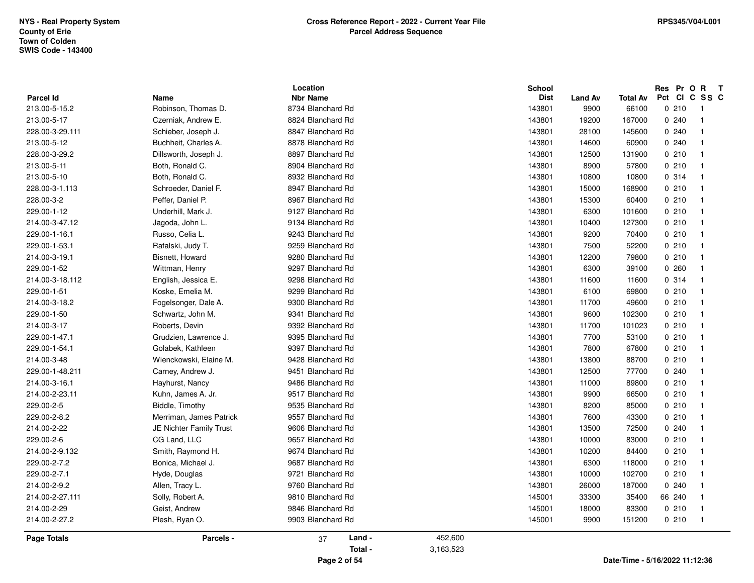|                                   |                             | Location                             |           | <b>School</b>         |                        |                                |        | Res Pr O R | $\mathbf{T}$<br>C SS C                    |  |
|-----------------------------------|-----------------------------|--------------------------------------|-----------|-----------------------|------------------------|--------------------------------|--------|------------|-------------------------------------------|--|
| <b>Parcel Id</b><br>213.00-5-15.2 | Name<br>Robinson, Thomas D. | <b>Nbr Name</b><br>8734 Blanchard Rd |           | <b>Dist</b><br>143801 | <b>Land Av</b><br>9900 | Total Av<br>66100              | Pct CI | 0210       |                                           |  |
|                                   |                             |                                      |           |                       |                        |                                |        |            | -1                                        |  |
| 213.00-5-17                       | Czerniak, Andrew E.         | 8824 Blanchard Rd                    |           | 143801                | 19200                  | 167000                         |        | 0.240      | $\overline{\mathbf{1}}$<br>$\overline{1}$ |  |
| 228.00-3-29.111                   | Schieber, Joseph J.         | 8847 Blanchard Rd                    |           | 143801                | 28100                  | 145600                         |        | 0.240      |                                           |  |
| 213.00-5-12                       | Buchheit, Charles A.        | 8878 Blanchard Rd                    |           | 143801                | 14600                  | 60900                          |        | 0.240      | $\overline{\mathbf{1}}$                   |  |
| 228.00-3-29.2                     | Dillsworth, Joseph J.       | 8897 Blanchard Rd                    |           | 143801                | 12500                  | 131900                         |        | 0210       | $\overline{\mathbf{1}}$                   |  |
| 213.00-5-11                       | Both, Ronald C.             | 8904 Blanchard Rd                    |           | 143801                | 8900                   | 57800                          |        | 0210       | -1                                        |  |
| 213.00-5-10                       | Both, Ronald C.             | 8932 Blanchard Rd                    |           | 143801                | 10800                  | 10800                          |        | 0.314      | $\overline{\mathbf{1}}$                   |  |
| 228.00-3-1.113                    | Schroeder, Daniel F.        | 8947 Blanchard Rd                    |           | 143801                | 15000                  | 168900                         |        | 0210       | -1                                        |  |
| 228.00-3-2                        | Peffer, Daniel P.           | 8967 Blanchard Rd                    |           | 143801                | 15300                  | 60400                          |        | 0210       | -1                                        |  |
| 229.00-1-12                       | Underhill, Mark J.          | 9127 Blanchard Rd                    |           | 143801                | 6300                   | 101600                         |        | 0210       | $\overline{\mathbf{1}}$                   |  |
| 214.00-3-47.12                    | Jagoda, John L.             | 9134 Blanchard Rd                    |           | 143801                | 10400                  | 127300                         |        | 0210       | $\overline{\mathbf{1}}$                   |  |
| 229.00-1-16.1                     | Russo, Celia L.             | 9243 Blanchard Rd                    |           | 143801                | 9200                   | 70400                          |        | 0210       | -1                                        |  |
| 229.00-1-53.1                     | Rafalski, Judy T.           | 9259 Blanchard Rd                    |           | 143801                | 7500                   | 52200                          |        | 0210       | $\overline{\mathbf{1}}$                   |  |
| 214.00-3-19.1                     | Bisnett, Howard             | 9280 Blanchard Rd                    |           | 143801                | 12200                  | 79800                          |        | 0210       | $\overline{\mathbf{1}}$                   |  |
| 229.00-1-52                       | Wittman, Henry              | 9297 Blanchard Rd                    |           | 143801                | 6300                   | 39100                          |        | 0.260      | -1                                        |  |
| 214.00-3-18.112                   | English, Jessica E.         | 9298 Blanchard Rd                    |           | 143801                | 11600                  | 11600                          |        | 0.314      | $\overline{\mathbf{1}}$                   |  |
| 229.00-1-51                       | Koske, Emelia M.            | 9299 Blanchard Rd                    |           | 143801                | 6100                   | 69800                          |        | 0210       | -1                                        |  |
| 214.00-3-18.2                     | Fogelsonger, Dale A.        | 9300 Blanchard Rd                    |           | 143801                | 11700                  | 49600                          |        | 0210       | -1                                        |  |
| 229.00-1-50                       | Schwartz, John M.           | 9341 Blanchard Rd                    |           | 143801                | 9600                   | 102300                         |        | 0210       | -1                                        |  |
| 214.00-3-17                       | Roberts, Devin              | 9392 Blanchard Rd                    |           | 143801                | 11700                  | 101023                         |        | 0210       | $\overline{\mathbf{1}}$                   |  |
| 229.00-1-47.1                     | Grudzien, Lawrence J.       | 9395 Blanchard Rd                    |           | 143801                | 7700                   | 53100                          |        | 0210       | -1                                        |  |
| 229.00-1-54.1                     | Golabek, Kathleen           | 9397 Blanchard Rd                    |           | 143801                | 7800                   | 67800                          |        | 0210       | $\overline{1}$                            |  |
| 214.00-3-48                       | Wienckowski, Elaine M.      | 9428 Blanchard Rd                    |           | 143801                | 13800                  | 88700                          |        | 0210       | -1                                        |  |
| 229.00-1-48.211                   | Carney, Andrew J.           | 9451 Blanchard Rd                    |           | 143801                | 12500                  | 77700                          |        | 0.240      | $\overline{\mathbf{1}}$                   |  |
| 214.00-3-16.1                     | Hayhurst, Nancy             | 9486 Blanchard Rd                    |           | 143801                | 11000                  | 89800                          |        | 0210       | $\overline{\mathbf{1}}$                   |  |
| 214.00-2-23.11                    | Kuhn, James A. Jr.          | 9517 Blanchard Rd                    |           | 143801                | 9900                   | 66500                          |        | 0210       | -1                                        |  |
| 229.00-2-5                        | Biddle, Timothy             | 9535 Blanchard Rd                    |           | 143801                | 8200                   | 85000                          |        | 0210       | $\overline{\mathbf{1}}$                   |  |
| 229.00-2-8.2                      | Merriman, James Patrick     | 9557 Blanchard Rd                    |           | 143801                | 7600                   | 43300                          |        | 0210       | -1                                        |  |
| 214.00-2-22                       | JE Nichter Family Trust     | 9606 Blanchard Rd                    |           | 143801                | 13500                  | 72500                          |        | 0.240      | $\overline{\mathbf{1}}$                   |  |
| 229.00-2-6                        | CG Land, LLC                | 9657 Blanchard Rd                    |           | 143801                | 10000                  | 83000                          |        | 0210       | -1                                        |  |
| 214.00-2-9.132                    | Smith, Raymond H.           | 9674 Blanchard Rd                    |           | 143801                | 10200                  | 84400                          |        | 0210       | $\overline{\mathbf{1}}$                   |  |
| 229.00-2-7.2                      | Bonica, Michael J.          | 9687 Blanchard Rd                    |           | 143801                | 6300                   | 118000                         |        | 0210       | -1                                        |  |
| 229.00-2-7.1                      | Hyde, Douglas               | 9721 Blanchard Rd                    |           | 143801                | 10000                  | 102700                         |        | 0210       | $\overline{\mathbf{1}}$                   |  |
| 214.00-2-9.2                      | Allen, Tracy L.             | 9760 Blanchard Rd                    |           | 143801                | 26000                  | 187000                         |        | 0.240      | -1                                        |  |
| 214.00-2-27.111                   | Solly, Robert A.            | 9810 Blanchard Rd                    |           | 145001                | 33300                  | 35400                          |        | 66 240     | -1                                        |  |
| 214.00-2-29                       | Geist, Andrew               | 9846 Blanchard Rd                    |           | 145001                | 18000                  | 83300                          |        | 0210       | $\overline{\mathbf{1}}$                   |  |
| 214.00-2-27.2                     | Plesh, Ryan O.              | 9903 Blanchard Rd                    |           | 145001                | 9900                   | 151200                         |        | 0210       | $\overline{\mathbf{1}}$                   |  |
| Page Totals                       | Parcels -                   | Land -<br>37                         | 452,600   |                       |                        |                                |        |            |                                           |  |
|                                   |                             | Total -                              | 3,163,523 |                       |                        |                                |        |            |                                           |  |
|                                   |                             | Page 2 of 54                         |           |                       |                        | Date/Time - 5/16/2022 11:12:36 |        |            |                                           |  |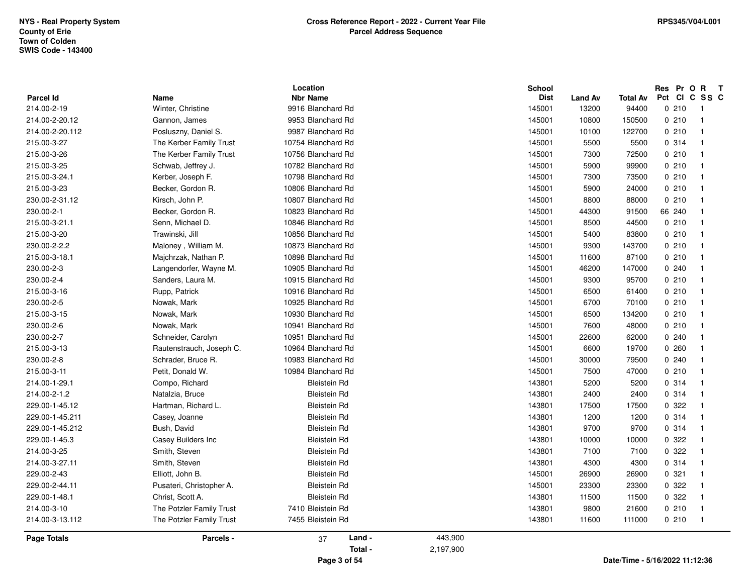|                  |                          | Location            |           | <b>School</b> |                |                 |        |        | Res Pr O R<br>$\mathbf{T}$ |  |
|------------------|--------------------------|---------------------|-----------|---------------|----------------|-----------------|--------|--------|----------------------------|--|
| <b>Parcel Id</b> | Name                     | <b>Nbr Name</b>     |           | <b>Dist</b>   | <b>Land Av</b> | <b>Total Av</b> | Pct Cl | 0210   | C SS C                     |  |
| 214.00-2-19      | Winter, Christine        | 9916 Blanchard Rd   |           | 145001        | 13200          | 94400           |        |        | - 1                        |  |
| 214.00-2-20.12   | Gannon, James            | 9953 Blanchard Rd   |           | 145001        | 10800          | 150500          |        | 0210   | $\overline{\mathbf{1}}$    |  |
| 214.00-2-20.112  | Posluszny, Daniel S.     | 9987 Blanchard Rd   |           | 145001        | 10100          | 122700          |        | 0210   | $\overline{\mathbf{1}}$    |  |
| 215.00-3-27      | The Kerber Family Trust  | 10754 Blanchard Rd  |           | 145001        | 5500           | 5500            |        | 0.314  | $\overline{1}$             |  |
| 215.00-3-26      | The Kerber Family Trust  | 10756 Blanchard Rd  |           | 145001        | 7300           | 72500           |        | 0210   | $\overline{\mathbf{1}}$    |  |
| 215.00-3-25      | Schwab, Jeffrey J.       | 10782 Blanchard Rd  |           | 145001        | 5900           | 99900           |        | 0210   | $\overline{\mathbf{1}}$    |  |
| 215.00-3-24.1    | Kerber, Joseph F.        | 10798 Blanchard Rd  |           | 145001        | 7300           | 73500           |        | 0210   | $\overline{\mathbf{1}}$    |  |
| 215.00-3-23      | Becker, Gordon R.        | 10806 Blanchard Rd  |           | 145001        | 5900           | 24000           |        | 0210   | $\overline{1}$             |  |
| 230.00-2-31.12   | Kirsch, John P.          | 10807 Blanchard Rd  |           | 145001        | 8800           | 88000           |        | 0210   | $\overline{1}$             |  |
| 230.00-2-1       | Becker, Gordon R.        | 10823 Blanchard Rd  |           | 145001        | 44300          | 91500           |        | 66 240 |                            |  |
| 215.00-3-21.1    | Senn, Michael D.         | 10846 Blanchard Rd  |           | 145001        | 8500           | 44500           |        | 0210   | $\overline{\mathbf{1}}$    |  |
| 215.00-3-20      | Trawinski, Jill          | 10856 Blanchard Rd  |           | 145001        | 5400           | 83800           |        | 0210   | $\overline{\mathbf{1}}$    |  |
| 230.00-2-2.2     | Maloney, William M.      | 10873 Blanchard Rd  |           | 145001        | 9300           | 143700          |        | 0210   | $\overline{\mathbf{1}}$    |  |
| 215.00-3-18.1    | Majchrzak, Nathan P.     | 10898 Blanchard Rd  |           | 145001        | 11600          | 87100           |        | 0210   | $\overline{\mathbf{1}}$    |  |
| 230.00-2-3       | Langendorfer, Wayne M.   | 10905 Blanchard Rd  |           | 145001        | 46200          | 147000          |        | 0.240  | -1                         |  |
| 230.00-2-4       | Sanders, Laura M.        | 10915 Blanchard Rd  |           | 145001        | 9300           | 95700           |        | 0210   | $\overline{1}$             |  |
| 215.00-3-16      | Rupp, Patrick            | 10916 Blanchard Rd  |           | 145001        | 6500           | 61400           |        | 0210   | $\overline{\mathbf{1}}$    |  |
| 230.00-2-5       | Nowak, Mark              | 10925 Blanchard Rd  |           | 145001        | 6700           | 70100           |        | 0210   | $\overline{\mathbf{1}}$    |  |
| 215.00-3-15      | Nowak, Mark              | 10930 Blanchard Rd  |           | 145001        | 6500           | 134200          |        | 0210   | $\overline{\mathbf{1}}$    |  |
| 230.00-2-6       | Nowak, Mark              | 10941 Blanchard Rd  |           | 145001        | 7600           | 48000           |        | 0210   | -1                         |  |
| 230.00-2-7       | Schneider, Carolyn       | 10951 Blanchard Rd  |           | 145001        | 22600          | 62000           |        | 0.240  | $\overline{\mathbf{1}}$    |  |
| 215.00-3-13      | Rautenstrauch, Joseph C. | 10964 Blanchard Rd  |           | 145001        | 6600           | 19700           |        | 0260   | $\overline{\mathbf{1}}$    |  |
| 230.00-2-8       | Schrader, Bruce R.       | 10983 Blanchard Rd  |           | 145001        | 30000          | 79500           |        | 0.240  | -1                         |  |
| 215.00-3-11      | Petit, Donald W.         | 10984 Blanchard Rd  |           | 145001        | 7500           | 47000           |        | 0210   | $\overline{\mathbf{1}}$    |  |
| 214.00-1-29.1    | Compo, Richard           | <b>Bleistein Rd</b> |           | 143801        | 5200           | 5200            |        | 0.314  | -1                         |  |
| 214.00-2-1.2     | Natalzia, Bruce          | <b>Bleistein Rd</b> |           | 143801        | 2400           | 2400            |        | 0.314  | $\overline{1}$             |  |
| 229.00-1-45.12   | Hartman, Richard L.      | <b>Bleistein Rd</b> |           | 143801        | 17500          | 17500           |        | 0.322  | -1                         |  |
| 229.00-1-45.211  | Casey, Joanne            | <b>Bleistein Rd</b> |           | 143801        | 1200           | 1200            |        | 0.314  | -1                         |  |
| 229.00-1-45.212  | Bush, David              | <b>Bleistein Rd</b> |           | 143801        | 9700           | 9700            |        | 0.314  | $\overline{\mathbf{1}}$    |  |
| 229.00-1-45.3    | Casey Builders Inc       | <b>Bleistein Rd</b> |           | 143801        | 10000          | 10000           |        | 0.322  | $\overline{\mathbf{1}}$    |  |
| 214.00-3-25      | Smith, Steven            | <b>Bleistein Rd</b> |           | 143801        | 7100           | 7100            |        | 0 322  | -1                         |  |
| 214.00-3-27.11   | Smith, Steven            | <b>Bleistein Rd</b> |           | 143801        | 4300           | 4300            |        | 0.314  | $\overline{\mathbf{1}}$    |  |
| 229.00-2-43      | Elliott, John B.         | <b>Bleistein Rd</b> |           | 145001        | 26900          | 26900           |        | 0.321  | $\overline{\mathbf{1}}$    |  |
| 229.00-2-44.11   | Pusateri, Christopher A. | <b>Bleistein Rd</b> |           | 145001        | 23300          | 23300           |        | 0 322  | $\overline{\mathbf{1}}$    |  |
| 229.00-1-48.1    | Christ, Scott A.         | <b>Bleistein Rd</b> |           | 143801        | 11500          | 11500           |        | 0 322  | $\overline{\mathbf{1}}$    |  |
| 214.00-3-10      | The Potzler Family Trust | 7410 Bleistein Rd   |           | 143801        | 9800           | 21600           |        | 0210   | -1                         |  |
| 214.00-3-13.112  | The Potzler Family Trust | 7455 Bleistein Rd   |           | 143801        | 11600          | 111000          |        | 0210   | $\overline{1}$             |  |
| Page Totals      | Parcels -                | Land -<br>37        | 443,900   |               |                |                 |        |        |                            |  |
|                  |                          | Total -             | 2,197,900 |               |                |                 |        |        |                            |  |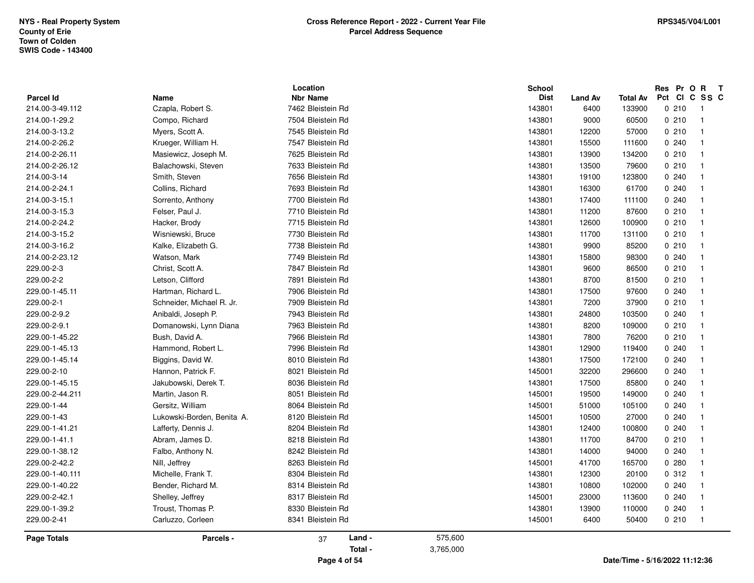|                    |                            | Location                |                      | School      |         |                 |       | Res Pr O R T        |
|--------------------|----------------------------|-------------------------|----------------------|-------------|---------|-----------------|-------|---------------------|
| <b>Parcel Id</b>   | Name                       | <b>Nbr Name</b>         |                      | <b>Dist</b> | Land Av | <b>Total Av</b> |       | Pct CI C SS C<br>-1 |
| 214.00-3-49.112    | Czapla, Robert S.          | 7462 Bleistein Rd       |                      | 143801      | 6400    | 133900          | 0210  |                     |
| 214.00-1-29.2      | Compo, Richard             | 7504 Bleistein Rd       |                      | 143801      | 9000    | 60500           | 0210  | -1                  |
| 214.00-3-13.2      | Myers, Scott A.            | 7545 Bleistein Rd       |                      | 143801      | 12200   | 57000           | 0210  | $\overline{1}$      |
| 214.00-2-26.2      | Krueger, William H.        | 7547 Bleistein Rd       |                      | 143801      | 15500   | 111600          | 0.240 | -1                  |
| 214.00-2-26.11     | Masiewicz, Joseph M.       | 7625 Bleistein Rd       |                      | 143801      | 13900   | 134200          | 0210  |                     |
| 214.00-2-26.12     | Balachowski, Steven        | 7633 Bleistein Rd       |                      | 143801      | 13500   | 79600           | 0210  |                     |
| 214.00-3-14        | Smith, Steven              | 7656 Bleistein Rd       |                      | 143801      | 19100   | 123800          | 0.240 | -1                  |
| 214.00-2-24.1      | Collins, Richard           | 7693 Bleistein Rd       |                      | 143801      | 16300   | 61700           | 0.240 | -1                  |
| 214.00-3-15.1      | Sorrento, Anthony          | 7700 Bleistein Rd       |                      | 143801      | 17400   | 111100          | 0.240 | $\mathbf 1$         |
| 214.00-3-15.3      | Felser, Paul J.            | 7710 Bleistein Rd       |                      | 143801      | 11200   | 87600           | 0210  |                     |
| 214.00-2-24.2      | Hacker, Brody              | 7715 Bleistein Rd       |                      | 143801      | 12600   | 100900          | 0210  |                     |
| 214.00-3-15.2      | Wisniewski, Bruce          | 7730 Bleistein Rd       |                      | 143801      | 11700   | 131100          | 0210  | -1                  |
| 214.00-3-16.2      | Kalke, Elizabeth G.        | 7738 Bleistein Rd       |                      | 143801      | 9900    | 85200           | 0210  | -1                  |
| 214.00-2-23.12     | Watson, Mark               | 7749 Bleistein Rd       |                      | 143801      | 15800   | 98300           | 0.240 | -1                  |
| 229.00-2-3         | Christ, Scott A.           | 7847 Bleistein Rd       |                      | 143801      | 9600    | 86500           | 0210  |                     |
| 229.00-2-2         | Letson, Clifford           | 7891 Bleistein Rd       |                      | 143801      | 8700    | 81500           | 0210  |                     |
| 229.00-1-45.11     | Hartman, Richard L.        | 7906 Bleistein Rd       |                      | 143801      | 17500   | 97600           | 0.240 | $\mathbf{1}$        |
| 229.00-2-1         | Schneider, Michael R. Jr.  | 7909 Bleistein Rd       |                      | 143801      | 7200    | 37900           | 0210  | $\overline{1}$      |
| 229.00-2-9.2       | Anibaldi, Joseph P.        | 7943 Bleistein Rd       |                      | 143801      | 24800   | 103500          | 0.240 | -1                  |
| 229.00-2-9.1       | Domanowski, Lynn Diana     | 7963 Bleistein Rd       |                      | 143801      | 8200    | 109000          | 0210  |                     |
| 229.00-1-45.22     | Bush, David A.             | 7966 Bleistein Rd       |                      | 143801      | 7800    | 76200           | 0210  |                     |
| 229.00-1-45.13     | Hammond, Robert L.         | 7996 Bleistein Rd       |                      | 143801      | 12900   | 119400          | 0.240 | -1                  |
| 229.00-1-45.14     | Biggins, David W.          | 8010 Bleistein Rd       |                      | 143801      | 17500   | 172100          | 0.240 | -1                  |
| 229.00-2-10        | Hannon, Patrick F.         | 8021 Bleistein Rd       |                      | 145001      | 32200   | 296600          | 0.240 | -1                  |
| 229.00-1-45.15     | Jakubowski, Derek T.       | 8036 Bleistein Rd       |                      | 143801      | 17500   | 85800           | 0.240 |                     |
| 229.00-2-44.211    | Martin, Jason R.           | 8051 Bleistein Rd       |                      | 145001      | 19500   | 149000          | 0.240 |                     |
| 229.00-1-44        | Gersitz, William           | 8064 Bleistein Rd       |                      | 145001      | 51000   | 105100          | 0.240 | $\mathbf{1}$        |
| 229.00-1-43        | Lukowski-Borden, Benita A. | 8120 Bleistein Rd       |                      | 145001      | 10500   | 27000           | 0.240 | -1                  |
| 229.00-1-41.21     | Lafferty, Dennis J.        | 8204 Bleistein Rd       |                      | 143801      | 12400   | 100800          | 0.240 | -1                  |
| 229.00-1-41.1      | Abram, James D.            | 8218 Bleistein Rd       |                      | 143801      | 11700   | 84700           | 0210  | -1                  |
| 229.00-1-38.12     | Falbo, Anthony N.          | 8242 Bleistein Rd       |                      | 143801      | 14000   | 94000           | 0.240 |                     |
| 229.00-2-42.2      | Nill, Jeffrey              | 8263 Bleistein Rd       |                      | 145001      | 41700   | 165700          | 0.280 | $\overline{1}$      |
| 229.00-1-40.111    | Michelle, Frank T.         | 8304 Bleistein Rd       |                      | 143801      | 12300   | 20100           | 0.312 | -1                  |
| 229.00-1-40.22     | Bender, Richard M.         | 8314 Bleistein Rd       |                      | 143801      | 10800   | 102000          | 0.240 | -1                  |
| 229.00-2-42.1      | Shelley, Jeffrey           | 8317 Bleistein Rd       |                      | 145001      | 23000   | 113600          | 0.240 | $\overline{1}$      |
| 229.00-1-39.2      | Troust, Thomas P.          | 8330 Bleistein Rd       |                      | 143801      | 13900   | 110000          | 0.240 |                     |
| 229.00-2-41        | Carluzzo, Corleen          | 8341 Bleistein Rd       |                      | 145001      | 6400    | 50400           | 0210  | $\overline{1}$      |
| <b>Page Totals</b> | Parcels -                  | Land -<br>37<br>Total - | 575,600<br>3,765,000 |             |         |                 |       |                     |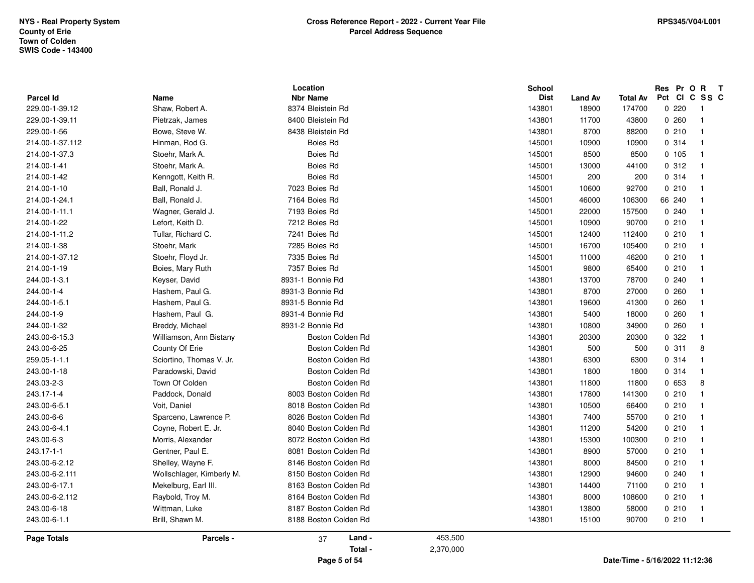| <b>Parcel Id</b> | Name                      | Location<br><b>Nbr Name</b> |           | <b>School</b><br><b>Dist</b> | <b>Land Av</b> | Total Av                       | Res Pr O R<br>Pct | $\mathbf{T}$<br>CICSSC  |
|------------------|---------------------------|-----------------------------|-----------|------------------------------|----------------|--------------------------------|-------------------|-------------------------|
| 229.00-1-39.12   | Shaw, Robert A.           | 8374 Bleistein Rd           |           | 143801                       | 18900          | 174700                         | 0220              | -1                      |
| 229.00-1-39.11   | Pietrzak, James           | 8400 Bleistein Rd           |           | 143801                       | 11700          | 43800                          | 0260              | $\overline{1}$          |
| 229.00-1-56      | Bowe, Steve W.            | 8438 Bleistein Rd           |           | 143801                       | 8700           | 88200                          | 0210              | $\overline{\mathbf{1}}$ |
| 214.00-1-37.112  | Hinman, Rod G.            | Boies Rd                    |           | 145001                       | 10900          | 10900                          | 0.314             | $\overline{1}$          |
| 214.00-1-37.3    | Stoehr, Mark A.           | Boies Rd                    |           | 145001                       | 8500           | 8500                           | 0, 105            | $\overline{1}$          |
| 214.00-1-41      | Stoehr, Mark A.           | Boies Rd                    |           | 145001                       | 13000          | 44100                          | 0.312             | $\overline{1}$          |
| 214.00-1-42      | Kenngott, Keith R.        | Boies Rd                    |           | 145001                       | 200            | 200                            | 0.314             | $\overline{1}$          |
| 214.00-1-10      | Ball, Ronald J.           | 7023 Boies Rd               |           | 145001                       | 10600          | 92700                          | 0210              | -1                      |
| 214.00-1-24.1    | Ball, Ronald J.           | 7164 Boies Rd               |           | 145001                       | 46000          | 106300                         | 66 240            | $\overline{\mathbf{1}}$ |
| 214.00-1-11.1    | Wagner, Gerald J.         | 7193 Boies Rd               |           | 145001                       | 22000          | 157500                         | 0.240             | -1                      |
| 214.00-1-22      | Lefort, Keith D.          | 7212 Boies Rd               |           | 145001                       | 10900          | 90700                          | 0210              | -1                      |
| 214.00-1-11.2    | Tullar, Richard C.        | 7241 Boies Rd               |           | 145001                       | 12400          | 112400                         | 0210              | - 1                     |
| 214.00-1-38      | Stoehr, Mark              | 7285 Boies Rd               |           | 145001                       | 16700          | 105400                         | 0210              | $\overline{\mathbf{1}}$ |
| 214.00-1-37.12   | Stoehr, Floyd Jr.         | 7335 Boies Rd               |           | 145001                       | 11000          | 46200                          | 0210              | -1                      |
| 214.00-1-19      | Boies, Mary Ruth          | 7357 Boies Rd               |           | 145001                       | 9800           | 65400                          | 0210              | $\overline{1}$          |
| 244.00-1-3.1     | Keyser, David             | 8931-1 Bonnie Rd            |           | 143801                       | 13700          | 78700                          | 0.240             | $\overline{1}$          |
| 244.00-1-4       | Hashem, Paul G.           | 8931-3 Bonnie Rd            |           | 143801                       | 8700           | 27000                          | 0260              |                         |
| 244.00-1-5.1     | Hashem, Paul G.           | 8931-5 Bonnie Rd            |           | 143801                       | 19600          | 41300                          | 0260              | $\overline{\mathbf{1}}$ |
| 244.00-1-9       | Hashem, Paul G.           | 8931-4 Bonnie Rd            |           | 143801                       | 5400           | 18000                          | 0260              | -1                      |
| 244.00-1-32      | Breddy, Michael           | 8931-2 Bonnie Rd            |           | 143801                       | 10800          | 34900                          | 0260              | $\overline{1}$          |
| 243.00-6-15.3    | Williamson, Ann Bistany   | Boston Colden Rd            |           | 143801                       | 20300          | 20300                          | 0 322             | -1                      |
| 243.00-6-25      | County Of Erie            | Boston Colden Rd            |           | 143801                       | 500            | 500                            | 0.311             | 8                       |
| 259.05-1-1.1     | Sciortino, Thomas V. Jr.  | Boston Colden Rd            |           | 143801                       | 6300           | 6300                           | 0.314             | -1                      |
| 243.00-1-18      | Paradowski, David         | Boston Colden Rd            |           | 143801                       | 1800           | 1800                           | 0.314             | $\overline{1}$          |
| 243.03-2-3       | Town Of Colden            | Boston Colden Rd            |           | 143801                       | 11800          | 11800                          | 0 653             | 8                       |
| 243.17-1-4       | Paddock, Donald           | 8003 Boston Colden Rd       |           | 143801                       | 17800          | 141300                         | 0210              | $\overline{1}$          |
| 243.00-6-5.1     | Voit, Daniel              | 8018 Boston Colden Rd       |           | 143801                       | 10500          | 66400                          | 0210              | $\overline{\mathbf{1}}$ |
| 243.00-6-6       | Sparceno, Lawrence P.     | 8026 Boston Colden Rd       |           | 143801                       | 7400           | 55700                          | 0210              | -1                      |
| 243.00-6-4.1     | Coyne, Robert E. Jr.      | 8040 Boston Colden Rd       |           | 143801                       | 11200          | 54200                          | 0210              | $\overline{\mathbf{1}}$ |
| 243.00-6-3       | Morris, Alexander         | 8072 Boston Colden Rd       |           | 143801                       | 15300          | 100300                         | 0210              | -1                      |
| 243.17-1-1       | Gentner, Paul E.          | 8081 Boston Colden Rd       |           | 143801                       | 8900           | 57000                          | 0210              | $\overline{1}$          |
| 243.00-6-2.12    | Shelley, Wayne F.         | 8146 Boston Colden Rd       |           | 143801                       | 8000           | 84500                          | 0210              | $\overline{1}$          |
| 243.00-6-2.111   | Wollschlager, Kimberly M. | 8150 Boston Colden Rd       |           | 143801                       | 12900          | 94600                          | 0240              | $\overline{1}$          |
| 243.00-6-17.1    | Mekelburg, Earl III.      | 8163 Boston Colden Rd       |           | 143801                       | 14400          | 71100                          | 0210              | -1                      |
| 243.00-6-2.112   | Raybold, Troy M.          | 8164 Boston Colden Rd       |           | 143801                       | 8000           | 108600                         | 0210              | $\overline{1}$          |
| 243.00-6-18      | Wittman, Luke             | 8187 Boston Colden Rd       |           | 143801                       | 13800          | 58000                          | 0210              | $\overline{1}$          |
| 243.00-6-1.1     | Brill, Shawn M.           | 8188 Boston Colden Rd       |           | 143801                       | 15100          | 90700                          | 0210              | $\overline{1}$          |
| Page Totals      | Parcels -                 | Land -<br>37                | 453,500   |                              |                |                                |                   |                         |
|                  |                           | Total -                     | 2,370,000 |                              |                |                                |                   |                         |
|                  |                           | Page 5 of 54                |           |                              |                | Date/Time - 5/16/2022 11:12:36 |                   |                         |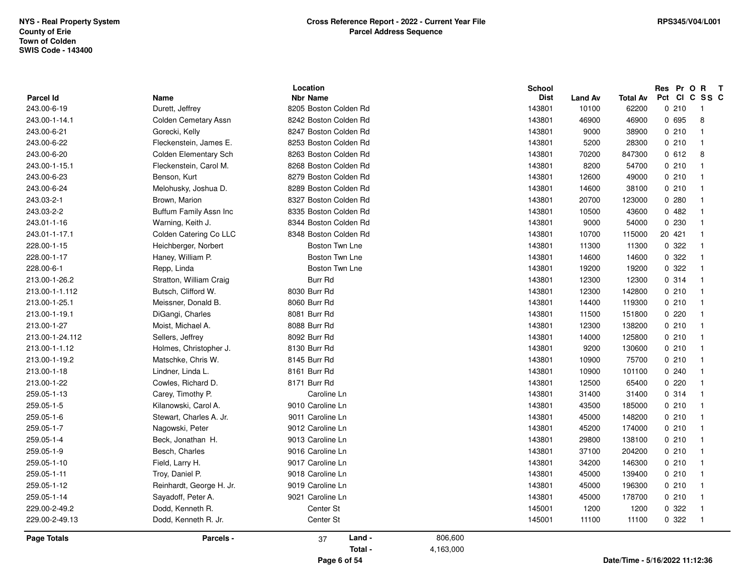|                    |                          | Location              | <b>School</b> |                |                 |         | Res Pr O R T   |
|--------------------|--------------------------|-----------------------|---------------|----------------|-----------------|---------|----------------|
| Parcel Id          | Name                     | <b>Nbr Name</b>       | <b>Dist</b>   | <b>Land Av</b> | <b>Total Av</b> |         | Pct CI C SS C  |
| 243.00-6-19        | Durett, Jeffrey          | 8205 Boston Colden Rd | 143801        | 10100          | 62200           | 0210    | - 1            |
| 243.00-1-14.1      | Colden Cemetary Assn     | 8242 Boston Colden Rd | 143801        | 46900          | 46900           | 0 695   | 8              |
| 243.00-6-21        | Gorecki, Kelly           | 8247 Boston Colden Rd | 143801        | 9000           | 38900           | 0210    | $\overline{1}$ |
| 243.00-6-22        | Fleckenstein, James E.   | 8253 Boston Colden Rd | 143801        | 5200           | 28300           | 0210    | $\overline{1}$ |
| 243.00-6-20        | Colden Elementary Sch    | 8263 Boston Colden Rd | 143801        | 70200          | 847300          | 0612    | 8              |
| 243.00-1-15.1      | Fleckenstein, Carol M.   | 8268 Boston Colden Rd | 143801        | 8200           | 54700           | 0210    | $\overline{1}$ |
| 243.00-6-23        | Benson, Kurt             | 8279 Boston Colden Rd | 143801        | 12600          | 49000           | 0210    | $\overline{1}$ |
| 243.00-6-24        | Melohusky, Joshua D.     | 8289 Boston Colden Rd | 143801        | 14600          | 38100           | 0210    | $\overline{1}$ |
| 243.03-2-1         | Brown, Marion            | 8327 Boston Colden Rd | 143801        | 20700          | 123000          | 0.280   | - 1            |
| 243.03-2-2         | Buffum Family Assn Inc   | 8335 Boston Colden Rd | 143801        | 10500          | 43600           | 0482    | $\overline{1}$ |
| 243.01-1-16        | Warning, Keith J.        | 8344 Boston Colden Rd | 143801        | 9000           | 54000           | 0 2 3 0 | -1             |
| 243.01-1-17.1      | Colden Catering Co LLC   | 8348 Boston Colden Rd | 143801        | 10700          | 115000          | 20 421  | $\overline{1}$ |
| 228.00-1-15        | Heichberger, Norbert     | Boston Twn Lne        | 143801        | 11300          | 11300           | 0 322   | $\overline{1}$ |
| 228.00-1-17        | Haney, William P.        | Boston Twn Lne        | 143801        | 14600          | 14600           | 0.322   | $\overline{1}$ |
| 228.00-6-1         | Repp, Linda              | Boston Twn Lne        | 143801        | 19200          | 19200           | 0 322   | $\overline{1}$ |
| 213.00-1-26.2      | Stratton, William Craig  | Burr Rd               | 143801        | 12300          | 12300           | 0 314   | $\overline{1}$ |
| 213.00-1-1.112     | Butsch, Clifford W.      | 8030 Burr Rd          | 143801        | 12300          | 142800          | 0210    | $\overline{1}$ |
| 213.00-1-25.1      | Meissner, Donald B.      | 8060 Burr Rd          | 143801        | 14400          | 119300          | 0210    | $\overline{1}$ |
| 213.00-1-19.1      | DiGangi, Charles         | 8081 Burr Rd          | 143801        | 11500          | 151800          | 0220    | -1             |
| 213.00-1-27        | Moist, Michael A.        | 8088 Burr Rd          | 143801        | 12300          | 138200          | 0210    | $\overline{1}$ |
| 213.00-1-24.112    | Sellers, Jeffrey         | 8092 Burr Rd          | 143801        | 14000          | 125800          | 0210    | $\overline{1}$ |
| 213.00-1-1.12      | Holmes, Christopher J.   | 8130 Burr Rd          | 143801        | 9200           | 130600          | 0210    | $\overline{1}$ |
| 213.00-1-19.2      | Matschke, Chris W.       | 8145 Burr Rd          | 143801        | 10900          | 75700           | 0210    | $\overline{1}$ |
| 213.00-1-18        | Lindner, Linda L.        | 8161 Burr Rd          | 143801        | 10900          | 101100          | 0.240   | -1             |
| 213.00-1-22        | Cowles, Richard D.       | 8171 Burr Rd          | 143801        | 12500          | 65400           | 0220    | -1             |
| 259.05-1-13        | Carey, Timothy P.        | Caroline Ln           | 143801        | 31400          | 31400           | 0 314   | $\overline{1}$ |
| 259.05-1-5         | Kilanowski, Carol A.     | 9010 Caroline Ln      | 143801        | 43500          | 185000          | 0210    | $\overline{1}$ |
| 259.05-1-6         | Stewart, Charles A. Jr.  | 9011 Caroline Ln      | 143801        | 45000          | 148200          | 0210    | $\overline{1}$ |
| 259.05-1-7         | Nagowski, Peter          | 9012 Caroline Ln      | 143801        | 45200          | 174000          | 0210    | $\overline{1}$ |
| 259.05-1-4         | Beck, Jonathan H.        | 9013 Caroline Ln      | 143801        | 29800          | 138100          | 0210    | $\overline{1}$ |
| 259.05-1-9         | Besch, Charles           | 9016 Caroline Ln      | 143801        | 37100          | 204200          | 0210    | $\overline{1}$ |
| 259.05-1-10        | Field, Larry H.          | 9017 Caroline Ln      | 143801        | 34200          | 146300          | 0210    | $\overline{1}$ |
| 259.05-1-11        | Troy, Daniel P.          | 9018 Caroline Ln      | 143801        | 45000          | 139400          | 0210    | $\overline{1}$ |
| 259.05-1-12        | Reinhardt, George H. Jr. | 9019 Caroline Ln      | 143801        | 45000          | 196300          | 0210    | $\overline{1}$ |
| 259.05-1-14        | Sayadoff, Peter A.       | 9021 Caroline Ln      | 143801        | 45000          | 178700          | 0210    | -1             |
| 229.00-2-49.2      | Dodd, Kenneth R.         | Center St             | 145001        | 1200           | 1200            | 0.322   | $\overline{1}$ |
| 229.00-2-49.13     | Dodd, Kenneth R. Jr.     | Center St             | 145001        | 11100          | 11100           | 0 322   | $\overline{1}$ |
| <b>Page Totals</b> | Parcels -                | Land -<br>37          | 806,600       |                |                 |         |                |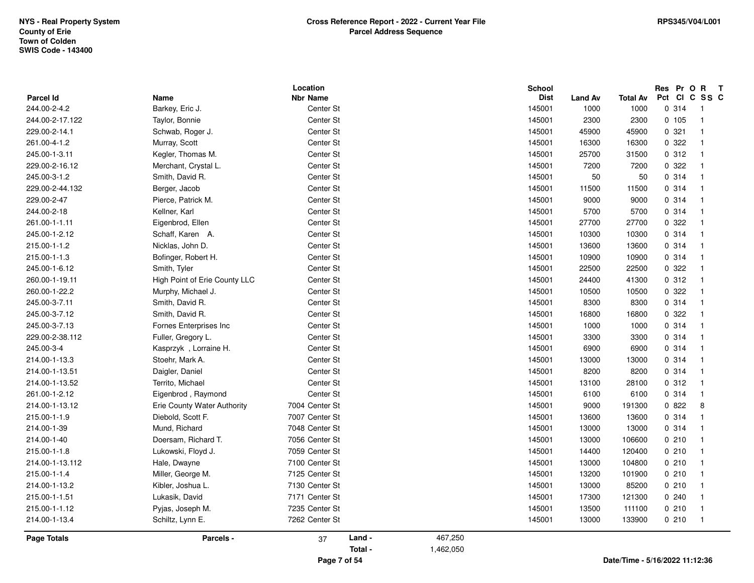| <b>Parcel Id</b> | <b>Name</b>                   | Location<br><b>Nbr Name</b> |         |           | <b>School</b><br><b>Dist</b> | <b>Land Av</b> | <b>Total Av</b>                | Res Pr O R<br>Pct CI C SS C | $\mathbf{T}$               |
|------------------|-------------------------------|-----------------------------|---------|-----------|------------------------------|----------------|--------------------------------|-----------------------------|----------------------------|
| 244.00-2-4.2     | Barkey, Eric J.               | Center St                   |         |           | 145001                       | 1000           | 1000                           | 0.314                       | $\overline{\phantom{0}}$ 1 |
| 244.00-2-17.122  | Taylor, Bonnie                | Center St                   |         |           | 145001                       | 2300           | 2300                           | 0 105                       | $\mathbf{1}$               |
| 229.00-2-14.1    | Schwab, Roger J.              | Center St                   |         |           | 145001                       | 45900          | 45900                          | 0.321                       | $\overline{1}$             |
| 261.00-4-1.2     | Murray, Scott                 | Center St                   |         |           | 145001                       | 16300          | 16300                          | 0.322                       | $\mathbf{1}$               |
| 245.00-1-3.11    | Kegler, Thomas M.             | Center St                   |         |           | 145001                       | 25700          | 31500                          | 0.312                       | $\overline{1}$             |
| 229.00-2-16.12   | Merchant, Crystal L.          | Center St                   |         |           | 145001                       | 7200           | 7200                           | 0 322                       | $\overline{1}$             |
| 245.00-3-1.2     | Smith, David R.               | Center St                   |         |           | 145001                       | 50             | 50                             | 0.314                       | $\overline{1}$             |
| 229.00-2-44.132  | Berger, Jacob                 | Center St                   |         |           | 145001                       | 11500          | 11500                          | 0.314                       | $\mathbf{1}$               |
| 229.00-2-47      | Pierce, Patrick M.            | Center St                   |         |           | 145001                       | 9000           | 9000                           | 0.314                       | $\mathbf{1}$               |
| 244.00-2-18      | Kellner, Karl                 | Center St                   |         |           | 145001                       | 5700           | 5700                           | 0.314                       | $\mathbf{1}$               |
| 261.00-1-1.11    | Eigenbrod, Ellen              | Center St                   |         |           | 145001                       | 27700          | 27700                          | 0.322                       | $\overline{1}$             |
| 245.00-1-2.12    | Schaff, Karen A.              | Center St                   |         |           | 145001                       | 10300          | 10300                          | 0.314                       | $\mathbf{1}$               |
| 215.00-1-1.2     | Nicklas, John D.              | Center St                   |         |           | 145001                       | 13600          | 13600                          | 0.314                       | $\mathbf{1}$               |
| 215.00-1-1.3     | Bofinger, Robert H.           | Center St                   |         |           | 145001                       | 10900          | 10900                          | 0.314                       | $\overline{1}$             |
| 245.00-1-6.12    | Smith, Tyler                  | Center St                   |         |           | 145001                       | 22500          | 22500                          | 0 322                       | -1                         |
| 260.00-1-19.11   | High Point of Erie County LLC | Center St                   |         |           | 145001                       | 24400          | 41300                          | 0.312                       | $\overline{1}$             |
| 260.00-1-22.2    | Murphy, Michael J.            | Center St                   |         |           | 145001                       | 10500          | 10500                          | 0.322                       | -1                         |
| 245.00-3-7.11    | Smith, David R.               | Center St                   |         |           | 145001                       | 8300           | 8300                           | 0.314                       | $\mathbf{1}$               |
| 245.00-3-7.12    | Smith, David R.               | Center St                   |         |           | 145001                       | 16800          | 16800                          | 0.322                       | $\overline{1}$             |
| 245.00-3-7.13    | Fornes Enterprises Inc        | Center St                   |         |           | 145001                       | 1000           | 1000                           | 0.314                       | $\mathbf{1}$               |
| 229.00-2-38.112  | Fuller, Gregory L.            | Center St                   |         |           | 145001                       | 3300           | 3300                           | 0.314                       | $\mathbf{1}$               |
| 245.00-3-4       | Kasprzyk, Lorraine H.         | Center St                   |         |           | 145001                       | 6900           | 6900                           | 0.314                       | $\mathbf{1}$               |
| 214.00-1-13.3    | Stoehr, Mark A.               | Center St                   |         |           | 145001                       | 13000          | 13000                          | 0.314                       | $\overline{1}$             |
| 214.00-1-13.51   | Daigler, Daniel               | Center St                   |         |           | 145001                       | 8200           | 8200                           | 0.314                       | $\overline{1}$             |
| 214.00-1-13.52   | Territo, Michael              | Center St                   |         |           | 145001                       | 13100          | 28100                          | 0.312                       | $\mathbf{1}$               |
| 261.00-1-2.12    | Eigenbrod, Raymond            | Center St                   |         |           | 145001                       | 6100           | 6100                           | 0.314                       | $\mathbf{1}$               |
| 214.00-1-13.12   | Erie County Water Authority   | 7004 Center St              |         |           | 145001                       | 9000           | 191300                         | 0822                        | 8                          |
| 215.00-1-1.9     | Diebold, Scott F.             | 7007 Center St              |         |           | 145001                       | 13600          | 13600                          | 0 314                       | $\overline{1}$             |
| 214.00-1-39      | Mund, Richard                 | 7048 Center St              |         |           | 145001                       | 13000          | 13000                          | 0.314                       | $\overline{1}$             |
| 214.00-1-40      | Doersam, Richard T.           | 7056 Center St              |         |           | 145001                       | 13000          | 106600                         | 0210                        | $\mathbf 1$                |
| 215.00-1-1.8     | Lukowski, Floyd J.            | 7059 Center St              |         |           | 145001                       | 14400          | 120400                         | 0210                        | $\mathbf 1$                |
| 214.00-1-13.112  | Hale, Dwayne                  | 7100 Center St              |         |           | 145001                       | 13000          | 104800                         | 0210                        | $\overline{1}$             |
| 215.00-1-1.4     | Miller, George M.             | 7125 Center St              |         |           | 145001                       | 13200          | 101900                         | 0210                        | $\overline{1}$             |
| 214.00-1-13.2    | Kibler, Joshua L.             | 7130 Center St              |         |           | 145001                       | 13000          | 85200                          | 0210                        | $\overline{1}$             |
| 215.00-1-1.51    | Lukasik, David                | 7171 Center St              |         |           | 145001                       | 17300          | 121300                         | 0240                        | $\mathbf{1}$               |
| 215.00-1-1.12    | Pyjas, Joseph M.              | 7235 Center St              |         |           | 145001                       | 13500          | 111100                         | 0210                        | $\mathbf{1}$               |
| 214.00-1-13.4    | Schiltz, Lynn E.              | 7262 Center St              |         |           | 145001                       | 13000          | 133900                         | 0210                        | $\overline{1}$             |
| Page Totals      | Parcels -                     | 37                          | Land -  | 467,250   |                              |                |                                |                             |                            |
|                  |                               |                             | Total - | 1,462,050 |                              |                |                                |                             |                            |
|                  |                               | Page 7 of 54                |         |           |                              |                | Date/Time - 5/16/2022 11:12:36 |                             |                            |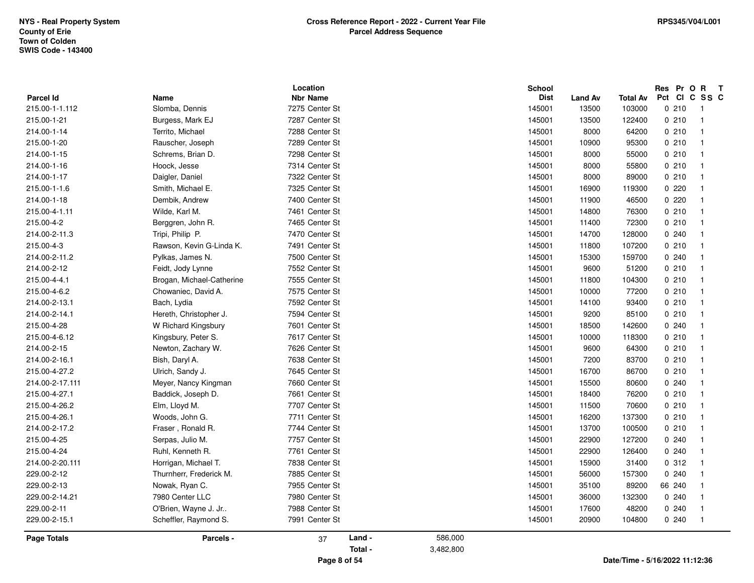|                  |                           | Location        | School      |                |                 | Res Pr O R    | $\mathbf{T}$   |
|------------------|---------------------------|-----------------|-------------|----------------|-----------------|---------------|----------------|
| <b>Parcel Id</b> | Name                      | <b>Nbr Name</b> | <b>Dist</b> | <b>Land Av</b> | <b>Total Av</b> | Pct CI C SS C |                |
| 215.00-1-1.112   | Slomba, Dennis            | 7275 Center St  | 145001      | 13500          | 103000          | 0210          | $\overline{1}$ |
| 215.00-1-21      | Burgess, Mark EJ          | 7287 Center St  | 145001      | 13500          | 122400          | 0210          | $\overline{1}$ |
| 214.00-1-14      | Territo, Michael          | 7288 Center St  | 145001      | 8000           | 64200           | 0210          | $\mathbf{1}$   |
| 215.00-1-20      | Rauscher, Joseph          | 7289 Center St  | 145001      | 10900          | 95300           | 0210          | $\overline{1}$ |
| 214.00-1-15      | Schrems, Brian D.         | 7298 Center St  | 145001      | 8000           | 55000           | 0210          | $\overline{1}$ |
| 214.00-1-16      | Hoock, Jesse              | 7314 Center St  | 145001      | 8000           | 55800           | 0210          | $\overline{1}$ |
| 214.00-1-17      | Daigler, Daniel           | 7322 Center St  | 145001      | 8000           | 89000           | 0210          | $\overline{1}$ |
| 215.00-1-1.6     | Smith, Michael E.         | 7325 Center St  | 145001      | 16900          | 119300          | 0220          | $\mathbf{1}$   |
| 214.00-1-18      | Dembik, Andrew            | 7400 Center St  | 145001      | 11900          | 46500           | 0220          |                |
| 215.00-4-1.11    | Wilde, Karl M.            | 7461 Center St  | 145001      | 14800          | 76300           | 0210          | $\overline{1}$ |
| 215.00-4-2       | Berggren, John R.         | 7465 Center St  | 145001      | 11400          | 72300           | 0210          | $\mathbf{1}$   |
| 214.00-2-11.3    | Tripi, Philip P.          | 7470 Center St  | 145001      | 14700          | 128000          | 0.240         | $\overline{1}$ |
| 215.00-4-3       | Rawson, Kevin G-Linda K.  | 7491 Center St  | 145001      | 11800          | 107200          | 0210          | $\mathbf{1}$   |
| 214.00-2-11.2    | Pylkas, James N.          | 7500 Center St  | 145001      | 15300          | 159700          | 0240          | $\overline{1}$ |
| 214.00-2-12      | Feidt, Jody Lynne         | 7552 Center St  | 145001      | 9600           | 51200           | 0210          | $\overline{1}$ |
| 215.00-4-4.1     | Brogan, Michael-Catherine | 7555 Center St  | 145001      | 11800          | 104300          | 0210          | $\overline{1}$ |
| 215.00-4-6.2     | Chowaniec, David A.       | 7575 Center St  | 145001      | 10000          | 77200           | 0210          | $\overline{1}$ |
| 214.00-2-13.1    | Bach, Lydia               | 7592 Center St  | 145001      | 14100          | 93400           | 0210          | $\overline{1}$ |
| 214.00-2-14.1    | Hereth, Christopher J.    | 7594 Center St  | 145001      | 9200           | 85100           | 0210          | $\overline{1}$ |
| 215.00-4-28      | W Richard Kingsbury       | 7601 Center St  | 145001      | 18500          | 142600          | 0.240         | $\mathbf{1}$   |
| 215.00-4-6.12    | Kingsbury, Peter S.       | 7617 Center St  | 145001      | 10000          | 118300          | 0210          | $\overline{1}$ |
| 214.00-2-15      | Newton, Zachary W.        | 7626 Center St  | 145001      | 9600           | 64300           | 0210          | $\overline{1}$ |
| 214.00-2-16.1    | Bish, Daryl A.            | 7638 Center St  | 145001      | 7200           | 83700           | 0210          | $\overline{1}$ |
| 215.00-4-27.2    | Ulrich, Sandy J.          | 7645 Center St  | 145001      | 16700          | 86700           | 0210          | $\overline{1}$ |
| 214.00-2-17.111  | Meyer, Nancy Kingman      | 7660 Center St  | 145001      | 15500          | 80600           | 0.240         | $\mathbf{1}$   |
| 215.00-4-27.1    | Baddick, Joseph D.        | 7661 Center St  | 145001      | 18400          | 76200           | 0210          | $\overline{1}$ |
| 215.00-4-26.2    | Elm, Lloyd M.             | 7707 Center St  | 145001      | 11500          | 70600           | 0210          | $\overline{1}$ |
| 215.00-4-26.1    | Woods, John G.            | 7711 Center St  | 145001      | 16200          | 137300          | 0210          | $\overline{1}$ |
| 214.00-2-17.2    | Fraser, Ronald R.         | 7744 Center St  | 145001      | 13700          | 100500          | 0210          | $\mathbf{1}$   |
| 215.00-4-25      | Serpas, Julio M.          | 7757 Center St  | 145001      | 22900          | 127200          | 0.240         | $\mathbf{1}$   |
| 215.00-4-24      | Ruhl, Kenneth R.          | 7761 Center St  | 145001      | 22900          | 126400          | 0.240         | $\overline{1}$ |
| 214.00-2-20.111  | Horrigan, Michael T.      | 7838 Center St  | 145001      | 15900          | 31400           | 0.312         | $\overline{1}$ |
| 229.00-2-12      | Thurnherr, Frederick M.   | 7885 Center St  | 145001      | 56000          | 157300          | 0.240         | $\overline{1}$ |
| 229.00-2-13      | Nowak, Ryan C.            | 7955 Center St  | 145001      | 35100          | 89200           | 66 240        | $\mathbf{1}$   |
| 229.00-2-14.21   | 7980 Center LLC           | 7980 Center St  | 145001      | 36000          | 132300          | 0240          | $\mathbf{1}$   |
| 229.00-2-11      | O'Brien, Wayne J. Jr      | 7988 Center St  | 145001      | 17600          | 48200           | 0240          | $\mathbf{1}$   |
| 229.00-2-15.1    | Scheffler, Raymond S.     | 7991 Center St  | 145001      | 20900          | 104800          | 0.240         | $\overline{1}$ |
|                  |                           |                 |             |                |                 |               |                |
| Page Totals      | Parcels -                 | Land -<br>37    | 586,000     |                |                 |               |                |
|                  |                           | Total -         | 3,482,800   |                |                 |               |                |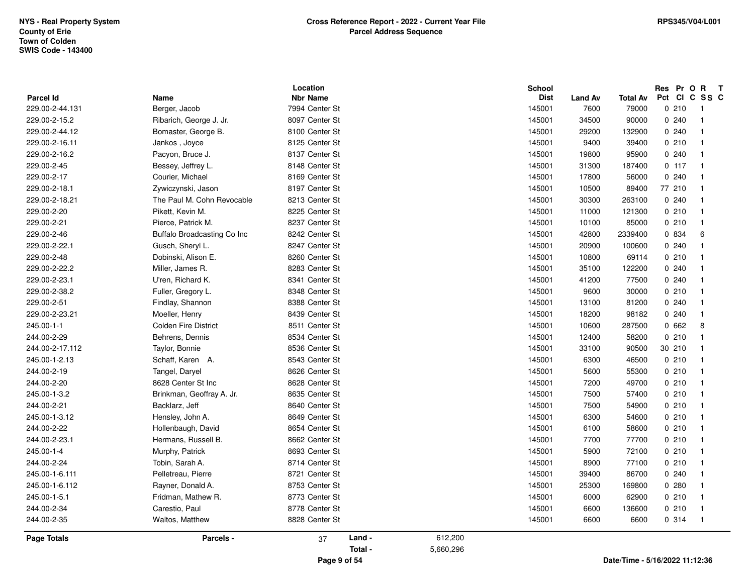| <b>Parcel Id</b>   | Name                        | Location<br><b>Nbr Name</b> | School<br><b>Dist</b> | <b>Land Av</b> | <b>Total Av</b> | Res Pr O R<br>Pct CI C SS C | $\mathbf{T}$               |
|--------------------|-----------------------------|-----------------------------|-----------------------|----------------|-----------------|-----------------------------|----------------------------|
| 229.00-2-44.131    | Berger, Jacob               | 7994 Center St              | 145001                | 7600           | 79000           | 0210                        | $\overline{1}$             |
| 229.00-2-15.2      | Ribarich, George J. Jr.     | 8097 Center St              | 145001                | 34500          | 90000           | 0.240                       | $\overline{1}$             |
| 229.00-2-44.12     | Bomaster, George B.         | 8100 Center St              | 145001                | 29200          | 132900          | 0.240                       | $\mathbf 1$                |
| 229.00-2-16.11     | Jankos, Joyce               | 8125 Center St              | 145001                | 9400           | 39400           | 0210                        | $\overline{1}$             |
| 229.00-2-16.2      | Pacyon, Bruce J.            | 8137 Center St              | 145001                | 19800          | 95900           | 0240                        | $\mathbf{1}$               |
| 229.00-2-45        | Bessey, Jeffrey L.          | 8148 Center St              |                       |                | 187400          | 0.117                       | $\mathbf{1}$               |
| 229.00-2-17        | Courier, Michael            | 8169 Center St              | 145001<br>145001      | 31300<br>17800 | 56000           | 0240                        |                            |
|                    |                             |                             |                       |                |                 | 77 210                      | $\overline{1}$             |
| 229.00-2-18.1      | Zywiczynski, Jason          | 8197 Center St              | 145001                | 10500          | 89400           |                             | $\mathbf 1$                |
| 229.00-2-18.21     | The Paul M. Cohn Revocable  | 8213 Center St              | 145001                | 30300          | 263100          | 0.240                       | $\mathbf{1}$               |
| 229.00-2-20        | Pikett, Kevin M.            | 8225 Center St              | 145001                | 11000          | 121300          | 0210                        | $\mathbf{1}$               |
| 229.00-2-21        | Pierce, Patrick M.          | 8237 Center St              | 145001                | 10100          | 85000           | 0210                        | $\mathbf{1}$               |
| 229.00-2-46        | Buffalo Broadcasting Co Inc | 8242 Center St              | 145001                | 42800          | 2339400         | 0 834                       | 6                          |
| 229.00-2-22.1      | Gusch, Sheryl L.            | 8247 Center St              | 145001                | 20900          | 100600          | 0.240                       | $\mathbf{1}$               |
| 229.00-2-48        | Dobinski, Alison E.         | 8260 Center St              | 145001                | 10800          | 69114           | 0210                        | $\mathbf 1$                |
| 229.00-2-22.2      | Miller, James R.            | 8283 Center St              | 145001                | 35100          | 122200          | 0240                        | $\mathbf{1}$               |
| 229.00-2-23.1      | U'ren, Richard K.           | 8341 Center St              | 145001                | 41200          | 77500           | 0240                        | $\mathbf{1}$               |
| 229.00-2-38.2      | Fuller, Gregory L.          | 8348 Center St              | 145001                | 9600           | 30000           | 0210                        | $\overline{1}$             |
| 229.00-2-51        | Findlay, Shannon            | 8388 Center St              | 145001                | 13100          | 81200           | 0240                        | $\mathbf{1}$               |
| 229.00-2-23.21     | Moeller, Henry              | 8439 Center St              | 145001                | 18200          | 98182           | 0.240                       | $\mathbf{1}$               |
| 245.00-1-1         | <b>Colden Fire District</b> | 8511 Center St              | 145001                | 10600          | 287500          | 0662                        | 8                          |
| 244.00-2-29        | Behrens, Dennis             | 8534 Center St              | 145001                | 12400          | 58200           | 0210                        | $\mathbf{1}$               |
| 244.00-2-17.112    | Taylor, Bonnie              | 8536 Center St              | 145001                | 33100          | 90500           | 30 210                      | $\mathbf{1}$               |
| 245.00-1-2.13      | Schaff, Karen A.            | 8543 Center St              | 145001                | 6300           | 46500           | 0210                        | $\mathbf{1}$               |
| 244.00-2-19        | Tangel, Daryel              | 8626 Center St              | 145001                | 5600           | 55300           | 0210                        | $\mathbf 1$                |
| 244.00-2-20        | 8628 Center St Inc          | 8628 Center St              | 145001                | 7200           | 49700           | 0210                        | $\mathbf{1}$               |
| 245.00-1-3.2       | Brinkman, Geoffray A. Jr.   | 8635 Center St              | 145001                | 7500           | 57400           | 0210                        | $\mathbf{1}$               |
| 244.00-2-21        | Backlarz, Jeff              | 8640 Center St              | 145001                | 7500           | 54900           | 0210                        | $\overline{1}$             |
| 245.00-1-3.12      | Hensley, John A.            | 8649 Center St              | 145001                | 6300           | 54600           | 0210                        | $\overline{1}$             |
| 244.00-2-22        | Hollenbaugh, David          | 8654 Center St              | 145001                | 6100           | 58600           | 0210                        | $\mathbf 1$                |
| 244.00-2-23.1      | Hermans, Russell B.         | 8662 Center St              | 145001                | 7700           | 77700           | 0210                        | $\mathbf{1}$               |
| 245.00-1-4         | Murphy, Patrick             | 8693 Center St              | 145001                | 5900           | 72100           | 0210                        | $\mathbf{1}$               |
| 244.00-2-24        | Tobin, Sarah A.             | 8714 Center St              | 145001                | 8900           | 77100           | 0210                        | $\overline{1}$             |
| 245.00-1-6.111     | Pelletreau, Pierre          | 8721 Center St              | 145001                | 39400          | 86700           | 0240                        | $\mathbf{1}$               |
| 245.00-1-6.112     | Rayner, Donald A.           | 8753 Center St              | 145001                | 25300          | 169800          | 0.280                       | $\mathbf 1$                |
| 245.00-1-5.1       | Fridman, Mathew R.          | 8773 Center St              | 145001                | 6000           | 62900           | 0210                        | $\mathbf{1}$               |
| 244.00-2-34        | Carestio, Paul              | 8778 Center St              | 145001                | 6600           | 136600          | 0210                        | $\mathbf 1$                |
| 244.00-2-35        | Waltos, Matthew             | 8828 Center St              | 145001                | 6600           | 6600            | 0 314                       | $\overline{\phantom{0}}$ 1 |
| <b>Page Totals</b> | Parcels -                   | Land -<br>37                | 612,200               |                |                 |                             |                            |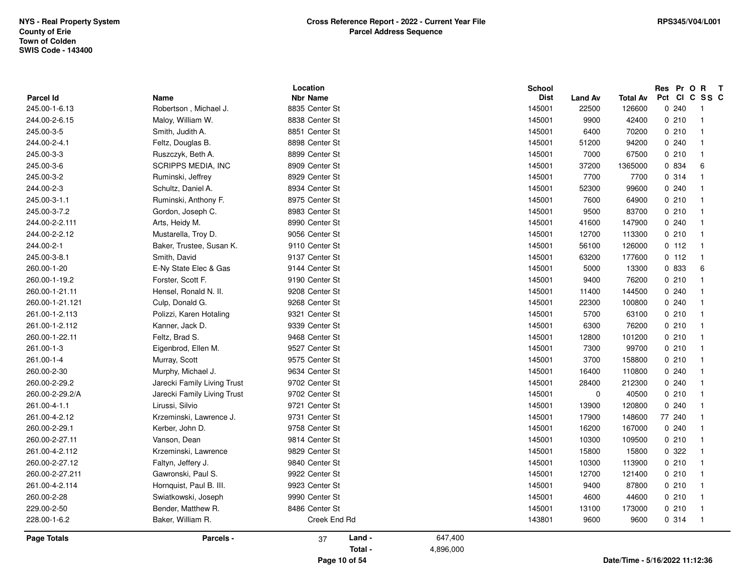|                    |                             | Location        |           | <b>School</b> |             |                                |        | Res Pr O  | R<br>$\mathbf{T}$       |  |
|--------------------|-----------------------------|-----------------|-----------|---------------|-------------|--------------------------------|--------|-----------|-------------------------|--|
| Parcel Id          | Name                        | <b>Nbr Name</b> |           | <b>Dist</b>   | Land Av     | Total Av                       | Pct    | <b>CI</b> | C SS C                  |  |
| 245.00-1-6.13      | Robertson, Michael J.       | 8835 Center St  |           | 145001        | 22500       | 126600                         |        | 0.240     | - 1                     |  |
| 244.00-2-6.15      | Maloy, William W.           | 8838 Center St  |           | 145001        | 9900        | 42400                          |        | 0210      | $\overline{\mathbf{1}}$ |  |
| 245.00-3-5         | Smith, Judith A.            | 8851 Center St  |           | 145001        | 6400        | 70200                          |        | 0.210     | $\overline{1}$          |  |
| 244.00-2-4.1       | Feltz, Douglas B.           | 8898 Center St  |           | 145001        | 51200       | 94200                          |        | 0.240     | $\overline{1}$          |  |
| 245.00-3-3         | Ruszczyk, Beth A.           | 8899 Center St  |           | 145001        | 7000        | 67500                          |        | 0210      | $\overline{\mathbf{1}}$ |  |
| 245.00-3-6         | SCRIPPS MEDIA, INC          | 8909 Center St  |           | 145001        | 37200       | 1365000                        |        | 0 834     | 6                       |  |
| 245.00-3-2         | Ruminski, Jeffrey           | 8929 Center St  |           | 145001        | 7700        | 7700                           |        | 0.314     | $\mathbf{1}$            |  |
| 244.00-2-3         | Schultz, Daniel A.          | 8934 Center St  |           | 145001        | 52300       | 99600                          |        | 0.240     | $\overline{\mathbf{1}}$ |  |
| 245.00-3-1.1       | Ruminski, Anthony F.        | 8975 Center St  |           | 145001        | 7600        | 64900                          |        | 0210      | -1                      |  |
| 245.00-3-7.2       | Gordon, Joseph C.           | 8983 Center St  |           | 145001        | 9500        | 83700                          |        | 0210      | $\overline{\mathbf{1}}$ |  |
| 244.00-2-2.111     | Arts, Heidy M.              | 8990 Center St  |           | 145001        | 41600       | 147900                         |        | 0.240     | $\overline{1}$          |  |
| 244.00-2-2.12      | Mustarella, Troy D.         | 9056 Center St  |           | 145001        | 12700       | 113300                         |        | 0.210     | $\overline{1}$          |  |
| 244.00-2-1         | Baker, Trustee, Susan K.    | 9110 Center St  |           | 145001        | 56100       | 126000                         |        | 0, 112    | $\overline{1}$          |  |
| 245.00-3-8.1       | Smith, David                | 9137 Center St  |           | 145001        | 63200       | 177600                         |        | 0.112     | $\overline{\mathbf{1}}$ |  |
| 260.00-1-20        | E-Ny State Elec & Gas       | 9144 Center St  |           | 145001        | 5000        | 13300                          |        | 0 833     | 6                       |  |
| 260.00-1-19.2      | Forster, Scott F.           | 9190 Center St  |           | 145001        | 9400        | 76200                          |        | 0210      | $\mathbf{1}$            |  |
| 260.00-1-21.11     | Hensel, Ronald N. II.       | 9208 Center St  |           | 145001        | 11400       | 144500                         |        | 0.240     | -1                      |  |
| 260.00-1-21.121    | Culp, Donald G.             | 9268 Center St  |           | 145001        | 22300       | 100800                         |        | 0.240     | -1                      |  |
| 261.00-1-2.113     | Polizzi, Karen Hotaling     | 9321 Center St  |           | 145001        | 5700        | 63100                          |        | 0210      | $\overline{\mathbf{1}}$ |  |
| 261.00-1-2.112     | Kanner, Jack D.             | 9339 Center St  |           | 145001        | 6300        | 76200                          |        | 0210      | $\overline{1}$          |  |
| 260.00-1-22.11     | Feltz, Brad S.              | 9468 Center St  |           | 145001        | 12800       | 101200                         |        | 0210      | $\overline{\mathbf{1}}$ |  |
| 261.00-1-3         | Eigenbrod, Ellen M.         | 9527 Center St  |           | 145001        | 7300        | 99700                          |        | 0210      | $\overline{\mathbf{1}}$ |  |
| 261.00-1-4         | Murray, Scott               | 9575 Center St  |           | 145001        | 3700        | 158800                         |        | 0210      | $\overline{\mathbf{1}}$ |  |
| 260.00-2-30        | Murphy, Michael J.          | 9634 Center St  |           | 145001        | 16400       | 110800                         |        | 0.240     | $\mathbf{1}$            |  |
| 260.00-2-29.2      | Jarecki Family Living Trust | 9702 Center St  |           | 145001        | 28400       | 212300                         |        | 0.240     | $\mathbf{1}$            |  |
| 260.00-2-29.2/A    | Jarecki Family Living Trust | 9702 Center St  |           | 145001        | $\mathbf 0$ | 40500                          |        | 0210      | -1                      |  |
| 261.00-4-1.1       | Lirussi, Silvio             | 9721 Center St  |           | 145001        | 13900       | 120800                         |        | 0.240     | -1                      |  |
| 261.00-4-2.12      | Krzeminski, Lawrence J.     | 9731 Center St  |           | 145001        | 17900       | 148600                         | 77 240 |           | $\overline{\mathbf{1}}$ |  |
| 260.00-2-29.1      | Kerber, John D.             | 9758 Center St  |           | 145001        | 16200       | 167000                         |        | 0.240     | $\overline{\mathbf{1}}$ |  |
| 260.00-2-27.11     | Vanson, Dean                | 9814 Center St  |           | 145001        | 10300       | 109500                         |        | 0210      | $\overline{1}$          |  |
| 261.00-4-2.112     | Krzeminski, Lawrence        | 9829 Center St  |           | 145001        | 15800       | 15800                          |        | 0.322     | $\overline{1}$          |  |
| 260.00-2-27.12     | Faltyn, Jeffery J.          | 9840 Center St  |           | 145001        | 10300       | 113900                         |        | 0210      | $\overline{1}$          |  |
| 260.00-2-27.211    | Gawronski, Paul S.          | 9922 Center St  |           | 145001        | 12700       | 121400                         |        | 0210      | $\overline{1}$          |  |
| 261.00-4-2.114     | Hornquist, Paul B. III.     | 9923 Center St  |           | 145001        | 9400        | 87800                          |        | 0210      | $\mathbf{1}$            |  |
| 260.00-2-28        | Swiatkowski, Joseph         | 9990 Center St  |           | 145001        | 4600        | 44600                          |        | 0210      | -1                      |  |
| 229.00-2-50        | Bender, Matthew R.          | 8486 Center St  |           | 145001        | 13100       | 173000                         |        | 0210      | -1                      |  |
| 228.00-1-6.2       | Baker, William R.           | Creek End Rd    |           | 143801        | 9600        | 9600                           |        | 0.314     | - 1                     |  |
| <b>Page Totals</b> | Parcels -                   | Land -<br>37    | 647,400   |               |             |                                |        |           |                         |  |
|                    |                             | Total -         | 4,896,000 |               |             |                                |        |           |                         |  |
|                    |                             | Page 10 of 54   |           |               |             | Date/Time - 5/16/2022 11:12:36 |        |           |                         |  |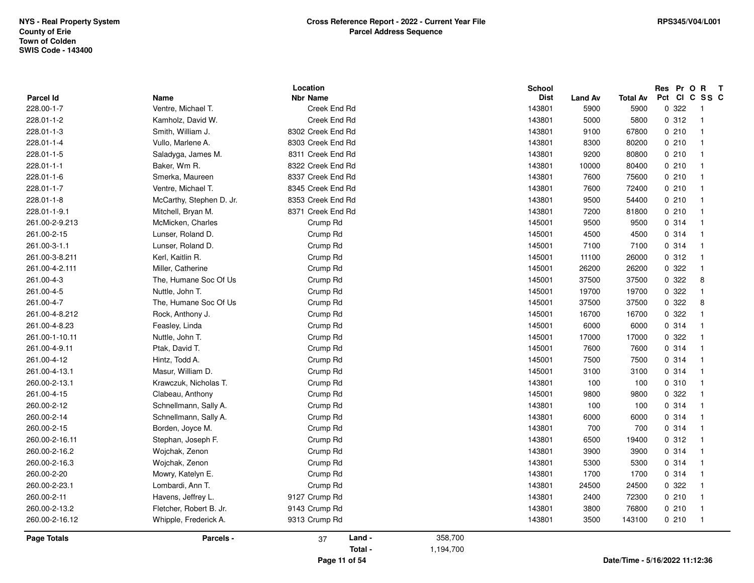|                         |                            | Location                        |           | <b>School</b><br><b>Dist</b> |                        |                                | Pct | Res Pr O | $\mathsf{R}$<br>$\mathbf{T}$<br>CICSSC     |  |
|-------------------------|----------------------------|---------------------------------|-----------|------------------------------|------------------------|--------------------------------|-----|----------|--------------------------------------------|--|
| Parcel Id<br>228.00-1-7 | Name<br>Ventre, Michael T. | <b>Nbr Name</b><br>Creek End Rd |           | 143801                       | <b>Land Av</b><br>5900 | <b>Total Av</b>                |     | 0.322    |                                            |  |
| 228.01-1-2              | Kamholz, David W.          | Creek End Rd                    |           | 143801                       | 5000                   | 5900<br>5800                   |     | 0.312    | $\overline{\phantom{0}}$<br>$\overline{1}$ |  |
| 228.01-1-3              |                            | 8302 Creek End Rd               |           |                              |                        |                                |     | 0210     | $\overline{1}$                             |  |
|                         | Smith, William J.          |                                 |           | 143801                       | 9100                   | 67800                          |     |          | $\overline{1}$                             |  |
| 228.01-1-4              | Vullo, Marlene A.          | 8303 Creek End Rd               |           | 143801                       | 8300                   | 80200                          |     | 0210     |                                            |  |
| 228.01-1-5              | Saladyga, James M.         | 8311 Creek End Rd               |           | 143801                       | 9200                   | 80800                          |     | 0210     | $\overline{1}$                             |  |
| 228.01-1-1              | Baker, Wm R.               | 8322 Creek End Rd               |           | 143801                       | 10000                  | 80400                          |     | 0210     | $\overline{\mathbf{1}}$                    |  |
| 228.01-1-6              | Smerka, Maureen            | 8337 Creek End Rd               |           | 143801                       | 7600                   | 75600                          |     | 0210     | $\mathbf{1}$                               |  |
| 228.01-1-7              | Ventre, Michael T.         | 8345 Creek End Rd               |           | 143801                       | 7600                   | 72400                          |     | 0210     | $\overline{\mathbf{1}}$                    |  |
| 228.01-1-8              | McCarthy, Stephen D. Jr.   | 8353 Creek End Rd               |           | 143801                       | 9500                   | 54400                          |     | 0210     | $\overline{\mathbf{1}}$                    |  |
| 228.01-1-9.1            | Mitchell, Bryan M.         | 8371 Creek End Rd               |           | 143801                       | 7200                   | 81800                          |     | 0210     | $\overline{\mathbf{1}}$                    |  |
| 261.00-2-9.213          | McMicken, Charles          | Crump Rd                        |           | 145001                       | 9500                   | 9500                           |     | 0.314    | $\overline{1}$                             |  |
| 261.00-2-15             | Lunser, Roland D.          | Crump Rd                        |           | 145001                       | 4500                   | 4500                           |     | 0.314    | $\overline{1}$                             |  |
| 261.00-3-1.1            | Lunser, Roland D.          | Crump Rd                        |           | 145001                       | 7100                   | 7100                           |     | 0.314    | $\overline{1}$                             |  |
| 261.00-3-8.211          | Kerl, Kaitlin R.           | Crump Rd                        |           | 145001                       | 11100                  | 26000                          |     | 0.312    | $\overline{1}$                             |  |
| 261.00-4-2.111          | Miller, Catherine          | Crump Rd                        |           | 145001                       | 26200                  | 26200                          |     | 0.322    | $\overline{1}$                             |  |
| 261.00-4-3              | The, Humane Soc Of Us      | Crump Rd                        |           | 145001                       | 37500                  | 37500                          |     | 0.322    | 8                                          |  |
| 261.00-4-5              | Nuttle, John T.            | Crump Rd                        |           | 145001                       | 19700                  | 19700                          |     | 0.322    | -1                                         |  |
| 261.00-4-7              | The, Humane Soc Of Us      | Crump Rd                        |           | 145001                       | 37500                  | 37500                          |     | 0.322    | 8                                          |  |
| 261.00-4-8.212          | Rock, Anthony J.           | Crump Rd                        |           | 145001                       | 16700                  | 16700                          |     | 0.322    | $\overline{1}$                             |  |
| 261.00-4-8.23           | Feasley, Linda             | Crump Rd                        |           | 145001                       | 6000                   | 6000                           |     | 0.314    | $\overline{1}$                             |  |
| 261.00-1-10.11          | Nuttle, John T.            | Crump Rd                        |           | 145001                       | 17000                  | 17000                          |     | 0.322    | $\overline{1}$                             |  |
| 261.00-4-9.11           | Ptak, David T.             | Crump Rd                        |           | 145001                       | 7600                   | 7600                           |     | 0.314    | $\overline{1}$                             |  |
| 261.00-4-12             | Hintz, Todd A.             | Crump Rd                        |           | 145001                       | 7500                   | 7500                           |     | 0.314    | $\overline{1}$                             |  |
| 261.00-4-13.1           | Masur, William D.          | Crump Rd                        |           | 145001                       | 3100                   | 3100                           |     | 0.314    | $\overline{1}$                             |  |
| 260.00-2-13.1           | Krawczuk, Nicholas T.      | Crump Rd                        |           | 143801                       | 100                    | 100                            |     | 0.310    | $\overline{\mathbf{1}}$                    |  |
| 261.00-4-15             | Clabeau, Anthony           | Crump Rd                        |           | 145001                       | 9800                   | 9800                           |     | 0.322    | -1                                         |  |
| 260.00-2-12             | Schnellmann, Sally A.      | Crump Rd                        |           | 143801                       | 100                    | 100                            |     | 0.314    | $\overline{1}$                             |  |
| 260.00-2-14             | Schnellmann, Sally A.      | Crump Rd                        |           | 143801                       | 6000                   | 6000                           |     | 0.314    | $\overline{\mathbf{1}}$                    |  |
| 260.00-2-15             | Borden, Joyce M.           | Crump Rd                        |           | 143801                       | 700                    | 700                            |     | 0.314    | $\overline{1}$                             |  |
| 260.00-2-16.11          | Stephan, Joseph F.         | Crump Rd                        |           | 143801                       | 6500                   | 19400                          |     | 0.312    | $\overline{1}$                             |  |
| 260.00-2-16.2           | Wojchak, Zenon             | Crump Rd                        |           | 143801                       | 3900                   | 3900                           |     | 0.314    | $\overline{1}$                             |  |
| 260.00-2-16.3           | Wojchak, Zenon             | Crump Rd                        |           | 143801                       | 5300                   | 5300                           |     | 0.314    | $\overline{1}$                             |  |
| 260.00-2-20             | Mowry, Katelyn E.          | Crump Rd                        |           | 143801                       | 1700                   | 1700                           |     | 0.314    | $\overline{1}$                             |  |
| 260.00-2-23.1           | Lombardi, Ann T.           | Crump Rd                        |           | 143801                       | 24500                  | 24500                          |     | 0.322    | -1                                         |  |
| 260.00-2-11             | Havens, Jeffrey L.         | 9127 Crump Rd                   |           | 143801                       | 2400                   | 72300                          |     | 0210     | $\overline{\mathbf{1}}$                    |  |
| 260.00-2-13.2           | Fletcher, Robert B. Jr.    | 9143 Crump Rd                   |           | 143801                       | 3800                   | 76800                          |     | 0210     | $\overline{\mathbf{1}}$                    |  |
| 260.00-2-16.12          | Whipple, Frederick A.      | 9313 Crump Rd                   |           | 143801                       | 3500                   | 143100                         |     | 0210     | $\overline{1}$                             |  |
| Page Totals             | Parcels -                  | Land -<br>37                    | 358,700   |                              |                        |                                |     |          |                                            |  |
|                         |                            | Total -                         | 1,194,700 |                              |                        |                                |     |          |                                            |  |
|                         |                            | Page 11 of 54                   |           |                              |                        | Date/Time - 5/16/2022 11:12:36 |     |          |                                            |  |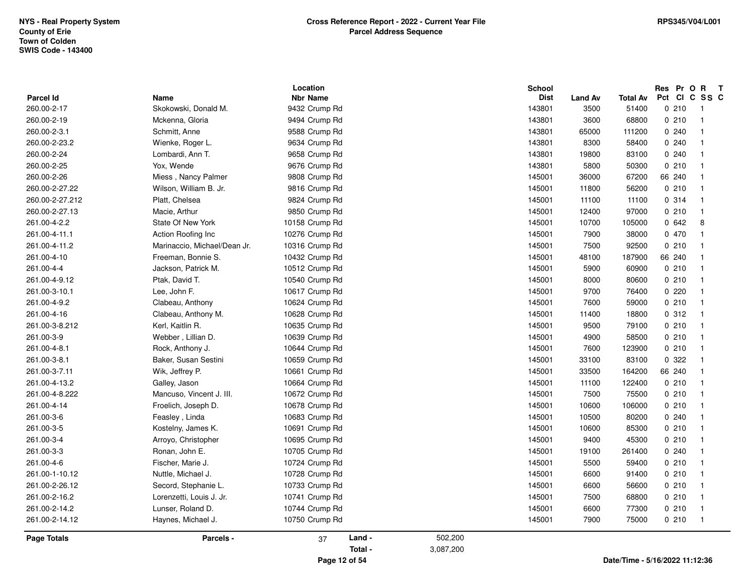| Parcel Id       | Name                         | Location<br><b>Nbr Name</b> |           | School<br><b>Dist</b> | <b>Land Av</b> | <b>Total Av</b> | Res Pr O R<br>Pct CI C SS C | $\mathbf{T}$            |  |
|-----------------|------------------------------|-----------------------------|-----------|-----------------------|----------------|-----------------|-----------------------------|-------------------------|--|
| 260.00-2-17     | Skokowski, Donald M.         | 9432 Crump Rd               |           | 143801                | 3500           | 51400           | 0210                        | $\overline{1}$          |  |
| 260.00-2-19     | Mckenna, Gloria              | 9494 Crump Rd               |           | 143801                | 3600           | 68800           | 0210                        | $\overline{1}$          |  |
| 260.00-2-3.1    | Schmitt, Anne                | 9588 Crump Rd               |           | 143801                | 65000          | 111200          | 0240                        | -1                      |  |
| 260.00-2-23.2   | Wienke, Roger L.             | 9634 Crump Rd               |           | 143801                | 8300           | 58400           | 0.240                       | $\mathbf{1}$            |  |
| 260.00-2-24     | Lombardi, Ann T.             | 9658 Crump Rd               |           | 143801                | 19800          | 83100           | 0240                        |                         |  |
| 260.00-2-25     | Yox, Wende                   | 9676 Crump Rd               |           | 143801                | 5800           | 50300           | 0210                        | -1                      |  |
| 260.00-2-26     | Miess, Nancy Palmer          | 9808 Crump Rd               |           | 145001                | 36000          | 67200           | 66 240                      | -1                      |  |
| 260.00-2-27.22  | Wilson, William B. Jr.       | 9816 Crump Rd               |           | 145001                | 11800          |                 | 0210                        | -1                      |  |
|                 | Platt, Chelsea               |                             |           |                       |                | 56200           | 0.314                       |                         |  |
| 260.00-2-27.212 |                              | 9824 Crump Rd               |           | 145001                | 11100          | 11100           |                             | $\overline{1}$          |  |
| 260.00-2-27.13  | Macie, Arthur                | 9850 Crump Rd               |           | 145001                | 12400          | 97000           | 0210                        |                         |  |
| 261.00-4-2.2    | State Of New York            | 10158 Crump Rd              |           | 145001                | 10700          | 105000          | 0642                        | 8                       |  |
| 261.00-4-11.1   | Action Roofing Inc           | 10276 Crump Rd              |           | 145001                | 7900           | 38000           | 0 470                       | $\overline{\mathbf{1}}$ |  |
| 261.00-4-11.2   | Marinaccio, Michael/Dean Jr. | 10316 Crump Rd              |           | 145001                | 7500           | 92500           | 0210                        | -1                      |  |
| 261.00-4-10     | Freeman, Bonnie S.           | 10432 Crump Rd              |           | 145001                | 48100          | 187900          | 66 240                      | -1                      |  |
| 261.00-4-4      | Jackson, Patrick M.          | 10512 Crump Rd              |           | 145001                | 5900           | 60900           | 0210                        |                         |  |
| 261.00-4-9.12   | Ptak, David T.               | 10540 Crump Rd              |           | 145001                | 8000           | 80600           | 0210                        | $\overline{\mathbf{1}}$ |  |
| 261.00-3-10.1   | Lee, John F.                 | 10617 Crump Rd              |           | 145001                | 9700           | 76400           | 0220                        | -1                      |  |
| 261.00-4-9.2    | Clabeau, Anthony             | 10624 Crump Rd              |           | 145001                | 7600           | 59000           | 0210                        | $\overline{1}$          |  |
| 261.00-4-16     | Clabeau, Anthony M.          | 10628 Crump Rd              |           | 145001                | 11400          | 18800           | 0 312                       | $\overline{\mathbf{1}}$ |  |
| 261.00-3-8.212  | Kerl, Kaitlin R.             | 10635 Crump Rd              |           | 145001                | 9500           | 79100           | 0210                        |                         |  |
| 261.00-3-9      | Webber, Lillian D.           | 10639 Crump Rd              |           | 145001                | 4900           | 58500           | 0210                        | $\overline{\mathbf{1}}$ |  |
| 261.00-4-8.1    | Rock, Anthony J.             | 10644 Crump Rd              |           | 145001                | 7600           | 123900          | 0210                        | $\overline{\mathbf{1}}$ |  |
| 261.00-3-8.1    | Baker, Susan Sestini         | 10659 Crump Rd              |           | 145001                | 33100          | 83100           | 0.322                       | $\mathbf{1}$            |  |
| 261.00-3-7.11   | Wik, Jeffrey P.              | 10661 Crump Rd              |           | 145001                | 33500          | 164200          | 66 240                      |                         |  |
| 261.00-4-13.2   | Galley, Jason                | 10664 Crump Rd              |           | 145001                | 11100          | 122400          | 0210                        | $\mathbf{1}$            |  |
| 261.00-4-8.222  | Mancuso, Vincent J. III.     | 10672 Crump Rd              |           | 145001                | 7500           | 75500           | 0210                        | -1                      |  |
| 261.00-4-14     | Froelich, Joseph D.          | 10678 Crump Rd              |           | 145001                | 10600          | 106000          | 0210                        | -1                      |  |
| 261.00-3-6      | Feasley, Linda               | 10683 Crump Rd              |           | 145001                | 10500          | 80200           | 0.240                       | $\overline{\mathbf{1}}$ |  |
| 261.00-3-5      | Kostelny, James K.           | 10691 Crump Rd              |           | 145001                | 10600          | 85300           | 0210                        |                         |  |
| 261.00-3-4      | Arroyo, Christopher          | 10695 Crump Rd              |           | 145001                | 9400           | 45300           | 0210                        |                         |  |
| 261.00-3-3      | Ronan, John E.               | 10705 Crump Rd              |           | 145001                | 19100          | 261400          | 0240                        | $\overline{\mathbf{1}}$ |  |
| 261.00-4-6      | Fischer, Marie J.            | 10724 Crump Rd              |           | 145001                | 5500           | 59400           | 0210                        | -1                      |  |
| 261.00-1-10.12  | Nuttle, Michael J.           | 10728 Crump Rd              |           | 145001                | 6600           | 91400           | 0210                        | $\overline{1}$          |  |
| 261.00-2-26.12  | Secord, Stephanie L.         | 10733 Crump Rd              |           | 145001                | 6600           | 56600           | 0210                        | -1                      |  |
| 261.00-2-16.2   | Lorenzetti, Louis J. Jr.     | 10741 Crump Rd              |           | 145001                | 7500           | 68800           | 0210                        | $\mathbf{1}$            |  |
| 261.00-2-14.2   | Lunser, Roland D.            | 10744 Crump Rd              |           | 145001                | 6600           | 77300           | 0210                        | $\overline{\mathbf{1}}$ |  |
| 261.00-2-14.12  | Haynes, Michael J.           | 10750 Crump Rd              |           | 145001                | 7900           | 75000           | 0210                        | $\overline{1}$          |  |
| Page Totals     | Parcels -                    | Land -<br>37                | 502,200   |                       |                |                 |                             |                         |  |
|                 |                              | Total -                     | 3,087,200 |                       |                |                 |                             |                         |  |
|                 |                              |                             |           |                       |                |                 |                             |                         |  |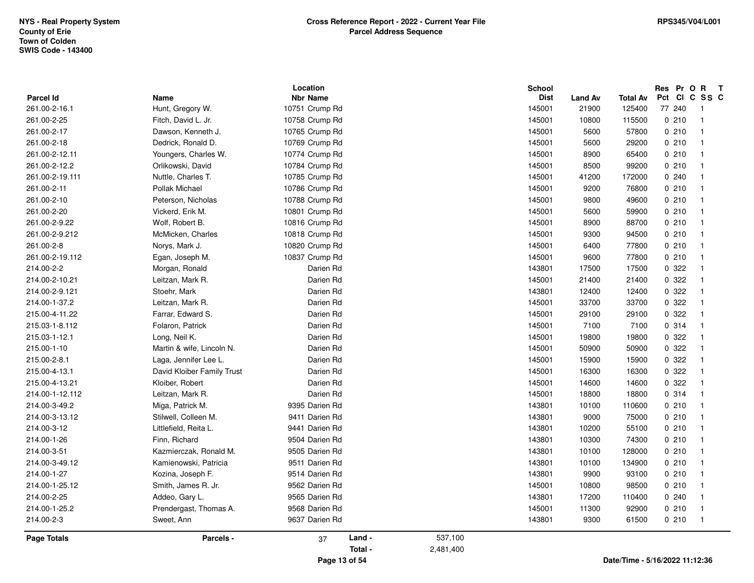|                    |                            | Location        |         |           | School      |                |                 | Res Pr O R    | $\mathbf{T}$             |  |
|--------------------|----------------------------|-----------------|---------|-----------|-------------|----------------|-----------------|---------------|--------------------------|--|
| <b>Parcel Id</b>   | Name                       | <b>Nbr Name</b> |         |           | <b>Dist</b> | <b>Land Av</b> | <b>Total Av</b> | Pct CI C SS C |                          |  |
| 261.00-2-16.1      | Hunt, Gregory W.           | 10751 Crump Rd  |         |           | 145001      | 21900          | 125400          | 77 240        | $\overline{\phantom{1}}$ |  |
| 261.00-2-25        | Fitch, David L. Jr.        | 10758 Crump Rd  |         |           | 145001      | 10800          | 115500          | 0210          | $\overline{1}$           |  |
| 261.00-2-17        | Dawson, Kenneth J.         | 10765 Crump Rd  |         |           | 145001      | 5600           | 57800           | 0210          | - 1                      |  |
| 261.00-2-18        | Dedrick, Ronald D.         | 10769 Crump Rd  |         |           | 145001      | 5600           | 29200           | 0210          | -1                       |  |
| 261.00-2-12.11     | Youngers, Charles W.       | 10774 Crump Rd  |         |           | 145001      | 8900           | 65400           | 0210          |                          |  |
| 261.00-2-12.2      | Orlikowski, David          | 10784 Crump Rd  |         |           | 145001      | 8500           | 99200           | 0210          |                          |  |
| 261.00-2-19.111    | Nuttle, Charles T.         | 10785 Crump Rd  |         |           | 145001      | 41200          | 172000          | 0.240         | -1                       |  |
| 261.00-2-11        | Pollak Michael             | 10786 Crump Rd  |         |           | 145001      | 9200           | 76800           | 0210          | -1                       |  |
| 261.00-2-10        | Peterson, Nicholas         | 10788 Crump Rd  |         |           | 145001      | 9800           | 49600           | 0210          | -1                       |  |
| 261.00-2-20        | Vickerd, Erik M.           | 10801 Crump Rd  |         |           | 145001      | 5600           | 59900           | 0210          |                          |  |
| 261.00-2-9.22      | Wolf, Robert B.            | 10816 Crump Rd  |         |           | 145001      | 8900           | 88700           | 0210          | -1                       |  |
| 261.00-2-9.212     | McMicken, Charles          | 10818 Crump Rd  |         |           | 145001      | 9300           | 94500           | 0210          | -1                       |  |
| 261.00-2-8         | Norys, Mark J.             | 10820 Crump Rd  |         |           | 145001      | 6400           | 77800           | 0210          | - 1                      |  |
| 261.00-2-19.112    | Egan, Joseph M.            | 10837 Crump Rd  |         |           | 145001      | 9600           | 77800           | 0210          | -1                       |  |
| 214.00-2-2         | Morgan, Ronald             | Darien Rd       |         |           | 143801      | 17500          | 17500           | 0 322         |                          |  |
| 214.00-2-10.21     | Leitzan, Mark R.           | Darien Rd       |         |           | 145001      | 21400          | 21400           | 0 322         | $\overline{\mathbf{1}}$  |  |
| 214.00-2-9.121     | Stoehr, Mark               | Darien Rd       |         |           | 143801      | 12400          | 12400           | 0.322         | $\overline{1}$           |  |
| 214.00-1-37.2      | Leitzan, Mark R.           | Darien Rd       |         |           | 145001      | 33700          | 33700           | 0.322         | $\overline{1}$           |  |
| 215.00-4-11.22     | Farrar, Edward S.          | Darien Rd       |         |           | 145001      | 29100          | 29100           | 0.322         | -1                       |  |
| 215.03-1-8.112     | Folaron, Patrick           | Darien Rd       |         |           | 145001      | 7100           | 7100            | 0.314         |                          |  |
| 215.03-1-12.1      | Long, Neil K.              | Darien Rd       |         |           | 145001      | 19800          | 19800           | 0.322         | -1                       |  |
| 215.00-1-10        | Martin & wife, Lincoln N.  | Darien Rd       |         |           | 145001      | 50900          | 50900           | 0 322         | $\overline{\mathbf{1}}$  |  |
| 215.00-2-8.1       | Laga, Jennifer Lee L.      | Darien Rd       |         |           | 145001      | 15900          | 15900           | 0 322         | $\overline{\mathbf{1}}$  |  |
| 215.00-4-13.1      | David Kloiber Family Trust | Darien Rd       |         |           | 145001      | 16300          | 16300           | 0 322         |                          |  |
| 215.00-4-13.21     | Kloiber, Robert            | Darien Rd       |         |           | 145001      | 14600          | 14600           | 0.322         |                          |  |
| 214.00-1-12.112    | Leitzan, Mark R.           | Darien Rd       |         |           | 145001      | 18800          | 18800           | 0.314         | - 1                      |  |
| 214.00-3-49.2      | Miga, Patrick M.           | 9395 Darien Rd  |         |           | 143801      | 10100          | 110600          | 0210          | -1                       |  |
| 214.00-3-13.12     | Stilwell, Colleen M.       | 9411 Darien Rd  |         |           | 143801      | 9000           | 75000           | 0210          | -1                       |  |
| 214.00-3-12        | Littlefield, Reita L.      | 9441 Darien Rd  |         |           | 143801      | 10200          | 55100           | 0210          |                          |  |
| 214.00-1-26        | Finn, Richard              | 9504 Darien Rd  |         |           | 143801      | 10300          | 74300           | 0210          |                          |  |
| 214.00-3-51        | Kazmierczak, Ronald M.     | 9505 Darien Rd  |         |           | 143801      | 10100          | 128000          | 0210          | -1                       |  |
| 214.00-3-49.12     | Kamienowski, Patricia      | 9511 Darien Rd  |         |           | 143801      | 10100          | 134900          | 0210          | -1                       |  |
| 214.00-1-27        | Kozina, Joseph F.          | 9514 Darien Rd  |         |           | 143801      | 9900           | 93100           | 0210          | -1                       |  |
| 214.00-1-25.12     | Smith, James R. Jr.        | 9562 Darien Rd  |         |           | 145001      | 10800          | 98500           | 0210          |                          |  |
| 214.00-2-25        | Addeo, Gary L.             | 9565 Darien Rd  |         |           | 143801      | 17200          | 110400          | 0.240         | $\overline{\mathbf{1}}$  |  |
| 214.00-1-25.2      | Prendergast, Thomas A.     | 9568 Darien Rd  |         |           | 145001      | 11300          | 92900           | 0210          | -1                       |  |
| 214.00-2-3         | Sweet, Ann                 | 9637 Darien Rd  |         |           | 143801      | 9300           | 61500           | 0210          | $\overline{1}$           |  |
| <b>Page Totals</b> | Parcels -                  | 37              | Land -  | 537,100   |             |                |                 |               |                          |  |
|                    |                            |                 | Total - | 2,481,400 |             |                |                 |               |                          |  |
|                    |                            |                 |         |           |             |                |                 |               |                          |  |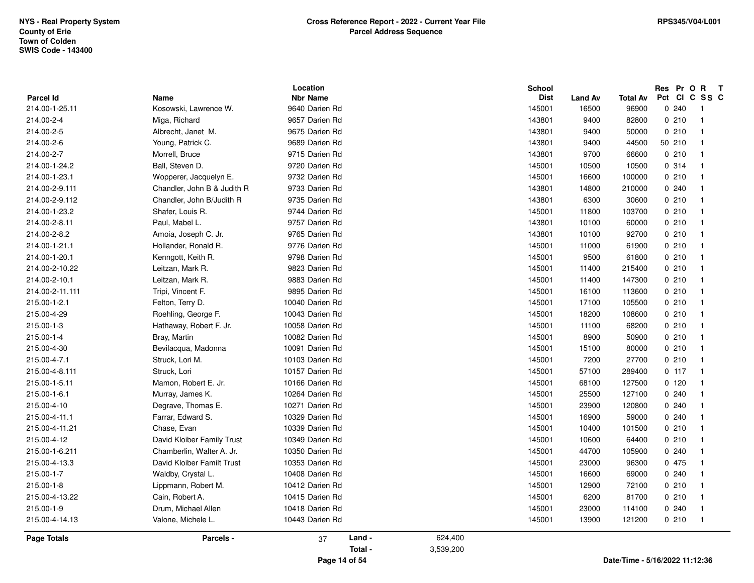| <b>Parcel Id</b>   | <b>Name</b>                 | Location<br><b>Nbr Name</b> |         |           | School<br><b>Dist</b> | <b>Land Av</b> | <b>Total Av</b> | Res Pr O R<br>Pct CI C SS C | $\mathbf{T}$             |  |
|--------------------|-----------------------------|-----------------------------|---------|-----------|-----------------------|----------------|-----------------|-----------------------------|--------------------------|--|
| 214.00-1-25.11     | Kosowski, Lawrence W.       | 9640 Darien Rd              |         |           | 145001                | 16500          | 96900           | 0240                        | $\overline{\phantom{1}}$ |  |
| 214.00-2-4         | Miga, Richard               | 9657 Darien Rd              |         |           | 143801                | 9400           | 82800           | 0210                        | $\overline{1}$           |  |
| 214.00-2-5         | Albrecht, Janet M.          | 9675 Darien Rd              |         |           | 143801                | 9400           | 50000           | 0210                        | $\overline{\mathbf{1}}$  |  |
| 214.00-2-6         | Young, Patrick C.           | 9689 Darien Rd              |         |           | 143801                | 9400           | 44500           | 50 210                      | $\overline{\mathbf{1}}$  |  |
| 214.00-2-7         | Morrell, Bruce              | 9715 Darien Rd              |         |           | 143801                | 9700           | 66600           | 0210                        | $\overline{1}$           |  |
| 214.00-1-24.2      | Ball, Steven D.             | 9720 Darien Rd              |         |           | 145001                | 10500          | 10500           | 0.314                       |                          |  |
| 214.00-1-23.1      | Wopperer, Jacquelyn E.      | 9732 Darien Rd              |         |           | 145001                | 16600          | 100000          | 0210                        | $\overline{\mathbf{1}}$  |  |
| 214.00-2-9.111     | Chandler, John B & Judith R | 9733 Darien Rd              |         |           | 143801                | 14800          | 210000          | 0.240                       | $\overline{\mathbf{1}}$  |  |
| 214.00-2-9.112     | Chandler, John B/Judith R   | 9735 Darien Rd              |         |           | 143801                | 6300           | 30600           | 0210                        | $\overline{\mathbf{1}}$  |  |
| 214.00-1-23.2      | Shafer, Louis R.            | 9744 Darien Rd              |         |           | 145001                | 11800          | 103700          | 0210                        | $\overline{1}$           |  |
| 214.00-2-8.11      | Paul, Mabel L.              | 9757 Darien Rd              |         |           | 143801                | 10100          | 60000           | 0210                        |                          |  |
| 214.00-2-8.2       | Amoia, Joseph C. Jr.        | 9765 Darien Rd              |         |           | 143801                | 10100          | 92700           | 0210                        | $\overline{\mathbf{1}}$  |  |
| 214.00-1-21.1      | Hollander, Ronald R.        | 9776 Darien Rd              |         |           | 145001                | 11000          | 61900           | 0210                        | $\overline{\mathbf{1}}$  |  |
| 214.00-1-20.1      | Kenngott, Keith R.          | 9798 Darien Rd              |         |           | 145001                | 9500           | 61800           | 0210                        | $\overline{\mathbf{1}}$  |  |
| 214.00-2-10.22     | Leitzan, Mark R.            | 9823 Darien Rd              |         |           | 145001                | 11400          | 215400          | 0210                        | $\overline{\mathbf{1}}$  |  |
| 214.00-2-10.1      | Leitzan, Mark R.            | 9883 Darien Rd              |         |           | 145001                | 11400          | 147300          | 0210                        |                          |  |
| 214.00-2-11.111    | Tripi, Vincent F.           | 9895 Darien Rd              |         |           | 145001                | 16100          | 113600          | 0210                        | $\overline{1}$           |  |
| 215.00-1-2.1       | Felton, Terry D.            | 10040 Darien Rd             |         |           | 145001                | 17100          | 105500          | 0210                        | $\overline{\mathbf{1}}$  |  |
| 215.00-4-29        | Roehling, George F.         | 10043 Darien Rd             |         |           | 145001                | 18200          | 108600          | 0210                        | $\overline{\mathbf{1}}$  |  |
| 215.00-1-3         | Hathaway, Robert F. Jr.     | 10058 Darien Rd             |         |           | 145001                | 11100          | 68200           | 0210                        | $\overline{\mathbf{1}}$  |  |
| 215.00-1-4         | Bray, Martin                | 10082 Darien Rd             |         |           | 145001                | 8900           | 50900           | 0210                        |                          |  |
| 215.00-4-30        | Bevilacqua, Madonna         | 10091 Darien Rd             |         |           | 145001                | 15100          | 80000           | 0210                        | $\overline{1}$           |  |
| 215.00-4-7.1       | Struck, Lori M.             | 10103 Darien Rd             |         |           | 145001                | 7200           | 27700           | 0210                        | $\overline{\mathbf{1}}$  |  |
| 215.00-4-8.111     | Struck, Lori                | 10157 Darien Rd             |         |           | 145001                | 57100          | 289400          | 0.117                       | $\overline{\mathbf{1}}$  |  |
| 215.00-1-5.11      | Mamon, Robert E. Jr.        | 10166 Darien Rd             |         |           | 145001                | 68100          | 127500          | 0120                        | $\overline{\mathbf{1}}$  |  |
| 215.00-1-6.1       | Murray, James K.            | 10264 Darien Rd             |         |           | 145001                | 25500          | 127100          | 0240                        |                          |  |
| 215.00-4-10        | Degrave, Thomas E.          | 10271 Darien Rd             |         |           | 145001                | 23900          | 120800          | 0240                        | $\mathbf{1}$             |  |
| 215.00-4-11.1      | Farrar, Edward S.           | 10329 Darien Rd             |         |           | 145001                | 16900          | 59000           | 0.240                       |                          |  |
| 215.00-4-11.21     | Chase, Evan                 | 10339 Darien Rd             |         |           | 145001                | 10400          | 101500          | 0210                        | -1                       |  |
| 215.00-4-12        | David Kloiber Family Trust  | 10349 Darien Rd             |         |           | 145001                | 10600          | 64400           | 0210                        |                          |  |
| 215.00-1-6.211     | Chamberlin, Walter A. Jr.   | 10350 Darien Rd             |         |           | 145001                | 44700          | 105900          | 0240                        |                          |  |
| 215.00-4-13.3      | David Kloiber Familt Trust  | 10353 Darien Rd             |         |           | 145001                | 23000          | 96300           | 0 475                       | -1                       |  |
| 215.00-1-7         | Waldby, Crystal L.          | 10408 Darien Rd             |         |           | 145001                | 16600          | 69000           | 0.240                       | $\overline{\mathbf{1}}$  |  |
| 215.00-1-8         | Lippmann, Robert M.         | 10412 Darien Rd             |         |           | 145001                | 12900          | 72100           | 0210                        | $\overline{1}$           |  |
| 215.00-4-13.22     | Cain, Robert A.             | 10415 Darien Rd             |         |           | 145001                | 6200           | 81700           | 0210                        | $\overline{\mathbf{1}}$  |  |
| 215.00-1-9         | Drum, Michael Allen         | 10418 Darien Rd             |         |           | 145001                | 23000          | 114100          | 0240                        |                          |  |
| 215.00-4-14.13     | Valone, Michele L.          | 10443 Darien Rd             |         |           | 145001                | 13900          | 121200          | 0210                        | $\overline{1}$           |  |
| <b>Page Totals</b> | Parcels -                   | 37                          | Land -  | 624,400   |                       |                |                 |                             |                          |  |
|                    |                             |                             | Total - | 3,539,200 |                       |                |                 |                             |                          |  |

**Page 14 of 54**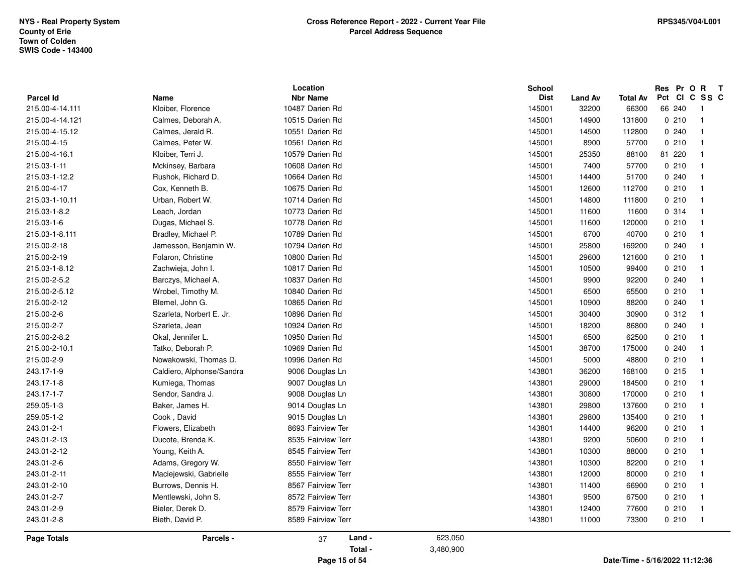|                    |                           | Location           |           | <b>School</b> |         |                                | Res Pr O R |        | $\mathbf{T}$            |
|--------------------|---------------------------|--------------------|-----------|---------------|---------|--------------------------------|------------|--------|-------------------------|
| <b>Parcel Id</b>   | <b>Name</b>               | <b>Nbr Name</b>    |           | <b>Dist</b>   | Land Av | <b>Total Av</b>                |            |        | Pct CI C SS C           |
| 215.00-4-14.111    | Kloiber, Florence         | 10487 Darien Rd    |           | 145001        | 32200   | 66300                          |            | 66 240 | -1                      |
| 215.00-4-14.121    | Calmes, Deborah A.        | 10515 Darien Rd    |           | 145001        | 14900   | 131800                         |            | 0210   | $\overline{1}$          |
| 215.00-4-15.12     | Calmes, Jerald R.         | 10551 Darien Rd    |           | 145001        | 14500   | 112800                         |            | 0.240  | $\overline{1}$          |
| 215.00-4-15        | Calmes, Peter W.          | 10561 Darien Rd    |           | 145001        | 8900    | 57700                          |            | 0210   | -1                      |
| 215.00-4-16.1      | Kloiber, Terri J.         | 10579 Darien Rd    |           | 145001        | 25350   | 88100                          |            | 81 220 | $\overline{1}$          |
| 215.03-1-11        | Mckinsey, Barbara         | 10608 Darien Rd    |           | 145001        | 7400    | 57700                          |            | 0210   | $\overline{\mathbf{1}}$ |
| 215.03-1-12.2      | Rushok, Richard D.        | 10664 Darien Rd    |           | 145001        | 14400   | 51700                          |            | 0.240  | -1                      |
| 215.00-4-17        | Cox, Kenneth B.           | 10675 Darien Rd    |           | 145001        | 12600   | 112700                         |            | 0210   | -1                      |
| 215.03-1-10.11     | Urban, Robert W.          | 10714 Darien Rd    |           | 145001        | 14800   | 111800                         |            | 0210   | -1                      |
| 215.03-1-8.2       | Leach, Jordan             | 10773 Darien Rd    |           | 145001        | 11600   | 11600                          |            | 0.314  | -1                      |
| 215.03-1-6         | Dugas, Michael S.         | 10778 Darien Rd    |           | 145001        | 11600   | 120000                         |            | 0210   | $\overline{1}$          |
| 215.03-1-8.111     | Bradley, Michael P.       | 10789 Darien Rd    |           | 145001        | 6700    | 40700                          |            | 0210   | -1                      |
| 215.00-2-18        | Jamesson, Benjamin W.     | 10794 Darien Rd    |           | 145001        | 25800   | 169200                         |            | 0.240  | $\overline{1}$          |
| 215.00-2-19        | Folaron, Christine        | 10800 Darien Rd    |           | 145001        | 29600   | 121600                         |            | 0210   | $\overline{1}$          |
| 215.03-1-8.12      | Zachwieja, John I.        | 10817 Darien Rd    |           | 145001        | 10500   | 99400                          |            | 0210   | -1                      |
| 215.00-2-5.2       | Barczys, Michael A.       | 10837 Darien Rd    |           | 145001        | 9900    | 92200                          |            | 0.240  | $\overline{1}$          |
| 215.00-2-5.12      | Wrobel, Timothy M.        | 10840 Darien Rd    |           | 145001        | 6500    | 65500                          |            | 0210   | -1                      |
| 215.00-2-12        | Blemel, John G.           | 10865 Darien Rd    |           | 145001        | 10900   | 88200                          |            | 0.240  | $\overline{1}$          |
| 215.00-2-6         | Szarleta, Norbert E. Jr.  | 10896 Darien Rd    |           | 145001        | 30400   | 30900                          |            | 0.312  | $\overline{1}$          |
| 215.00-2-7         | Szarleta, Jean            | 10924 Darien Rd    |           | 145001        | 18200   | 86800                          |            | 0240   | -1                      |
| 215.00-2-8.2       | Okal, Jennifer L.         | 10950 Darien Rd    |           | 145001        | 6500    | 62500                          |            | 0210   | -1                      |
| 215.00-2-10.1      | Tatko, Deborah P.         | 10969 Darien Rd    |           | 145001        | 38700   | 175000                         |            | 0.240  |                         |
| 215.00-2-9         | Nowakowski, Thomas D.     | 10996 Darien Rd    |           | 145001        | 5000    | 48800                          |            | 0210   | -1                      |
| 243.17-1-9         | Caldiero, Alphonse/Sandra | 9006 Douglas Ln    |           | 143801        | 36200   | 168100                         |            | 0215   | $\overline{1}$          |
| 243.17-1-8         | Kumiega, Thomas           | 9007 Douglas Ln    |           | 143801        | 29000   | 184500                         |            | 0210   | $\overline{\mathbf{1}}$ |
| 243.17-1-7         | Sendor, Sandra J.         | 9008 Douglas Ln    |           | 143801        | 30800   | 170000                         |            | 0210   | $\overline{1}$          |
| 259.05-1-3         | Baker, James H.           | 9014 Douglas Ln    |           | 143801        | 29800   | 137600                         |            | 0210   | $\overline{1}$          |
| 259.05-1-2         | Cook, David               | 9015 Douglas Ln    |           | 143801        | 29800   | 135400                         |            | 0210   | -1                      |
| 243.01-2-1         | Flowers, Elizabeth        | 8693 Fairview Ter  |           | 143801        | 14400   | 96200                          |            | 0210   | $\overline{1}$          |
| 243.01-2-13        | Ducote, Brenda K.         | 8535 Fairview Terr |           | 143801        | 9200    | 50600                          |            | 0210   | - 1                     |
| 243.01-2-12        | Young, Keith A.           | 8545 Fairview Terr |           | 143801        | 10300   | 88000                          |            | 0210   | -1                      |
| 243.01-2-6         | Adams, Gregory W.         | 8550 Fairview Terr |           | 143801        | 10300   | 82200                          |            | 0210   | $\overline{1}$          |
| 243.01-2-11        | Maciejewski, Gabrielle    | 8555 Fairview Terr |           | 143801        | 12000   | 80000                          |            | 0210   | -1                      |
| 243.01-2-10        | Burrows, Dennis H.        | 8567 Fairview Terr |           | 143801        | 11400   | 66900                          |            | 0210   | $\overline{1}$          |
| 243.01-2-7         | Mentlewski, John S.       | 8572 Fairview Terr |           | 143801        | 9500    | 67500                          |            | 0210   | $\overline{1}$          |
| 243.01-2-9         | Bieler, Derek D.          | 8579 Fairview Terr |           | 143801        | 12400   | 77600                          |            | 0210   | -1                      |
| 243.01-2-8         | Bieth, David P.           | 8589 Fairview Terr |           | 143801        | 11000   | 73300                          |            | 0210   | - 1                     |
| <b>Page Totals</b> | Parcels -                 | Land -<br>37       | 623,050   |               |         |                                |            |        |                         |
|                    |                           | Total -            | 3,480,900 |               |         |                                |            |        |                         |
|                    |                           | Page 15 of 54      |           |               |         | Date/Time - 5/16/2022 11:12:36 |            |        |                         |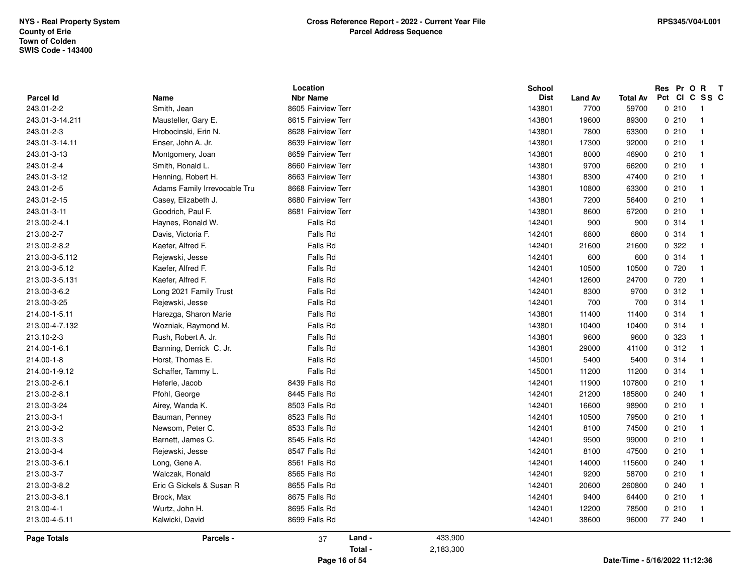|                               |                              | Location           |           | School      |                 |                          | Res Pr O R | $\mathbf{T}$             |
|-------------------------------|------------------------------|--------------------|-----------|-------------|-----------------|--------------------------|------------|--------------------------|
| <b>Parcel Id</b>              | Name                         | <b>Nbr Name</b>    |           | <b>Dist</b> | Land Av<br>7700 | <b>Total Av</b><br>59700 | 0210       | Pct CI C SS C            |
| 243.01-2-2<br>243.01-3-14.211 | Smith, Jean                  | 8605 Fairview Terr |           | 143801      |                 |                          | 0210       | - 1<br>$\overline{1}$    |
|                               | Mausteller, Gary E.          | 8615 Fairview Terr |           | 143801      | 19600           | 89300                    |            |                          |
| 243.01-2-3                    | Hrobocinski, Erin N.         | 8628 Fairview Terr |           | 143801      | 7800            | 63300                    | 0210       | $\overline{\mathbf{1}}$  |
| 243.01-3-14.11                | Enser, John A. Jr.           | 8639 Fairview Terr |           | 143801      | 17300           | 92000                    | 0210       | - 1                      |
| 243.01-3-13                   | Montgomery, Joan             | 8659 Fairview Terr |           | 143801      | 8000            | 46900                    | 0210       | - 1                      |
| 243.01-2-4                    | Smith, Ronald L.             | 8660 Fairview Terr |           | 143801      | 9700            | 66200                    | 0210       | - 1                      |
| 243.01-3-12                   | Henning, Robert H.           | 8663 Fairview Terr |           | 143801      | 8300            | 47400                    | 0210       | $\overline{1}$           |
| 243.01-2-5                    | Adams Family Irrevocable Tru | 8668 Fairview Terr |           | 143801      | 10800           | 63300                    | 0210       | - 1                      |
| 243.01-2-15                   | Casey, Elizabeth J.          | 8680 Fairview Terr |           | 143801      | 7200            | 56400                    | 0210       | - 1                      |
| 243.01-3-11                   | Goodrich, Paul F.            | 8681 Fairview Terr |           | 143801      | 8600            | 67200                    | 0210       | - 1                      |
| 213.00-2-4.1                  | Haynes, Ronald W.            | Falls Rd           |           | 142401      | 900             | 900                      | 0.314      | - 1                      |
| 213.00-2-7                    | Davis, Victoria F.           | Falls Rd           |           | 142401      | 6800            | 6800                     | 0.314      | $\overline{\mathbf{1}}$  |
| 213.00-2-8.2                  | Kaefer, Alfred F.            | Falls Rd           |           | 142401      | 21600           | 21600                    | 0 322      | $\overline{\mathbf{1}}$  |
| 213.00-3-5.112                | Rejewski, Jesse              | Falls Rd           |           | 142401      | 600             | 600                      | 0.314      | - 1                      |
| 213.00-3-5.12                 | Kaefer, Alfred F.            | Falls Rd           |           | 142401      | 10500           | 10500                    | 0 720      |                          |
| 213.00-3-5.131                | Kaefer, Alfred F.            | Falls Rd           |           | 142401      | 12600           | 24700                    | 0 720      | -1                       |
| 213.00-3-6.2                  | Long 2021 Family Trust       | Falls Rd           |           | 142401      | 8300            | 9700                     | 0.312      | $\overline{\phantom{1}}$ |
| 213.00-3-25                   | Rejewski, Jesse              | Falls Rd           |           | 142401      | 700             | 700                      | 0.314      | -1                       |
| 214.00-1-5.11                 | Harezga, Sharon Marie        | Falls Rd           |           | 143801      | 11400           | 11400                    | 0.314      | - 1                      |
| 213.00-4-7.132                | Wozniak, Raymond M.          | Falls Rd           |           | 143801      | 10400           | 10400                    | 0 314      | -1                       |
| 213.10-2-3                    | Rush, Robert A. Jr.          | Falls Rd           |           | 143801      | 9600            | 9600                     | 0 323      | $\overline{\mathbf{1}}$  |
| 214.00-1-6.1                  | Banning, Derrick C. Jr.      | Falls Rd           |           | 143801      | 29000           | 41100                    | 0.312      | - 1                      |
| 214.00-1-8                    | Horst, Thomas E.             | <b>Falls Rd</b>    |           | 145001      | 5400            | 5400                     | 0.314      | - 1                      |
| 214.00-1-9.12                 | Schaffer, Tammy L.           | <b>Falls Rd</b>    |           | 145001      | 11200           | 11200                    | 0 314      | - 1                      |
| 213.00-2-6.1                  | Heferle, Jacob               | 8439 Falls Rd      |           | 142401      | 11900           | 107800                   | 0210       | $\overline{\mathbf{1}}$  |
| 213.00-2-8.1                  | Pfohl, George                | 8445 Falls Rd      |           | 142401      | 21200           | 185800                   | 0.240      | - 1                      |
| 213.00-3-24                   | Airey, Wanda K.              | 8503 Falls Rd      |           | 142401      | 16600           | 98900                    | 0210       | - 1                      |
| 213.00-3-1                    | Bauman, Penney               | 8523 Falls Rd      |           | 142401      | 10500           | 79500                    | 0210       | -1                       |
| 213.00-3-2                    | Newsom, Peter C.             | 8533 Falls Rd      |           | 142401      | 8100            | 74500                    | 0210       | -1                       |
| 213.00-3-3                    | Barnett, James C.            | 8545 Falls Rd      |           | 142401      | 9500            | 99000                    | 0210       | - 1                      |
| 213.00-3-4                    | Rejewski, Jesse              | 8547 Falls Rd      |           | 142401      | 8100            | 47500                    | 0210       | -1                       |
| 213.00-3-6.1                  | Long, Gene A.                | 8561 Falls Rd      |           | 142401      | 14000           | 115600                   | 0.240      | $\overline{\mathbf{1}}$  |
| 213.00-3-7                    | Walczak, Ronald              | 8565 Falls Rd      |           | 142401      | 9200            | 58700                    | 0210       | $\overline{\mathbf{1}}$  |
| 213.00-3-8.2                  | Eric G Sickels & Susan R     | 8655 Falls Rd      |           | 142401      | 20600           | 260800                   | 0.240      | - 1                      |
| 213.00-3-8.1                  | Brock, Max                   | 8675 Falls Rd      |           | 142401      | 9400            | 64400                    | 0210       | $\overline{\mathbf{1}}$  |
| 213.00-4-1                    | Wurtz, John H.               | 8695 Falls Rd      |           | 142401      | 12200           | 78500                    | 0210       | - 1                      |
| 213.00-4-5.11                 | Kalwicki, David              | 8699 Falls Rd      |           | 142401      | 38600           | 96000                    | 77 240     | $\overline{\phantom{0}}$ |
| <b>Page Totals</b>            | Parcels -                    | Land -<br>37       | 433,900   |             |                 |                          |            |                          |
|                               |                              | Total -            | 2,183,300 |             |                 |                          |            |                          |
|                               |                              |                    |           |             |                 |                          |            |                          |

**Page 16 of 54**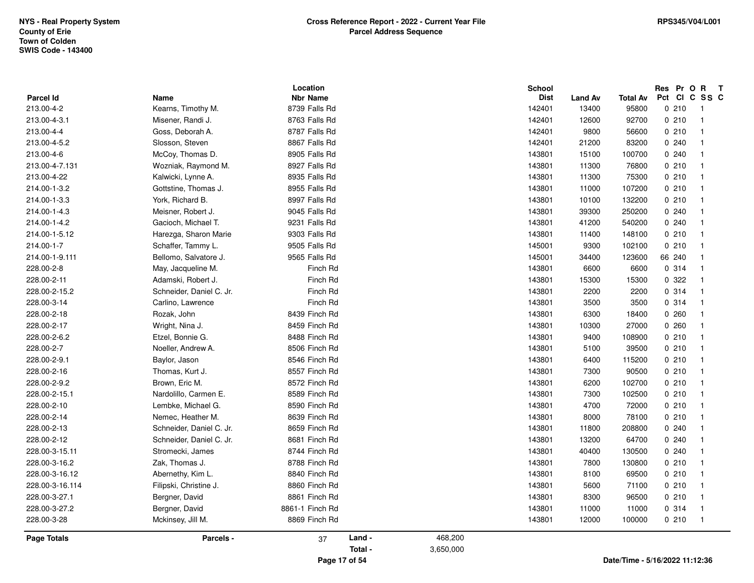| Parcel Id       | Name                     | Location<br><b>Nbr Name</b> |         |           | <b>School</b><br><b>Dist</b> | <b>Land Av</b> | Total Av | Res Pr O R T<br>Pct CI C SS C |                         |
|-----------------|--------------------------|-----------------------------|---------|-----------|------------------------------|----------------|----------|-------------------------------|-------------------------|
| 213.00-4-2      | Kearns, Timothy M.       | 8739 Falls Rd               |         |           | 142401                       | 13400          | 95800    | 0210                          | $\overline{1}$          |
| 213.00-4-3.1    | Misener, Randi J.        | 8763 Falls Rd               |         |           | 142401                       | 12600          | 92700    | 0210                          | $\overline{1}$          |
| 213.00-4-4      | Goss, Deborah A.         | 8787 Falls Rd               |         |           | 142401                       | 9800           | 56600    | 0210                          | $\overline{1}$          |
| 213.00-4-5.2    | Slosson, Steven          | 8867 Falls Rd               |         |           | 142401                       | 21200          | 83200    | 0240                          | $\overline{1}$          |
| 213.00-4-6      | McCoy, Thomas D.         | 8905 Falls Rd               |         |           | 143801                       | 15100          | 100700   | 0.240                         | $\overline{1}$          |
| 213.00-4-7.131  | Wozniak, Raymond M.      | 8927 Falls Rd               |         |           | 143801                       | 11300          | 76800    | 0210                          | $\overline{1}$          |
| 213.00-4-22     | Kalwicki, Lynne A.       | 8935 Falls Rd               |         |           | 143801                       | 11300          | 75300    | 0210                          | $\overline{1}$          |
| 214.00-1-3.2    | Gottstine, Thomas J.     | 8955 Falls Rd               |         |           | 143801                       | 11000          | 107200   | 0210                          | $\overline{1}$          |
| 214.00-1-3.3    | York, Richard B.         | 8997 Falls Rd               |         |           | 143801                       | 10100          | 132200   | 0210                          | $\overline{1}$          |
| 214.00-1-4.3    | Meisner, Robert J.       | 9045 Falls Rd               |         |           | 143801                       | 39300          | 250200   | 0.240                         | $\mathbf{1}$            |
| 214.00-1-4.2    | Gacioch, Michael T.      | 9231 Falls Rd               |         |           | 143801                       | 41200          | 540200   | 0240                          | $\overline{1}$          |
| 214.00-1-5.12   | Harezga, Sharon Marie    | 9303 Falls Rd               |         |           | 143801                       | 11400          | 148100   | 0210                          | $\overline{1}$          |
| 214.00-1-7      | Schaffer, Tammy L.       | 9505 Falls Rd               |         |           | 145001                       | 9300           | 102100   | 0210                          | $\overline{1}$          |
| 214.00-1-9.111  | Bellomo, Salvatore J.    | 9565 Falls Rd               |         |           | 145001                       | 34400          | 123600   | 66 240                        | $\overline{1}$          |
| 228.00-2-8      | May, Jacqueline M.       | Finch Rd                    |         |           | 143801                       | 6600           | 6600     | 0.314                         | $\overline{1}$          |
| 228.00-2-11     | Adamski, Robert J.       | Finch Rd                    |         |           | 143801                       | 15300          | 15300    | 0.322                         | $\mathbf{1}$            |
| 228.00-2-15.2   | Schneider, Daniel C. Jr. | Finch Rd                    |         |           | 143801                       | 2200           | 2200     | 0.314                         | $\overline{1}$          |
| 228.00-3-14     | Carlino, Lawrence        | Finch Rd                    |         |           | 143801                       | 3500           | 3500     | 0.314                         | $\overline{1}$          |
| 228.00-2-18     | Rozak, John              | 8439 Finch Rd               |         |           | 143801                       | 6300           | 18400    | 0260                          | $\mathbf{1}$            |
| 228.00-2-17     | Wright, Nina J.          | 8459 Finch Rd               |         |           | 143801                       | 10300          | 27000    | 0260                          | $\mathbf{1}$            |
| 228.00-2-6.2    | Etzel, Bonnie G.         | 8488 Finch Rd               |         |           | 143801                       | 9400           | 108900   | 0210                          | $\overline{1}$          |
| 228.00-2-7      | Noeller, Andrew A.       | 8506 Finch Rd               |         |           | 143801                       | 5100           | 39500    | 0210                          | $\overline{\mathbf{1}}$ |
| 228.00-2-9.1    | Baylor, Jason            | 8546 Finch Rd               |         |           | 143801                       | 6400           | 115200   | 0210                          | $\overline{1}$          |
| 228.00-2-16     | Thomas, Kurt J.          | 8557 Finch Rd               |         |           | 143801                       | 7300           | 90500    | 0210                          | $\mathbf{1}$            |
| 228.00-2-9.2    | Brown, Eric M.           | 8572 Finch Rd               |         |           | 143801                       | 6200           | 102700   | 0210                          | $\overline{1}$          |
| 228.00-2-15.1   | Nardolillo, Carmen E.    | 8589 Finch Rd               |         |           | 143801                       | 7300           | 102500   | 0210                          | $\overline{1}$          |
| 228.00-2-10     | Lembke, Michael G.       | 8590 Finch Rd               |         |           | 143801                       | 4700           | 72000    | 0210                          | $\overline{1}$          |
| 228.00-2-14     | Nemec, Heather M.        | 8639 Finch Rd               |         |           | 143801                       | 8000           | 78100    | 0210                          | $\overline{1}$          |
| 228.00-2-13     | Schneider, Daniel C. Jr. | 8659 Finch Rd               |         |           | 143801                       | 11800          | 208800   | 0240                          | $\overline{1}$          |
| 228.00-2-12     | Schneider, Daniel C. Jr. | 8681 Finch Rd               |         |           | 143801                       | 13200          | 64700    | 0240                          | $\mathbf{1}$            |
| 228.00-3-15.11  | Stromecki, James         | 8744 Finch Rd               |         |           | 143801                       | 40400          | 130500   | 0240                          | $\overline{1}$          |
| 228.00-3-16.2   | Zak, Thomas J.           | 8788 Finch Rd               |         |           | 143801                       | 7800           | 130800   | 0210                          | $\overline{1}$          |
| 228.00-3-16.12  | Abernethy, Kim L.        | 8840 Finch Rd               |         |           | 143801                       | 8100           | 69500    | 0210                          | $\overline{1}$          |
| 228.00-3-16.114 | Filipski, Christine J.   | 8860 Finch Rd               |         |           | 143801                       | 5600           | 71100    | 0210                          | $\overline{1}$          |
| 228.00-3-27.1   | Bergner, David           | 8861 Finch Rd               |         |           | 143801                       | 8300           | 96500    | 0210                          | $\overline{1}$          |
| 228.00-3-27.2   | Bergner, David           | 8861-1 Finch Rd             |         |           | 143801                       | 11000          | 11000    | 0.314                         | $\overline{1}$          |
| 228.00-3-28     | Mckinsey, Jill M.        | 8869 Finch Rd               |         |           | 143801                       | 12000          | 100000   | 0210                          | $\overline{1}$          |
| Page Totals     | Parcels -                | 37                          | Land -  | 468,200   |                              |                |          |                               |                         |
|                 |                          |                             | Total - | 3,650,000 |                              |                |          |                               |                         |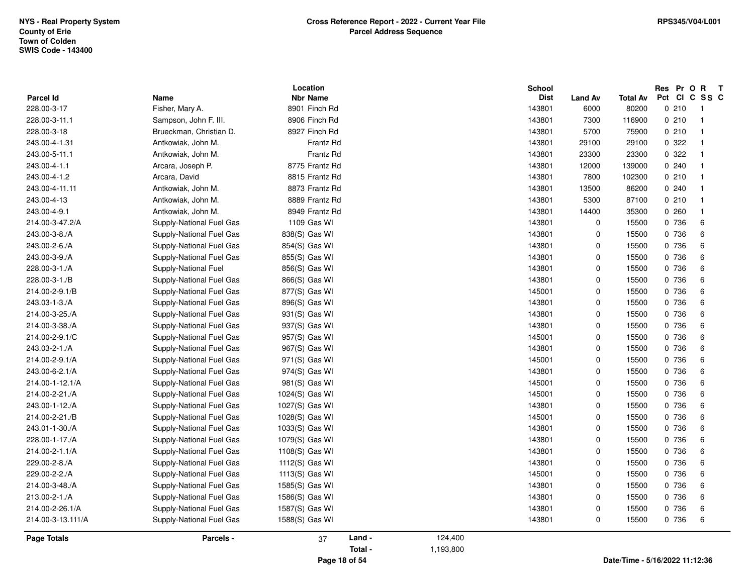| 8901 Finch Rd<br>143801<br>6000<br>80200<br>0210<br>Fisher, Mary A.<br>$\blacksquare$<br>8906 Finch Rd<br>143801<br>0210<br>Sampson, John F. III.<br>7300<br>116900<br>$\overline{1}$<br>Brueckman, Christian D.<br>8927 Finch Rd<br>143801<br>5700<br>75900<br>0210<br>$\overline{1}$<br>0 322<br>Frantz Rd<br>143801<br>29100<br>Antkowiak, John M.<br>29100<br>$\overline{1}$<br>0.322<br>Antkowiak, John M.<br>Frantz Rd<br>143801<br>23300<br>23300<br>$\overline{1}$<br>Arcara, Joseph P.<br>8775 Frantz Rd<br>0240<br>143801<br>12000<br>139000<br>$\overline{1}$<br>Arcara, David<br>8815 Frantz Rd<br>143801<br>7800<br>102300<br>0210<br>$\overline{1}$<br>Antkowiak, John M.<br>8873 Frantz Rd<br>143801<br>13500<br>0.240<br>86200<br>$\overline{1}$<br>Antkowiak, John M.<br>8889 Frantz Rd<br>143801<br>5300<br>87100<br>0210<br>$\overline{\mathbf{1}}$<br>8949 Frantz Rd<br>143801<br>35300<br>0.260<br>Antkowiak, John M.<br>14400<br>$\overline{1}$<br>1109 Gas WI<br>143801<br>0 736<br>6<br>Supply-National Fuel Gas<br>0<br>15500<br>0<br>6<br>Supply-National Fuel Gas<br>838(S) Gas WI<br>143801<br>0 736<br>15500<br>0<br>0 736<br>6<br>Supply-National Fuel Gas<br>854(S) Gas WI<br>143801<br>15500<br>Supply-National Fuel Gas<br>855(S) Gas WI<br>143801<br>0<br>0 736<br>6<br>15500<br>0<br>0 736<br>6<br>Supply-National Fuel<br>856(S) Gas WI<br>143801<br>15500<br>866(S) Gas WI<br>143801<br>0<br>0 736<br>6<br>Supply-National Fuel Gas<br>15500<br>$\pmb{0}$<br>0 736<br>6<br>Supply-National Fuel Gas<br>877(S) Gas WI<br>145001<br>15500<br>0<br>0 736<br>6<br>Supply-National Fuel Gas<br>896(S) Gas WI<br>143801<br>15500<br>931(S) Gas WI<br>0<br>0 736<br>6<br>Supply-National Fuel Gas<br>143801<br>15500<br>0<br>Supply-National Fuel Gas<br>937(S) Gas WI<br>143801<br>15500<br>0 736<br>6<br>0 736<br>6<br>Supply-National Fuel Gas<br>957(S) Gas WI<br>145001<br>0<br>15500<br>$\pmb{0}$<br>6<br>967(S) Gas WI<br>143801<br>15500<br>0 736<br>Supply-National Fuel Gas<br>0<br>0 736<br>6<br>Supply-National Fuel Gas<br>971(S) Gas WI<br>145001<br>15500<br>0<br>0 736<br>6<br>Supply-National Fuel Gas<br>974(S) Gas WI<br>143801<br>15500<br>981(S) Gas WI<br>0<br>0 736<br>6<br>Supply-National Fuel Gas<br>145001<br>15500<br>6<br>Supply-National Fuel Gas<br>1024(S) Gas WI<br>145001<br>0<br>15500<br>0 736<br>1027(S) Gas WI<br>143801<br>0<br>0 736<br>6<br>Supply-National Fuel Gas<br>15500<br>Supply-National Fuel Gas<br>1028(S) Gas WI<br>145001<br>0<br>15500<br>0 736<br>6<br>143801<br>0<br>0 736<br>6<br>Supply-National Fuel Gas<br>1033(S) Gas WI<br>15500<br>1079(S) Gas WI<br>0<br>0 736<br>6<br>Supply-National Fuel Gas<br>143801<br>15500<br>0<br>6<br>Supply-National Fuel Gas<br>1108(S) Gas WI<br>143801<br>0 736<br>15500<br>0<br>0 736<br>6<br>Supply-National Fuel Gas<br>1112(S) Gas WI<br>143801<br>15500<br>Supply-National Fuel Gas<br>1113(S) Gas WI<br>145001<br>0<br>0 736<br>6<br>15500<br>0<br>0 736<br>6<br>Supply-National Fuel Gas<br>1585(S) Gas WI<br>143801<br>15500<br>1586(S) Gas WI<br>143801<br>0<br>0 736<br>6<br>Supply-National Fuel Gas<br>15500<br>$\pmb{0}$<br>$\,6\,$<br>Supply-National Fuel Gas<br>1587(S) Gas WI<br>143801<br>15500<br>0 736<br>0 736<br>Supply-National Fuel Gas<br>1588(S) Gas WI<br>0<br>6<br>143801<br>15500<br>Land -<br>124,400<br>Parcels -<br>37<br>Total -<br>1,193,800 | <b>Parcel Id</b>   | <b>Name</b> | Location<br><b>Nbr Name</b> |  | <b>School</b><br><b>Dist</b> | <b>Land Av</b> | <b>Total Av</b> | Res Pr O R<br>Pct CI C SS C | $\mathbf{T}$ |
|------------------------------------------------------------------------------------------------------------------------------------------------------------------------------------------------------------------------------------------------------------------------------------------------------------------------------------------------------------------------------------------------------------------------------------------------------------------------------------------------------------------------------------------------------------------------------------------------------------------------------------------------------------------------------------------------------------------------------------------------------------------------------------------------------------------------------------------------------------------------------------------------------------------------------------------------------------------------------------------------------------------------------------------------------------------------------------------------------------------------------------------------------------------------------------------------------------------------------------------------------------------------------------------------------------------------------------------------------------------------------------------------------------------------------------------------------------------------------------------------------------------------------------------------------------------------------------------------------------------------------------------------------------------------------------------------------------------------------------------------------------------------------------------------------------------------------------------------------------------------------------------------------------------------------------------------------------------------------------------------------------------------------------------------------------------------------------------------------------------------------------------------------------------------------------------------------------------------------------------------------------------------------------------------------------------------------------------------------------------------------------------------------------------------------------------------------------------------------------------------------------------------------------------------------------------------------------------------------------------------------------------------------------------------------------------------------------------------------------------------------------------------------------------------------------------------------------------------------------------------------------------------------------------------------------------------------------------------------------------------------------------------------------------------------------------------------------------------------------------------------------------------------------------------------------------------------------------------------------------------------------------------------------------------------------------------------------------------------------------------------------------------------------|--------------------|-------------|-----------------------------|--|------------------------------|----------------|-----------------|-----------------------------|--------------|
|                                                                                                                                                                                                                                                                                                                                                                                                                                                                                                                                                                                                                                                                                                                                                                                                                                                                                                                                                                                                                                                                                                                                                                                                                                                                                                                                                                                                                                                                                                                                                                                                                                                                                                                                                                                                                                                                                                                                                                                                                                                                                                                                                                                                                                                                                                                                                                                                                                                                                                                                                                                                                                                                                                                                                                                                                                                                                                                                                                                                                                                                                                                                                                                                                                                                                                                                                                                                            | 228.00-3-17        |             |                             |  |                              |                |                 |                             |              |
|                                                                                                                                                                                                                                                                                                                                                                                                                                                                                                                                                                                                                                                                                                                                                                                                                                                                                                                                                                                                                                                                                                                                                                                                                                                                                                                                                                                                                                                                                                                                                                                                                                                                                                                                                                                                                                                                                                                                                                                                                                                                                                                                                                                                                                                                                                                                                                                                                                                                                                                                                                                                                                                                                                                                                                                                                                                                                                                                                                                                                                                                                                                                                                                                                                                                                                                                                                                                            | 228.00-3-11.1      |             |                             |  |                              |                |                 |                             |              |
|                                                                                                                                                                                                                                                                                                                                                                                                                                                                                                                                                                                                                                                                                                                                                                                                                                                                                                                                                                                                                                                                                                                                                                                                                                                                                                                                                                                                                                                                                                                                                                                                                                                                                                                                                                                                                                                                                                                                                                                                                                                                                                                                                                                                                                                                                                                                                                                                                                                                                                                                                                                                                                                                                                                                                                                                                                                                                                                                                                                                                                                                                                                                                                                                                                                                                                                                                                                                            | 228.00-3-18        |             |                             |  |                              |                |                 |                             |              |
|                                                                                                                                                                                                                                                                                                                                                                                                                                                                                                                                                                                                                                                                                                                                                                                                                                                                                                                                                                                                                                                                                                                                                                                                                                                                                                                                                                                                                                                                                                                                                                                                                                                                                                                                                                                                                                                                                                                                                                                                                                                                                                                                                                                                                                                                                                                                                                                                                                                                                                                                                                                                                                                                                                                                                                                                                                                                                                                                                                                                                                                                                                                                                                                                                                                                                                                                                                                                            | 243.00-4-1.31      |             |                             |  |                              |                |                 |                             |              |
|                                                                                                                                                                                                                                                                                                                                                                                                                                                                                                                                                                                                                                                                                                                                                                                                                                                                                                                                                                                                                                                                                                                                                                                                                                                                                                                                                                                                                                                                                                                                                                                                                                                                                                                                                                                                                                                                                                                                                                                                                                                                                                                                                                                                                                                                                                                                                                                                                                                                                                                                                                                                                                                                                                                                                                                                                                                                                                                                                                                                                                                                                                                                                                                                                                                                                                                                                                                                            | 243.00-5-11.1      |             |                             |  |                              |                |                 |                             |              |
|                                                                                                                                                                                                                                                                                                                                                                                                                                                                                                                                                                                                                                                                                                                                                                                                                                                                                                                                                                                                                                                                                                                                                                                                                                                                                                                                                                                                                                                                                                                                                                                                                                                                                                                                                                                                                                                                                                                                                                                                                                                                                                                                                                                                                                                                                                                                                                                                                                                                                                                                                                                                                                                                                                                                                                                                                                                                                                                                                                                                                                                                                                                                                                                                                                                                                                                                                                                                            | 243.00-4-1.1       |             |                             |  |                              |                |                 |                             |              |
|                                                                                                                                                                                                                                                                                                                                                                                                                                                                                                                                                                                                                                                                                                                                                                                                                                                                                                                                                                                                                                                                                                                                                                                                                                                                                                                                                                                                                                                                                                                                                                                                                                                                                                                                                                                                                                                                                                                                                                                                                                                                                                                                                                                                                                                                                                                                                                                                                                                                                                                                                                                                                                                                                                                                                                                                                                                                                                                                                                                                                                                                                                                                                                                                                                                                                                                                                                                                            | 243.00-4-1.2       |             |                             |  |                              |                |                 |                             |              |
|                                                                                                                                                                                                                                                                                                                                                                                                                                                                                                                                                                                                                                                                                                                                                                                                                                                                                                                                                                                                                                                                                                                                                                                                                                                                                                                                                                                                                                                                                                                                                                                                                                                                                                                                                                                                                                                                                                                                                                                                                                                                                                                                                                                                                                                                                                                                                                                                                                                                                                                                                                                                                                                                                                                                                                                                                                                                                                                                                                                                                                                                                                                                                                                                                                                                                                                                                                                                            | 243.00-4-11.11     |             |                             |  |                              |                |                 |                             |              |
|                                                                                                                                                                                                                                                                                                                                                                                                                                                                                                                                                                                                                                                                                                                                                                                                                                                                                                                                                                                                                                                                                                                                                                                                                                                                                                                                                                                                                                                                                                                                                                                                                                                                                                                                                                                                                                                                                                                                                                                                                                                                                                                                                                                                                                                                                                                                                                                                                                                                                                                                                                                                                                                                                                                                                                                                                                                                                                                                                                                                                                                                                                                                                                                                                                                                                                                                                                                                            | 243.00-4-13        |             |                             |  |                              |                |                 |                             |              |
|                                                                                                                                                                                                                                                                                                                                                                                                                                                                                                                                                                                                                                                                                                                                                                                                                                                                                                                                                                                                                                                                                                                                                                                                                                                                                                                                                                                                                                                                                                                                                                                                                                                                                                                                                                                                                                                                                                                                                                                                                                                                                                                                                                                                                                                                                                                                                                                                                                                                                                                                                                                                                                                                                                                                                                                                                                                                                                                                                                                                                                                                                                                                                                                                                                                                                                                                                                                                            | 243.00-4-9.1       |             |                             |  |                              |                |                 |                             |              |
|                                                                                                                                                                                                                                                                                                                                                                                                                                                                                                                                                                                                                                                                                                                                                                                                                                                                                                                                                                                                                                                                                                                                                                                                                                                                                                                                                                                                                                                                                                                                                                                                                                                                                                                                                                                                                                                                                                                                                                                                                                                                                                                                                                                                                                                                                                                                                                                                                                                                                                                                                                                                                                                                                                                                                                                                                                                                                                                                                                                                                                                                                                                                                                                                                                                                                                                                                                                                            | 214.00-3-47.2/A    |             |                             |  |                              |                |                 |                             |              |
|                                                                                                                                                                                                                                                                                                                                                                                                                                                                                                                                                                                                                                                                                                                                                                                                                                                                                                                                                                                                                                                                                                                                                                                                                                                                                                                                                                                                                                                                                                                                                                                                                                                                                                                                                                                                                                                                                                                                                                                                                                                                                                                                                                                                                                                                                                                                                                                                                                                                                                                                                                                                                                                                                                                                                                                                                                                                                                                                                                                                                                                                                                                                                                                                                                                                                                                                                                                                            | 243.00-3-8./A      |             |                             |  |                              |                |                 |                             |              |
|                                                                                                                                                                                                                                                                                                                                                                                                                                                                                                                                                                                                                                                                                                                                                                                                                                                                                                                                                                                                                                                                                                                                                                                                                                                                                                                                                                                                                                                                                                                                                                                                                                                                                                                                                                                                                                                                                                                                                                                                                                                                                                                                                                                                                                                                                                                                                                                                                                                                                                                                                                                                                                                                                                                                                                                                                                                                                                                                                                                                                                                                                                                                                                                                                                                                                                                                                                                                            | 243.00-2-6./A      |             |                             |  |                              |                |                 |                             |              |
|                                                                                                                                                                                                                                                                                                                                                                                                                                                                                                                                                                                                                                                                                                                                                                                                                                                                                                                                                                                                                                                                                                                                                                                                                                                                                                                                                                                                                                                                                                                                                                                                                                                                                                                                                                                                                                                                                                                                                                                                                                                                                                                                                                                                                                                                                                                                                                                                                                                                                                                                                                                                                                                                                                                                                                                                                                                                                                                                                                                                                                                                                                                                                                                                                                                                                                                                                                                                            | 243.00-3-9./A      |             |                             |  |                              |                |                 |                             |              |
|                                                                                                                                                                                                                                                                                                                                                                                                                                                                                                                                                                                                                                                                                                                                                                                                                                                                                                                                                                                                                                                                                                                                                                                                                                                                                                                                                                                                                                                                                                                                                                                                                                                                                                                                                                                                                                                                                                                                                                                                                                                                                                                                                                                                                                                                                                                                                                                                                                                                                                                                                                                                                                                                                                                                                                                                                                                                                                                                                                                                                                                                                                                                                                                                                                                                                                                                                                                                            | 228.00-3-1./A      |             |                             |  |                              |                |                 |                             |              |
|                                                                                                                                                                                                                                                                                                                                                                                                                                                                                                                                                                                                                                                                                                                                                                                                                                                                                                                                                                                                                                                                                                                                                                                                                                                                                                                                                                                                                                                                                                                                                                                                                                                                                                                                                                                                                                                                                                                                                                                                                                                                                                                                                                                                                                                                                                                                                                                                                                                                                                                                                                                                                                                                                                                                                                                                                                                                                                                                                                                                                                                                                                                                                                                                                                                                                                                                                                                                            | 228.00-3-1./B      |             |                             |  |                              |                |                 |                             |              |
|                                                                                                                                                                                                                                                                                                                                                                                                                                                                                                                                                                                                                                                                                                                                                                                                                                                                                                                                                                                                                                                                                                                                                                                                                                                                                                                                                                                                                                                                                                                                                                                                                                                                                                                                                                                                                                                                                                                                                                                                                                                                                                                                                                                                                                                                                                                                                                                                                                                                                                                                                                                                                                                                                                                                                                                                                                                                                                                                                                                                                                                                                                                                                                                                                                                                                                                                                                                                            | 214.00-2-9.1/B     |             |                             |  |                              |                |                 |                             |              |
|                                                                                                                                                                                                                                                                                                                                                                                                                                                                                                                                                                                                                                                                                                                                                                                                                                                                                                                                                                                                                                                                                                                                                                                                                                                                                                                                                                                                                                                                                                                                                                                                                                                                                                                                                                                                                                                                                                                                                                                                                                                                                                                                                                                                                                                                                                                                                                                                                                                                                                                                                                                                                                                                                                                                                                                                                                                                                                                                                                                                                                                                                                                                                                                                                                                                                                                                                                                                            | 243.03-1-3./A      |             |                             |  |                              |                |                 |                             |              |
|                                                                                                                                                                                                                                                                                                                                                                                                                                                                                                                                                                                                                                                                                                                                                                                                                                                                                                                                                                                                                                                                                                                                                                                                                                                                                                                                                                                                                                                                                                                                                                                                                                                                                                                                                                                                                                                                                                                                                                                                                                                                                                                                                                                                                                                                                                                                                                                                                                                                                                                                                                                                                                                                                                                                                                                                                                                                                                                                                                                                                                                                                                                                                                                                                                                                                                                                                                                                            | 214.00-3-25./A     |             |                             |  |                              |                |                 |                             |              |
|                                                                                                                                                                                                                                                                                                                                                                                                                                                                                                                                                                                                                                                                                                                                                                                                                                                                                                                                                                                                                                                                                                                                                                                                                                                                                                                                                                                                                                                                                                                                                                                                                                                                                                                                                                                                                                                                                                                                                                                                                                                                                                                                                                                                                                                                                                                                                                                                                                                                                                                                                                                                                                                                                                                                                                                                                                                                                                                                                                                                                                                                                                                                                                                                                                                                                                                                                                                                            | 214.00-3-38./A     |             |                             |  |                              |                |                 |                             |              |
|                                                                                                                                                                                                                                                                                                                                                                                                                                                                                                                                                                                                                                                                                                                                                                                                                                                                                                                                                                                                                                                                                                                                                                                                                                                                                                                                                                                                                                                                                                                                                                                                                                                                                                                                                                                                                                                                                                                                                                                                                                                                                                                                                                                                                                                                                                                                                                                                                                                                                                                                                                                                                                                                                                                                                                                                                                                                                                                                                                                                                                                                                                                                                                                                                                                                                                                                                                                                            | 214.00-2-9.1/C     |             |                             |  |                              |                |                 |                             |              |
|                                                                                                                                                                                                                                                                                                                                                                                                                                                                                                                                                                                                                                                                                                                                                                                                                                                                                                                                                                                                                                                                                                                                                                                                                                                                                                                                                                                                                                                                                                                                                                                                                                                                                                                                                                                                                                                                                                                                                                                                                                                                                                                                                                                                                                                                                                                                                                                                                                                                                                                                                                                                                                                                                                                                                                                                                                                                                                                                                                                                                                                                                                                                                                                                                                                                                                                                                                                                            | 243.03-2-1./A      |             |                             |  |                              |                |                 |                             |              |
|                                                                                                                                                                                                                                                                                                                                                                                                                                                                                                                                                                                                                                                                                                                                                                                                                                                                                                                                                                                                                                                                                                                                                                                                                                                                                                                                                                                                                                                                                                                                                                                                                                                                                                                                                                                                                                                                                                                                                                                                                                                                                                                                                                                                                                                                                                                                                                                                                                                                                                                                                                                                                                                                                                                                                                                                                                                                                                                                                                                                                                                                                                                                                                                                                                                                                                                                                                                                            | 214.00-2-9.1/A     |             |                             |  |                              |                |                 |                             |              |
|                                                                                                                                                                                                                                                                                                                                                                                                                                                                                                                                                                                                                                                                                                                                                                                                                                                                                                                                                                                                                                                                                                                                                                                                                                                                                                                                                                                                                                                                                                                                                                                                                                                                                                                                                                                                                                                                                                                                                                                                                                                                                                                                                                                                                                                                                                                                                                                                                                                                                                                                                                                                                                                                                                                                                                                                                                                                                                                                                                                                                                                                                                                                                                                                                                                                                                                                                                                                            | 243.00-6-2.1/A     |             |                             |  |                              |                |                 |                             |              |
|                                                                                                                                                                                                                                                                                                                                                                                                                                                                                                                                                                                                                                                                                                                                                                                                                                                                                                                                                                                                                                                                                                                                                                                                                                                                                                                                                                                                                                                                                                                                                                                                                                                                                                                                                                                                                                                                                                                                                                                                                                                                                                                                                                                                                                                                                                                                                                                                                                                                                                                                                                                                                                                                                                                                                                                                                                                                                                                                                                                                                                                                                                                                                                                                                                                                                                                                                                                                            | 214.00-1-12.1/A    |             |                             |  |                              |                |                 |                             |              |
|                                                                                                                                                                                                                                                                                                                                                                                                                                                                                                                                                                                                                                                                                                                                                                                                                                                                                                                                                                                                                                                                                                                                                                                                                                                                                                                                                                                                                                                                                                                                                                                                                                                                                                                                                                                                                                                                                                                                                                                                                                                                                                                                                                                                                                                                                                                                                                                                                                                                                                                                                                                                                                                                                                                                                                                                                                                                                                                                                                                                                                                                                                                                                                                                                                                                                                                                                                                                            | 214.00-2-21./A     |             |                             |  |                              |                |                 |                             |              |
|                                                                                                                                                                                                                                                                                                                                                                                                                                                                                                                                                                                                                                                                                                                                                                                                                                                                                                                                                                                                                                                                                                                                                                                                                                                                                                                                                                                                                                                                                                                                                                                                                                                                                                                                                                                                                                                                                                                                                                                                                                                                                                                                                                                                                                                                                                                                                                                                                                                                                                                                                                                                                                                                                                                                                                                                                                                                                                                                                                                                                                                                                                                                                                                                                                                                                                                                                                                                            | 243.00-1-12./A     |             |                             |  |                              |                |                 |                             |              |
|                                                                                                                                                                                                                                                                                                                                                                                                                                                                                                                                                                                                                                                                                                                                                                                                                                                                                                                                                                                                                                                                                                                                                                                                                                                                                                                                                                                                                                                                                                                                                                                                                                                                                                                                                                                                                                                                                                                                                                                                                                                                                                                                                                                                                                                                                                                                                                                                                                                                                                                                                                                                                                                                                                                                                                                                                                                                                                                                                                                                                                                                                                                                                                                                                                                                                                                                                                                                            | 214.00-2-21./B     |             |                             |  |                              |                |                 |                             |              |
|                                                                                                                                                                                                                                                                                                                                                                                                                                                                                                                                                                                                                                                                                                                                                                                                                                                                                                                                                                                                                                                                                                                                                                                                                                                                                                                                                                                                                                                                                                                                                                                                                                                                                                                                                                                                                                                                                                                                                                                                                                                                                                                                                                                                                                                                                                                                                                                                                                                                                                                                                                                                                                                                                                                                                                                                                                                                                                                                                                                                                                                                                                                                                                                                                                                                                                                                                                                                            | 243.01-1-30./A     |             |                             |  |                              |                |                 |                             |              |
|                                                                                                                                                                                                                                                                                                                                                                                                                                                                                                                                                                                                                                                                                                                                                                                                                                                                                                                                                                                                                                                                                                                                                                                                                                                                                                                                                                                                                                                                                                                                                                                                                                                                                                                                                                                                                                                                                                                                                                                                                                                                                                                                                                                                                                                                                                                                                                                                                                                                                                                                                                                                                                                                                                                                                                                                                                                                                                                                                                                                                                                                                                                                                                                                                                                                                                                                                                                                            | 228.00-1-17./A     |             |                             |  |                              |                |                 |                             |              |
|                                                                                                                                                                                                                                                                                                                                                                                                                                                                                                                                                                                                                                                                                                                                                                                                                                                                                                                                                                                                                                                                                                                                                                                                                                                                                                                                                                                                                                                                                                                                                                                                                                                                                                                                                                                                                                                                                                                                                                                                                                                                                                                                                                                                                                                                                                                                                                                                                                                                                                                                                                                                                                                                                                                                                                                                                                                                                                                                                                                                                                                                                                                                                                                                                                                                                                                                                                                                            | 214.00-2-1.1/A     |             |                             |  |                              |                |                 |                             |              |
|                                                                                                                                                                                                                                                                                                                                                                                                                                                                                                                                                                                                                                                                                                                                                                                                                                                                                                                                                                                                                                                                                                                                                                                                                                                                                                                                                                                                                                                                                                                                                                                                                                                                                                                                                                                                                                                                                                                                                                                                                                                                                                                                                                                                                                                                                                                                                                                                                                                                                                                                                                                                                                                                                                                                                                                                                                                                                                                                                                                                                                                                                                                                                                                                                                                                                                                                                                                                            | 229.00-2-8./A      |             |                             |  |                              |                |                 |                             |              |
|                                                                                                                                                                                                                                                                                                                                                                                                                                                                                                                                                                                                                                                                                                                                                                                                                                                                                                                                                                                                                                                                                                                                                                                                                                                                                                                                                                                                                                                                                                                                                                                                                                                                                                                                                                                                                                                                                                                                                                                                                                                                                                                                                                                                                                                                                                                                                                                                                                                                                                                                                                                                                                                                                                                                                                                                                                                                                                                                                                                                                                                                                                                                                                                                                                                                                                                                                                                                            | 229.00-2-2./A      |             |                             |  |                              |                |                 |                             |              |
|                                                                                                                                                                                                                                                                                                                                                                                                                                                                                                                                                                                                                                                                                                                                                                                                                                                                                                                                                                                                                                                                                                                                                                                                                                                                                                                                                                                                                                                                                                                                                                                                                                                                                                                                                                                                                                                                                                                                                                                                                                                                                                                                                                                                                                                                                                                                                                                                                                                                                                                                                                                                                                                                                                                                                                                                                                                                                                                                                                                                                                                                                                                                                                                                                                                                                                                                                                                                            | 214.00-3-48./A     |             |                             |  |                              |                |                 |                             |              |
|                                                                                                                                                                                                                                                                                                                                                                                                                                                                                                                                                                                                                                                                                                                                                                                                                                                                                                                                                                                                                                                                                                                                                                                                                                                                                                                                                                                                                                                                                                                                                                                                                                                                                                                                                                                                                                                                                                                                                                                                                                                                                                                                                                                                                                                                                                                                                                                                                                                                                                                                                                                                                                                                                                                                                                                                                                                                                                                                                                                                                                                                                                                                                                                                                                                                                                                                                                                                            | 213.00-2-1./A      |             |                             |  |                              |                |                 |                             |              |
|                                                                                                                                                                                                                                                                                                                                                                                                                                                                                                                                                                                                                                                                                                                                                                                                                                                                                                                                                                                                                                                                                                                                                                                                                                                                                                                                                                                                                                                                                                                                                                                                                                                                                                                                                                                                                                                                                                                                                                                                                                                                                                                                                                                                                                                                                                                                                                                                                                                                                                                                                                                                                                                                                                                                                                                                                                                                                                                                                                                                                                                                                                                                                                                                                                                                                                                                                                                                            | 214.00-2-26.1/A    |             |                             |  |                              |                |                 |                             |              |
|                                                                                                                                                                                                                                                                                                                                                                                                                                                                                                                                                                                                                                                                                                                                                                                                                                                                                                                                                                                                                                                                                                                                                                                                                                                                                                                                                                                                                                                                                                                                                                                                                                                                                                                                                                                                                                                                                                                                                                                                                                                                                                                                                                                                                                                                                                                                                                                                                                                                                                                                                                                                                                                                                                                                                                                                                                                                                                                                                                                                                                                                                                                                                                                                                                                                                                                                                                                                            | 214.00-3-13.111/A  |             |                             |  |                              |                |                 |                             |              |
|                                                                                                                                                                                                                                                                                                                                                                                                                                                                                                                                                                                                                                                                                                                                                                                                                                                                                                                                                                                                                                                                                                                                                                                                                                                                                                                                                                                                                                                                                                                                                                                                                                                                                                                                                                                                                                                                                                                                                                                                                                                                                                                                                                                                                                                                                                                                                                                                                                                                                                                                                                                                                                                                                                                                                                                                                                                                                                                                                                                                                                                                                                                                                                                                                                                                                                                                                                                                            | <b>Page Totals</b> |             |                             |  |                              |                |                 |                             |              |
|                                                                                                                                                                                                                                                                                                                                                                                                                                                                                                                                                                                                                                                                                                                                                                                                                                                                                                                                                                                                                                                                                                                                                                                                                                                                                                                                                                                                                                                                                                                                                                                                                                                                                                                                                                                                                                                                                                                                                                                                                                                                                                                                                                                                                                                                                                                                                                                                                                                                                                                                                                                                                                                                                                                                                                                                                                                                                                                                                                                                                                                                                                                                                                                                                                                                                                                                                                                                            |                    |             |                             |  |                              |                |                 |                             |              |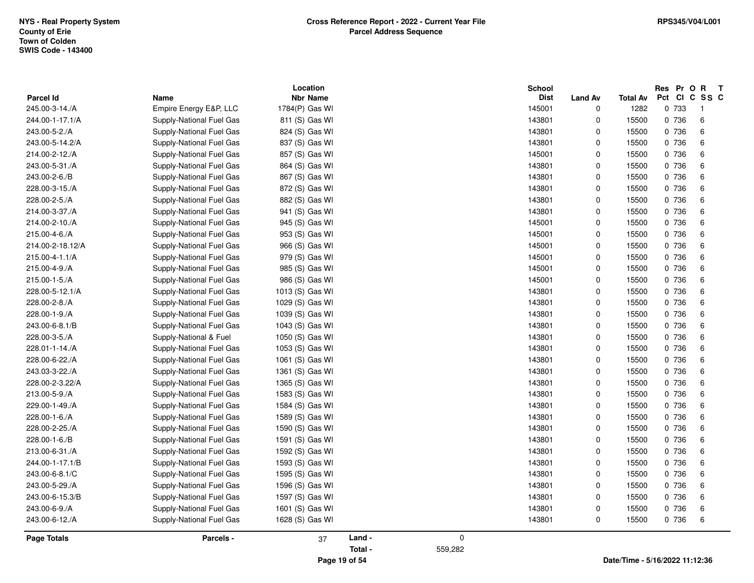|                    |                          | Location        |         |         | <b>School</b> |                |                 | Res Pr O | $\mathbf{R}$<br>$\mathbf{T}$ |
|--------------------|--------------------------|-----------------|---------|---------|---------------|----------------|-----------------|----------|------------------------------|
| Parcel Id          | Name                     | <b>Nbr Name</b> |         |         | <b>Dist</b>   | <b>Land Av</b> | <b>Total Av</b> |          | Pct CI C SS C                |
| 245.00-3-14./A     | Empire Energy E&P, LLC   | 1784(P) Gas WI  |         |         | 145001        | $\mathbf 0$    | 1282            | 0 733    | $\overline{1}$               |
| 244.00-1-17.1/A    | Supply-National Fuel Gas | 811 (S) Gas WI  |         |         | 143801        | $\pmb{0}$      | 15500           | 0 736    | 6                            |
| 243.00-5-2./A      | Supply-National Fuel Gas | 824 (S) Gas WI  |         |         | 143801        | 0              | 15500           | 0 736    | 6                            |
| 243.00-5-14.2/A    | Supply-National Fuel Gas | 837 (S) Gas WI  |         |         | 143801        | 0              | 15500           | 0 736    | 6                            |
| 214.00-2-12./A     | Supply-National Fuel Gas | 857 (S) Gas WI  |         |         | 145001        | 0              | 15500           | 0 736    | 6                            |
| 243.00-5-31./A     | Supply-National Fuel Gas | 864 (S) Gas WI  |         |         | 143801        | 0              | 15500           | 0 736    | 6                            |
| 243.00-2-6./B      | Supply-National Fuel Gas | 867 (S) Gas WI  |         |         | 143801        | $\mathbf 0$    | 15500           | 0 736    | 6                            |
| 228.00-3-15./A     | Supply-National Fuel Gas | 872 (S) Gas WI  |         |         | 143801        | 0              | 15500           | 0 736    | 6                            |
| 228.00-2-5./A      | Supply-National Fuel Gas | 882 (S) Gas WI  |         |         | 143801        | 0              | 15500           | 0 736    | 6                            |
| 214.00-3-37./A     | Supply-National Fuel Gas | 941 (S) Gas WI  |         |         | 143801        | 0              | 15500           | 0 736    | 6                            |
| 214.00-2-10./A     | Supply-National Fuel Gas | 945 (S) Gas WI  |         |         | 145001        | 0              | 15500           | 0 736    | 6                            |
| 215.00-4-6./A      | Supply-National Fuel Gas | 953 (S) Gas WI  |         |         | 145001        | $\mathbf 0$    | 15500           | 0 736    | 6                            |
| 214.00-2-18.12/A   | Supply-National Fuel Gas | 966 (S) Gas WI  |         |         | 145001        | $\mathbf 0$    | 15500           | 0 736    | 6                            |
| 215.00-4-1.1/A     | Supply-National Fuel Gas | 979 (S) Gas WI  |         |         | 145001        | 0              | 15500           | 0 736    | 6                            |
| 215.00-4-9./A      | Supply-National Fuel Gas | 985 (S) Gas WI  |         |         | 145001        | 0              | 15500           | 0 736    | 6                            |
| 215.00-1-5./A      | Supply-National Fuel Gas | 986 (S) Gas WI  |         |         | 145001        | 0              | 15500           | 0 736    | 6                            |
| 228.00-5-12.1/A    | Supply-National Fuel Gas | 1013 (S) Gas WI |         |         | 143801        | $\mathbf 0$    | 15500           | 0 736    | 6                            |
| 228.00-2-8./A      | Supply-National Fuel Gas | 1029 (S) Gas WI |         |         | 143801        | 0              | 15500           | 0 736    | 6                            |
| 228.00-1-9./A      | Supply-National Fuel Gas | 1039 (S) Gas WI |         |         | 143801        | 0              | 15500           | 0 736    | 6                            |
| 243.00-6-8.1/B     | Supply-National Fuel Gas | 1043 (S) Gas WI |         |         | 143801        | $\mathbf 0$    | 15500           | 0 736    | 6                            |
| 228.00-3-5./A      | Supply-National & Fuel   | 1050 (S) Gas WI |         |         | 143801        | 0              | 15500           | 0 736    | 6                            |
| 228.01-1-14./A     | Supply-National Fuel Gas | 1053 (S) Gas WI |         |         | 143801        | 0              | 15500           | 0 736    | 6                            |
| 228.00-6-22./A     | Supply-National Fuel Gas | 1061 (S) Gas WI |         |         | 143801        | 0              | 15500           | 0 736    | 6                            |
| 243.03-3-22./A     | Supply-National Fuel Gas | 1361 (S) Gas WI |         |         | 143801        | $\mathbf 0$    | 15500           | 0 736    | 6                            |
| 228.00-2-3.22/A    | Supply-National Fuel Gas | 1365 (S) Gas WI |         |         | 143801        | $\mathbf 0$    | 15500           | 0 736    | 6                            |
| 213.00-5-9./A      | Supply-National Fuel Gas | 1583 (S) Gas WI |         |         | 143801        | 0              | 15500           | 0 736    | 6                            |
| 229.00-1-49./A     | Supply-National Fuel Gas | 1584 (S) Gas WI |         |         | 143801        | 0              | 15500           | 0 736    | 6                            |
| 228.00-1-6./A      | Supply-National Fuel Gas | 1589 (S) Gas WI |         |         | 143801        | 0              | 15500           | 0 736    | 6                            |
| 228.00-2-25./A     | Supply-National Fuel Gas | 1590 (S) Gas WI |         |         | 143801        | 0              | 15500           | 0 736    | 6                            |
| 228.00-1-6./B      | Supply-National Fuel Gas | 1591 (S) Gas WI |         |         | 143801        | 0              | 15500           | 0 736    | 6                            |
| 213.00-6-31./A     | Supply-National Fuel Gas | 1592 (S) Gas WI |         |         | 143801        | 0              | 15500           | 0 736    | 6                            |
| 244.00-1-17.1/B    | Supply-National Fuel Gas | 1593 (S) Gas WI |         |         | 143801        | 0              | 15500           | 0 736    | 6                            |
| 243.00-6-8.1/C     | Supply-National Fuel Gas | 1595 (S) Gas WI |         |         | 143801        | $\mathbf 0$    | 15500           | 0 736    | 6                            |
| 243.00-5-29./A     | Supply-National Fuel Gas | 1596 (S) Gas WI |         |         | 143801        | $\mathbf 0$    | 15500           | 0 736    | 6                            |
| 243.00-6-15.3/B    | Supply-National Fuel Gas | 1597 (S) Gas WI |         |         | 143801        | $\mathbf 0$    | 15500           | 0 736    | 6                            |
| 243.00-6-9./A      | Supply-National Fuel Gas | 1601 (S) Gas WI |         |         | 143801        | 0              | 15500           | 0 736    | 6                            |
| 243.00-6-12./A     | Supply-National Fuel Gas | 1628 (S) Gas WI |         |         | 143801        | $\mathbf 0$    | 15500           | 0 736    | 6                            |
| <b>Page Totals</b> | Parcels -                | 37              | Land -  | 0       |               |                |                 |          |                              |
|                    |                          |                 | Total - | 559,282 |               |                |                 |          |                              |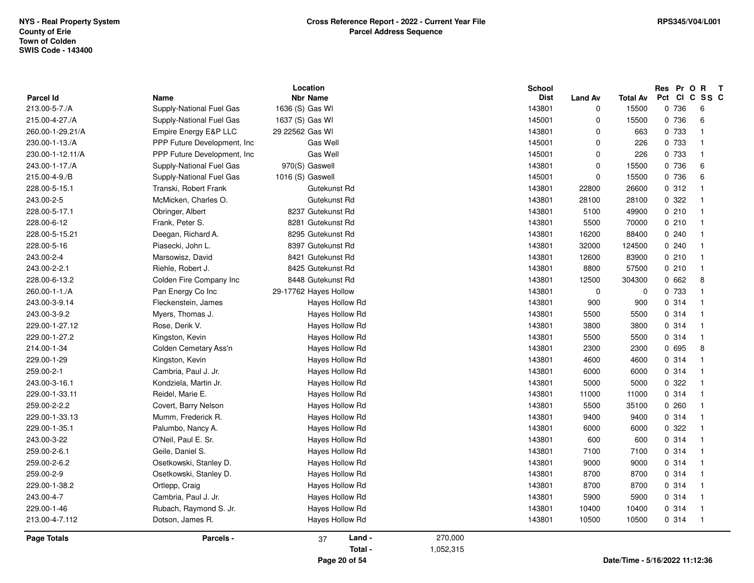|                    |                              | Location              |           | <b>School</b>    |                  |                 | Res Pr O R                     | $\mathbf{T}$             |
|--------------------|------------------------------|-----------------------|-----------|------------------|------------------|-----------------|--------------------------------|--------------------------|
| <b>Parcel Id</b>   | <b>Name</b>                  | <b>Nbr Name</b>       |           | <b>Dist</b>      | <b>Land Av</b>   | <b>Total Av</b> | Pct                            | CI C SS C                |
| 213.00-5-7./A      | Supply-National Fuel Gas     | 1636 (S) Gas WI       |           | 143801<br>145001 | 0<br>$\mathbf 0$ | 15500           | 0 736                          | 6<br>6                   |
| 215.00-4-27./A     | Supply-National Fuel Gas     | 1637 (S) Gas WI       |           |                  |                  | 15500           | 0 736                          | $\overline{1}$           |
| 260.00-1-29.21/A   | Empire Energy E&P LLC        | 29 22562 Gas WI       |           | 143801           | $\mathbf 0$      | 663             | 0 733                          |                          |
| 230.00-1-13./A     | PPP Future Development, Inc. | Gas Well              |           | 145001           | $\mathbf 0$      | 226             | 0 733                          | -1                       |
| 230.00-1-12.11/A   | PPP Future Development, Inc. | Gas Well              |           | 145001           | $\Omega$         | 226             | 0 733                          | -1                       |
| 243.00-1-17./A     | Supply-National Fuel Gas     | 970(S) Gaswell        |           | 143801           | $\mathbf 0$      | 15500           | 0 736                          | 6                        |
| 215.00-4-9./B      | Supply-National Fuel Gas     | 1016 (S) Gaswell      |           | 145001           | $\mathbf 0$      | 15500           | 0 736                          | 6                        |
| 228.00-5-15.1      | Transki, Robert Frank        | Gutekunst Rd          |           | 143801           | 22800            | 26600           | 0.312                          | $\overline{1}$           |
| 243.00-2-5         | McMicken, Charles O.         | Gutekunst Rd          |           | 143801           | 28100            | 28100           | 0 322                          |                          |
| 228.00-5-17.1      | Obringer, Albert             | 8237 Gutekunst Rd     |           | 143801           | 5100             | 49900           | 0210                           | -1                       |
| 228.00-6-12        | Frank, Peter S.              | 8281 Gutekunst Rd     |           | 143801           | 5500             | 70000           | 0210                           | -1                       |
| 228.00-5-15.21     | Deegan, Richard A.           | 8295 Gutekunst Rd     |           | 143801           | 16200            | 88400           | 0.240                          | -1                       |
| 228.00-5-16        | Piasecki, John L.            | 8397 Gutekunst Rd     |           | 143801           | 32000            | 124500          | 0.240                          | -1                       |
| 243.00-2-4         | Marsowisz, David             | 8421 Gutekunst Rd     |           | 143801           | 12600            | 83900           | 0210                           | $\overline{\mathbf{1}}$  |
| 243.00-2-2.1       | Riehle, Robert J.            | 8425 Gutekunst Rd     |           | 143801           | 8800             | 57500           | 0210                           | - 1                      |
| 228.00-6-13.2      | Colden Fire Company Inc      | 8448 Gutekunst Rd     |           | 143801           | 12500            | 304300          | 0662                           | 8                        |
| 260.00-1-1./A      | Pan Energy Co Inc            | 29-17762 Hayes Hollow |           | 143801           | $\mathbf 0$      | $\Omega$        | 0 733                          | $\overline{\mathbf{1}}$  |
| 243.00-3-9.14      | Fleckenstein, James          | Hayes Hollow Rd       |           | 143801           | 900              | 900             | 0.314                          | $\overline{\mathbf{1}}$  |
| 243.00-3-9.2       | Myers, Thomas J.             | Hayes Hollow Rd       |           | 143801           | 5500             | 5500            | 0.314                          | -1                       |
| 229.00-1-27.12     | Rose, Derik V.               | Hayes Hollow Rd       |           | 143801           | 3800             | 3800            | 0.314                          | -1                       |
| 229.00-1-27.2      | Kingston, Kevin              | Hayes Hollow Rd       |           | 143801           | 5500             | 5500            | 0.314                          | $\overline{\mathbf{1}}$  |
| 214.00-1-34        | Colden Cemetary Ass'n        | Hayes Hollow Rd       |           | 143801           | 2300             | 2300            | 0 695                          | 8                        |
| 229.00-1-29        | Kingston, Kevin              | Hayes Hollow Rd       |           | 143801           | 4600             | 4600            | 0 314                          | $\overline{\mathbf{1}}$  |
| 259.00-2-1         | Cambria, Paul J. Jr.         | Hayes Hollow Rd       |           | 143801           | 6000             | 6000            | 0.314                          | $\overline{\phantom{0}}$ |
| 243.00-3-16.1      | Kondziela, Martin Jr.        | Hayes Hollow Rd       |           | 143801           | 5000             | 5000            | 0.322                          | - 1                      |
| 229.00-1-33.11     | Reidel, Marie E.             | Hayes Hollow Rd       |           | 143801           | 11000            | 11000           | 0.314                          |                          |
| 259.00-2-2.2       | Covert, Barry Nelson         | Hayes Hollow Rd       |           | 143801           | 5500             | 35100           | 0260                           |                          |
| 229.00-1-33.13     | Mumm, Frederick R.           | Hayes Hollow Rd       |           | 143801           | 9400             | 9400            | 0.314                          | $\overline{\mathbf{1}}$  |
| 229.00-1-35.1      | Palumbo, Nancy A.            | Hayes Hollow Rd       |           | 143801           | 6000             | 6000            | 0.322                          |                          |
| 243.00-3-22        | O'Neil, Paul E. Sr.          | Hayes Hollow Rd       |           | 143801           | 600              | 600             | 0 314                          | -1                       |
| 259.00-2-6.1       | Geile, Daniel S.             | Hayes Hollow Rd       |           | 143801           | 7100             | 7100            | 0.314                          | -1                       |
| 259.00-2-6.2       | Osetkowski, Stanley D.       | Hayes Hollow Rd       |           | 143801           | 9000             | 9000            | 0.314                          | - 1                      |
| 259.00-2-9         | Osetkowski, Stanley D.       | Hayes Hollow Rd       |           | 143801           | 8700             | 8700            | 0.314                          | $\overline{1}$           |
| 229.00-1-38.2      | Ortlepp, Craig               | Hayes Hollow Rd       |           | 143801           | 8700             | 8700            | 0.314                          | $\overline{1}$           |
| 243.00-4-7         | Cambria, Paul J. Jr.         | Hayes Hollow Rd       |           | 143801           | 5900             | 5900            | 0.314                          | - 1                      |
| 229.00-1-46        | Rubach, Raymond S. Jr.       | Hayes Hollow Rd       |           | 143801           | 10400            | 10400           | 0 314                          | $\overline{\mathbf{1}}$  |
| 213.00-4-7.112     | Dotson, James R.             | Hayes Hollow Rd       |           | 143801           | 10500            | 10500           | 0.314                          | $\overline{1}$           |
| <b>Page Totals</b> | Parcels -                    | Land -<br>37          | 270,000   |                  |                  |                 |                                |                          |
|                    |                              | Total -               | 1,052,315 |                  |                  |                 |                                |                          |
|                    |                              | Page 20 of 54         |           |                  |                  |                 | Date/Time - 5/16/2022 11:12:36 |                          |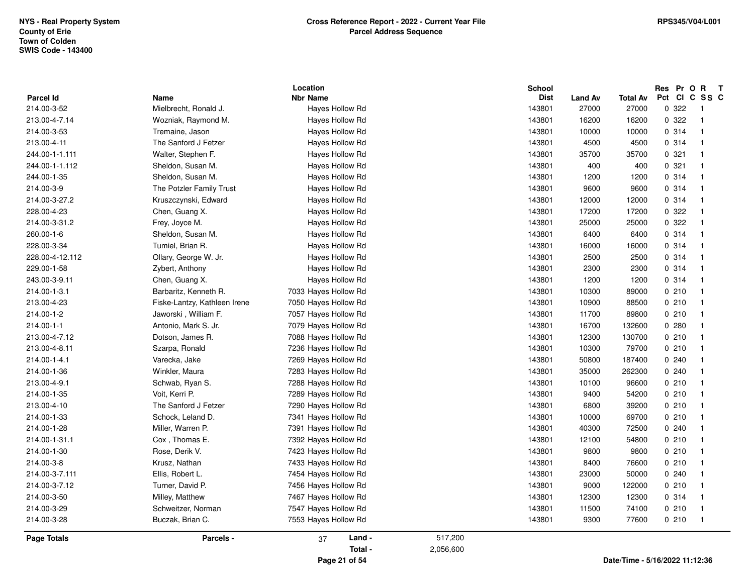|                          |                                        | Location                           |           | School                |                         |                                | Res Pr O R<br>Pct | $\mathbf{T}$<br>CICSSC   |
|--------------------------|----------------------------------------|------------------------------------|-----------|-----------------------|-------------------------|--------------------------------|-------------------|--------------------------|
| Parcel Id<br>214.00-3-52 | Name<br>Mielbrecht, Ronald J.          | <b>Nbr Name</b><br>Hayes Hollow Rd |           | <b>Dist</b><br>143801 | <b>Land Av</b><br>27000 | <b>Total Av</b><br>27000       | 0.322             | - 1                      |
| 213.00-4-7.14            |                                        |                                    |           | 143801                |                         | 16200                          | 0.322             | $\overline{1}$           |
| 214.00-3-53              | Wozniak, Raymond M.<br>Tremaine, Jason | Hayes Hollow Rd<br>Hayes Hollow Rd |           | 143801                | 16200<br>10000          | 10000                          | 0.314             | $\overline{\mathbf{1}}$  |
| 213.00-4-11              | The Sanford J Fetzer                   |                                    |           | 143801                | 4500                    | 4500                           |                   | $\overline{\mathbf{1}}$  |
|                          |                                        | Hayes Hollow Rd                    |           | 143801                |                         |                                | 0.314             | -1                       |
| 244.00-1-1.111           | Walter, Stephen F.                     | Hayes Hollow Rd                    |           |                       | 35700                   | 35700                          | 0.321             | $\overline{1}$           |
| 244.00-1-1.112           | Sheldon, Susan M.                      | Hayes Hollow Rd                    |           | 143801                | 400                     | 400                            | 0.321             |                          |
| 244.00-1-35              | Sheldon, Susan M.                      | Hayes Hollow Rd                    |           | 143801                | 1200                    | 1200                           | 0 314             | $\overline{\mathbf{1}}$  |
| 214.00-3-9               | The Potzler Family Trust               | Hayes Hollow Rd                    |           | 143801                | 9600                    | 9600                           | 0 314             | $\overline{1}$           |
| 214.00-3-27.2            | Kruszczynski, Edward                   | Hayes Hollow Rd                    |           | 143801                | 12000                   | 12000                          | 0.314             | -1                       |
| 228.00-4-23              | Chen, Guang X.                         | Hayes Hollow Rd                    |           | 143801                | 17200                   | 17200                          | 0.322             | -1                       |
| 214.00-3-31.2            | Frey, Joyce M.                         | Hayes Hollow Rd                    |           | 143801                | 25000                   | 25000                          | 0.322             | - 1                      |
| 260.00-1-6               | Sheldon, Susan M.                      | Hayes Hollow Rd                    |           | 143801                | 6400                    | 6400                           | 0.314             | $\overline{\mathbf{1}}$  |
| 228.00-3-34              | Tumiel, Brian R.                       | Hayes Hollow Rd                    |           | 143801                | 16000                   | 16000                          | 0.314             | $\overline{\mathbf{1}}$  |
| 228.00-4-12.112          | Ollary, George W. Jr.                  | Haves Hollow Rd                    |           | 143801                | 2500                    | 2500                           | 0.314             | $\overline{\phantom{0}}$ |
| 229.00-1-58              | Zybert, Anthony                        | Hayes Hollow Rd                    |           | 143801                | 2300                    | 2300                           | 0.314             | - 1                      |
| 243.00-3-9.11            | Chen, Guang X.                         | Hayes Hollow Rd                    |           | 143801                | 1200                    | 1200                           | 0 314             | $\overline{\mathbf{1}}$  |
| 214.00-1-3.1             | Barbaritz, Kenneth R.                  | 7033 Hayes Hollow Rd               |           | 143801                | 10300                   | 89000                          | 0210              | $\overline{\mathbf{1}}$  |
| 213.00-4-23              | Fiske-Lantzy, Kathleen Irene           | 7050 Hayes Hollow Rd               |           | 143801                | 10900                   | 88500                          | 0210              | -1                       |
| 214.00-1-2               | Jaworski, William F.                   | 7057 Hayes Hollow Rd               |           | 143801                | 11700                   | 89800                          | 0210              | -1                       |
| 214.00-1-1               | Antonio, Mark S. Jr.                   | 7079 Hayes Hollow Rd               |           | 143801                | 16700                   | 132600                         | 0.280             | -1                       |
| 213.00-4-7.12            | Dotson, James R.                       | 7088 Hayes Hollow Rd               |           | 143801                | 12300                   | 130700                         | 0210              | -1                       |
| 213.00-4-8.11            | Szarpa, Ronald                         | 7236 Hayes Hollow Rd               |           | 143801                | 10300                   | 79700                          | 0210              | - 1                      |
| 214.00-1-4.1             | Varecka, Jake                          | 7269 Hayes Hollow Rd               |           | 143801                | 50800                   | 187400                         | 0.240             | $\overline{\mathbf{1}}$  |
| 214.00-1-36              | Winkler, Maura                         | 7283 Hayes Hollow Rd               |           | 143801                | 35000                   | 262300                         | 0.240             | $\overline{\mathbf{1}}$  |
| 213.00-4-9.1             | Schwab, Ryan S.                        | 7288 Hayes Hollow Rd               |           | 143801                | 10100                   | 96600                          | 0210              | $\overline{\mathbf{1}}$  |
| 214.00-1-35              | Voit, Kerri P.                         | 7289 Hayes Hollow Rd               |           | 143801                | 9400                    | 54200                          | 0210              | - 1                      |
| 213.00-4-10              | The Sanford J Fetzer                   | 7290 Hayes Hollow Rd               |           | 143801                | 6800                    | 39200                          | 0210              | $\overline{\mathbf{1}}$  |
| 214.00-1-33              | Schock, Leland D.                      | 7341 Hayes Hollow Rd               |           | 143801                | 10000                   | 69700                          | 0210              | $\overline{\mathbf{1}}$  |
| 214.00-1-28              | Miller, Warren P.                      | 7391 Hayes Hollow Rd               |           | 143801                | 40300                   | 72500                          | 0.240             | -1                       |
| 214.00-1-31.1            | Cox, Thomas E.                         | 7392 Hayes Hollow Rd               |           | 143801                | 12100                   | 54800                          | 0210              | -1                       |
| 214.00-1-30              | Rose, Derik V.                         | 7423 Hayes Hollow Rd               |           | 143801                | 9800                    | 9800                           | 0210              | $\overline{\mathbf{1}}$  |
| 214.00-3-8               | Krusz, Nathan                          | 7433 Hayes Hollow Rd               |           | 143801                | 8400                    | 76600                          | 0210              | -1                       |
| 214.00-3-7.111           | Ellis, Robert L.                       | 7454 Hayes Hollow Rd               |           | 143801                | 23000                   | 50000                          | 0240              | - 1                      |
| 214.00-3-7.12            | Turner, David P.                       | 7456 Hayes Hollow Rd               |           | 143801                | 9000                    | 122000                         | 0210              | $\overline{\mathbf{1}}$  |
| 214.00-3-50              | Milley, Matthew                        | 7467 Hayes Hollow Rd               |           | 143801                | 12300                   | 12300                          | 0.314             | $\overline{\mathbf{1}}$  |
| 214.00-3-29              | Schweitzer, Norman                     | 7547 Hayes Hollow Rd               |           | 143801                | 11500                   | 74100                          | 0210              | $\overline{1}$           |
| 214.00-3-28              | Buczak, Brian C.                       | 7553 Hayes Hollow Rd               |           | 143801                | 9300                    | 77600                          | 0210              | $\overline{1}$           |
| Page Totals              | Parcels -                              | Land -<br>37                       | 517,200   |                       |                         |                                |                   |                          |
|                          |                                        | Total -                            | 2,056,600 |                       |                         |                                |                   |                          |
|                          |                                        | Page 21 of 54                      |           |                       |                         | Date/Time - 5/16/2022 11:12:36 |                   |                          |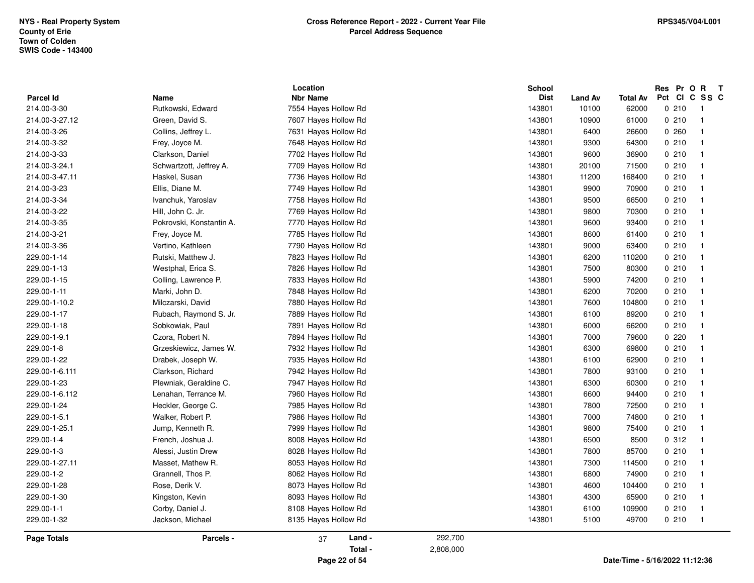| 214.00-3-34<br>143801<br>0210<br>Ivanchuk, Yaroslav<br>7758 Hayes Hollow Rd<br>9500<br>66500<br>$\overline{1}$<br>143801<br>0210<br>214.00-3-22<br>Hill, John C. Jr.<br>7769 Hayes Hollow Rd<br>9800<br>70300<br>$\overline{1}$<br>Pokrovski, Konstantin A.<br>214.00-3-35<br>7770 Hayes Hollow Rd<br>143801<br>9600<br>93400<br>0210<br>$\overline{\mathbf{1}}$<br>214.00-3-21<br>7785 Hayes Hollow Rd<br>143801<br>0210<br>Frey, Joyce M.<br>8600<br>61400<br>$\overline{1}$<br>214.00-3-36<br>Vertino, Kathleen<br>7790 Hayes Hollow Rd<br>143801<br>9000<br>63400<br>0210<br>$\overline{\mathbf{1}}$<br>143801<br>229.00-1-14<br>Rutski, Matthew J.<br>7823 Hayes Hollow Rd<br>6200<br>110200<br>0210<br>- 1<br>0210<br>229.00-1-13<br>Westphal, Erica S.<br>7826 Hayes Hollow Rd<br>143801<br>7500<br>80300<br>$\overline{\mathbf{1}}$<br>0210<br>229.00-1-15<br>Colling, Lawrence P.<br>7833 Hayes Hollow Rd<br>143801<br>5900<br>74200<br>$\overline{1}$<br>229.00-1-11<br>Marki, John D.<br>7848 Hayes Hollow Rd<br>143801<br>6200<br>0210<br>70200<br>$\overline{\mathbf{1}}$<br>0210<br>229.00-1-10.2<br>Milczarski, David<br>7880 Hayes Hollow Rd<br>143801<br>7600<br>104800<br>$\overline{\mathbf{1}}$<br>229.00-1-17<br>Rubach, Raymond S. Jr.<br>7889 Hayes Hollow Rd<br>143801<br>6100<br>89200<br>0210<br>$\overline{\mathbf{1}}$<br>229.00-1-18<br>Sobkowiak, Paul<br>7891 Hayes Hollow Rd<br>143801<br>0210<br>6000<br>66200<br>-1<br>229.00-1-9.1<br>Czora, Robert N.<br>7894 Hayes Hollow Rd<br>143801<br>7000<br>79600<br>0220<br>$\overline{\mathbf{1}}$ | 214.00-3-32<br>143801<br>0210<br>Frey, Joyce M.<br>7648 Hayes Hollow Rd<br>9300<br>64300<br>$\overline{1}$<br>143801<br>0210<br>214.00-3-33<br>Clarkson, Daniel<br>7702 Hayes Hollow Rd<br>9600<br>36900<br>$\overline{\mathbf{1}}$<br>Schwartzott, Jeffrey A.<br>7709 Hayes Hollow Rd<br>143801<br>0210<br>214.00-3-24.1<br>20100<br>71500<br>$\overline{\mathbf{1}}$<br>214.00-3-47.11<br>Haskel, Susan<br>7736 Hayes Hollow Rd<br>143801<br>11200<br>168400<br>0210<br>$\overline{\mathbf{1}}$<br>214.00-3-23<br>0210<br>Ellis, Diane M.<br>7749 Hayes Hollow Rd<br>143801<br>9900<br>70900<br>$\overline{\mathbf{1}}$ | 229.00-1-8<br>229.00-1-22 | Grzeskiewicz, James W.<br>Drabek, Joseph W. | 7932 Hayes Hollow Rd<br>7935 Hayes Hollow Rd<br>7942 Hayes Hollow Rd | 143801<br>143801<br>143801 | 6300<br>6100<br>7800 | 0210<br>62900<br>0210<br>93100<br>0210 | $\overline{1}$<br>$\overline{\mathbf{1}}$<br>$\overline{\mathbf{1}}$ |
|---------------------------------------------------------------------------------------------------------------------------------------------------------------------------------------------------------------------------------------------------------------------------------------------------------------------------------------------------------------------------------------------------------------------------------------------------------------------------------------------------------------------------------------------------------------------------------------------------------------------------------------------------------------------------------------------------------------------------------------------------------------------------------------------------------------------------------------------------------------------------------------------------------------------------------------------------------------------------------------------------------------------------------------------------------------------------------------------------------------------------------------------------------------------------------------------------------------------------------------------------------------------------------------------------------------------------------------------------------------------------------------------------------------------------------------------------------------------------------------------------------------------------------------------------------------------------------|---------------------------------------------------------------------------------------------------------------------------------------------------------------------------------------------------------------------------------------------------------------------------------------------------------------------------------------------------------------------------------------------------------------------------------------------------------------------------------------------------------------------------------------------------------------------------------------------------------------------------|---------------------------|---------------------------------------------|----------------------------------------------------------------------|----------------------------|----------------------|----------------------------------------|----------------------------------------------------------------------|
| 69800                                                                                                                                                                                                                                                                                                                                                                                                                                                                                                                                                                                                                                                                                                                                                                                                                                                                                                                                                                                                                                                                                                                                                                                                                                                                                                                                                                                                                                                                                                                                                                           |                                                                                                                                                                                                                                                                                                                                                                                                                                                                                                                                                                                                                           |                           |                                             |                                                                      |                            |                      |                                        |                                                                      |
|                                                                                                                                                                                                                                                                                                                                                                                                                                                                                                                                                                                                                                                                                                                                                                                                                                                                                                                                                                                                                                                                                                                                                                                                                                                                                                                                                                                                                                                                                                                                                                                 |                                                                                                                                                                                                                                                                                                                                                                                                                                                                                                                                                                                                                           |                           |                                             |                                                                      |                            |                      |                                        |                                                                      |
|                                                                                                                                                                                                                                                                                                                                                                                                                                                                                                                                                                                                                                                                                                                                                                                                                                                                                                                                                                                                                                                                                                                                                                                                                                                                                                                                                                                                                                                                                                                                                                                 |                                                                                                                                                                                                                                                                                                                                                                                                                                                                                                                                                                                                                           |                           |                                             |                                                                      |                            |                      |                                        |                                                                      |
|                                                                                                                                                                                                                                                                                                                                                                                                                                                                                                                                                                                                                                                                                                                                                                                                                                                                                                                                                                                                                                                                                                                                                                                                                                                                                                                                                                                                                                                                                                                                                                                 |                                                                                                                                                                                                                                                                                                                                                                                                                                                                                                                                                                                                                           |                           |                                             |                                                                      |                            |                      |                                        |                                                                      |
|                                                                                                                                                                                                                                                                                                                                                                                                                                                                                                                                                                                                                                                                                                                                                                                                                                                                                                                                                                                                                                                                                                                                                                                                                                                                                                                                                                                                                                                                                                                                                                                 |                                                                                                                                                                                                                                                                                                                                                                                                                                                                                                                                                                                                                           |                           |                                             |                                                                      |                            |                      |                                        |                                                                      |

**Page 22 of 54**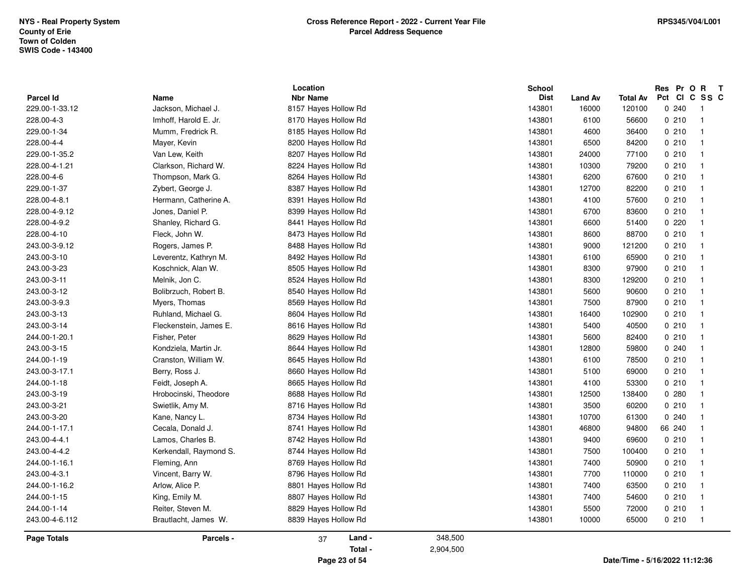| 228.00-4-4<br>143801<br>0210<br>Mayer, Kevin<br>8200 Hayes Hollow Rd<br>6500<br>84200<br>-1<br>143801<br>0210<br>229.00-1-35.2<br>Van Lew, Keith<br>8207 Hayes Hollow Rd<br>24000<br>77100<br>$\overline{1}$<br>228.00-4-1.21<br>Clarkson, Richard W.<br>8224 Hayes Hollow Rd<br>143801<br>10300<br>79200<br>0210<br>$\overline{1}$<br>228.00-4-6<br>Thompson, Mark G.<br>143801<br>6200<br>0210<br>8264 Hayes Hollow Rd<br>67600<br>$\overline{\mathbf{1}}$<br>229.00-1-37<br>143801<br>0210<br>Zybert, George J.<br>8387 Hayes Hollow Rd<br>12700<br>82200<br>$\overline{1}$<br>Hermann, Catherine A.<br>8391 Hayes Hollow Rd<br>143801<br>0210<br>228.00-4-8.1<br>4100<br>57600<br>$\overline{\mathbf{1}}$<br>Jones, Daniel P.<br>143801<br>6700<br>0210<br>228.00-4-9.12<br>8399 Hayes Hollow Rd<br>83600<br>$\overline{1}$<br>228.00-4-9.2<br>Shanley, Richard G.<br>8441 Hayes Hollow Rd<br>143801<br>0220<br>6600<br>51400<br>-1<br>228.00-4-10<br>Fleck, John W.<br>88700<br>0210<br>8473 Hayes Hollow Rd<br>143801<br>8600<br>-1<br>243.00-3-9.12<br>Rogers, James P.<br>8488 Hayes Hollow Rd<br>143801<br>9000<br>121200<br>0210<br>-1<br>243.00-3-10<br>Leverentz, Kathryn M.<br>8492 Hayes Hollow Rd<br>143801<br>6100<br>65900<br>0210<br>$\overline{\mathbf{1}}$<br>243.00-3-23<br>Koschnick, Alan W.<br>0210<br>8505 Hayes Hollow Rd<br>143801<br>8300<br>97900<br>-1<br>0210<br>243.00-3-11<br>Melnik, Jon C.<br>8524 Hayes Hollow Rd<br>143801<br>8300<br>129200<br>$\overline{\mathbf{1}}$<br>243.00-3-12<br>Bolibrzuch, Robert B.<br>8540 Hayes Hollow Rd<br>143801<br>5600<br>90600<br>0210<br>$\overline{1}$<br>Myers, Thomas<br>143801<br>87900<br>0210<br>243.00-3-9.3<br>8569 Hayes Hollow Rd<br>7500<br>$\overline{1}$<br>243.00-3-13<br>143801<br>0210<br>Ruhland, Michael G.<br>8604 Hayes Hollow Rd<br>16400<br>102900<br>$\overline{1}$<br>243.00-3-14<br>143801<br>0210<br>Fleckenstein, James E.<br>8616 Hayes Hollow Rd<br>5400<br>40500<br>- 1<br>244.00-1-20.1<br>Fisher, Peter<br>8629 Hayes Hollow Rd<br>143801<br>5600<br>82400<br>0210<br>-1<br>243.00-3-15<br>143801<br>0240<br>Kondziela, Martin Jr.<br>8644 Hayes Hollow Rd<br>12800<br>59800<br>$\overline{\mathbf{1}}$<br>244.00-1-19<br>Cranston, William W.<br>8645 Hayes Hollow Rd<br>143801<br>6100<br>78500<br>0210<br>$\overline{1}$<br>243.00-3-17.1<br>Berry, Ross J.<br>8660 Hayes Hollow Rd<br>143801<br>5100<br>69000<br>0210<br>$\overline{\mathbf{1}}$ |
|----------------------------------------------------------------------------------------------------------------------------------------------------------------------------------------------------------------------------------------------------------------------------------------------------------------------------------------------------------------------------------------------------------------------------------------------------------------------------------------------------------------------------------------------------------------------------------------------------------------------------------------------------------------------------------------------------------------------------------------------------------------------------------------------------------------------------------------------------------------------------------------------------------------------------------------------------------------------------------------------------------------------------------------------------------------------------------------------------------------------------------------------------------------------------------------------------------------------------------------------------------------------------------------------------------------------------------------------------------------------------------------------------------------------------------------------------------------------------------------------------------------------------------------------------------------------------------------------------------------------------------------------------------------------------------------------------------------------------------------------------------------------------------------------------------------------------------------------------------------------------------------------------------------------------------------------------------------------------------------------------------------------------------------------------------------------------------------------------------------------------------------------------------------------------------------------------------------------------------------------------------------------------------------------------------------------------------------------------------------------------------------------------------------------------------------------------------------|
|                                                                                                                                                                                                                                                                                                                                                                                                                                                                                                                                                                                                                                                                                                                                                                                                                                                                                                                                                                                                                                                                                                                                                                                                                                                                                                                                                                                                                                                                                                                                                                                                                                                                                                                                                                                                                                                                                                                                                                                                                                                                                                                                                                                                                                                                                                                                                                                                                                                                |
|                                                                                                                                                                                                                                                                                                                                                                                                                                                                                                                                                                                                                                                                                                                                                                                                                                                                                                                                                                                                                                                                                                                                                                                                                                                                                                                                                                                                                                                                                                                                                                                                                                                                                                                                                                                                                                                                                                                                                                                                                                                                                                                                                                                                                                                                                                                                                                                                                                                                |
|                                                                                                                                                                                                                                                                                                                                                                                                                                                                                                                                                                                                                                                                                                                                                                                                                                                                                                                                                                                                                                                                                                                                                                                                                                                                                                                                                                                                                                                                                                                                                                                                                                                                                                                                                                                                                                                                                                                                                                                                                                                                                                                                                                                                                                                                                                                                                                                                                                                                |
|                                                                                                                                                                                                                                                                                                                                                                                                                                                                                                                                                                                                                                                                                                                                                                                                                                                                                                                                                                                                                                                                                                                                                                                                                                                                                                                                                                                                                                                                                                                                                                                                                                                                                                                                                                                                                                                                                                                                                                                                                                                                                                                                                                                                                                                                                                                                                                                                                                                                |
|                                                                                                                                                                                                                                                                                                                                                                                                                                                                                                                                                                                                                                                                                                                                                                                                                                                                                                                                                                                                                                                                                                                                                                                                                                                                                                                                                                                                                                                                                                                                                                                                                                                                                                                                                                                                                                                                                                                                                                                                                                                                                                                                                                                                                                                                                                                                                                                                                                                                |
|                                                                                                                                                                                                                                                                                                                                                                                                                                                                                                                                                                                                                                                                                                                                                                                                                                                                                                                                                                                                                                                                                                                                                                                                                                                                                                                                                                                                                                                                                                                                                                                                                                                                                                                                                                                                                                                                                                                                                                                                                                                                                                                                                                                                                                                                                                                                                                                                                                                                |
|                                                                                                                                                                                                                                                                                                                                                                                                                                                                                                                                                                                                                                                                                                                                                                                                                                                                                                                                                                                                                                                                                                                                                                                                                                                                                                                                                                                                                                                                                                                                                                                                                                                                                                                                                                                                                                                                                                                                                                                                                                                                                                                                                                                                                                                                                                                                                                                                                                                                |
| 8185 Hayes Hollow Rd                                                                                                                                                                                                                                                                                                                                                                                                                                                                                                                                                                                                                                                                                                                                                                                                                                                                                                                                                                                                                                                                                                                                                                                                                                                                                                                                                                                                                                                                                                                                                                                                                                                                                                                                                                                                                                                                                                                                                                                                                                                                                                                                                                                                                                                                                                                                                                                                                                           |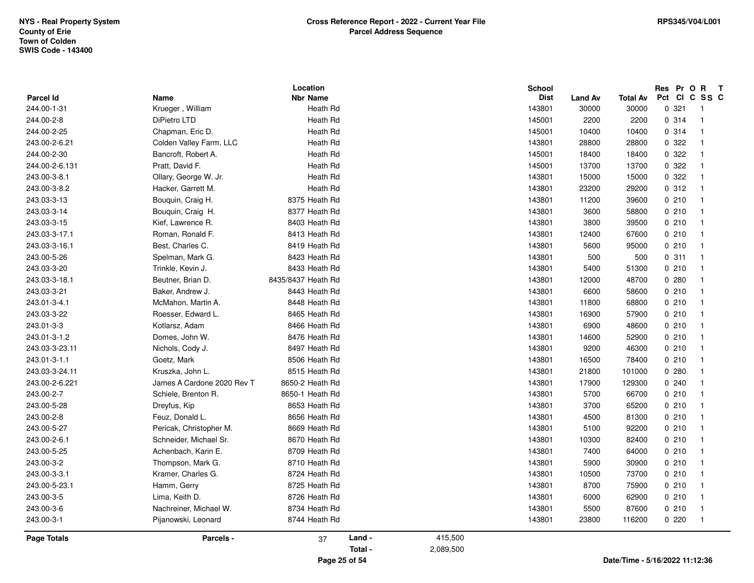| <b>Parcel Id</b> | Name                       | Location<br><b>Nbr Name</b> |        |         | <b>School</b><br><b>Dist</b> | <b>Land Av</b> | <b>Total Av</b> | Res Pr O R<br>Pct CI C SS C | $\mathbf{T}$            |
|------------------|----------------------------|-----------------------------|--------|---------|------------------------------|----------------|-----------------|-----------------------------|-------------------------|
| 244.00-1-31      | Krueger, William           | Heath Rd                    |        |         | 143801                       | 30000          | 30000           | 0.321                       | $\overline{1}$          |
| 244.00-2-8       | DiPietro LTD               | Heath Rd                    |        |         | 145001                       | 2200           | 2200            | 0 314                       | $\overline{1}$          |
| 244.00-2-25      | Chapman, Eric D.           | Heath Rd                    |        |         | 145001                       | 10400          | 10400           | 0.314                       | $\mathbf{1}$            |
| 243.00-2-6.21    | Colden Valley Farm, LLC    | Heath Rd                    |        |         | 143801                       | 28800          | 28800           | 0 322                       | $\overline{1}$          |
| 244.00-2-30      | Bancroft, Robert A.        | Heath Rd                    |        |         | 145001                       | 18400          | 18400           | 0.322                       | $\mathbf{1}$            |
| 244.00-2-6.131   | Pratt, David F.            | Heath Rd                    |        |         | 145001                       | 13700          | 13700           | 0 322                       | $\overline{1}$          |
| 243.00-3-8.1     |                            | Heath Rd                    |        |         |                              |                | 15000           | 0 322                       |                         |
|                  | Ollary, George W. Jr.      |                             |        |         | 143801                       | 15000          |                 |                             | $\overline{1}$          |
| 243.00-3-8.2     | Hacker, Garrett M.         | Heath Rd                    |        |         | 143801                       | 23200          | 29200           | 0.312                       | $\overline{1}$          |
| 243.03-3-13      | Bouquin, Craig H.          | 8375 Heath Rd               |        |         | 143801                       | 11200          | 39600           | 0210                        | $\overline{\mathbf{1}}$ |
| 243.03-3-14      | Bouquin, Craig H.          | 8377 Heath Rd               |        |         | 143801                       | 3600           | 58800           | 0210                        | $\overline{1}$          |
| 243.03-3-15      | Kief, Lawrence R.          | 8403 Heath Rd               |        |         | 143801                       | 3800           | 39500           | 0210                        | $\overline{1}$          |
| 243.03-3-17.1    | Roman, Ronald F.           | 8413 Heath Rd               |        |         | 143801                       | 12400          | 67600           | 0210                        | $\overline{1}$          |
| 243.03-3-16.1    | Best, Charles C.           | 8419 Heath Rd               |        |         | 143801                       | 5600           | 95000           | 0210                        | $\overline{1}$          |
| 243.00-5-26      | Spelman, Mark G.           | 8423 Heath Rd               |        |         | 143801                       | 500            | 500             | 0.311                       | $\overline{1}$          |
| 243.03-3-20      | Trinkle, Kevin J.          | 8433 Heath Rd               |        |         | 143801                       | 5400           | 51300           | 0210                        | $\mathbf{1}$            |
| 243.03-3-18.1    | Beutner, Brian D.          | 8435/8437 Heath Rd          |        |         | 143801                       | 12000          | 48700           | 0.280                       | $\overline{1}$          |
| 243.03-3-21      | Baker, Andrew J.           | 8443 Heath Rd               |        |         | 143801                       | 6600           | 58600           | 0210                        | $\overline{1}$          |
| 243.01-3-4.1     | McMahon, Martin A.         | 8448 Heath Rd               |        |         | 143801                       | 11800          | 68800           | 0210                        | $\overline{1}$          |
| 243.03-3-22      | Roesser, Edward L.         | 8465 Heath Rd               |        |         | 143801                       | 16900          | 57900           | 0210                        | -1                      |
| 243.01-3-3       | Kotlarsz, Adam             | 8466 Heath Rd               |        |         | 143801                       | 6900           | 48600           | 0210                        | $\overline{1}$          |
| 243.01-3-1.2     | Domes, John W.             | 8476 Heath Rd               |        |         | 143801                       | 14600          | 52900           | 0210                        | $\overline{1}$          |
| 243.03-3-23.11   | Nichols, Cody J.           | 8497 Heath Rd               |        |         | 143801                       | 9200           | 46300           | 0210                        | $\overline{1}$          |
| 243.01-3-1.1     | Goetz, Mark                | 8506 Heath Rd               |        |         | 143801                       | 16500          | 78400           | 0210                        | $\overline{1}$          |
| 243.03-3-24.11   | Kruszka, John L.           | 8515 Heath Rd               |        |         | 143801                       | 21800          | 101000          | 0.280                       | $\overline{1}$          |
| 243.00-2-6.221   | James A Cardone 2020 Rev T | 8650-2 Heath Rd             |        |         | 143801                       | 17900          | 129300          | 0.240                       | $\mathbf{1}$            |
| 243.00-2-7       | Schiele, Brenton R.        | 8650-1 Heath Rd             |        |         | 143801                       | 5700           | 66700           | 0210                        | $\overline{1}$          |
| 243.00-5-28      | Dreyfus, Kip               | 8653 Heath Rd               |        |         | 143801                       | 3700           | 65200           | 0210                        | $\overline{1}$          |
| 243.00-2-8       | Feuz, Donald L.            | 8656 Heath Rd               |        |         | 143801                       | 4500           | 81300           | 0210                        | $\overline{\mathbf{1}}$ |
| 243.00-5-27      | Pericak, Christopher M.    | 8669 Heath Rd               |        |         | 143801                       | 5100           | 92200           | 0210                        | $\overline{1}$          |
| 243.00-2-6.1     | Schneider, Michael Sr.     | 8670 Heath Rd               |        |         | 143801                       | 10300          | 82400           | 0210                        | $\mathbf{1}$            |
| 243.00-5-25      | Achenbach, Karin E.        | 8709 Heath Rd               |        |         | 143801                       | 7400           | 64000           | 0210                        | $\overline{1}$          |
| 243.00-3-2       | Thompson, Mark G.          | 8710 Heath Rd               |        |         | 143801                       | 5900           | 30900           | 0210                        | $\overline{1}$          |
| 243.00-3-3.1     | Kramer, Charles G.         | 8724 Heath Rd               |        |         | 143801                       | 10500          | 73700           | 0210                        | $\overline{\mathbf{1}}$ |
| 243.00-5-23.1    | Hamm, Gerry                | 8725 Heath Rd               |        |         | 143801                       | 8700           | 75900           | 0210                        | $\overline{1}$          |
| 243.00-3-5       | Lima, Keith D.             | 8726 Heath Rd               |        |         | 143801                       | 6000           | 62900           | 0210                        | $\overline{1}$          |
| 243.00-3-6       | Nachreiner, Michael W.     | 8734 Heath Rd               |        |         | 143801                       | 5500           | 87600           | 0210                        | -1                      |
| 243.00-3-1       | Pijanowski, Leonard        | 8744 Heath Rd               |        |         | 143801                       | 23800          | 116200          | 0220                        | $\overline{1}$          |
| Page Totals      | Parcels -                  | 37                          | Land - | 415,500 |                              |                |                 |                             |                         |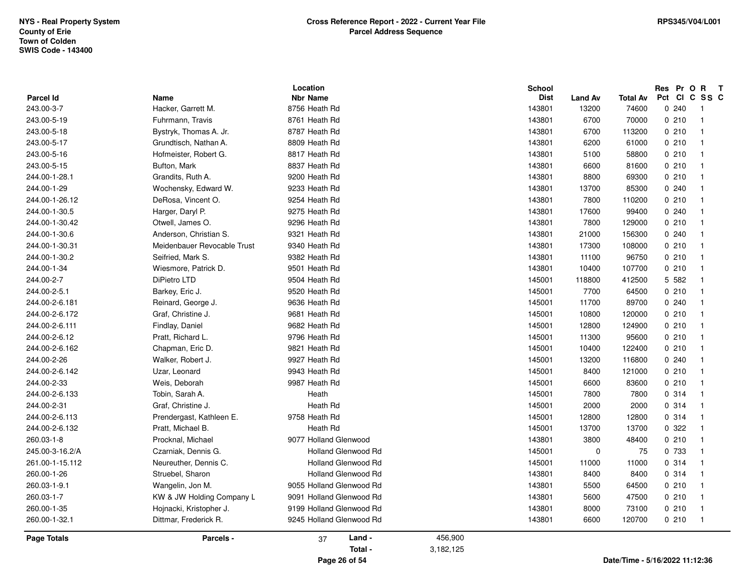| 0210<br>70000<br>243.00-5-18<br>8787 Heath Rd<br>143801<br>6700<br>0210<br>Bystryk, Thomas A. Jr.<br>113200<br>243.00-5-17<br>Grundtisch, Nathan A.<br>8809 Heath Rd<br>143801<br>6200<br>61000<br>0210<br>243.00-5-16<br>143801<br>0210<br>Hofmeister, Robert G.<br>8817 Heath Rd<br>5100<br>58800<br>243.00-5-15<br>Bufton, Mark<br>8837 Heath Rd<br>143801<br>6600<br>81600<br>0210<br>143801<br>0210<br>244.00-1-28.1<br>Grandits, Ruth A.<br>9200 Heath Rd<br>8800<br>69300<br>0.240<br>244.00-1-29<br>9233 Heath Rd<br>143801<br>13700<br>85300<br>Wochensky, Edward W.<br>DeRosa, Vincent O.<br>9254 Heath Rd<br>0210<br>244.00-1-26.12<br>143801<br>7800<br>110200<br>244.00-1-30.5<br>Harger, Daryl P.<br>9275 Heath Rd<br>143801<br>99400<br>0.240<br>17600<br>0210<br>244.00-1-30.42<br>Otwell, James O.<br>9296 Heath Rd<br>143801<br>7800<br>129000<br>Anderson, Christian S.<br>9321 Heath Rd<br>143801<br>0.240<br>244.00-1-30.6<br>21000<br>156300<br>Meidenbauer Revocable Trust<br>9340 Heath Rd<br>0210<br>244.00-1-30.31<br>143801<br>17300<br>108000<br>244.00-1-30.2<br>Seifried, Mark S.<br>9382 Heath Rd<br>96750<br>0210<br>143801<br>11100<br>244.00-1-34<br>Wiesmore, Patrick D.<br>9501 Heath Rd<br>143801<br>10400<br>107700<br>0210<br>244.00-2-7<br>DiPietro LTD<br>9504 Heath Rd<br>145001<br>5 5 8 2<br>118800<br>412500<br>244.00-2-5.1<br>9520 Heath Rd<br>145001<br>7700<br>64500<br>0210<br>Barkey, Eric J.<br>244.00-2-6.181<br>Reinard, George J.<br>9636 Heath Rd<br>145001<br>89700<br>0.240<br>11700<br>0210<br>244.00-2-6.172<br>Graf, Christine J.<br>9681 Heath Rd<br>145001<br>10800<br>120000<br>0210<br>244.00-2-6.111<br>Findlay, Daniel<br>9682 Heath Rd<br>145001<br>12800<br>124900<br>244.00-2-6.12<br>Pratt, Richard L.<br>9796 Heath Rd<br>145001<br>95600<br>0210<br>11300<br>0210<br>244.00-2-6.162<br>Chapman, Eric D.<br>9821 Heath Rd<br>145001<br>10400<br>122400<br>9927 Heath Rd<br>0.240<br>244.00-2-26<br>Walker, Robert J.<br>145001<br>13200<br>116800<br>244.00-2-6.142<br>9943 Heath Rd<br>0210<br>Uzar, Leonard<br>145001<br>8400<br>121000<br>9987 Heath Rd<br>0210<br>244.00-2-33<br>Weis, Deborah<br>145001<br>6600<br>83600 |      |        |               |                  |             |
|-------------------------------------------------------------------------------------------------------------------------------------------------------------------------------------------------------------------------------------------------------------------------------------------------------------------------------------------------------------------------------------------------------------------------------------------------------------------------------------------------------------------------------------------------------------------------------------------------------------------------------------------------------------------------------------------------------------------------------------------------------------------------------------------------------------------------------------------------------------------------------------------------------------------------------------------------------------------------------------------------------------------------------------------------------------------------------------------------------------------------------------------------------------------------------------------------------------------------------------------------------------------------------------------------------------------------------------------------------------------------------------------------------------------------------------------------------------------------------------------------------------------------------------------------------------------------------------------------------------------------------------------------------------------------------------------------------------------------------------------------------------------------------------------------------------------------------------------------------------------------------------------------------------------------------------------------------------------------------------------------------------------------------------------------------------------------------------------------------------------------------------------------------------------------------------------------------|------|--------|---------------|------------------|-------------|
|                                                                                                                                                                                                                                                                                                                                                                                                                                                                                                                                                                                                                                                                                                                                                                                                                                                                                                                                                                                                                                                                                                                                                                                                                                                                                                                                                                                                                                                                                                                                                                                                                                                                                                                                                                                                                                                                                                                                                                                                                                                                                                                                                                                                       |      |        |               |                  |             |
|                                                                                                                                                                                                                                                                                                                                                                                                                                                                                                                                                                                                                                                                                                                                                                                                                                                                                                                                                                                                                                                                                                                                                                                                                                                                                                                                                                                                                                                                                                                                                                                                                                                                                                                                                                                                                                                                                                                                                                                                                                                                                                                                                                                                       |      |        |               |                  |             |
|                                                                                                                                                                                                                                                                                                                                                                                                                                                                                                                                                                                                                                                                                                                                                                                                                                                                                                                                                                                                                                                                                                                                                                                                                                                                                                                                                                                                                                                                                                                                                                                                                                                                                                                                                                                                                                                                                                                                                                                                                                                                                                                                                                                                       |      |        |               |                  |             |
|                                                                                                                                                                                                                                                                                                                                                                                                                                                                                                                                                                                                                                                                                                                                                                                                                                                                                                                                                                                                                                                                                                                                                                                                                                                                                                                                                                                                                                                                                                                                                                                                                                                                                                                                                                                                                                                                                                                                                                                                                                                                                                                                                                                                       |      |        |               |                  |             |
|                                                                                                                                                                                                                                                                                                                                                                                                                                                                                                                                                                                                                                                                                                                                                                                                                                                                                                                                                                                                                                                                                                                                                                                                                                                                                                                                                                                                                                                                                                                                                                                                                                                                                                                                                                                                                                                                                                                                                                                                                                                                                                                                                                                                       |      |        |               |                  |             |
|                                                                                                                                                                                                                                                                                                                                                                                                                                                                                                                                                                                                                                                                                                                                                                                                                                                                                                                                                                                                                                                                                                                                                                                                                                                                                                                                                                                                                                                                                                                                                                                                                                                                                                                                                                                                                                                                                                                                                                                                                                                                                                                                                                                                       |      |        |               |                  |             |
|                                                                                                                                                                                                                                                                                                                                                                                                                                                                                                                                                                                                                                                                                                                                                                                                                                                                                                                                                                                                                                                                                                                                                                                                                                                                                                                                                                                                                                                                                                                                                                                                                                                                                                                                                                                                                                                                                                                                                                                                                                                                                                                                                                                                       |      |        |               |                  |             |
|                                                                                                                                                                                                                                                                                                                                                                                                                                                                                                                                                                                                                                                                                                                                                                                                                                                                                                                                                                                                                                                                                                                                                                                                                                                                                                                                                                                                                                                                                                                                                                                                                                                                                                                                                                                                                                                                                                                                                                                                                                                                                                                                                                                                       | 6700 | 143801 | 8761 Heath Rd | Fuhrmann, Travis | 243.00-5-19 |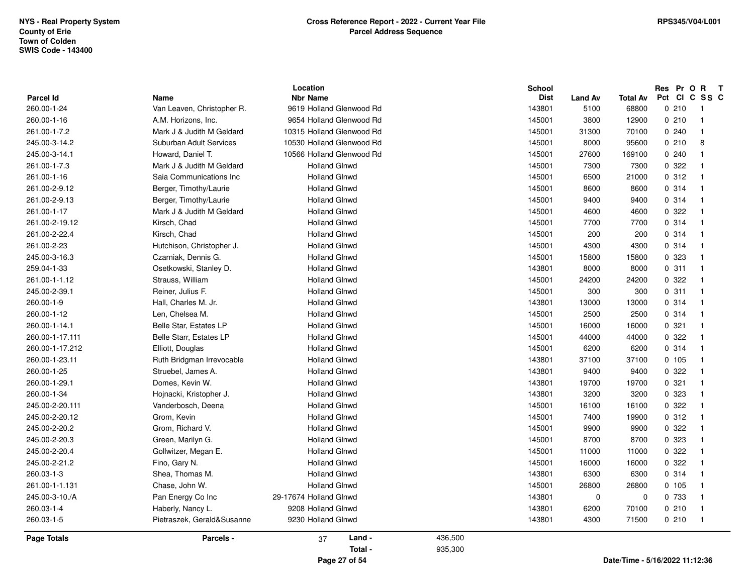| <b>Parcel Id</b>   | Name                       | Location<br><b>Nbr Name</b> |                    | School<br><b>Dist</b> | <b>Land Av</b> | Total Av | Res Pr O<br>Pct CI C SS C | $\mathbf R$<br>$\mathbf{T}$ |
|--------------------|----------------------------|-----------------------------|--------------------|-----------------------|----------------|----------|---------------------------|-----------------------------|
| 260.00-1-24        | Van Leaven, Christopher R. | 9619 Holland Glenwood Rd    |                    | 143801                | 5100           | 68800    | 0210                      | - 1                         |
| 260.00-1-16        | A.M. Horizons, Inc.        | 9654 Holland Glenwood Rd    |                    | 145001                | 3800           | 12900    | 0210                      | $\overline{\mathbf{1}}$     |
| 261.00-1-7.2       | Mark J & Judith M Geldard  | 10315 Holland Glenwood Rd   |                    | 145001                | 31300          | 70100    | 0240                      | $\overline{\mathbf{1}}$     |
| 245.00-3-14.2      | Suburban Adult Services    | 10530 Holland Glenwood Rd   |                    | 145001                | 8000           | 95600    | 0210                      | 8                           |
| 245.00-3-14.1      | Howard, Daniel T.          | 10566 Holland Glenwood Rd   |                    | 145001                | 27600          | 169100   | 0240                      | -1                          |
| 261.00-1-7.3       | Mark J & Judith M Geldard  | <b>Holland Glnwd</b>        |                    | 145001                | 7300           | 7300     | 0 322                     | $\overline{1}$              |
| 261.00-1-16        | Saia Communications Inc    | <b>Holland Glnwd</b>        |                    | 145001                | 6500           | 21000    | 0.312                     | $\overline{\mathbf{1}}$     |
| 261.00-2-9.12      | Berger, Timothy/Laurie     | <b>Holland Glnwd</b>        |                    | 145001                | 8600           | 8600     | 0.314                     | $\overline{1}$              |
| 261.00-2-9.13      | Berger, Timothy/Laurie     | <b>Holland Glnwd</b>        |                    | 145001                | 9400           | 9400     | 0.314                     | $\overline{1}$              |
| 261.00-1-17        | Mark J & Judith M Geldard  | <b>Holland Glnwd</b>        |                    | 145001                | 4600           | 4600     | 0.322                     | $\mathbf{1}$                |
| 261.00-2-19.12     | Kirsch, Chad               | <b>Holland Glnwd</b>        |                    | 145001                | 7700           | 7700     | 0.314                     | -1                          |
| 261.00-2-22.4      | Kirsch, Chad               | <b>Holland Glnwd</b>        |                    | 145001                | 200            | 200      | 0.314                     | $\overline{1}$              |
| 261.00-2-23        | Hutchison, Christopher J.  | <b>Holland Glnwd</b>        |                    | 145001                | 4300           | 4300     | 0.314                     | $\overline{1}$              |
| 245.00-3-16.3      | Czarniak, Dennis G.        | <b>Holland Glnwd</b>        |                    | 145001                | 15800          | 15800    | 0 323                     | $\overline{1}$              |
| 259.04-1-33        | Osetkowski, Stanley D.     | <b>Holland Glnwd</b>        |                    | 143801                | 8000           | 8000     | 0.311                     | $\overline{1}$              |
| 261.00-1-1.12      | Strauss, William           | <b>Holland Glnwd</b>        |                    | 145001                | 24200          | 24200    | 0 322                     | -1                          |
| 245.00-2-39.1      | Reiner, Julius F.          | <b>Holland Glnwd</b>        |                    | 145001                | 300            |          | 0.311                     | $\overline{1}$              |
|                    |                            | <b>Holland Glnwd</b>        |                    |                       |                | 300      | 0.314                     | $\overline{1}$              |
| 260.00-1-9         | Hall, Charles M. Jr.       |                             |                    | 143801                | 13000          | 13000    |                           |                             |
| 260.00-1-12        | Len, Chelsea M.            | <b>Holland Glnwd</b>        |                    | 145001                | 2500           | 2500     | 0.314                     | $\overline{1}$<br>-1        |
| 260.00-1-14.1      | Belle Star, Estates LP     | <b>Holland Glnwd</b>        |                    | 145001                | 16000          | 16000    | 0.321                     |                             |
| 260.00-1-17.111    | Belle Starr, Estates LP    | <b>Holland Glnwd</b>        |                    | 145001                | 44000          | 44000    | 0 322                     | $\overline{1}$              |
| 260.00-1-17.212    | Elliott, Douglas           | <b>Holland Glnwd</b>        |                    | 145001                | 6200           | 6200     | 0.314                     | $\overline{1}$              |
| 260.00-1-23.11     | Ruth Bridgman Irrevocable  | <b>Holland Glnwd</b>        |                    | 143801                | 37100          | 37100    | 0 105                     | $\overline{1}$              |
| 260.00-1-25        | Struebel, James A.         | <b>Holland Glnwd</b>        |                    | 143801                | 9400           | 9400     | 0.322                     | - 1                         |
| 260.00-1-29.1      | Domes, Kevin W.            | <b>Holland Glnwd</b>        |                    | 143801                | 19700          | 19700    | 0.321                     | -1                          |
| 260.00-1-34        | Hojnacki, Kristopher J.    | <b>Holland Glnwd</b>        |                    | 143801                | 3200           | 3200     | 0 323                     | -1                          |
| 245.00-2-20.111    | Vanderbosch, Deena         | <b>Holland Glnwd</b>        |                    | 145001                | 16100          | 16100    | 0 322                     | -1                          |
| 245.00-2-20.12     | Grom, Kevin                | <b>Holland Glnwd</b>        |                    | 145001                | 7400           | 19900    | 0.312                     | -1                          |
| 245.00-2-20.2      | Grom, Richard V.           | <b>Holland Glnwd</b>        |                    | 145001                | 9900           | 9900     | 0.322                     | -1                          |
| 245.00-2-20.3      | Green, Marilyn G.          | <b>Holland Glnwd</b>        |                    | 145001                | 8700           | 8700     | 0 323                     | -1                          |
| 245.00-2-20.4      | Gollwitzer, Megan E.       | <b>Holland Glnwd</b>        |                    | 145001                | 11000          | 11000    | 0 322                     | -1                          |
| 245.00-2-21.2      | Fino, Gary N.              | <b>Holland Glnwd</b>        |                    | 145001                | 16000          | 16000    | 0 322                     | -1                          |
| 260.03-1-3         | Shea, Thomas M.            | <b>Holland Glnwd</b>        |                    | 143801                | 6300           | 6300     | 0.314                     | $\overline{1}$              |
| 261.00-1-1.131     | Chase, John W.             | <b>Holland Glnwd</b>        |                    | 145001                | 26800          | 26800    | 0, 105                    | $\overline{1}$              |
| 245.00-3-10./A     | Pan Energy Co Inc          | 29-17674 Holland Glnwd      |                    | 143801                | 0              | 0        | 0 733                     | -1                          |
| 260.03-1-4         | Haberly, Nancy L.          | 9208 Holland Glnwd          |                    | 143801                | 6200           | 70100    | 0210                      | $\overline{1}$              |
| 260.03-1-5         | Pietraszek, Gerald&Susanne | 9230 Holland Glnwd          |                    | 143801                | 4300           | 71500    | 0210                      | $\overline{1}$              |
| <b>Page Totals</b> | Parcels -                  | Land -<br>37<br>Total -     | 436,500<br>935,300 |                       |                |          |                           |                             |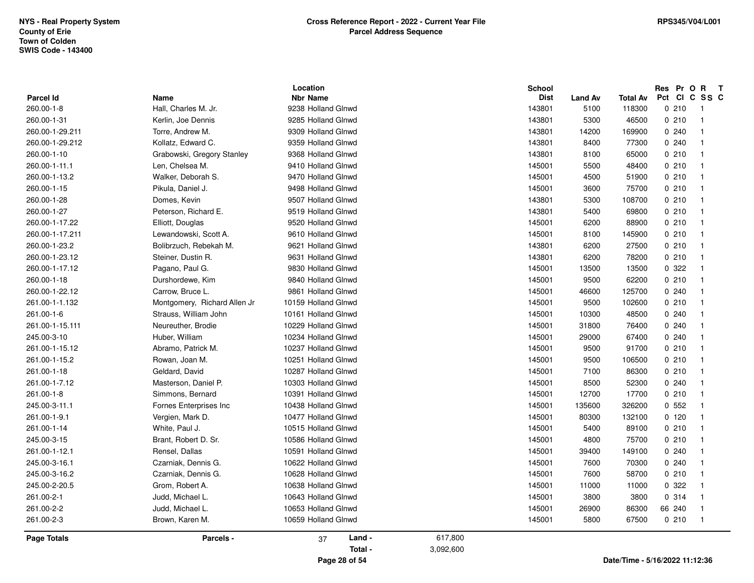| <b>Parcel Id</b> | Name                          | Location<br><b>Nbr Name</b> |           | <b>School</b><br><b>Dist</b> | <b>Land Av</b> | <b>Total Av</b> | Res Pr O R<br>Pct CI C SS C | $\mathbf{T}$             |
|------------------|-------------------------------|-----------------------------|-----------|------------------------------|----------------|-----------------|-----------------------------|--------------------------|
| 260.00-1-8       | Hall, Charles M. Jr.          | 9238 Holland Glnwd          |           | 143801                       | 5100           | 118300          | 0210                        | $\overline{\phantom{1}}$ |
| 260.00-1-31      | Kerlin, Joe Dennis            | 9285 Holland Glnwd          |           | 143801                       | 5300           | 46500           | 0210                        | $\overline{1}$           |
| 260.00-1-29.211  | Torre, Andrew M.              | 9309 Holland Glnwd          |           | 143801                       | 14200          | 169900          | 0.240                       | $\overline{1}$           |
| 260.00-1-29.212  | Kollatz, Edward C.            | 9359 Holland Glnwd          |           | 143801                       | 8400           | 77300           | 0.240                       | $\overline{1}$           |
| 260.00-1-10      | Grabowski, Gregory Stanley    | 9368 Holland Glnwd          |           | 143801                       | 8100           | 65000           | 0210                        | $\overline{1}$           |
| 260.00-1-11.1    | Len, Chelsea M.               | 9410 Holland Glnwd          |           | 145001                       | 5500           | 48400           | 0210                        | $\overline{1}$           |
|                  | Walker, Deborah S.            | 9470 Holland Glnwd          |           |                              |                |                 | 0210                        | $\overline{1}$           |
| 260.00-1-13.2    |                               |                             |           | 145001                       | 4500           | 51900           |                             |                          |
| 260.00-1-15      | Pikula, Daniel J.             | 9498 Holland Glnwd          |           | 145001                       | 3600           | 75700           | 0210                        | $\overline{1}$           |
| 260.00-1-28      | Domes, Kevin                  | 9507 Holland Glnwd          |           | 143801                       | 5300           | 108700          | 0210                        | $\overline{1}$           |
| 260.00-1-27      | Peterson, Richard E.          | 9519 Holland Glnwd          |           | 143801                       | 5400           | 69800           | 0210                        | $\overline{1}$           |
| 260.00-1-17.22   | Elliott, Douglas              | 9520 Holland Glnwd          |           | 145001                       | 6200           | 88900           | 0210                        | $\overline{1}$           |
| 260.00-1-17.211  | Lewandowski, Scott A.         | 9610 Holland Glnwd          |           | 145001                       | 8100           | 145900          | 0210                        | $\overline{1}$           |
| 260.00-1-23.2    | Bolibrzuch, Rebekah M.        | 9621 Holland Glnwd          |           | 143801                       | 6200           | 27500           | 0210                        | $\overline{1}$           |
| 260.00-1-23.12   | Steiner, Dustin R.            | 9631 Holland Glnwd          |           | 143801                       | 6200           | 78200           | 0210                        | $\overline{1}$           |
| 260.00-1-17.12   | Pagano, Paul G.               | 9830 Holland Glnwd          |           | 145001                       | 13500          | 13500           | 0 322                       | $\overline{1}$           |
| 260.00-1-18      | Durshordewe, Kim              | 9840 Holland Glnwd          |           | 145001                       | 9500           | 62200           | 0210                        | $\overline{1}$           |
| 260.00-1-22.12   | Carrow, Bruce L.              | 9861 Holland Glnwd          |           | 145001                       | 46600          | 125700          | 0.240                       | $\overline{1}$           |
| 261.00-1-1.132   | Montgomery, Richard Allen Jr. | 10159 Holland Glnwd         |           | 145001                       | 9500           | 102600          | 0210                        | -1                       |
| 261.00-1-6       | Strauss, William John         | 10161 Holland Glnwd         |           | 145001                       | 10300          | 48500           | 0.240                       | $\overline{1}$           |
| 261.00-1-15.111  | Neureuther, Brodie            | 10229 Holland Glnwd         |           | 145001                       | 31800          | 76400           | 0.240                       | -1                       |
| 245.00-3-10      | Huber, William                | 10234 Holland Glnwd         |           | 145001                       | 29000          | 67400           | 0.240                       | $\overline{1}$           |
| 261.00-1-15.12   | Abramo, Patrick M.            | 10237 Holland Glnwd         |           | 145001                       | 9500           | 91700           | 0210                        | -1                       |
| 261.00-1-15.2    | Rowan, Joan M.                | 10251 Holland Glnwd         |           | 145001                       | 9500           | 106500          | 0210                        | $\overline{1}$           |
| 261.00-1-18      | Geldard, David                | 10287 Holland Glnwd         |           | 145001                       | 7100           | 86300           | 0210                        | $\overline{1}$           |
| 261.00-1-7.12    | Masterson, Daniel P.          | 10303 Holland Glnwd         |           | 145001                       | 8500           | 52300           | 0.240                       | -1                       |
| 261.00-1-8       | Simmons, Bernard              | 10391 Holland Glnwd         |           | 145001                       | 12700          | 17700           | 0210                        | - 1                      |
| 245.00-3-11.1    | Fornes Enterprises Inc        | 10438 Holland Glnwd         |           | 145001                       | 135600         | 326200          | 0.552                       | $\overline{1}$           |
| 261.00-1-9.1     | Vergien, Mark D.              | 10477 Holland Glnwd         |           | 145001                       | 80300          | 132100          | 0, 120                      | $\overline{1}$           |
| 261.00-1-14      | White, Paul J.                | 10515 Holland Glnwd         |           | 145001                       | 5400           | 89100           | 0210                        | $\overline{1}$           |
| 245.00-3-15      | Brant, Robert D. Sr.          | 10586 Holland Glnwd         |           | 145001                       | 4800           | 75700           | 0210                        | $\overline{1}$           |
| 261.00-1-12.1    | Rensel, Dallas                | 10591 Holland Glnwd         |           | 145001                       | 39400          | 149100          | 0.240                       | - 1                      |
| 245.00-3-16.1    | Czarniak, Dennis G.           | 10622 Holland Glnwd         |           | 145001                       | 7600           | 70300           | 0.240                       | - 1                      |
| 245.00-3-16.2    | Czarniak, Dennis G.           | 10628 Holland Glnwd         |           | 145001                       | 7600           | 58700           | 0210                        | $\overline{1}$           |
| 245.00-2-20.5    | Grom, Robert A.               | 10638 Holland Glnwd         |           | 145001                       | 11000          | 11000           | 0 322                       | $\overline{1}$           |
| 261.00-2-1       | Judd, Michael L.              | 10643 Holland Glnwd         |           | 145001                       | 3800           | 3800            | 0.314                       | $\overline{1}$           |
| 261.00-2-2       | Judd, Michael L.              | 10653 Holland Glnwd         |           | 145001                       | 26900          | 86300           | 66 240                      | $\overline{1}$           |
| 261.00-2-3       | Brown, Karen M.               | 10659 Holland Glnwd         |           | 145001                       | 5800           | 67500           | 0210                        | $\overline{1}$           |
| Page Totals      | Parcels -                     | Land -<br>37                | 617,800   |                              |                |                 |                             |                          |
|                  |                               | Total -                     | 3,092,600 |                              |                |                 |                             |                          |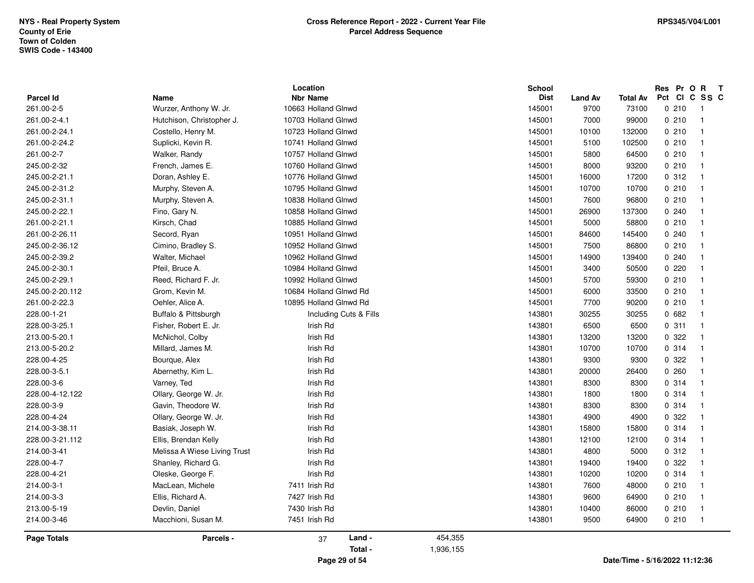| Parcel Id          | Name                         | Location<br><b>Nbr Name</b> |                        |           | <b>School</b><br><b>Dist</b> | <b>Land Av</b> | Total Av                       | Res Pr O<br>Pct Cl | $\mathbf{R}$<br>$\mathbf{T}$<br>C SS C |
|--------------------|------------------------------|-----------------------------|------------------------|-----------|------------------------------|----------------|--------------------------------|--------------------|----------------------------------------|
| 261.00-2-5         | Wurzer, Anthony W. Jr.       | 10663 Holland Glnwd         |                        |           | 145001                       | 9700           | 73100                          | 0210               | $\overline{1}$                         |
| 261.00-2-4.1       | Hutchison, Christopher J.    | 10703 Holland Glnwd         |                        |           | 145001                       | 7000           | 99000                          | 0210               | $\overline{1}$                         |
| 261.00-2-24.1      | Costello, Henry M.           | 10723 Holland Glnwd         |                        |           | 145001                       | 10100          | 132000                         | 0210               | $\overline{\mathbf{1}}$                |
| 261.00-2-24.2      | Suplicki, Kevin R.           | 10741 Holland Glnwd         |                        |           | 145001                       | 5100           | 102500                         | 0210               | $\overline{1}$                         |
| 261.00-2-7         | Walker, Randy                | 10757 Holland Glnwd         |                        |           | 145001                       | 5800           | 64500                          | 0210               | $\overline{1}$                         |
| 245.00-2-32        | French, James E.             | 10760 Holland Glnwd         |                        |           | 145001                       | 8000           | 93200                          | 0210               | $\overline{1}$                         |
| 245.00-2-21.1      | Doran, Ashley E.             | 10776 Holland Glnwd         |                        |           | 145001                       | 16000          | 17200                          | 0.312              | $\overline{1}$                         |
| 245.00-2-31.2      | Murphy, Steven A.            | 10795 Holland Glnwd         |                        |           | 145001                       | 10700          | 10700                          | 0210               | $\overline{1}$                         |
| 245.00-2-31.1      | Murphy, Steven A.            | 10838 Holland Glnwd         |                        |           | 145001                       | 7600           | 96800                          | 0210               | $\overline{1}$                         |
| 245.00-2-22.1      | Fino, Gary N.                | 10858 Holland Glnwd         |                        |           | 145001                       | 26900          | 137300                         | 0.240              | $\overline{1}$                         |
| 261.00-2-21.1      | Kirsch, Chad                 | 10885 Holland Glnwd         |                        |           | 145001                       | 5000           | 58800                          | 0210               | $\overline{1}$                         |
| 261.00-2-26.11     | Secord, Ryan                 | 10951 Holland Glnwd         |                        |           | 145001                       | 84600          | 145400                         | 0.240              | $\overline{\mathbf{1}}$                |
| 245.00-2-36.12     | Cimino, Bradley S.           | 10952 Holland Glnwd         |                        |           | 145001                       | 7500           | 86800                          | 0210               | $\overline{1}$                         |
| 245.00-2-39.2      | Walter, Michael              | 10962 Holland Glnwd         |                        |           | 145001                       | 14900          | 139400                         | 0.240              | $\overline{\mathbf{1}}$                |
| 245.00-2-30.1      | Pfeil, Bruce A.              | 10984 Holland Glnwd         |                        |           | 145001                       | 3400           | 50500                          | 0220               | $\overline{\mathbf{1}}$                |
| 245.00-2-29.1      | Reed, Richard F. Jr.         | 10992 Holland Glnwd         |                        |           | 145001                       | 5700           | 59300                          | 0210               | $\overline{1}$                         |
| 245.00-2-20.112    | Grom, Kevin M.               | 10684 Holland Glnwd Rd      |                        |           | 145001                       | 6000           | 33500                          | 0210               | $\overline{1}$                         |
| 261.00-2-22.3      | Oehler, Alice A.             | 10895 Holland Glnwd Rd      |                        |           | 145001                       | 7700           | 90200                          | 0210               | $\overline{1}$                         |
| 228.00-1-21        | Buffalo & Pittsburgh         |                             | Including Cuts & Fills |           | 143801                       | 30255          | 30255                          | 0682               | $\overline{1}$                         |
| 228.00-3-25.1      | Fisher, Robert E. Jr.        | Irish Rd                    |                        |           | 143801                       | 6500           | 6500                           | 0.311              | $\overline{1}$                         |
| 213.00-5-20.1      | McNichol, Colby              | Irish Rd                    |                        |           | 143801                       | 13200          | 13200                          | 0 322              | $\overline{1}$                         |
| 213.00-5-20.2      | Millard, James M.            | Irish Rd                    |                        |           | 143801                       | 10700          | 10700                          | 0.314              | $\overline{1}$                         |
| 228.00-4-25        | Bourque, Alex                | Irish Rd                    |                        |           | 143801                       | 9300           | 9300                           | 0.322              | $\overline{\mathbf{1}}$                |
| 228.00-3-5.1       | Abernethy, Kim L.            | Irish Rd                    |                        |           | 143801                       | 20000          | 26400                          | 0.260              | $\overline{1}$                         |
| 228.00-3-6         | Varney, Ted                  | Irish Rd                    |                        |           | 143801                       | 8300           | 8300                           | 0.314              | $\overline{\mathbf{1}}$                |
| 228.00-4-12.122    | Ollary, George W. Jr.        | Irish Rd                    |                        |           | 143801                       | 1800           | 1800                           | 0.314              | $\mathbf{1}$                           |
| 228.00-3-9         | Gavin, Theodore W.           | Irish Rd                    |                        |           | 143801                       | 8300           | 8300                           | 0.314              | $\overline{1}$                         |
| 228.00-4-24        | Ollary, George W. Jr.        | Irish Rd                    |                        |           | 143801                       | 4900           | 4900                           | 0 322              | $\overline{1}$                         |
| 214.00-3-38.11     | Basiak, Joseph W.            | Irish Rd                    |                        |           | 143801                       | 15800          | 15800                          | 0.314              | $\overline{1}$                         |
| 228.00-3-21.112    | Ellis, Brendan Kelly         | Irish Rd                    |                        |           | 143801                       | 12100          | 12100                          | 0.314              | $\overline{1}$                         |
| 214.00-3-41        | Melissa A Wiese Living Trust | Irish Rd                    |                        |           | 143801                       | 4800           | 5000                           | 0.312              | $\overline{1}$                         |
| 228.00-4-7         | Shanley, Richard G.          | Irish Rd                    |                        |           | 143801                       | 19400          | 19400                          | 0.322              | $\overline{1}$                         |
| 228.00-4-21        | Oleske, George F.            | Irish Rd                    |                        |           | 143801                       | 10200          | 10200                          | 0.314              | $\overline{1}$                         |
| 214.00-3-1         | MacLean, Michele             | 7411 Irish Rd               |                        |           | 143801                       | 7600           | 48000                          | 0210               | $\overline{1}$                         |
| 214.00-3-3         | Ellis, Richard A.            | 7427 Irish Rd               |                        |           | 143801                       | 9600           | 64900                          | 0210               | $\overline{1}$                         |
| 213.00-5-19        | Devlin, Daniel               | 7430 Irish Rd               |                        |           | 143801                       | 10400          | 86000                          | 0210               | $\overline{1}$                         |
| 214.00-3-46        | Macchioni, Susan M.          | 7451 Irish Rd               |                        |           | 143801                       | 9500           | 64900                          | 0210               | $\overline{1}$                         |
| <b>Page Totals</b> | Parcels -                    | 37                          | Land -                 | 454,355   |                              |                |                                |                    |                                        |
|                    |                              |                             | Total -                | 1,936,155 |                              |                |                                |                    |                                        |
|                    |                              |                             | Page 29 of 54          |           |                              |                | Date/Time - 5/16/2022 11:12:36 |                    |                                        |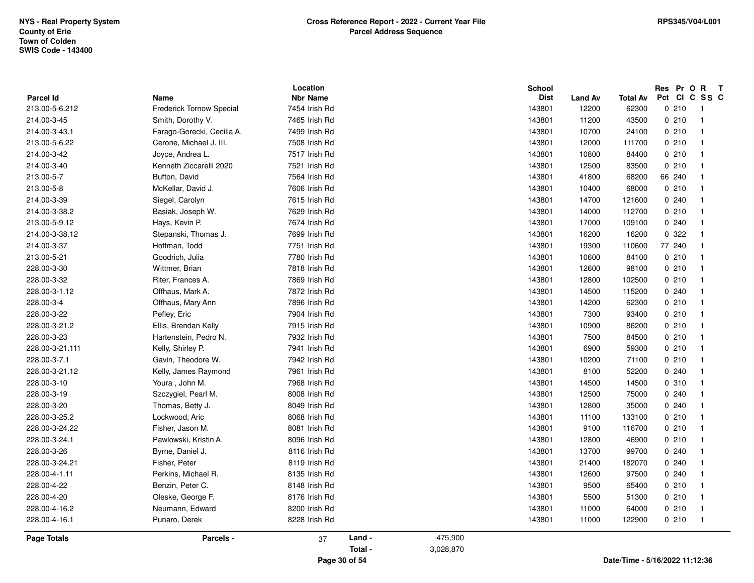| <b>Parcel Id</b>   | Name                       | Location<br><b>Nbr Name</b> |         |           | <b>School</b><br><b>Dist</b> | <b>Land Av</b> | <b>Total Av</b> | Res Pr O R | $\mathbf{T}$<br>Pct CI C SS C |
|--------------------|----------------------------|-----------------------------|---------|-----------|------------------------------|----------------|-----------------|------------|-------------------------------|
| 213.00-5-6.212     | Frederick Tornow Special   | 7454 Irish Rd               |         |           | 143801                       | 12200          | 62300           | 0210       | $\overline{1}$                |
| 214.00-3-45        | Smith, Dorothy V.          | 7465 Irish Rd               |         |           | 143801                       | 11200          | 43500           | 0210       | $\overline{1}$                |
| 214.00-3-43.1      | Farago-Gorecki, Cecilia A. | 7499 Irish Rd               |         |           | 143801                       | 10700          | 24100           | 0210       | $\overline{1}$                |
| 213.00-5-6.22      | Cerone, Michael J. III.    | 7508 Irish Rd               |         |           | 143801                       | 12000          | 111700          | 0210       | $\overline{1}$                |
| 214.00-3-42        | Joyce, Andrea L.           | 7517 Irish Rd               |         |           | 143801                       | 10800          | 84400           | 0210       | $\overline{1}$                |
| 214.00-3-40        | Kenneth Ziccarelli 2020    | 7521 Irish Rd               |         |           | 143801                       | 12500          | 83500           | 0210       | $\overline{1}$                |
| 213.00-5-7         | Bufton, David              | 7564 Irish Rd               |         |           | 143801                       | 41800          | 68200           | 66 240     | $\overline{1}$                |
| 213.00-5-8         | McKellar, David J.         | 7606 Irish Rd               |         |           | 143801                       | 10400          | 68000           | 0210       | $\overline{1}$                |
| 214.00-3-39        | Siegel, Carolyn            | 7615 Irish Rd               |         |           | 143801                       | 14700          | 121600          | 0.240      | $\overline{1}$                |
| 214.00-3-38.2      | Basiak, Joseph W.          | 7629 Irish Rd               |         |           | 143801                       | 14000          | 112700          | 0210       | $\overline{1}$                |
| 213.00-5-9.12      | Hays, Kevin P.             | 7674 Irish Rd               |         |           | 143801                       | 17000          | 109100          | 0.240      | $\overline{1}$                |
| 214.00-3-38.12     | Stepanski, Thomas J.       | 7699 Irish Rd               |         |           | 143801                       | 16200          | 16200           | 0 322      | $\overline{1}$                |
| 214.00-3-37        | Hoffman, Todd              | 7751 Irish Rd               |         |           | 143801                       | 19300          | 110600          | 77 240     | $\overline{1}$                |
| 213.00-5-21        | Goodrich, Julia            | 7780 Irish Rd               |         |           | 143801                       | 10600          | 84100           | 0210       | $\overline{1}$                |
| 228.00-3-30        | Wittmer, Brian             | 7818 Irish Rd               |         |           | 143801                       | 12600          | 98100           | 0210       | $\overline{1}$                |
| 228.00-3-32        | Riter, Frances A.          | 7869 Irish Rd               |         |           | 143801                       | 12800          | 102500          | 0210       | $\overline{1}$                |
| 228.00-3-1.12      | Offhaus, Mark A.           | 7872 Irish Rd               |         |           | 143801                       | 14500          | 115200          | 0.240      | $\overline{1}$                |
| 228.00-3-4         | Offhaus, Mary Ann          | 7896 Irish Rd               |         |           | 143801                       | 14200          | 62300           | 0210       | $\overline{1}$                |
| 228.00-3-22        | Pefley, Eric               | 7904 Irish Rd               |         |           | 143801                       | 7300           | 93400           | 0210       | $\overline{1}$                |
| 228.00-3-21.2      | Ellis, Brendan Kelly       | 7915 Irish Rd               |         |           | 143801                       | 10900          | 86200           | 0210       | $\overline{1}$                |
| 228.00-3-23        | Hartenstein, Pedro N.      | 7932 Irish Rd               |         |           | 143801                       | 7500           | 84500           | 0210       | $\overline{1}$                |
| 228.00-3-21.111    | Kelly, Shirley P.          | 7941 Irish Rd               |         |           | 143801                       | 6900           | 59300           | 0210       | $\overline{1}$                |
| 228.00-3-7.1       | Gavin, Theodore W.         | 7942 Irish Rd               |         |           | 143801                       | 10200          | 71100           | 0210       | $\overline{1}$                |
| 228.00-3-21.12     | Kelly, James Raymond       | 7961 Irish Rd               |         |           | 143801                       | 8100           | 52200           | 0.240      | $\overline{1}$                |
| 228.00-3-10        | Youra, John M.             | 7968 Irish Rd               |         |           | 143801                       | 14500          | 14500           | 0.310      | $\overline{1}$                |
| 228.00-3-19        | Szczygiel, Pearl M.        | 8008 Irish Rd               |         |           | 143801                       | 12500          | 75000           | 0.240      | $\overline{1}$                |
| 228.00-3-20        | Thomas, Betty J.           | 8049 Irish Rd               |         |           | 143801                       | 12800          | 35000           | 0.240      | $\overline{1}$                |
| 228.00-3-25.2      | Lockwood, Aric             | 8068 Irish Rd               |         |           | 143801                       | 11100          | 133100          | 0210       | $\overline{1}$                |
| 228.00-3-24.22     | Fisher, Jason M.           | 8081 Irish Rd               |         |           | 143801                       | 9100           | 116700          | 0210       | $\overline{1}$                |
| 228.00-3-24.1      | Pawlowski, Kristin A.      | 8096 Irish Rd               |         |           | 143801                       | 12800          | 46900           | 0210       | $\overline{1}$                |
| 228.00-3-26        | Byrne, Daniel J.           | 8116 Irish Rd               |         |           | 143801                       | 13700          | 99700           | 0.240      | $\overline{1}$                |
| 228.00-3-24.21     | Fisher, Peter              | 8119 Irish Rd               |         |           | 143801                       | 21400          | 182070          | 0.240      | $\overline{1}$                |
| 228.00-4-1.11      | Perkins, Michael R.        | 8135 Irish Rd               |         |           | 143801                       | 12600          | 97500           | 0.240      | $\overline{1}$                |
| 228.00-4-22        | Benzin, Peter C.           | 8148 Irish Rd               |         |           | 143801                       | 9500           | 65400           | 0210       | $\overline{1}$                |
| 228.00-4-20        | Oleske, George F.          | 8176 Irish Rd               |         |           | 143801                       | 5500           | 51300           | 0210       | $\overline{1}$                |
| 228.00-4-16.2      | Neumann, Edward            | 8200 Irish Rd               |         |           | 143801                       | 11000          | 64000           | 0210       | $\overline{1}$                |
| 228.00-4-16.1      | Punaro, Derek              | 8228 Irish Rd               |         |           | 143801                       | 11000          | 122900          | 0210       | $\overline{1}$                |
| <b>Page Totals</b> | Parcels -                  | 37                          | Land -  | 475,900   |                              |                |                 |            |                               |
|                    |                            |                             | Total - | 3,028,870 |                              |                |                 |            |                               |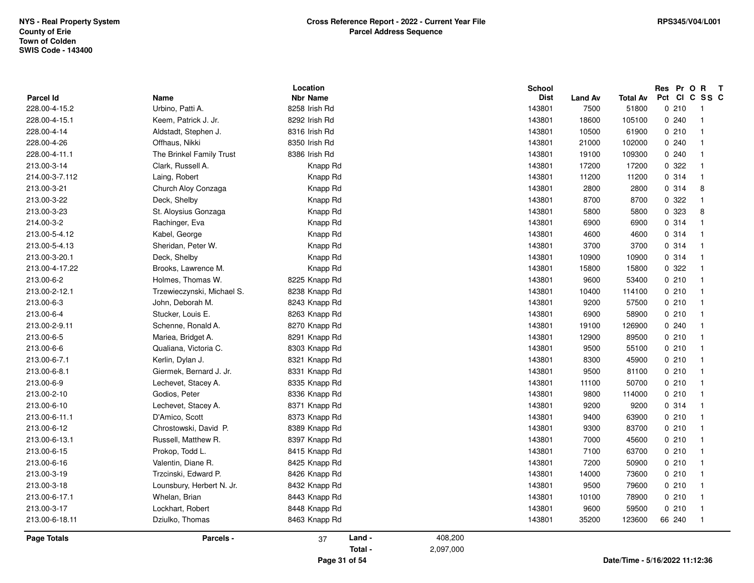|                    |                            | Location        |         |           | <b>School</b> |                |                 | Res Pr O R T |        |
|--------------------|----------------------------|-----------------|---------|-----------|---------------|----------------|-----------------|--------------|--------|
| <b>Parcel Id</b>   | Name                       | <b>Nbr Name</b> |         |           | <b>Dist</b>   | <b>Land Av</b> | <b>Total Av</b> | Pct          | CICSSC |
| 228.00-4-15.2      | Urbino, Patti A.           | 8258 Irish Rd   |         |           | 143801        | 7500           | 51800           | 0210         | - 1    |
| 228.00-4-15.1      | Keem, Patrick J. Jr.       | 8292 Irish Rd   |         |           | 143801        | 18600          | 105100          | 0.240        | -1     |
| 228.00-4-14        | Aldstadt, Stephen J.       | 8316 Irish Rd   |         |           | 143801        | 10500          | 61900           | 0210         |        |
| 228.00-4-26        | Offhaus, Nikki             | 8350 Irish Rd   |         |           | 143801        | 21000          | 102000          | 0240         |        |
| 228.00-4-11.1      | The Brinkel Family Trust   | 8386 Irish Rd   |         |           | 143801        | 19100          | 109300          | 0240         |        |
| 213.00-3-14        | Clark, Russell A.          | Knapp Rd        |         |           | 143801        | 17200          | 17200           | 0.322        |        |
| 214.00-3-7.112     | Laing, Robert              | Knapp Rd        |         |           | 143801        | 11200          | 11200           | 0.314        |        |
| 213.00-3-21        | Church Aloy Conzaga        | Knapp Rd        |         |           | 143801        | 2800           | 2800            | 0.314        | 8      |
| 213.00-3-22        | Deck, Shelby               | Knapp Rd        |         |           | 143801        | 8700           | 8700            | 0.322        |        |
| 213.00-3-23        | St. Aloysius Gonzaga       | Knapp Rd        |         |           | 143801        | 5800           | 5800            | 0 323        | 8      |
| 214.00-3-2         | Rachinger, Eva             | Knapp Rd        |         |           | 143801        | 6900           | 6900            | 0.314        |        |
| 213.00-5-4.12      | Kabel, George              | Knapp Rd        |         |           | 143801        | 4600           | 4600            | 0.314        |        |
| 213.00-5-4.13      | Sheridan, Peter W.         | Knapp Rd        |         |           | 143801        | 3700           | 3700            | 0.314        |        |
| 213.00-3-20.1      | Deck, Shelby               | Knapp Rd        |         |           | 143801        | 10900          | 10900           | 0.314        |        |
| 213.00-4-17.22     | Brooks, Lawrence M.        | Knapp Rd        |         |           | 143801        | 15800          | 15800           | 0.322        |        |
| 213.00-6-2         | Holmes, Thomas W.          | 8225 Knapp Rd   |         |           | 143801        | 9600           | 53400           | 0210         |        |
| 213.00-2-12.1      | Trzewieczynski, Michael S. | 8238 Knapp Rd   |         |           | 143801        | 10400          | 114100          | 0210         |        |
| 213.00-6-3         | John, Deborah M.           | 8243 Knapp Rd   |         |           | 143801        | 9200           | 57500           | 0210         |        |
| 213.00-6-4         | Stucker, Louis E.          | 8263 Knapp Rd   |         |           | 143801        | 6900           | 58900           | 0210         |        |
| 213.00-2-9.11      | Schenne, Ronald A.         | 8270 Knapp Rd   |         |           | 143801        | 19100          | 126900          | 0.240        |        |
| 213.00-6-5         | Mariea, Bridget A.         | 8291 Knapp Rd   |         |           | 143801        | 12900          | 89500           | 0210         |        |
| 213.00-6-6         | Qualiana, Victoria C.      | 8303 Knapp Rd   |         |           | 143801        | 9500           | 55100           | 0210         |        |
| 213.00-6-7.1       | Kerlin, Dylan J.           | 8321 Knapp Rd   |         |           | 143801        | 8300           | 45900           | 0210         |        |
| 213.00-6-8.1       | Giermek, Bernard J. Jr.    | 8331 Knapp Rd   |         |           | 143801        | 9500           | 81100           | 0210         |        |
| 213.00-6-9         | Lechevet, Stacey A.        | 8335 Knapp Rd   |         |           | 143801        | 11100          | 50700           | 0210         |        |
| 213.00-2-10        | Godios, Peter              | 8336 Knapp Rd   |         |           | 143801        | 9800           | 114000          | 0210         |        |
| 213.00-6-10        | Lechevet, Stacey A.        | 8371 Knapp Rd   |         |           | 143801        | 9200           | 9200            | 0.314        |        |
| 213.00-6-11.1      | D'Amico, Scott             | 8373 Knapp Rd   |         |           | 143801        | 9400           | 63900           | 0210         |        |
| 213.00-6-12        | Chrostowski, David P.      | 8389 Knapp Rd   |         |           | 143801        | 9300           | 83700           | 0210         |        |
| 213.00-6-13.1      | Russell, Matthew R.        | 8397 Knapp Rd   |         |           | 143801        | 7000           | 45600           | 0210         |        |
| 213.00-6-15        | Prokop, Todd L.            | 8415 Knapp Rd   |         |           | 143801        | 7100           | 63700           | 0210         |        |
| 213.00-6-16        | Valentin, Diane R.         | 8425 Knapp Rd   |         |           | 143801        | 7200           | 50900           | 0210         |        |
| 213.00-3-19        | Trzcinski, Edward P.       | 8426 Knapp Rd   |         |           | 143801        | 14000          | 73600           | 0210         |        |
| 213.00-3-18        | Lounsbury, Herbert N. Jr.  | 8432 Knapp Rd   |         |           | 143801        | 9500           | 79600           | 0210         |        |
| 213.00-6-17.1      | Whelan, Brian              | 8443 Knapp Rd   |         |           | 143801        | 10100          | 78900           | 0210         |        |
| 213.00-3-17        | Lockhart, Robert           | 8448 Knapp Rd   |         |           | 143801        | 9600           | 59500           | 0210         |        |
| 213.00-6-18.11     | Dziulko, Thomas            | 8463 Knapp Rd   |         |           | 143801        | 35200          | 123600          | 66 240       | -1     |
|                    | Parcels -                  |                 | Land -  | 408,200   |               |                |                 |              |        |
| <b>Page Totals</b> |                            | 37              | Total - | 2,097,000 |               |                |                 |              |        |
|                    |                            |                 |         |           |               |                |                 |              |        |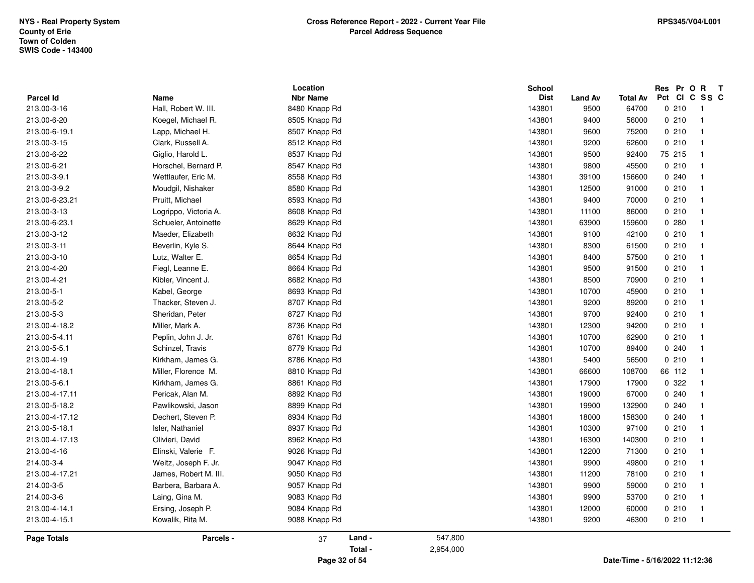|                    |                       | Location        | <b>School</b> |                |                 | Res Pr O R T  |     |
|--------------------|-----------------------|-----------------|---------------|----------------|-----------------|---------------|-----|
| <b>Parcel Id</b>   | Name                  | <b>Nbr Name</b> | <b>Dist</b>   | <b>Land Av</b> | <b>Total Av</b> | Pct<br>CICSSC |     |
| 213.00-3-16        | Hall, Robert W. III.  | 8480 Knapp Rd   | 143801        | 9500           | 64700           | 0210          | - 1 |
| 213.00-6-20        | Koegel, Michael R.    | 8505 Knapp Rd   | 143801        | 9400           | 56000           | 0210          | -1  |
| 213.00-6-19.1      | Lapp, Michael H.      | 8507 Knapp Rd   | 143801        | 9600           | 75200           | 0210          | -1  |
| 213.00-3-15        | Clark, Russell A.     | 8512 Knapp Rd   | 143801        | 9200           | 62600           | 0210          |     |
| 213.00-6-22        | Giglio, Harold L.     | 8537 Knapp Rd   | 143801        | 9500           | 92400           | 75 215        |     |
| 213.00-6-21        | Horschel, Bernard P.  | 8547 Knapp Rd   | 143801        | 9800           | 45500           | 0210          |     |
| 213.00-3-9.1       | Wettlaufer, Eric M.   | 8558 Knapp Rd   | 143801        | 39100          | 156600          | 0.240         |     |
| 213.00-3-9.2       | Moudgil, Nishaker     | 8580 Knapp Rd   | 143801        | 12500          | 91000           | 0210          | -1  |
| 213.00-6-23.21     | Pruitt, Michael       | 8593 Knapp Rd   | 143801        | 9400           | 70000           | 0210          |     |
| 213.00-3-13        | Logrippo, Victoria A. | 8608 Knapp Rd   | 143801        | 11100          | 86000           | 0210          |     |
| 213.00-6-23.1      | Schueler, Antoinette  | 8629 Knapp Rd   | 143801        | 63900          | 159600          | 0.280         |     |
| 213.00-3-12        | Maeder, Elizabeth     | 8632 Knapp Rd   | 143801        | 9100           | 42100           | 0210          |     |
| 213.00-3-11        | Beverlin, Kyle S.     | 8644 Knapp Rd   | 143801        | 8300           | 61500           | 0210          |     |
| 213.00-3-10        | Lutz, Walter E.       | 8654 Knapp Rd   | 143801        | 8400           | 57500           | 0210          |     |
| 213.00-4-20        | Fiegl, Leanne E.      | 8664 Knapp Rd   | 143801        | 9500           | 91500           | 0210          |     |
| 213.00-4-21        | Kibler, Vincent J.    | 8682 Knapp Rd   | 143801        | 8500           | 70900           | 0210          |     |
| 213.00-5-1         | Kabel, George         | 8693 Knapp Rd   | 143801        | 10700          | 45900           | 0210          | -1  |
| 213.00-5-2         | Thacker, Steven J.    | 8707 Knapp Rd   | 143801        | 9200           | 89200           | 0210          |     |
| 213.00-5-3         | Sheridan, Peter       | 8727 Knapp Rd   | 143801        | 9700           | 92400           | 0210          |     |
| 213.00-4-18.2      | Miller, Mark A.       | 8736 Knapp Rd   | 143801        | 12300          | 94200           | 0210          |     |
| 213.00-5-4.11      | Peplin, John J. Jr.   | 8761 Knapp Rd   | 143801        | 10700          | 62900           | 0210          |     |
| 213.00-5-5.1       | Schinzel, Travis      | 8779 Knapp Rd   | 143801        | 10700          | 89400           | 0.240         |     |
| 213.00-4-19        | Kirkham, James G.     | 8786 Knapp Rd   | 143801        | 5400           | 56500           | 0210          |     |
| 213.00-4-18.1      | Miller, Florence M.   | 8810 Knapp Rd   | 143801        | 66600          | 108700          | 66 112        |     |
| 213.00-5-6.1       | Kirkham, James G.     | 8861 Knapp Rd   | 143801        | 17900          | 17900           | 0 322         |     |
| 213.00-4-17.11     | Pericak, Alan M.      | 8892 Knapp Rd   | 143801        | 19000          | 67000           | 0.240         |     |
| 213.00-5-18.2      | Pawlikowski, Jason    | 8899 Knapp Rd   | 143801        | 19900          | 132900          | 0.240         |     |
| 213.00-4-17.12     | Dechert, Steven P.    | 8934 Knapp Rd   | 143801        | 18000          | 158300          | 0240          |     |
| 213.00-5-18.1      | Isler, Nathaniel      | 8937 Knapp Rd   | 143801        | 10300          | 97100           | 0210          |     |
| 213.00-4-17.13     | Olivieri, David       | 8962 Knapp Rd   | 143801        | 16300          | 140300          | 0210          |     |
| 213.00-4-16        | Elinski, Valerie F.   | 9026 Knapp Rd   | 143801        | 12200          | 71300           | 0210          |     |
| 214.00-3-4         | Weitz, Joseph F. Jr.  | 9047 Knapp Rd   | 143801        | 9900           | 49800           | 0210          |     |
| 213.00-4-17.21     | James, Robert M. III. | 9050 Knapp Rd   | 143801        | 11200          | 78100           | 0210          | -1  |
| 214.00-3-5         | Barbera, Barbara A.   | 9057 Knapp Rd   | 143801        | 9900           | 59000           | 0210          |     |
| 214.00-3-6         | Laing, Gina M.        | 9083 Knapp Rd   | 143801        | 9900           | 53700           | 0210          |     |
| 213.00-4-14.1      | Ersing, Joseph P.     | 9084 Knapp Rd   | 143801        | 12000          | 60000           | 0210          |     |
| 213.00-4-15.1      | Kowalik, Rita M.      | 9088 Knapp Rd   | 143801        | 9200           | 46300           | 0210          | -1  |
| <b>Page Totals</b> | Parcels -             | Land -<br>37    | 547,800       |                |                 |               |     |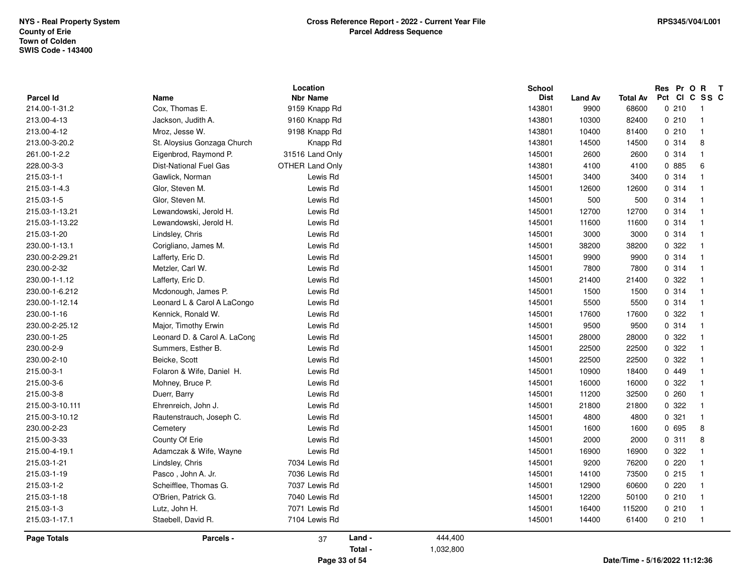|                                   |                                           | Location<br><b>Nbr Name</b>    |         |           | <b>School</b><br><b>Dist</b> |                        |                                | Res            | Pr O<br>$\mathbf{R}$<br>$\mathbf{T}$<br>Pct CI C SS C |
|-----------------------------------|-------------------------------------------|--------------------------------|---------|-----------|------------------------------|------------------------|--------------------------------|----------------|-------------------------------------------------------|
| <b>Parcel Id</b><br>214.00-1-31.2 | Name<br>Cox, Thomas E.                    | 9159 Knapp Rd                  |         |           | 143801                       | <b>Land Av</b><br>9900 | <b>Total Av</b><br>68600       | 0210           | $\overline{\mathbf{1}}$                               |
| 213.00-4-13                       | Jackson, Judith A.                        | 9160 Knapp Rd                  |         |           | 143801                       | 10300                  | 82400                          | 0210           | $\overline{1}$                                        |
| 213.00-4-12                       | Mroz, Jesse W.                            | 9198 Knapp Rd                  |         |           | 143801                       | 10400                  | 81400                          | 0210           | $\overline{\mathbf{1}}$                               |
| 213.00-3-20.2                     | St. Aloysius Gonzaga Church               | Knapp Rd                       |         |           | 143801                       | 14500                  | 14500                          | 0.314          | 8                                                     |
| 261.00-1-2.2                      | Eigenbrod, Raymond P.                     | 31516 Land Only                |         |           | 145001                       | 2600                   | 2600                           | 0.314          | $\overline{\mathbf{1}}$                               |
| 228.00-3-3                        | Dist-National Fuel Gas                    | <b>OTHER Land Only</b>         |         |           | 143801                       | 4100                   | 4100                           | 0 885          | 6                                                     |
| 215.03-1-1                        | Gawlick, Norman                           | Lewis Rd                       |         |           | 145001                       | 3400                   | 3400                           | 0.314          | $\overline{1}$                                        |
| 215.03-1-4.3                      | Glor, Steven M.                           | Lewis Rd                       |         |           | 145001                       | 12600                  | 12600                          | 0.314          | $\overline{\mathbf{1}}$                               |
| 215.03-1-5                        | Glor, Steven M.                           | Lewis Rd                       |         |           | 145001                       | 500                    | 500                            | 0.314          | $\overline{\mathbf{1}}$                               |
| 215.03-1-13.21                    | Lewandowski, Jerold H.                    | Lewis Rd                       |         |           | 145001                       | 12700                  | 12700                          | 0.314          | $\overline{1}$                                        |
| 215.03-1-13.22                    | Lewandowski, Jerold H.                    | Lewis Rd                       |         |           | 145001                       | 11600                  | 11600                          | 0.314          | $\overline{1}$                                        |
| 215.03-1-20                       | Lindsley, Chris                           | Lewis Rd                       |         |           | 145001                       | 3000                   | 3000                           | 0.314          | $\overline{1}$                                        |
| 230.00-1-13.1                     |                                           | Lewis Rd                       |         |           | 145001                       | 38200                  | 38200                          | 0 322          | $\overline{1}$                                        |
| 230.00-2-29.21                    | Corigliano, James M.<br>Lafferty, Eric D. | Lewis Rd                       |         |           | 145001                       | 9900                   | 9900                           | 0.314          | $\overline{1}$                                        |
| 230.00-2-32                       |                                           | Lewis Rd                       |         |           |                              | 7800                   |                                | 0.314          | $\overline{\mathbf{1}}$                               |
| 230.00-1-1.12                     | Metzler, Carl W.                          | Lewis Rd                       |         |           | 145001<br>145001             | 21400                  | 7800<br>21400                  | 0.322          | $\overline{\mathbf{1}}$                               |
| 230.00-1-6.212                    | Lafferty, Eric D.<br>Mcdonough, James P.  | Lewis Rd                       |         |           | 145001                       | 1500                   | 1500                           | 0.314          | -1                                                    |
| 230.00-1-12.14                    | Leonard L & Carol A LaCongo               | Lewis Rd                       |         |           | 145001                       | 5500                   | 5500                           | 0.314          | -1                                                    |
| 230.00-1-16                       | Kennick, Ronald W.                        | Lewis Rd                       |         |           | 145001                       | 17600                  | 17600                          | 0 322          | -1                                                    |
| 230.00-2-25.12                    | Major, Timothy Erwin                      | Lewis Rd                       |         |           | 145001                       | 9500                   | 9500                           | 0.314          | $\overline{1}$                                        |
| 230.00-1-25                       |                                           | Lewis Rd                       |         |           | 145001                       | 28000                  | 28000                          | 0 322          | $\overline{1}$                                        |
|                                   | Leonard D. & Carol A. LaCong              |                                |         |           |                              |                        |                                |                | $\overline{\mathbf{1}}$                               |
| 230.00-2-9                        | Summers, Esther B.                        | Lewis Rd                       |         |           | 145001                       | 22500                  | 22500                          | 0.322<br>0.322 | $\overline{1}$                                        |
| 230.00-2-10<br>215.00-3-1         | Beicke, Scott                             | Lewis Rd<br>Lewis Rd           |         |           | 145001<br>145001             | 22500<br>10900         | 22500<br>18400                 | 0 449          | $\overline{1}$                                        |
| 215.00-3-6                        | Folaron & Wife, Daniel H.                 | Lewis Rd                       |         |           | 145001                       | 16000                  |                                | 0.322          | -1                                                    |
| 215.00-3-8                        | Mohney, Bruce P.<br>Duerr, Barry          | Lewis Rd                       |         |           | 145001                       | 11200                  | 16000<br>32500                 | 0.260          | $\overline{1}$                                        |
| 215.00-3-10.111                   | Ehrenreich, John J.                       | Lewis Rd                       |         |           | 145001                       | 21800                  | 21800                          | 0.322          | $\overline{1}$                                        |
| 215.00-3-10.12                    | Rautenstrauch, Joseph C.                  | Lewis Rd                       |         |           | 145001                       | 4800                   | 4800                           | 0.321          | $\overline{\mathbf{1}}$                               |
| 230.00-2-23                       |                                           | Lewis Rd                       |         |           | 145001                       | 1600                   | 1600                           | 0 695          | 8                                                     |
| 215.00-3-33                       | Cemetery<br>County Of Erie                | Lewis Rd                       |         |           | 145001                       | 2000                   | 2000                           | 0.311          | 8                                                     |
|                                   |                                           |                                |         |           |                              |                        |                                | 0.322          | $\overline{\mathbf{1}}$                               |
| 215.00-4-19.1                     | Adamczak & Wife, Wayne                    | Lewis Rd                       |         |           | 145001                       | 16900                  | 16900                          |                | $\overline{1}$                                        |
| 215.03-1-21                       | Lindsley, Chris                           | 7034 Lewis Rd                  |         |           | 145001                       | 9200                   | 76200                          | 0220<br>0.215  | $\overline{1}$                                        |
| 215.03-1-19                       | Pasco, John A. Jr.                        | 7036 Lewis Rd                  |         |           | 145001                       | 14100                  | 73500                          |                |                                                       |
| 215.03-1-2                        | Scheifflee, Thomas G.                     | 7037 Lewis Rd<br>7040 Lewis Rd |         |           | 145001                       | 12900                  | 60600                          | 0220           | $\mathbf{1}$<br>$\overline{1}$                        |
| 215.03-1-18                       | O'Brien, Patrick G.                       |                                |         |           | 145001                       | 12200                  | 50100                          | 0210           | $\overline{1}$                                        |
| 215.03-1-3                        | Lutz, John H.                             | 7071 Lewis Rd                  |         |           | 145001                       | 16400                  | 115200                         | 0210           | $\overline{1}$                                        |
| 215.03-1-17.1                     | Staebell, David R.                        | 7104 Lewis Rd                  |         |           | 145001                       | 14400                  | 61400                          | 0210           |                                                       |
| <b>Page Totals</b>                | Parcels -                                 | 37                             | Land -  | 444,400   |                              |                        |                                |                |                                                       |
|                                   |                                           |                                | Total - | 1,032,800 |                              |                        |                                |                |                                                       |
|                                   |                                           | Page 33 of 54                  |         |           |                              |                        | Date/Time - 5/16/2022 11:12:36 |                |                                                       |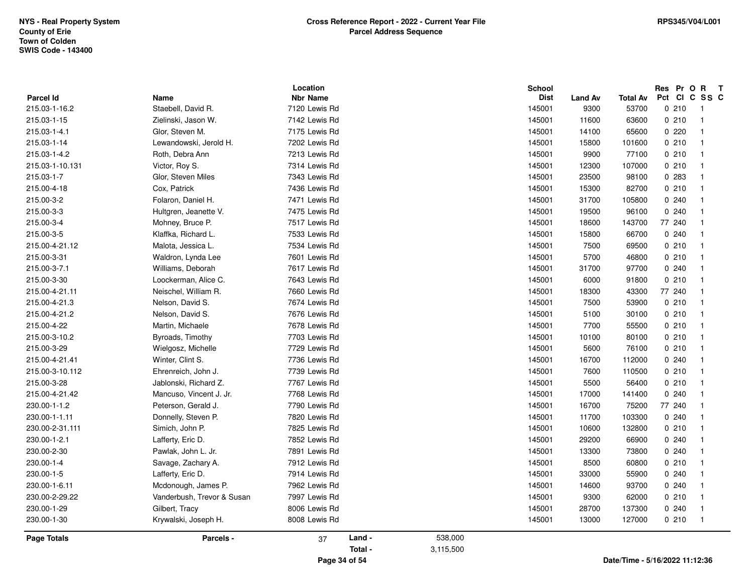| <b>Parcel Id</b>   | Name                       | Location<br><b>Nbr Name</b> |         |           | School<br><b>Dist</b> | <b>Land Av</b> | Total Av | Res Pr O R<br>$\mathbf{T}$<br>Pct CI C SS C |
|--------------------|----------------------------|-----------------------------|---------|-----------|-----------------------|----------------|----------|---------------------------------------------|
| 215.03-1-16.2      | Staebell, David R.         | 7120 Lewis Rd               |         |           | 145001                | 9300           | 53700    | 0210<br>$\overline{1}$                      |
| 215.03-1-15        | Zielinski, Jason W.        | 7142 Lewis Rd               |         |           | 145001                | 11600          | 63600    | 0210<br>$\overline{1}$                      |
| 215.03-1-4.1       | Glor, Steven M.            | 7175 Lewis Rd               |         |           | 145001                | 14100          | 65600    | 0220<br>$\overline{1}$                      |
| 215.03-1-14        | Lewandowski, Jerold H.     | 7202 Lewis Rd               |         |           | 145001                | 15800          | 101600   | 0210<br>$\overline{1}$                      |
| 215.03-1-4.2       | Roth, Debra Ann            | 7213 Lewis Rd               |         |           | 145001                | 9900           | 77100    | 0210<br>$\overline{1}$                      |
| 215.03-1-10.131    | Victor, Roy S.             | 7314 Lewis Rd               |         |           | 145001                | 12300          | 107000   | 0210<br>$\overline{1}$                      |
| 215.03-1-7         | Glor, Steven Miles         | 7343 Lewis Rd               |         |           | 145001                | 23500          | 98100    | 0.283<br>$\overline{1}$                     |
| 215.00-4-18        | Cox, Patrick               | 7436 Lewis Rd               |         |           | 145001                | 15300          | 82700    | 0210<br>$\overline{1}$                      |
| 215.00-3-2         | Folaron, Daniel H.         | 7471 Lewis Rd               |         |           | 145001                | 31700          | 105800   | 0240<br>$\overline{1}$                      |
| 215.00-3-3         | Hultgren, Jeanette V.      | 7475 Lewis Rd               |         |           | 145001                | 19500          | 96100    | 0240<br>$\overline{\mathbf{1}}$             |
| 215.00-3-4         | Mohney, Bruce P.           | 7517 Lewis Rd               |         |           | 145001                | 18600          | 143700   | 77 240<br>$\overline{1}$                    |
| 215.00-3-5         | Klaffka, Richard L.        | 7533 Lewis Rd               |         |           | 145001                | 15800          | 66700    | 0.240<br>$\overline{1}$                     |
| 215.00-4-21.12     | Malota, Jessica L.         | 7534 Lewis Rd               |         |           | 145001                | 7500           | 69500    | 0210<br>$\overline{1}$                      |
| 215.00-3-31        | Waldron, Lynda Lee         | 7601 Lewis Rd               |         |           | 145001                | 5700           | 46800    | 0210<br>$\overline{1}$                      |
| 215.00-3-7.1       | Williams, Deborah          | 7617 Lewis Rd               |         |           | 145001                | 31700          | 97700    | 0240<br>$\overline{1}$                      |
| 215.00-3-30        | Loockerman, Alice C.       | 7643 Lewis Rd               |         |           | 145001                | 6000           | 91800    | 0210<br>$\mathbf{1}$                        |
| 215.00-4-21.11     | Neischel, William R.       | 7660 Lewis Rd               |         |           | 145001                | 18300          | 43300    | 77 240<br>$\overline{1}$                    |
| 215.00-4-21.3      | Nelson, David S.           | 7674 Lewis Rd               |         |           | 145001                | 7500           | 53900    | 0210<br>$\overline{1}$                      |
| 215.00-4-21.2      | Nelson, David S.           | 7676 Lewis Rd               |         |           | 145001                | 5100           | 30100    | 0210<br>$\overline{1}$                      |
| 215.00-4-22        | Martin, Michaele           | 7678 Lewis Rd               |         |           | 145001                | 7700           | 55500    | 0210<br>$\overline{1}$                      |
| 215.00-3-10.2      | Byroads, Timothy           | 7703 Lewis Rd               |         |           | 145001                | 10100          | 80100    | 0210<br>$\overline{1}$                      |
| 215.00-3-29        | Wielgosz, Michelle         | 7729 Lewis Rd               |         |           | 145001                | 5600           | 76100    | 0210<br>$\overline{1}$                      |
| 215.00-4-21.41     | Winter, Clint S.           | 7736 Lewis Rd               |         |           | 145001                | 16700          | 112000   | 0240<br>$\overline{1}$                      |
| 215.00-3-10.112    | Ehrenreich, John J.        | 7739 Lewis Rd               |         |           | 145001                | 7600           | 110500   | 0210<br>$\overline{1}$                      |
| 215.00-3-28        | Jablonski, Richard Z.      | 7767 Lewis Rd               |         |           | 145001                | 5500           | 56400    | 0210<br>$\overline{1}$                      |
| 215.00-4-21.42     | Mancuso, Vincent J. Jr.    | 7768 Lewis Rd               |         |           | 145001                | 17000          | 141400   | 0240<br>$\overline{1}$                      |
| 230.00-1-1.2       | Peterson, Gerald J.        | 7790 Lewis Rd               |         |           | 145001                | 16700          | 75200    | 77 240<br>$\overline{1}$                    |
| 230.00-1-1.11      | Donnelly, Steven P.        | 7820 Lewis Rd               |         |           | 145001                | 11700          | 103300   | 0240<br>$\overline{1}$                      |
| 230.00-2-31.111    | Simich, John P.            | 7825 Lewis Rd               |         |           | 145001                | 10600          | 132800   | 0210<br>$\overline{1}$                      |
| 230.00-1-2.1       | Lafferty, Eric D.          | 7852 Lewis Rd               |         |           | 145001                | 29200          | 66900    | 0240<br>$\overline{\mathbf{1}}$             |
| 230.00-2-30        | Pawlak, John L. Jr.        | 7891 Lewis Rd               |         |           | 145001                | 13300          | 73800    | 0240<br>$\overline{1}$                      |
| 230.00-1-4         | Savage, Zachary A.         | 7912 Lewis Rd               |         |           | 145001                | 8500           | 60800    | 0210<br>$\overline{1}$                      |
| 230.00-1-5         | Lafferty, Eric D.          | 7914 Lewis Rd               |         |           | 145001                | 33000          | 55900    | 0.240<br>$\overline{1}$                     |
| 230.00-1-6.11      | Mcdonough, James P.        | 7962 Lewis Rd               |         |           | 145001                | 14600          | 93700    | $\overline{1}$<br>0240                      |
| 230.00-2-29.22     | Vanderbush, Trevor & Susan | 7997 Lewis Rd               |         |           | 145001                | 9300           | 62000    | 0210<br>$\overline{1}$                      |
| 230.00-1-29        | Gilbert, Tracy             | 8006 Lewis Rd               |         |           | 145001                | 28700          | 137300   | 0240<br>$\overline{1}$                      |
| 230.00-1-30        | Krywalski, Joseph H.       | 8008 Lewis Rd               |         |           | 145001                | 13000          | 127000   | 0210<br>$\overline{1}$                      |
| <b>Page Totals</b> | Parcels -                  | 37                          | Land -  | 538,000   |                       |                |          |                                             |
|                    |                            |                             | Total - | 3,115,500 |                       |                |          |                                             |
|                    |                            | Page 34 of 54               |         |           |                       |                |          | Date/Time - 5/16/2022 11:12:36              |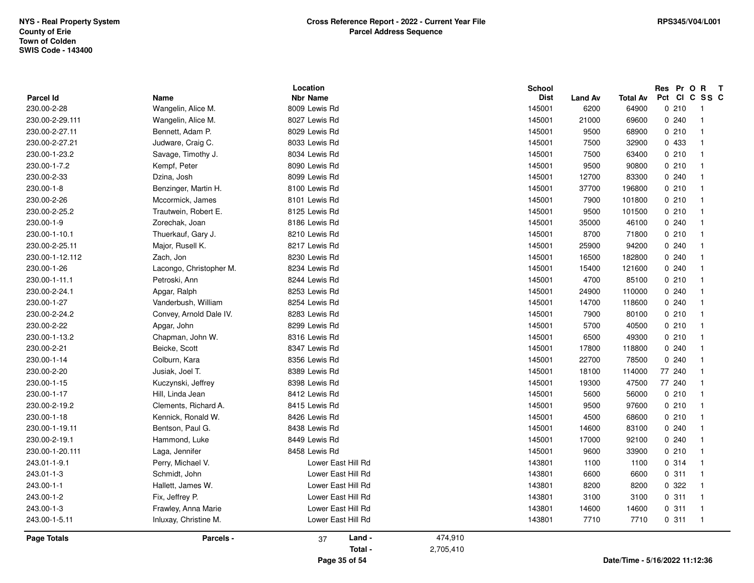| 230.00-2-29.111<br>8027 Lewis Rd<br>145001<br>21000<br>69600<br>0.240<br>Wangelin, Alice M.<br>$\overline{1}$<br>230.00-2-27.11<br>Bennett, Adam P.<br>8029 Lewis Rd<br>145001<br>0210<br>9500<br>68900<br>$\overline{1}$<br>8033 Lewis Rd<br>0 433<br>230.00-2-27.21<br>Judware, Craig C.<br>145001<br>7500<br>32900<br>$\overline{1}$<br>0210<br>230.00-1-23.2<br>Savage, Timothy J.<br>8034 Lewis Rd<br>145001<br>7500<br>63400<br>$\overline{1}$<br>230.00-1-7.2<br>Kempf, Peter<br>8090 Lewis Rd<br>145001<br>9500<br>90800<br>0210<br>$\overline{1}$<br>8099 Lewis Rd<br>0.240<br>230.00-2-33<br>Dzina, Josh<br>145001<br>12700<br>83300<br>$\overline{1}$<br>230.00-1-8<br>8100 Lewis Rd<br>145001<br>37700<br>196800<br>0210<br>Benzinger, Martin H.<br>$\overline{1}$<br>0210<br>230.00-2-26<br>Mccormick, James<br>8101 Lewis Rd<br>145001<br>7900<br>101800<br>$\overline{1}$<br>230.00-2-25.2<br>Trautwein, Robert E.<br>8125 Lewis Rd<br>145001<br>9500<br>101500<br>0210<br>$\overline{1}$<br>230.00-1-9<br>0.240<br>Zorechak, Joan<br>8186 Lewis Rd<br>145001<br>35000<br>46100<br>$\overline{1}$<br>0210<br>230.00-1-10.1<br>Thuerkauf, Gary J.<br>8210 Lewis Rd<br>145001<br>8700<br>71800<br>$\overline{1}$<br>230.00-2-25.11<br>Major, Rusell K.<br>8217 Lewis Rd<br>145001<br>25900<br>94200<br>0.240<br>$\overline{1}$<br>230.00-1-12.112<br>Zach, Jon<br>8230 Lewis Rd<br>145001<br>16500<br>182800<br>0.240<br>$\overline{1}$<br>230.00-1-26<br>8234 Lewis Rd<br>0.240<br>Lacongo, Christopher M.<br>145001<br>15400<br>121600<br>$\overline{1}$<br>8244 Lewis Rd<br>0210<br>230.00-1-11.1<br>Petroski, Ann<br>145001<br>4700<br>85100<br>$\overline{1}$<br>230.00-2-24.1<br>8253 Lewis Rd<br>145001<br>24900<br>0.240<br>Apgar, Ralph<br>110000<br>$\overline{1}$<br>8254 Lewis Rd<br>0240<br>230.00-1-27<br>Vanderbush, William<br>145001<br>14700<br>118600<br>-1<br>230.00-2-24.2<br>Convey, Arnold Dale IV.<br>8283 Lewis Rd<br>145001<br>7900<br>0210<br>80100<br>$\overline{1}$<br>230.00-2-22<br>0210<br>Apgar, John<br>8299 Lewis Rd<br>145001<br>5700<br>40500<br>$\overline{1}$<br>230.00-1-13.2<br>Chapman, John W.<br>8316 Lewis Rd<br>145001<br>6500<br>0210<br>49300<br>$\overline{1}$<br>230.00-2-21<br>Beicke, Scott<br>8347 Lewis Rd<br>0.240<br>145001<br>17800<br>118800<br>$\overline{1}$<br>Colburn, Kara<br>8356 Lewis Rd<br>0.240<br>230.00-1-14<br>145001<br>22700<br>78500<br>$\overline{1}$<br>77 240<br>230.00-2-20<br>Jusiak, Joel T.<br>8389 Lewis Rd<br>145001<br>18100<br>114000<br>$\overline{1}$<br>77 240<br>230.00-1-15<br>Kuczynski, Jeffrey<br>8398 Lewis Rd<br>145001<br>19300<br>47500<br>$\overline{1}$<br>8412 Lewis Rd<br>0210<br>230.00-1-17<br>Hill, Linda Jean<br>145001<br>5600<br>56000<br>$\overline{1}$ |
|----------------------------------------------------------------------------------------------------------------------------------------------------------------------------------------------------------------------------------------------------------------------------------------------------------------------------------------------------------------------------------------------------------------------------------------------------------------------------------------------------------------------------------------------------------------------------------------------------------------------------------------------------------------------------------------------------------------------------------------------------------------------------------------------------------------------------------------------------------------------------------------------------------------------------------------------------------------------------------------------------------------------------------------------------------------------------------------------------------------------------------------------------------------------------------------------------------------------------------------------------------------------------------------------------------------------------------------------------------------------------------------------------------------------------------------------------------------------------------------------------------------------------------------------------------------------------------------------------------------------------------------------------------------------------------------------------------------------------------------------------------------------------------------------------------------------------------------------------------------------------------------------------------------------------------------------------------------------------------------------------------------------------------------------------------------------------------------------------------------------------------------------------------------------------------------------------------------------------------------------------------------------------------------------------------------------------------------------------------------------------------------------------------------------------------------------------------------------------------------------------------------------------------------------------------------------------------------------------------------------------------------------------------------------------------------------------------------------------------------------------------------------------------|
|                                                                                                                                                                                                                                                                                                                                                                                                                                                                                                                                                                                                                                                                                                                                                                                                                                                                                                                                                                                                                                                                                                                                                                                                                                                                                                                                                                                                                                                                                                                                                                                                                                                                                                                                                                                                                                                                                                                                                                                                                                                                                                                                                                                                                                                                                                                                                                                                                                                                                                                                                                                                                                                                                                                                                                                  |
|                                                                                                                                                                                                                                                                                                                                                                                                                                                                                                                                                                                                                                                                                                                                                                                                                                                                                                                                                                                                                                                                                                                                                                                                                                                                                                                                                                                                                                                                                                                                                                                                                                                                                                                                                                                                                                                                                                                                                                                                                                                                                                                                                                                                                                                                                                                                                                                                                                                                                                                                                                                                                                                                                                                                                                                  |
|                                                                                                                                                                                                                                                                                                                                                                                                                                                                                                                                                                                                                                                                                                                                                                                                                                                                                                                                                                                                                                                                                                                                                                                                                                                                                                                                                                                                                                                                                                                                                                                                                                                                                                                                                                                                                                                                                                                                                                                                                                                                                                                                                                                                                                                                                                                                                                                                                                                                                                                                                                                                                                                                                                                                                                                  |
|                                                                                                                                                                                                                                                                                                                                                                                                                                                                                                                                                                                                                                                                                                                                                                                                                                                                                                                                                                                                                                                                                                                                                                                                                                                                                                                                                                                                                                                                                                                                                                                                                                                                                                                                                                                                                                                                                                                                                                                                                                                                                                                                                                                                                                                                                                                                                                                                                                                                                                                                                                                                                                                                                                                                                                                  |
|                                                                                                                                                                                                                                                                                                                                                                                                                                                                                                                                                                                                                                                                                                                                                                                                                                                                                                                                                                                                                                                                                                                                                                                                                                                                                                                                                                                                                                                                                                                                                                                                                                                                                                                                                                                                                                                                                                                                                                                                                                                                                                                                                                                                                                                                                                                                                                                                                                                                                                                                                                                                                                                                                                                                                                                  |
|                                                                                                                                                                                                                                                                                                                                                                                                                                                                                                                                                                                                                                                                                                                                                                                                                                                                                                                                                                                                                                                                                                                                                                                                                                                                                                                                                                                                                                                                                                                                                                                                                                                                                                                                                                                                                                                                                                                                                                                                                                                                                                                                                                                                                                                                                                                                                                                                                                                                                                                                                                                                                                                                                                                                                                                  |
|                                                                                                                                                                                                                                                                                                                                                                                                                                                                                                                                                                                                                                                                                                                                                                                                                                                                                                                                                                                                                                                                                                                                                                                                                                                                                                                                                                                                                                                                                                                                                                                                                                                                                                                                                                                                                                                                                                                                                                                                                                                                                                                                                                                                                                                                                                                                                                                                                                                                                                                                                                                                                                                                                                                                                                                  |
|                                                                                                                                                                                                                                                                                                                                                                                                                                                                                                                                                                                                                                                                                                                                                                                                                                                                                                                                                                                                                                                                                                                                                                                                                                                                                                                                                                                                                                                                                                                                                                                                                                                                                                                                                                                                                                                                                                                                                                                                                                                                                                                                                                                                                                                                                                                                                                                                                                                                                                                                                                                                                                                                                                                                                                                  |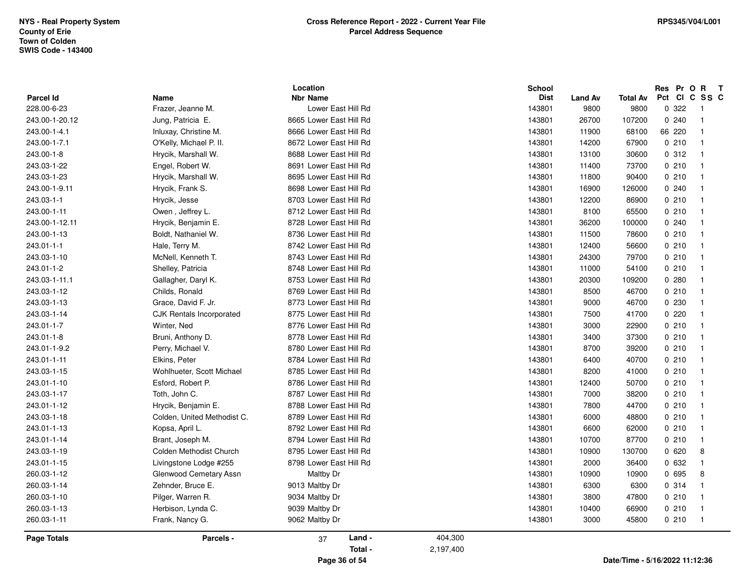|                  |                                 | Location                |           | School      |                |                                | Res Pr O R T  |                |
|------------------|---------------------------------|-------------------------|-----------|-------------|----------------|--------------------------------|---------------|----------------|
| <b>Parcel Id</b> | Name                            | <b>Nbr Name</b>         |           | <b>Dist</b> | <b>Land Av</b> | Total Av                       | Pct CI C SS C |                |
| 228.00-6-23      | Frazer, Jeanne M.               | Lower East Hill Rd      |           | 143801      | 9800           | 9800                           | 0 322         | $\overline{1}$ |
| 243.00-1-20.12   | Jung, Patricia E.               | 8665 Lower East Hill Rd |           | 143801      | 26700          | 107200                         | 0.240         | $\overline{1}$ |
| 243.00-1-4.1     | Inluxay, Christine M.           | 8666 Lower East Hill Rd |           | 143801      | 11900          | 68100                          | 66 220        | $\overline{1}$ |
| 243.00-1-7.1     | O'Kelly, Michael P. II.         | 8672 Lower East Hill Rd |           | 143801      | 14200          | 67900                          | 0210          | $\overline{1}$ |
| 243.00-1-8       | Hrycik, Marshall W.             | 8688 Lower East Hill Rd |           | 143801      | 13100          | 30600                          | 0.312         | $\overline{1}$ |
| 243.03-1-22      | Engel, Robert W.                | 8691 Lower East Hill Rd |           | 143801      | 11400          | 73700                          | 0210          | $\overline{1}$ |
| 243.03-1-23      | Hrycik, Marshall W.             | 8695 Lower East Hill Rd |           | 143801      | 11800          | 90400                          | 0210          | $\overline{1}$ |
| 243.00-1-9.11    | Hrycik, Frank S.                | 8698 Lower East Hill Rd |           | 143801      | 16900          | 126000                         | 0240          | $\overline{1}$ |
| 243.03-1-1       | Hrycik, Jesse                   | 8703 Lower East Hill Rd |           | 143801      | 12200          | 86900                          | 0210          | $\overline{1}$ |
| 243.00-1-11      | Owen, Jeffrey L.                | 8712 Lower East Hill Rd |           | 143801      | 8100           | 65500                          | 0210          | $\overline{1}$ |
| 243.00-1-12.11   | Hrycik, Benjamin E.             | 8728 Lower East Hill Rd |           | 143801      | 36200          | 100000                         | 0.240         | $\overline{1}$ |
| 243.00-1-13      | Boldt, Nathaniel W.             | 8736 Lower East Hill Rd |           | 143801      | 11500          | 78600                          | 0210          | $\overline{1}$ |
| 243.01-1-1       | Hale, Terry M.                  | 8742 Lower East Hill Rd |           | 143801      | 12400          | 56600                          | 0210          | $\overline{1}$ |
| 243.03-1-10      | McNell, Kenneth T.              | 8743 Lower East Hill Rd |           | 143801      | 24300          | 79700                          | 0210          | $\overline{1}$ |
| 243.01-1-2       | Shelley, Patricia               | 8748 Lower East Hill Rd |           | 143801      | 11000          | 54100                          | 0210          | $\overline{1}$ |
| 243.03-1-11.1    | Gallagher, Daryl K.             | 8753 Lower East Hill Rd |           | 143801      | 20300          | 109200                         | 0.280         | $\overline{1}$ |
| 243.03-1-12      | Childs, Ronald                  | 8769 Lower East Hill Rd |           | 143801      | 8500           | 46700                          | 0210          | $\overline{1}$ |
| 243.03-1-13      | Grace, David F. Jr.             | 8773 Lower East Hill Rd |           | 143801      | 9000           | 46700                          | 0 2 3 0       | $\overline{1}$ |
| 243.03-1-14      | <b>CJK Rentals Incorporated</b> | 8775 Lower East Hill Rd |           | 143801      | 7500           | 41700                          | 0220          | $\overline{1}$ |
| 243.01-1-7       | Winter, Ned                     | 8776 Lower East Hill Rd |           | 143801      | 3000           | 22900                          | 0210          | $\overline{1}$ |
| 243.01-1-8       | Bruni, Anthony D.               | 8778 Lower East Hill Rd |           | 143801      | 3400           | 37300                          | 0210          | $\overline{1}$ |
| 243.01-1-9.2     | Perry, Michael V.               | 8780 Lower East Hill Rd |           | 143801      | 8700           | 39200                          | 0210          | $\overline{1}$ |
| 243.01-1-11      | Elkins, Peter                   | 8784 Lower East Hill Rd |           | 143801      | 6400           | 40700                          | 0210          | $\overline{1}$ |
| 243.03-1-15      | Wohlhueter, Scott Michael       | 8785 Lower East Hill Rd |           | 143801      | 8200           | 41000                          | 0210          | $\overline{1}$ |
| 243.01-1-10      | Esford, Robert P.               | 8786 Lower East Hill Rd |           | 143801      | 12400          | 50700                          | 0210          | $\overline{1}$ |
| 243.03-1-17      | Toth, John C.                   | 8787 Lower East Hill Rd |           | 143801      | 7000           | 38200                          | 0210          | $\overline{1}$ |
| 243.01-1-12      | Hrycik, Benjamin E.             | 8788 Lower East Hill Rd |           | 143801      | 7800           | 44700                          | 0210          | $\overline{1}$ |
| 243.03-1-18      | Colden, United Methodist C.     | 8789 Lower East Hill Rd |           | 143801      | 6000           | 48800                          | 0210          | $\overline{1}$ |
| 243.01-1-13      | Kopsa, April L.                 | 8792 Lower East Hill Rd |           | 143801      | 6600           | 62000                          | 0210          | $\overline{1}$ |
| 243.01-1-14      | Brant, Joseph M.                | 8794 Lower East Hill Rd |           | 143801      | 10700          | 87700                          | 0210          | $\overline{1}$ |
| 243.03-1-19      | Colden Methodist Church         | 8795 Lower East Hill Rd |           | 143801      | 10900          | 130700                         | 0620          | 8              |
| 243.01-1-15      | Livingstone Lodge #255          | 8798 Lower East Hill Rd |           | 143801      | 2000           | 36400                          | 0 632         | $\overline{1}$ |
| 260.03-1-12      | Glenwood Cemetary Assn          | Maltby Dr               |           | 143801      | 10900          | 10900                          | 0 695         | 8              |
| 260.03-1-14      | Zehnder, Bruce E.               | 9013 Maltby Dr          |           | 143801      | 6300           | 6300                           | 0 314         | $\overline{1}$ |
| 260.03-1-10      | Pilger, Warren R.               | 9034 Maltby Dr          |           | 143801      | 3800           | 47800                          | 0210          | $\overline{1}$ |
| 260.03-1-13      | Herbison, Lynda C.              | 9039 Maltby Dr          |           | 143801      | 10400          | 66900                          | 0210          | $\overline{1}$ |
| 260.03-1-11      | Frank, Nancy G.                 | 9062 Maltby Dr          |           | 143801      | 3000           | 45800                          | 0210          | $\overline{1}$ |
| Page Totals      | Parcels -                       | Land -<br>37            | 404,300   |             |                |                                |               |                |
|                  |                                 | Total -                 | 2,197,400 |             |                |                                |               |                |
|                  |                                 | Page 36 of 54           |           |             |                | Date/Time - 5/16/2022 11:12:36 |               |                |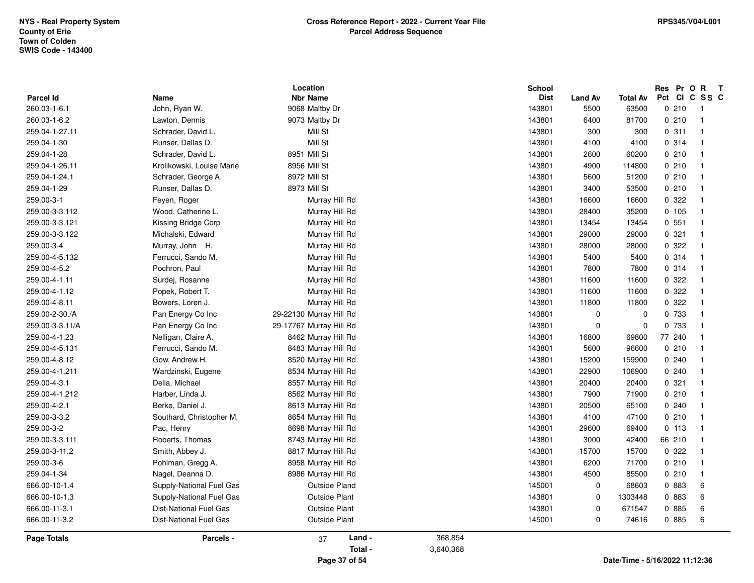|                                  |                               | Location                          |           | School                |                        |                                | Res Pr O R<br>Pct<br><b>CI</b> | $\mathbf{T}$<br>C SS C |
|----------------------------------|-------------------------------|-----------------------------------|-----------|-----------------------|------------------------|--------------------------------|--------------------------------|------------------------|
| <b>Parcel Id</b><br>260.03-1-6.1 | Name<br>John, Ryan W.         | <b>Nbr Name</b><br>9068 Maltby Dr |           | <b>Dist</b><br>143801 | <b>Land Av</b><br>5500 | <b>Total Av</b><br>63500       | 0210                           | $\overline{1}$         |
| 260.03-1-6.2                     |                               | 9073 Maltby Dr                    |           | 143801                | 6400                   | 81700                          | 0210                           | $\overline{1}$         |
| 259.04-1-27.11                   | Lawton, Dennis                | Mill St                           |           | 143801                | 300                    |                                | 0.311                          | $\overline{1}$         |
|                                  | Schrader, David L.            | Mill St                           |           |                       |                        | 300                            |                                |                        |
| 259.04-1-30                      | Runser, Dallas D.             |                                   |           | 143801                | 4100                   | 4100                           | 0.314                          | $\overline{1}$         |
| 259.04-1-28                      | Schrader, David L.            | 8951 Mill St                      |           | 143801                | 2600                   | 60200                          | 0210                           | $\overline{1}$         |
| 259.04-1-26.11                   | Krolikowski, Louise Marie     | 8956 Mill St                      |           | 143801                | 4900                   | 114800                         | 0210                           | $\overline{1}$         |
| 259.04-1-24.1                    | Schrader, George A.           | 8972 Mill St                      |           | 143801                | 5600                   | 51200                          | 0210                           | $\overline{1}$         |
| 259.04-1-29                      | Runser, Dallas D.             | 8973 Mill St                      |           | 143801                | 3400                   | 53500                          | 0210                           | $\overline{1}$         |
| 259.00-3-1                       | Feyen, Roger                  | Murray Hill Rd                    |           | 143801                | 16600                  | 16600                          | 0 322                          | $\overline{1}$         |
| 259.00-3-3.112                   | Wood, Catherine L.            | Murray Hill Rd                    |           | 143801                | 28400                  | 35200                          | 0, 105                         | $\overline{1}$         |
| 259.00-3-3.121                   | Kissing Bridge Corp           | Murray Hill Rd                    |           | 143801                | 13454                  | 13454                          | 0.551                          | $\overline{1}$         |
| 259.00-3-3.122                   | Michalski, Edward             | Murray Hill Rd                    |           | 143801                | 29000                  | 29000                          | 0.321                          | $\overline{1}$         |
| 259.00-3-4                       | Murray, John H.               | Murray Hill Rd                    |           | 143801                | 28000                  | 28000                          | 0.322                          | $\overline{1}$         |
| 259.00-4-5.132                   | Ferrucci, Sando M.            | Murray Hill Rd                    |           | 143801                | 5400                   | 5400                           | 0.314                          | $\overline{1}$         |
| 259.00-4-5.2                     | Pochron, Paul                 | Murray Hill Rd                    |           | 143801                | 7800                   | 7800                           | 0.314                          | $\overline{1}$         |
| 259.00-4-1.11                    | Surdei, Rosanne               | Murray Hill Rd                    |           | 143801                | 11600                  | 11600                          | 0.322                          | $\overline{1}$         |
| 259.00-4-1.12                    | Popek, Robert T.              | Murray Hill Rd                    |           | 143801                | 11600                  | 11600                          | 0.322                          | $\overline{1}$         |
| 259.00-4-8.11                    | Bowers, Loren J.              | Murray Hill Rd                    |           | 143801                | 11800                  | 11800                          | 0.322                          | $\overline{1}$         |
| 259.00-2-30./A                   | Pan Energy Co Inc             | 29-22130 Murray Hill Rd           |           | 143801                | $\mathbf 0$            | $\mathbf 0$                    | 0 733                          | $\overline{1}$         |
| 259.00-3-3.11/A                  | Pan Energy Co Inc             | 29-17767 Murray Hill Rd           |           | 143801                | $\mathbf 0$            | $\mathbf 0$                    | 0 733                          | $\overline{1}$         |
| 259.00-4-1.23                    | Nelligan, Claire A.           | 8462 Murray Hill Rd               |           | 143801                | 16800                  | 69800                          | 77 240                         | $\overline{1}$         |
| 259.00-4-5.131                   | Ferrucci, Sando M.            | 8483 Murray Hill Rd               |           | 143801                | 5600                   | 96600                          | 0210                           | $\overline{1}$         |
| 259.00-4-8.12                    | Gow, Andrew H.                | 8520 Murray Hill Rd               |           | 143801                | 15200                  | 159900                         | 0.240                          | $\overline{1}$         |
| 259.00-4-1.211                   | Wardzinski, Eugene            | 8534 Murray Hill Rd               |           | 143801                | 22900                  | 106900                         | 0.240                          | $\overline{1}$         |
| 259.00-4-3.1                     | Delia, Michael                | 8557 Murray Hill Rd               |           | 143801                | 20400                  | 20400                          | 0.321                          | $\overline{1}$         |
| 259.00-4-1.212                   | Harber, Linda J.              | 8562 Murray Hill Rd               |           | 143801                | 7900                   | 71900                          | 0210                           | $\overline{1}$         |
| 259.00-4-2.1                     | Berke, Daniel J.              | 8613 Murray Hill Rd               |           | 143801                | 20500                  | 65100                          | 0.240                          | $\overline{1}$         |
| 259.00-3-3.2                     | Southard, Christopher M.      | 8654 Murray Hill Rd               |           | 143801                | 4100                   | 47100                          | 0210                           | $\overline{1}$         |
| 259.00-3-2                       | Pac, Henry                    | 8698 Murray Hill Rd               |           | 143801                | 29600                  | 69400                          | 0, 113                         | $\overline{1}$         |
| 259.00-3-3.111                   | Roberts, Thomas               | 8743 Murray Hill Rd               |           | 143801                | 3000                   | 42400                          | 66 210                         | $\overline{1}$         |
| 259.00-3-11.2                    | Smith, Abbey J.               | 8817 Murray Hill Rd               |           | 143801                | 15700                  | 15700                          | 0 322                          | $\overline{1}$         |
| 259.00-3-6                       | Pohlman, Gregg A.             | 8958 Murray Hill Rd               |           | 143801                | 6200                   | 71700                          | 0210                           | $\overline{1}$         |
| 259.04-1-34                      | Nagel, Deanna D.              | 8986 Murray Hill Rd               |           | 143801                | 4500                   | 85500                          | 0210                           | $\overline{1}$         |
| 666.00-10-1.4                    | Supply-National Fuel Gas      | <b>Outside Pland</b>              |           | 145001                | $\Omega$               | 68603                          | 0 883                          | 6                      |
| 666.00-10-1.3                    | Supply-National Fuel Gas      | <b>Outside Plant</b>              |           | 143801                | $\mathbf 0$            | 1303448                        | 0 883                          | 6                      |
| 666.00-11-3.1                    | <b>Dist-National Fuel Gas</b> | <b>Outside Plant</b>              |           | 143801                | $\mathbf 0$            | 671547                         | 0 885                          | 6                      |
| 666.00-11-3.2                    | <b>Dist-National Fuel Gas</b> | <b>Outside Plant</b>              |           | 145001                | 0                      | 74616                          | 0 885                          | 6                      |
| <b>Page Totals</b>               | Parcels -                     | Land -<br>37                      | 368,854   |                       |                        |                                |                                |                        |
|                                  |                               | Total -                           | 3,640,368 |                       |                        |                                |                                |                        |
|                                  |                               | Page 37 of 54                     |           |                       |                        | Date/Time - 5/16/2022 11:12:36 |                                |                        |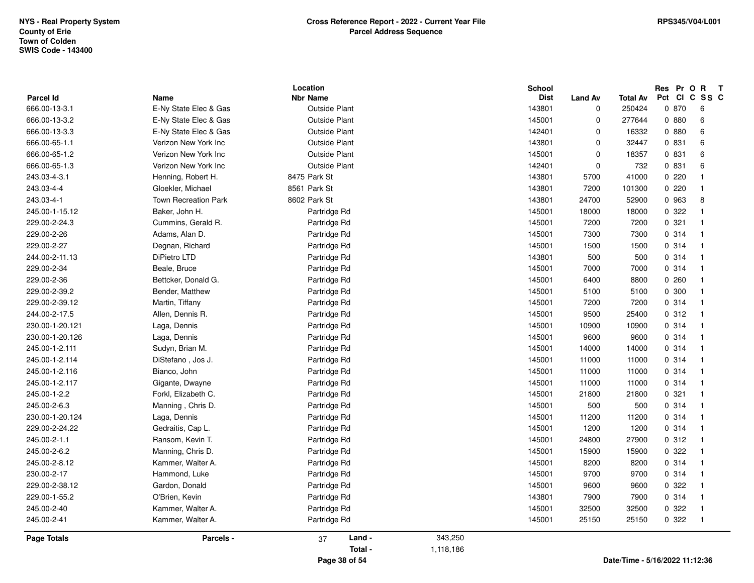| Parcel Id          | Name                        | Location<br><b>Nbr Name</b> |           | <b>School</b><br><b>Dist</b> | <b>Land Av</b> | Total Av                       | Res Pr<br>Pct<br><b>CI</b> | $\mathbf{o}$<br>R<br>$\mathbf{T}$<br>C SS C |
|--------------------|-----------------------------|-----------------------------|-----------|------------------------------|----------------|--------------------------------|----------------------------|---------------------------------------------|
| 666.00-13-3.1      | E-Ny State Elec & Gas       | <b>Outside Plant</b>        |           | 143801                       | 0              | 250424                         | 0 870                      | 6                                           |
| 666.00-13-3.2      | E-Ny State Elec & Gas       | <b>Outside Plant</b>        |           | 145001                       | $\mathbf 0$    | 277644                         | 0.880                      | 6                                           |
| 666.00-13-3.3      | E-Ny State Elec & Gas       | Outside Plant               |           | 142401                       | $\mathbf 0$    | 16332                          | 0 880                      | 6                                           |
| 666.00-65-1.1      | Verizon New York Inc        | <b>Outside Plant</b>        |           | 143801                       | $\mathbf 0$    | 32447                          | 0 831                      | 6                                           |
| 666.00-65-1.2      | Verizon New York Inc        | <b>Outside Plant</b>        |           | 145001                       | $\mathbf 0$    | 18357                          | 0 831                      | 6                                           |
| 666.00-65-1.3      | Verizon New York Inc        | <b>Outside Plant</b>        |           | 142401                       | $\mathbf 0$    | 732                            | 0 831                      | 6                                           |
| 243.03-4-3.1       | Henning, Robert H.          | 8475 Park St                |           | 143801                       | 5700           | 41000                          | 0.220                      | $\overline{1}$                              |
| 243.03-4-4         | Gloekler, Michael           | 8561 Park St                |           | 143801                       | 7200           | 101300                         | 0.220                      | -1                                          |
| 243.03-4-1         | <b>Town Recreation Park</b> | 8602 Park St                |           | 143801                       | 24700          | 52900                          | 0 963                      | 8                                           |
| 245.00-1-15.12     | Baker, John H.              | Partridge Rd                |           | 145001                       | 18000          | 18000                          | 0 322                      | $\overline{1}$                              |
| 229.00-2-24.3      | Cummins, Gerald R.          | Partridge Rd                |           | 145001                       | 7200           | 7200                           | 0.321                      | $\overline{1}$                              |
| 229.00-2-26        | Adams, Alan D.              | Partridge Rd                |           | 145001                       | 7300           | 7300                           | 0.314                      | $\overline{1}$                              |
| 229.00-2-27        | Degnan, Richard             | Partridge Rd                |           | 145001                       | 1500           | 1500                           | 0.314                      | $\overline{\mathbf{1}}$                     |
| 244.00-2-11.13     | DiPietro LTD                | Partridge Rd                |           | 143801                       | 500            | 500                            | 0.314                      | $\overline{1}$                              |
| 229.00-2-34        | Beale, Bruce                | Partridge Rd                |           | 145001                       | 7000           | 7000                           | 0.314                      | $\overline{1}$                              |
| 229.00-2-36        | Bettcker, Donald G.         | Partridge Rd                |           | 145001                       | 6400           | 8800                           | 0.260                      | $\overline{1}$                              |
| 229.00-2-39.2      | Bender, Matthew             | Partridge Rd                |           | 145001                       | 5100           | 5100                           | 0 300                      | $\overline{\mathbf{1}}$                     |
| 229.00-2-39.12     | Martin, Tiffany             | Partridge Rd                |           | 145001                       | 7200           | 7200                           | 0.314                      | $\overline{1}$                              |
| 244.00-2-17.5      | Allen, Dennis R.            | Partridge Rd                |           | 145001                       | 9500           | 25400                          | 0.312                      | $\overline{1}$                              |
| 230.00-1-20.121    | Laga, Dennis                | Partridge Rd                |           | 145001                       | 10900          | 10900                          | 0.314                      | $\overline{\mathbf{1}}$                     |
| 230.00-1-20.126    | Laga, Dennis                | Partridge Rd                |           | 145001                       | 9600           | 9600                           | 0.314                      | $\overline{\mathbf{1}}$                     |
| 245.00-1-2.111     | Sudyn, Brian M.             | Partridge Rd                |           | 145001                       | 14000          | 14000                          | 0.314                      | $\overline{\mathbf{1}}$                     |
| 245.00-1-2.114     | DiStefano, Jos J.           | Partridge Rd                |           | 145001                       | 11000          | 11000                          | 0.314                      | $\overline{\mathbf{1}}$                     |
| 245.00-1-2.116     | Bianco, John                | Partridge Rd                |           | 145001                       | 11000          | 11000                          | 0.314                      | $\overline{1}$                              |
| 245.00-1-2.117     | Gigante, Dwayne             | Partridge Rd                |           | 145001                       | 11000          | 11000                          | 0.314                      | $\overline{\mathbf{1}}$                     |
| 245.00-1-2.2       | Forkl, Elizabeth C.         | Partridge Rd                |           | 145001                       | 21800          | 21800                          | 0.321                      | $\overline{\mathbf{1}}$                     |
| 245.00-2-6.3       | Manning, Chris D.           | Partridge Rd                |           | 145001                       | 500            | 500                            | 0.314                      | $\mathbf{1}$                                |
| 230.00-1-20.124    | Laga, Dennis                | Partridge Rd                |           | 145001                       | 11200          | 11200                          | 0.314                      | $\overline{\mathbf{1}}$                     |
| 229.00-2-24.22     | Gedraitis, Cap L.           | Partridge Rd                |           | 145001                       | 1200           | 1200                           | 0 314                      | -1                                          |
| 245.00-2-1.1       | Ransom, Kevin T.            | Partridge Rd                |           | 145001                       | 24800          | 27900                          | 0.312                      | $\overline{\mathbf{1}}$                     |
| 245.00-2-6.2       | Manning, Chris D.           | Partridge Rd                |           | 145001                       | 15900          | 15900                          | 0.322                      | $\overline{1}$                              |
| 245.00-2-8.12      | Kammer, Walter A.           | Partridge Rd                |           | 145001                       | 8200           | 8200                           | 0.314                      | $\overline{1}$                              |
| 230.00-2-17        | Hammond, Luke               | Partridge Rd                |           | 145001                       | 9700           | 9700                           | 0.314                      | $\overline{\mathbf{1}}$                     |
| 229.00-2-38.12     | Gardon, Donald              | Partridge Rd                |           | 145001                       | 9600           | 9600                           | 0 322                      | $\overline{\mathbf{1}}$                     |
| 229.00-1-55.2      | O'Brien, Kevin              | Partridge Rd                |           | 143801                       | 7900           | 7900                           | 0.314                      | $\overline{1}$                              |
| 245.00-2-40        | Kammer, Walter A.           | Partridge Rd                |           | 145001                       | 32500          | 32500                          | 0.322                      | $\overline{1}$                              |
| 245.00-2-41        | Kammer, Walter A.           | Partridge Rd                |           | 145001                       | 25150          | 25150                          | 0 322                      | $\overline{\mathbf{1}}$                     |
| <b>Page Totals</b> | Parcels -                   | Land -<br>37                | 343,250   |                              |                |                                |                            |                                             |
|                    |                             | Total -                     | 1,118,186 |                              |                |                                |                            |                                             |
|                    |                             | Page 38 of 54               |           |                              |                | Date/Time - 5/16/2022 11:12:36 |                            |                                             |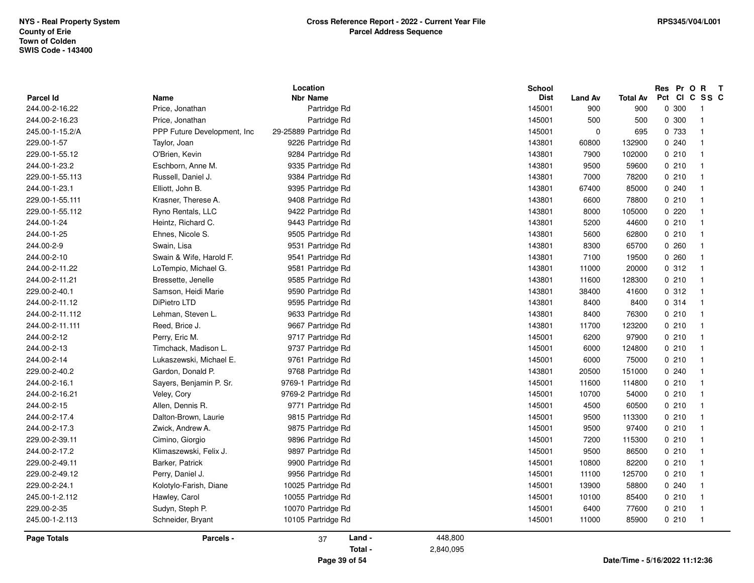| <b>Parcel Id</b> | Name                         | Location<br><b>Nbr Name</b> |                      | School<br><b>Dist</b> | <b>Land Av</b> | <b>Total Av</b> |       | Res Pr O R T<br>Pct CI C SS C |  |
|------------------|------------------------------|-----------------------------|----------------------|-----------------------|----------------|-----------------|-------|-------------------------------|--|
| 244.00-2-16.22   | Price, Jonathan              | Partridge Rd                |                      | 145001                | 900            | 900             | 0 300 | $\overline{1}$                |  |
| 244.00-2-16.23   | Price, Jonathan              | Partridge Rd                |                      | 145001                | 500            | 500             | 0 300 | $\overline{1}$                |  |
| 245.00-1-15.2/A  | PPP Future Development, Inc. | 29-25889 Partridge Rd       |                      | 145001                | $\pmb{0}$      | 695             | 0 733 | $\overline{\mathbf{1}}$       |  |
| 229.00-1-57      | Taylor, Joan                 | 9226 Partridge Rd           |                      | 143801                | 60800          | 132900          | 0.240 | $\overline{1}$                |  |
| 229.00-1-55.12   | O'Brien, Kevin               | 9284 Partridge Rd           |                      | 143801                | 7900           | 102000          | 0210  | $\overline{1}$                |  |
| 244.00-1-23.2    | Eschborn, Anne M.            | 9335 Partridge Rd           |                      | 143801                | 9500           | 59600           | 0210  | $\overline{1}$                |  |
| 229.00-1-55.113  | Russell, Daniel J.           | 9384 Partridge Rd           |                      | 143801                | 7000           | 78200           | 0210  | $\overline{1}$                |  |
| 244.00-1-23.1    | Elliott, John B.             | 9395 Partridge Rd           |                      | 143801                | 67400          | 85000           | 0.240 | $\overline{1}$                |  |
| 229.00-1-55.111  | Krasner, Therese A.          | 9408 Partridge Rd           |                      | 143801                | 6600           | 78800           | 0210  | $\overline{1}$                |  |
| 229.00-1-55.112  | Ryno Rentals, LLC            | 9422 Partridge Rd           |                      | 143801                | 8000           | 105000          | 0220  | -1                            |  |
| 244.00-1-24      | Heintz, Richard C.           | 9443 Partridge Rd           |                      | 143801                | 5200           | 44600           | 0210  | $\overline{1}$                |  |
| 244.00-1-25      | Ehnes, Nicole S.             | 9505 Partridge Rd           |                      | 143801                | 5600           | 62800           | 0210  | $\overline{1}$                |  |
| 244.00-2-9       | Swain, Lisa                  | 9531 Partridge Rd           |                      | 143801                | 8300           | 65700           | 0.260 | $\overline{1}$                |  |
| 244.00-2-10      | Swain & Wife, Harold F.      | 9541 Partridge Rd           |                      | 143801                | 7100           | 19500           | 0.260 | $\overline{1}$                |  |
| 244.00-2-11.22   | LoTempio, Michael G.         | 9581 Partridge Rd           |                      | 143801                | 11000          | 20000           | 0.312 | $\overline{\mathbf{1}}$       |  |
| 244.00-2-11.21   | Bressette, Jenelle           | 9585 Partridge Rd           |                      | 143801                | 11600          | 128300          | 0210  | $\overline{1}$                |  |
| 229.00-2-40.1    | Samson, Heidi Marie          | 9590 Partridge Rd           |                      | 143801                | 38400          | 41600           | 0.312 | $\overline{\mathbf{1}}$       |  |
| 244.00-2-11.12   | DiPietro LTD                 | 9595 Partridge Rd           |                      | 143801                | 8400           | 8400            | 0.314 | $\overline{1}$                |  |
| 244.00-2-11.112  | Lehman, Steven L.            | 9633 Partridge Rd           |                      | 143801                | 8400           | 76300           | 0210  | $\overline{1}$                |  |
| 244.00-2-11.111  | Reed, Brice J.               | 9667 Partridge Rd           |                      | 143801                | 11700          | 123200          | 0210  | $\overline{\mathbf{1}}$       |  |
| 244.00-2-12      | Perry, Eric M.               | 9717 Partridge Rd           |                      | 145001                | 6200           | 97900           | 0210  | $\overline{1}$                |  |
| 244.00-2-13      | Timchack, Madison L.         | 9737 Partridge Rd           |                      | 145001                | 6000           | 124800          | 0210  | $\overline{1}$                |  |
| 244.00-2-14      | Lukaszewski, Michael E.      | 9761 Partridge Rd           |                      | 145001                | 6000           | 75000           | 0210  | $\overline{1}$                |  |
| 229.00-2-40.2    | Gardon, Donald P.            | 9768 Partridge Rd           |                      | 143801                | 20500          | 151000          | 0.240 | $\overline{1}$                |  |
| 244.00-2-16.1    | Sayers, Benjamin P. Sr.      | 9769-1 Partridge Rd         |                      | 145001                | 11600          | 114800          | 0210  | $\overline{\mathbf{1}}$       |  |
| 244.00-2-16.21   | Veley, Cory                  | 9769-2 Partridge Rd         |                      | 145001                | 10700          | 54000           | 0210  | $\overline{\mathbf{1}}$       |  |
| 244.00-2-15      | Allen, Dennis R.             | 9771 Partridge Rd           |                      | 145001                | 4500           | 60500           | 0210  | $\overline{1}$                |  |
| 244.00-2-17.4    | Dalton-Brown, Laurie         | 9815 Partridge Rd           |                      | 145001                | 9500           | 113300          | 0210  | $\overline{1}$                |  |
| 244.00-2-17.3    | Zwick, Andrew A.             | 9875 Partridge Rd           |                      | 145001                | 9500           | 97400           | 0210  | $\overline{\mathbf{1}}$       |  |
| 229.00-2-39.11   | Cimino, Giorgio              | 9896 Partridge Rd           |                      | 145001                | 7200           | 115300          | 0210  | $\overline{\mathbf{1}}$       |  |
| 244.00-2-17.2    | Klimaszewski, Felix J.       | 9897 Partridge Rd           |                      | 145001                | 9500           | 86500           | 0210  | $\overline{\mathbf{1}}$       |  |
| 229.00-2-49.11   | Barker, Patrick              | 9900 Partridge Rd           |                      | 145001                | 10800          | 82200           | 0210  | $\overline{1}$                |  |
| 229.00-2-49.12   | Perry, Daniel J.             | 9956 Partridge Rd           |                      | 145001                | 11100          | 125700          | 0210  | $\overline{1}$                |  |
| 229.00-2-24.1    | Kolotylo-Farish, Diane       | 10025 Partridge Rd          |                      | 145001                | 13900          | 58800           | 0.240 | $\overline{\mathbf{1}}$       |  |
| 245.00-1-2.112   | Hawley, Carol                | 10055 Partridge Rd          |                      | 145001                | 10100          | 85400           | 0210  | $\overline{1}$                |  |
| 229.00-2-35      | Sudyn, Steph P.              | 10070 Partridge Rd          |                      | 145001                | 6400           | 77600           | 0210  | $\overline{1}$                |  |
| 245.00-1-2.113   | Schneider, Bryant            | 10105 Partridge Rd          |                      | 145001                | 11000          | 85900           | 0210  | $\overline{1}$                |  |
|                  |                              |                             |                      |                       |                |                 |       |                               |  |
| Page Totals      | Parcels -                    | Land -<br>37<br>Total -     | 448,800<br>2,840,095 |                       |                |                 |       |                               |  |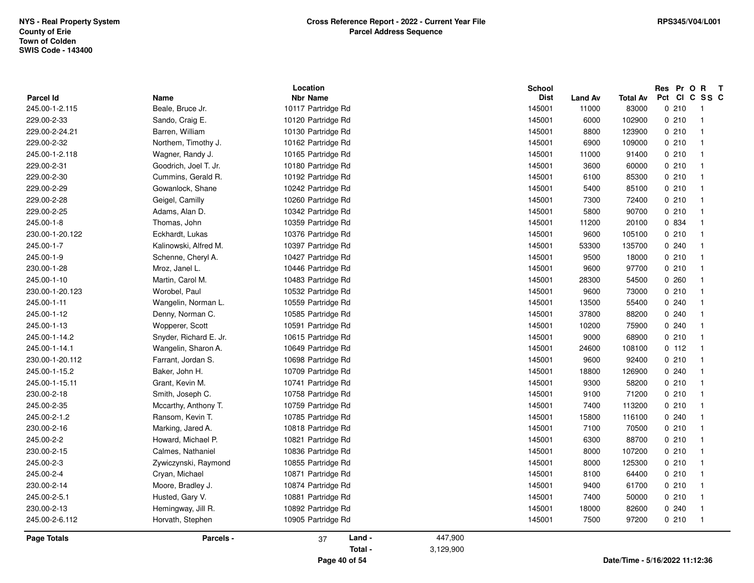|                  |                        | Location           |           | School      |                |                                |       | Res Pr O R T            |  |
|------------------|------------------------|--------------------|-----------|-------------|----------------|--------------------------------|-------|-------------------------|--|
| <b>Parcel Id</b> | Name                   | <b>Nbr Name</b>    |           | <b>Dist</b> | <b>Land Av</b> | <b>Total Av</b>                |       | Pct CI C SS C           |  |
| 245.00-1-2.115   | Beale, Bruce Jr.       | 10117 Partridge Rd |           | 145001      | 11000          | 83000                          | 0210  | $\overline{1}$          |  |
| 229.00-2-33      | Sando, Craig E.        | 10120 Partridge Rd |           | 145001      | 6000           | 102900                         | 0210  | $\overline{1}$          |  |
| 229.00-2-24.21   | Barren, William        | 10130 Partridge Rd |           | 145001      | 8800           | 123900                         | 0210  | $\overline{1}$          |  |
| 229.00-2-32      | Northem, Timothy J.    | 10162 Partridge Rd |           | 145001      | 6900           | 109000                         | 0210  | $\overline{1}$          |  |
| 245.00-1-2.118   | Wagner, Randy J.       | 10165 Partridge Rd |           | 145001      | 11000          | 91400                          | 0210  | $\overline{1}$          |  |
| 229.00-2-31      | Goodrich, Joel T. Jr.  | 10180 Partridge Rd |           | 145001      | 3600           | 60000                          | 0210  | $\overline{1}$          |  |
| 229.00-2-30      | Cummins, Gerald R.     | 10192 Partridge Rd |           | 145001      | 6100           | 85300                          | 0210  | $\overline{1}$          |  |
| 229.00-2-29      | Gowanlock, Shane       | 10242 Partridge Rd |           | 145001      | 5400           | 85100                          | 0210  | $\overline{1}$          |  |
| 229.00-2-28      | Geigel, Camilly        | 10260 Partridge Rd |           | 145001      | 7300           | 72400                          | 0210  | $\overline{1}$          |  |
| 229.00-2-25      | Adams, Alan D.         | 10342 Partridge Rd |           | 145001      | 5800           | 90700                          | 0210  | $\overline{\mathbf{1}}$ |  |
| 245.00-1-8       | Thomas, John           | 10359 Partridge Rd |           | 145001      | 11200          | 20100                          | 0 834 | -1                      |  |
| 230.00-1-20.122  | Eckhardt, Lukas        | 10376 Partridge Rd |           | 145001      | 9600           | 105100                         | 0210  | $\mathbf{1}$            |  |
| 245.00-1-7       | Kalinowski, Alfred M.  | 10397 Partridge Rd |           | 145001      | 53300          | 135700                         | 0.240 | $\overline{1}$          |  |
| 245.00-1-9       | Schenne, Cheryl A.     | 10427 Partridge Rd |           | 145001      | 9500           | 18000                          | 0210  | $\overline{1}$          |  |
| 230.00-1-28      | Mroz, Janel L.         | 10446 Partridge Rd |           | 145001      | 9600           | 97700                          | 0210  | $\overline{1}$          |  |
| 245.00-1-10      | Martin, Carol M.       | 10483 Partridge Rd |           | 145001      | 28300          | 54500                          | 0.260 | $\overline{\mathbf{1}}$ |  |
| 230.00-1-20.123  | Worobel, Paul          | 10532 Partridge Rd |           | 145001      | 9600           | 73000                          | 0210  | $\overline{1}$          |  |
| 245.00-1-11      | Wangelin, Norman L.    | 10559 Partridge Rd |           | 145001      | 13500          | 55400                          | 0.240 | $\overline{\mathbf{1}}$ |  |
| 245.00-1-12      | Denny, Norman C.       | 10585 Partridge Rd |           | 145001      | 37800          | 88200                          | 0240  | $\overline{1}$          |  |
| 245.00-1-13      | Wopperer, Scott        | 10591 Partridge Rd |           | 145001      | 10200          | 75900                          | 0.240 | $\overline{1}$          |  |
| 245.00-1-14.2    | Snyder, Richard E. Jr. | 10615 Partridge Rd |           | 145001      | 9000           | 68900                          | 0210  | $\overline{1}$          |  |
| 245.00-1-14.1    | Wangelin, Sharon A.    | 10649 Partridge Rd |           | 145001      | 24600          | 108100                         | 0.112 | $\overline{1}$          |  |
| 230.00-1-20.112  | Farrant, Jordan S.     | 10698 Partridge Rd |           | 145001      | 9600           | 92400                          | 0210  | $\overline{1}$          |  |
| 245.00-1-15.2    | Baker, John H.         | 10709 Partridge Rd |           | 145001      | 18800          | 126900                         | 0.240 | $\overline{\mathbf{1}}$ |  |
| 245.00-1-15.11   | Grant, Kevin M.        | 10741 Partridge Rd |           | 145001      | 9300           | 58200                          | 0210  | $\overline{1}$          |  |
| 230.00-2-18      | Smith, Joseph C.       | 10758 Partridge Rd |           | 145001      | 9100           | 71200                          | 0210  | $\overline{1}$          |  |
| 245.00-2-35      | Mccarthy, Anthony T.   | 10759 Partridge Rd |           | 145001      | 7400           | 113200                         | 0210  | $\overline{\mathbf{1}}$ |  |
| 245.00-2-1.2     | Ransom, Kevin T.       | 10785 Partridge Rd |           | 145001      | 15800          | 116100                         | 0.240 | $\overline{1}$          |  |
| 230.00-2-16      | Marking, Jared A.      | 10818 Partridge Rd |           | 145001      | 7100           | 70500                          | 0210  | $\overline{1}$          |  |
| 245.00-2-2       | Howard, Michael P.     | 10821 Partridge Rd |           | 145001      | 6300           | 88700                          | 0210  | $\overline{1}$          |  |
| 230.00-2-15      | Calmes, Nathaniel      | 10836 Partridge Rd |           | 145001      | 8000           | 107200                         | 0210  | $\overline{1}$          |  |
| 245.00-2-3       | Zywiczynski, Raymond   | 10855 Partridge Rd |           | 145001      | 8000           | 125300                         | 0210  | $\overline{1}$          |  |
| 245.00-2-4       | Cryan, Michael         | 10871 Partridge Rd |           | 145001      | 8100           | 64400                          | 0210  | $\overline{1}$          |  |
| 230.00-2-14      | Moore, Bradley J.      | 10874 Partridge Rd |           | 145001      | 9400           | 61700                          | 0210  | $\overline{1}$          |  |
| 245.00-2-5.1     | Husted, Gary V.        | 10881 Partridge Rd |           | 145001      | 7400           | 50000                          | 0210  | $\overline{\mathbf{1}}$ |  |
| 230.00-2-13      | Hemingway, Jill R.     | 10892 Partridge Rd |           | 145001      | 18000          | 82600                          | 0.240 | $\overline{1}$          |  |
| 245.00-2-6.112   | Horvath, Stephen       | 10905 Partridge Rd |           | 145001      | 7500           | 97200                          | 0210  | $\overline{1}$          |  |
| Page Totals      | Parcels -              | Land -<br>37       | 447,900   |             |                |                                |       |                         |  |
|                  |                        | Total -            | 3,129,900 |             |                |                                |       |                         |  |
|                  |                        | Page 40 of 54      |           |             |                | Date/Time - 5/16/2022 11:12:36 |       |                         |  |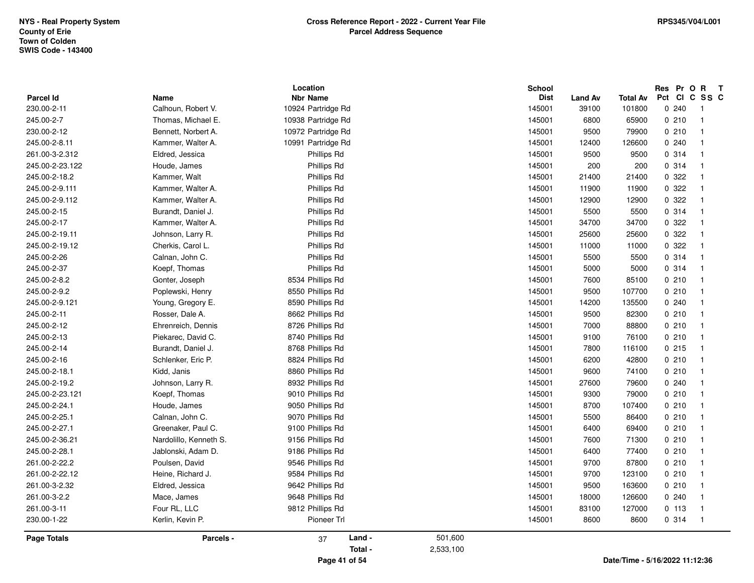|                 |                        | Location           |           | School      |                |                                |       | Res Pr O R T            |
|-----------------|------------------------|--------------------|-----------|-------------|----------------|--------------------------------|-------|-------------------------|
| Parcel Id       | Name                   | <b>Nbr Name</b>    |           | <b>Dist</b> | <b>Land Av</b> | <b>Total Av</b>                |       | Pct CI C SS C           |
| 230.00-2-11     | Calhoun, Robert V.     | 10924 Partridge Rd |           | 145001      | 39100          | 101800                         | 0.240 | -1                      |
| 245.00-2-7      | Thomas, Michael E.     | 10938 Partridge Rd |           | 145001      | 6800           | 65900                          | 0210  | $\overline{1}$          |
| 230.00-2-12     | Bennett, Norbert A.    | 10972 Partridge Rd |           | 145001      | 9500           | 79900                          | 0210  | $\overline{1}$          |
| 245.00-2-8.11   | Kammer, Walter A.      | 10991 Partridge Rd |           | 145001      | 12400          | 126600                         | 0.240 | $\overline{1}$          |
| 261.00-3-2.312  | Eldred, Jessica        | Phillips Rd        |           | 145001      | 9500           | 9500                           | 0.314 | $\overline{1}$          |
| 245.00-2-23.122 | Houde, James           | Phillips Rd        |           | 145001      | 200            | 200                            | 0.314 | $\overline{1}$          |
| 245.00-2-18.2   | Kammer, Walt           | Phillips Rd        |           | 145001      | 21400          | 21400                          | 0.322 | $\overline{1}$          |
| 245.00-2-9.111  | Kammer, Walter A.      | Phillips Rd        |           | 145001      | 11900          | 11900                          | 0.322 | $\overline{1}$          |
| 245.00-2-9.112  | Kammer, Walter A.      | Phillips Rd        |           | 145001      | 12900          | 12900                          | 0 322 | $\overline{\mathbf{1}}$ |
| 245.00-2-15     | Burandt, Daniel J.     | Phillips Rd        |           | 145001      | 5500           | 5500                           | 0.314 | $\overline{1}$          |
| 245.00-2-17     | Kammer, Walter A.      | Phillips Rd        |           | 145001      | 34700          | 34700                          | 0.322 | $\overline{1}$          |
| 245.00-2-19.11  | Johnson, Larry R.      | Phillips Rd        |           | 145001      | 25600          | 25600                          | 0.322 | $\overline{1}$          |
| 245.00-2-19.12  | Cherkis, Carol L.      | Phillips Rd        |           | 145001      | 11000          | 11000                          | 0.322 | $\overline{1}$          |
| 245.00-2-26     | Calnan, John C.        | Phillips Rd        |           | 145001      | 5500           | 5500                           | 0.314 | $\overline{1}$          |
| 245.00-2-37     | Koepf, Thomas          | Phillips Rd        |           | 145001      | 5000           | 5000                           | 0.314 | $\overline{1}$          |
| 245.00-2-8.2    | Gonter, Joseph         | 8534 Phillips Rd   |           | 145001      | 7600           | 85100                          | 0210  | $\overline{1}$          |
| 245.00-2-9.2    | Poplewski, Henry       | 8550 Phillips Rd   |           | 145001      | 9500           | 107700                         | 0210  | $\overline{1}$          |
| 245.00-2-9.121  | Young, Gregory E.      | 8590 Phillips Rd   |           | 145001      | 14200          | 135500                         | 0240  | $\mathbf{1}$            |
| 245.00-2-11     | Rosser, Dale A.        | 8662 Phillips Rd   |           | 145001      | 9500           | 82300                          | 0210  | $\overline{1}$          |
| 245.00-2-12     | Ehrenreich, Dennis     | 8726 Phillips Rd   |           | 145001      | 7000           | 88800                          | 0210  | $\overline{1}$          |
| 245.00-2-13     | Piekarec, David C.     | 8740 Phillips Rd   |           | 145001      | 9100           | 76100                          | 0210  | $\overline{1}$          |
| 245.00-2-14     | Burandt, Daniel J.     | 8768 Phillips Rd   |           | 145001      | 7800           | 116100                         | 0215  | $\overline{1}$          |
| 245.00-2-16     | Schlenker, Eric P.     | 8824 Phillips Rd   |           | 145001      | 6200           | 42800                          | 0210  | $\overline{1}$          |
| 245.00-2-18.1   | Kidd, Janis            | 8860 Phillips Rd   |           | 145001      | 9600           | 74100                          | 0210  | $\overline{1}$          |
| 245.00-2-19.2   | Johnson, Larry R.      | 8932 Phillips Rd   |           | 145001      | 27600          | 79600                          | 0.240 | $\overline{1}$          |
| 245.00-2-23.121 | Koepf, Thomas          | 9010 Phillips Rd   |           | 145001      | 9300           | 79000                          | 0210  | $\overline{\mathbf{1}}$ |
| 245.00-2-24.1   | Houde, James           | 9050 Phillips Rd   |           | 145001      | 8700           | 107400                         | 0210  | $\overline{1}$          |
| 245.00-2-25.1   | Calnan, John C.        | 9070 Phillips Rd   |           | 145001      | 5500           | 86400                          | 0210  | $\overline{1}$          |
| 245.00-2-27.1   | Greenaker, Paul C.     | 9100 Phillips Rd   |           | 145001      | 6400           | 69400                          | 0210  | $\overline{1}$          |
| 245.00-2-36.21  | Nardolillo, Kenneth S. | 9156 Phillips Rd   |           | 145001      | 7600           | 71300                          | 0210  | $\overline{1}$          |
| 245.00-2-28.1   | Jablonski, Adam D.     | 9186 Phillips Rd   |           | 145001      | 6400           | 77400                          | 0210  | $\overline{1}$          |
| 261.00-2-22.2   | Poulsen, David         | 9546 Phillips Rd   |           | 145001      | 9700           | 87800                          | 0210  | $\overline{1}$          |
| 261.00-2-22.12  | Heine, Richard J.      | 9584 Phillips Rd   |           | 145001      | 9700           | 123100                         | 0210  | $\overline{1}$          |
| 261.00-3-2.32   | Eldred, Jessica        | 9642 Phillips Rd   |           | 145001      | 9500           | 163600                         | 0210  | $\overline{1}$          |
| 261.00-3-2.2    | Mace, James            | 9648 Phillips Rd   |           | 145001      | 18000          | 126600                         | 0.240 | $\overline{1}$          |
| 261.00-3-11     | Four RL, LLC           | 9812 Phillips Rd   |           | 145001      | 83100          | 127000                         | 0 113 | $\overline{1}$          |
| 230.00-1-22     | Kerlin, Kevin P.       | Pioneer Trl        |           | 145001      | 8600           | 8600                           | 0.314 | $\overline{1}$          |
| Page Totals     | Parcels -              | Land -<br>37       | 501,600   |             |                |                                |       |                         |
|                 |                        | Total -            | 2,533,100 |             |                |                                |       |                         |
|                 |                        | Page 41 of 54      |           |             |                | Date/Time - 5/16/2022 11:12:36 |       |                         |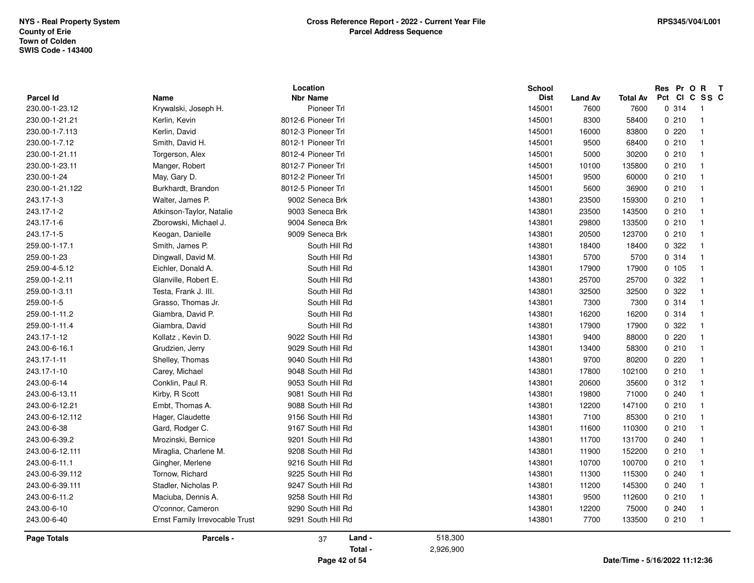| <b>Parcel Id</b> | Name                           | Location<br><b>Nbr Name</b> | School    | <b>Dist</b>            | <b>Total Av</b>                |       | Res Pr O R<br>$\mathbf{T}$<br>Pct CI C SS C |
|------------------|--------------------------------|-----------------------------|-----------|------------------------|--------------------------------|-------|---------------------------------------------|
| 230.00-1-23.12   | Krywalski, Joseph H.           | Pioneer Trl                 | 145001    | <b>Land Av</b><br>7600 | 7600                           | 0.314 | -1                                          |
| 230.00-1-21.21   | Kerlin, Kevin                  | 8012-6 Pioneer Trl          | 145001    | 8300                   | 58400                          | 0210  | $\overline{1}$                              |
| 230.00-1-7.113   | Kerlin, David                  | 8012-3 Pioneer Trl          | 145001    | 16000                  | 83800                          | 0.220 | $\mathbf{1}$                                |
| 230.00-1-7.12    | Smith, David H.                | 8012-1 Pioneer Trl          | 145001    | 9500                   | 68400                          | 0210  | $\overline{1}$                              |
| 230.00-1-21.11   | Torgerson, Alex                | 8012-4 Pioneer Trl          | 145001    | 5000                   | 30200                          | 0210  | $\mathbf{1}$                                |
| 230.00-1-23.11   |                                | 8012-7 Pioneer Trl          | 145001    | 10100                  | 135800                         | 0210  | $\overline{1}$                              |
| 230.00-1-24      | Manger, Robert<br>May, Gary D. | 8012-2 Pioneer Trl          | 145001    | 9500                   | 60000                          | 0210  | $\overline{1}$                              |
| 230.00-1-21.122  | Burkhardt, Brandon             | 8012-5 Pioneer Trl          | 145001    | 5600                   | 36900                          | 0210  | $\overline{\mathbf{1}}$                     |
| 243.17-1-3       | Walter, James P.               | 9002 Seneca Brk             | 143801    | 23500                  | 159300                         | 0210  | $\mathbf{1}$                                |
| 243.17-1-2       | Atkinson-Taylor, Natalie       | 9003 Seneca Brk             | 143801    | 23500                  | 143500                         | 0210  | $\overline{1}$                              |
| 243.17-1-6       | Zborowski, Michael J.          | 9004 Seneca Brk             | 143801    | 29800                  | 133500                         | 0210  | $\overline{1}$                              |
| 243.17-1-5       | Keogan, Danielle               | 9009 Seneca Brk             | 143801    | 20500                  | 123700                         | 0210  | $\mathbf{1}$                                |
| 259.00-1-17.1    | Smith, James P.                | South Hill Rd               | 143801    | 18400                  | 18400                          | 0.322 | $\mathbf{1}$                                |
| 259.00-1-23      | Dingwall, David M.             | South Hill Rd               | 143801    | 5700                   | 5700                           | 0.314 | $\mathbf{1}$                                |
| 259.00-4-5.12    | Eichler, Donald A.             | South Hill Rd               | 143801    | 17900                  | 17900                          | 0.105 | $\overline{1}$                              |
| 259.00-1-2.11    | Glanville, Robert E.           | South Hill Rd               | 143801    | 25700                  | 25700                          | 0.322 | $\overline{1}$                              |
| 259.00-1-3.11    | Testa, Frank J. III.           | South Hill Rd               | 143801    | 32500                  | 32500                          | 0 322 | $\mathbf{1}$                                |
| 259.00-1-5       | Grasso, Thomas Jr.             | South Hill Rd               | 143801    | 7300                   | 7300                           | 0.314 | $\mathbf{1}$                                |
| 259.00-1-11.2    | Giambra, David P.              | South Hill Rd               | 143801    | 16200                  | 16200                          | 0.314 | $\mathbf{1}$                                |
| 259.00-1-11.4    | Giambra, David                 | South Hill Rd               | 143801    | 17900                  | 17900                          | 0.322 | $\overline{1}$                              |
| 243.17-1-12      | Kollatz, Kevin D.              | 9022 South Hill Rd          | 143801    | 9400                   | 88000                          | 0220  | $\overline{1}$                              |
| 243.00-6-16.1    | Grudzien, Jerry                | 9029 South Hill Rd          | 143801    | 13400                  | 58300                          | 0210  | $\overline{1}$                              |
| 243.17-1-11      | Shelley, Thomas                | 9040 South Hill Rd          | 143801    | 9700                   | 80200                          | 0.220 | $\mathbf{1}$                                |
| 243.17-1-10      | Carey, Michael                 | 9048 South Hill Rd          | 143801    | 17800                  | 102100                         | 0210  | $\mathbf{1}$                                |
| 243.00-6-14      | Conklin, Paul R.               | 9053 South Hill Rd          | 143801    | 20600                  | 35600                          | 0.312 | $\mathbf{1}$                                |
| 243.00-6-13.11   | Kirby, R Scott                 | 9081 South Hill Rd          | 143801    | 19800                  | 71000                          | 0.240 | $\mathbf{1}$                                |
| 243.00-6-12.21   | Embt, Thomas A.                | 9088 South Hill Rd          | 143801    | 12200                  | 147100                         | 0210  | $\mathbf{1}$                                |
| 243.00-6-12.112  | Hager, Claudette               | 9156 South Hill Rd          | 143801    | 7100                   | 85300                          | 0210  | $\overline{1}$                              |
| 243.00-6-38      | Gard, Rodger C.                | 9167 South Hill Rd          | 143801    | 11600                  | 110300                         | 0210  | $\mathbf{1}$                                |
| 243.00-6-39.2    | Mrozinski, Bernice             | 9201 South Hill Rd          | 143801    | 11700                  | 131700                         | 0.240 | $\mathbf{1}$                                |
| 243.00-6-12.111  | Miraglia, Charlene M.          | 9208 South Hill Rd          | 143801    | 11900                  | 152200                         | 0210  | $\mathbf{1}$                                |
| 243.00-6-11.1    | Gingher, Merlene               | 9216 South Hill Rd          | 143801    | 10700                  | 100700                         | 0210  | $\overline{1}$                              |
| 243.00-6-39.112  | Tornow, Richard                | 9225 South Hill Rd          | 143801    | 11300                  | 115300                         | 0.240 | $\overline{1}$                              |
| 243.00-6-39.111  | Stadler, Nicholas P.           | 9247 South Hill Rd          | 143801    | 11200                  | 145300                         | 0.240 | $\mathbf{1}$                                |
| 243.00-6-11.2    | Maciuba, Dennis A.             | 9258 South Hill Rd          | 143801    | 9500                   | 112600                         | 0210  | $\mathbf{1}$                                |
| 243.00-6-10      | O'connor, Cameron              | 9290 South Hill Rd          | 143801    | 12200                  | 75000                          | 0.240 | $\mathbf{1}$                                |
| 243.00-6-40      | Ernst Family Irrevocable Trust | 9291 South Hill Rd          | 143801    | 7700                   | 133500                         | 0210  | $\overline{\mathbf{1}}$                     |
| Page Totals      | Parcels -                      | Land -<br>37                | 518,300   |                        |                                |       |                                             |
|                  |                                | Total -                     | 2,926,900 |                        |                                |       |                                             |
|                  |                                | Page 42 of 54               |           |                        | Date/Time - 5/16/2022 11:12:36 |       |                                             |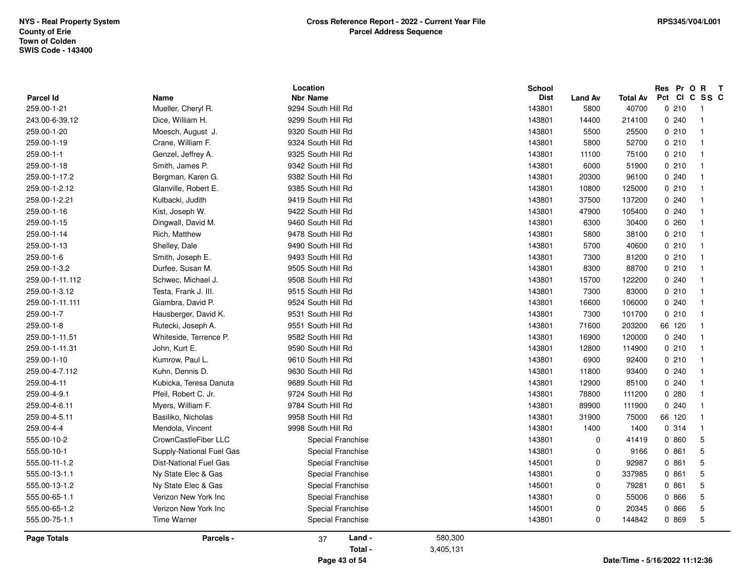| 555.00-10-1              | Supply-National Fuel Gas      | Special Franchise                                 | 143801                          | $\mathbf 0$            | 9166                     | 0 861                       | 5                        |
|--------------------------|-------------------------------|---------------------------------------------------|---------------------------------|------------------------|--------------------------|-----------------------------|--------------------------|
| 555.00-11-1.2            | <b>Dist-National Fuel Gas</b> | Special Franchise                                 | 145001                          | $\mathbf 0$            | 92987                    | 0861                        | $\sqrt{5}$               |
| 259.00-4-4               | Mendola, Vincent              | 9998 South Hill Rd                                | 143801                          | 1400                   | 1400                     | 0.314                       | $\overline{1}$           |
| 555.00-10-2              | CrownCastleFiber LLC          | Special Franchise                                 | 143801                          | $\Omega$               | 41419                    | 0 860                       | 5                        |
| 259.00-4-6.11            | Myers, William F.             | 9784 South Hill Rd                                | 143801                          | 89900                  | 111900                   | 0.240                       | $\overline{1}$           |
| 259.00-4-5.11            | Basiliko, Nicholas            | 9958 South Hill Rd                                | 143801                          | 31900                  | 75000                    | 66 120                      | $\overline{1}$           |
| 259.00-4-11              | Kubicka, Teresa Danuta        | 9689 South Hill Rd                                | 143801                          | 12900                  | 85100                    | 0.240                       | $\overline{1}$           |
| 259.00-4-9.1             | Pfeil, Robert C. Jr.          | 9724 South Hill Rd                                | 143801                          | 78800                  | 111200                   | 0.280                       | $\overline{1}$           |
| 259.00-1-10              | Kumrow, Paul L.               | 9610 South Hill Rd                                | 143801                          | 6900                   | 92400                    | 0210                        | $\overline{1}$           |
| 259.00-4-7.112           | Kuhn, Dennis D.               | 9630 South Hill Rd                                | 143801                          | 11800                  | 93400                    | 0240                        | $\overline{1}$           |
| 259.00-1-11.51           | Whiteside, Terrence P.        | 9582 South Hill Rd                                | 143801                          | 16900                  | 120000                   | 0240                        | $\overline{1}$           |
| 259.00-1-11.31           | John, Kurt E.                 | 9590 South Hill Rd                                | 143801                          | 12800                  | 114900                   | 0210                        | $\overline{1}$           |
| 259.00-1-7               | Hausberger, David K.          | 9531 South Hill Rd                                | 143801                          | 7300                   | 101700                   | 0210                        | $\overline{1}$           |
| 259.00-1-8               | Rutecki, Joseph A.            | 9551 South Hill Rd                                | 143801                          | 71600                  | 203200                   | 66 120                      | $\overline{1}$           |
| 259.00-1-11.111          | Giambra, David P.             | 9524 South Hill Rd                                | 143801                          | 16600                  | 106000                   | 0240                        | $\overline{1}$           |
| 259.00-1-11.112          | Schwec, Michael J.            | 9508 South Hill Rd                                | 143801                          | 15700                  | 122200                   | 0.240                       | $\overline{1}$           |
| 259.00-1-3.12            | Testa, Frank J. III.          | 9515 South Hill Rd                                | 143801                          | 7300                   | 83000                    | 0210                        | $\overline{1}$           |
| 259.00-1-6               | Smith, Joseph E.              | 9493 South Hill Rd                                | 143801                          | 7300                   | 81200                    | 0210                        | $\overline{1}$           |
| 259.00-1-3.2             | Durfee, Susan M.              | 9505 South Hill Rd                                | 143801                          | 8300                   | 88700                    | 0210                        | $\overline{1}$           |
| 259.00-1-14              | Rich, Matthew                 | 9478 South Hill Rd                                | 143801                          | 5800                   | 38100                    | 0210                        | $\overline{1}$           |
| 259.00-1-13              | Shelley, Dale                 | 9490 South Hill Rd                                | 143801                          | 5700                   | 40600                    | 0210                        | $\overline{1}$           |
| 259.00-1-16              | Kist, Joseph W.               | 9422 South Hill Rd                                | 143801                          | 47900                  | 105400                   | 0.240                       | $\overline{1}$           |
| 259.00-1-15              | Dingwall, David M.            | 9460 South Hill Rd                                | 143801                          | 6300                   | 30400                    | 0.260                       | $\overline{1}$           |
| 259.00-1-17.2            | Bergman, Karen G.             | 9382 South Hill Rd                                | 143801                          | 20300                  | 96100                    | 0240                        | $\overline{1}$           |
| 259.00-1-2.12            | Glanville, Robert E.          | 9385 South Hill Rd                                | 143801                          | 10800                  | 125000                   | 0210                        | $\overline{1}$           |
| 259.00-1-2.21            | Kulbacki, Judith              | 9419 South Hill Rd                                | 143801                          | 37500                  | 137200                   | 0.240                       | $\overline{1}$           |
| 259.00-1-1               | Genzel, Jeffrey A.            | 9325 South Hill Rd                                | 143801                          | 11100                  | 75100                    | 0210                        | $\overline{1}$           |
| 259.00-1-18              | Smith, James P.               | 9342 South Hill Rd                                | 143801                          | 6000                   | 51900                    | 0210                        | $\overline{1}$           |
| 243.00-6-39.12           | Dice, William H.              | 9299 South Hill Rd                                | 143801                          | 14400                  | 214100                   | 0240                        | $\overline{1}$           |
| 259.00-1-20              | Moesch, August J.             | 9320 South Hill Rd                                | 143801                          | 5500                   | 25500                    | 0210                        | $\overline{1}$           |
| 259.00-1-19              | Crane, William F.             | 9324 South Hill Rd                                | 143801                          | 5800                   | 52700                    | 0210                        | $\overline{1}$           |
| Parcel Id<br>259.00-1-21 | Name<br>Mueller, Cheryl R.    | Location<br><b>Nbr Name</b><br>9294 South Hill Rd | School<br><b>Dist</b><br>143801 | <b>Land Av</b><br>5800 | <b>Total Av</b><br>40700 | Res Pr O R T<br>Pct<br>0210 | CICSSC<br>$\overline{1}$ |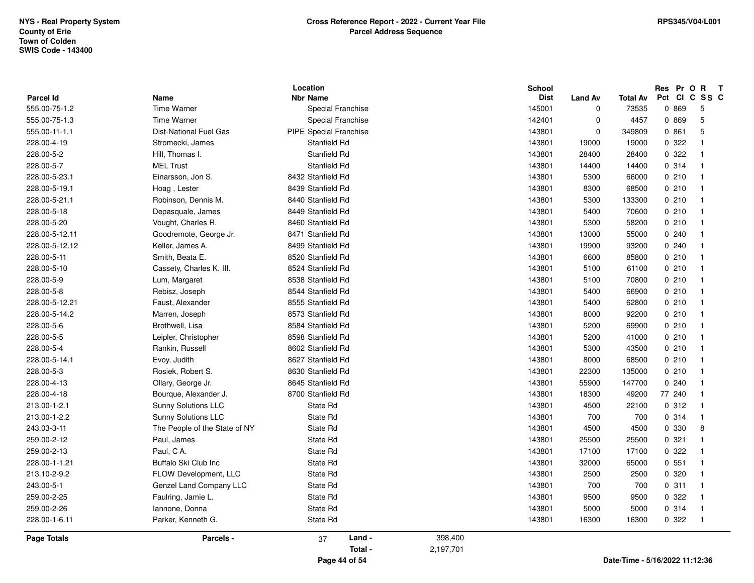|                            |                                   | Location                             | <b>School</b>         |                     |                          | Res Pr O R<br>Pct<br><b>CI</b> | $\mathbf{T}$<br>C SS C |
|----------------------------|-----------------------------------|--------------------------------------|-----------------------|---------------------|--------------------------|--------------------------------|------------------------|
| Parcel Id<br>555.00-75-1.2 | <b>Name</b><br><b>Time Warner</b> | <b>Nbr Name</b><br>Special Franchise | <b>Dist</b><br>145001 | <b>Land Av</b><br>0 | <b>Total Av</b><br>73535 | 0 869                          | -5                     |
| 555.00-75-1.3              | <b>Time Warner</b>                | Special Franchise                    | 142401                | $\mathbf 0$         | 4457                     | 0 869                          | $5\phantom{.0}$        |
| 555.00-11-1.1              | <b>Dist-National Fuel Gas</b>     | <b>PIPE Special Franchise</b>        | 143801                | $\mathbf 0$         | 349809                   | 0.861                          | 5                      |
| 228.00-4-19                | Stromecki, James                  | Stanfield Rd                         | 143801                | 19000               | 19000                    | 0.322                          | $\overline{1}$         |
| 228.00-5-2                 |                                   |                                      |                       |                     |                          | 0.322                          |                        |
|                            | Hill, Thomas I.                   | Stanfield Rd                         | 143801                | 28400               | 28400                    |                                | $\overline{1}$         |
| 228.00-5-7                 | <b>MEL Trust</b>                  | Stanfield Rd                         | 143801                | 14400               | 14400                    | 0.314                          | $\overline{1}$         |
| 228.00-5-23.1              | Einarsson, Jon S.                 | 8432 Stanfield Rd                    | 143801                | 5300                | 66000                    | 0210                           | $\overline{1}$         |
| 228.00-5-19.1              | Hoag, Lester                      | 8439 Stanfield Rd                    | 143801                | 8300                | 68500                    | 0210                           | $\overline{1}$         |
| 228.00-5-21.1              | Robinson, Dennis M.               | 8440 Stanfield Rd                    | 143801                | 5300                | 133300                   | 0210                           | $\overline{1}$         |
| 228.00-5-18                | Depasquale, James                 | 8449 Stanfield Rd                    | 143801                | 5400                | 70600                    | 0210                           | $\overline{1}$         |
| 228.00-5-20                | Vought, Charles R.                | 8460 Stanfield Rd                    | 143801                | 5300                | 58200                    | 0210                           | $\overline{1}$         |
| 228.00-5-12.11             | Goodremote, George Jr.            | 8471 Stanfield Rd                    | 143801                | 13000               | 55000                    | 0.240                          | $\overline{1}$         |
| 228.00-5-12.12             | Keller, James A.                  | 8499 Stanfield Rd                    | 143801                | 19900               | 93200                    | 0.240                          | $\overline{1}$         |
| 228.00-5-11                | Smith, Beata E.                   | 8520 Stanfield Rd                    | 143801                | 6600                | 85800                    | 0210                           | $\overline{1}$         |
| 228.00-5-10                | Cassety, Charles K. III.          | 8524 Stanfield Rd                    | 143801                | 5100                | 61100                    | 0210                           | $\overline{1}$         |
| 228.00-5-9                 | Lum, Margaret                     | 8538 Stanfield Rd                    | 143801                | 5100                | 70800                    | 0210                           | $\overline{1}$         |
| 228.00-5-8                 | Rebisz, Joseph                    | 8544 Stanfield Rd                    | 143801                | 5400                | 66900                    | 0210                           | $\overline{1}$         |
| 228.00-5-12.21             | Faust, Alexander                  | 8555 Stanfield Rd                    | 143801                | 5400                | 62800                    | 0210                           | $\overline{1}$         |
| 228.00-5-14.2              | Marren, Joseph                    | 8573 Stanfield Rd                    | 143801                | 8000                | 92200                    | 0210                           | $\overline{1}$         |
| 228.00-5-6                 | Brothwell, Lisa                   | 8584 Stanfield Rd                    | 143801                | 5200                | 69900                    | 0210                           | $\overline{1}$         |
| 228.00-5-5                 | Leipler, Christopher              | 8598 Stanfield Rd                    | 143801                | 5200                | 41000                    | 0210                           | $\overline{1}$         |
| 228.00-5-4                 | Rankin, Russell                   | 8602 Stanfield Rd                    | 143801                | 5300                | 43500                    | 0210                           | $\overline{1}$         |
| 228.00-5-14.1              | Evoy, Judith                      | 8627 Stanfield Rd                    | 143801                | 8000                | 68500                    | 0210                           | $\overline{1}$         |
| 228.00-5-3                 | Rosiek, Robert S.                 | 8630 Stanfield Rd                    | 143801                | 22300               | 135000                   | 0210                           | $\overline{1}$         |
| 228.00-4-13                | Ollary, George Jr.                | 8645 Stanfield Rd                    | 143801                | 55900               | 147700                   | 0240                           | $\overline{1}$         |
| 228.00-4-18                | Bourque, Alexander J.             | 8700 Stanfield Rd                    | 143801                | 18300               | 49200                    | 77 240                         | $\overline{1}$         |
| 213.00-1-2.1               | Sunny Solutions LLC               | State Rd                             | 143801                | 4500                | 22100                    | 0.312                          | $\overline{1}$         |
| 213.00-1-2.2               | Sunny Solutions LLC               | State Rd                             | 143801                | 700                 | 700                      | 0.314                          | $\overline{1}$         |
| 243.03-3-11                | The People of the State of NY     | State Rd                             | 143801                | 4500                | 4500                     | 0 330                          | 8                      |
| 259.00-2-12                | Paul, James                       | State Rd                             | 143801                | 25500               | 25500                    | 0.321                          | $\overline{1}$         |
| 259.00-2-13                | Paul, CA.                         | State Rd                             | 143801                | 17100               | 17100                    | 0.322                          | $\overline{1}$         |
| 228.00-1-1.21              | Buffalo Ski Club Inc              | State Rd                             | 143801                | 32000               | 65000                    | 0.551                          | $\overline{1}$         |
| 213.10-2-9.2               | FLOW Development, LLC             | State Rd                             | 143801                | 2500                | 2500                     | 0 320                          | $\overline{1}$         |
| 243.00-5-1                 | Genzel Land Company LLC           | State Rd                             | 143801                | 700                 | 700                      | 0.311                          | $\overline{1}$         |
| 259.00-2-25                | Faulring, Jamie L.                | State Rd                             | 143801                | 9500                | 9500                     | 0.322                          | $\overline{1}$         |
| 259.00-2-26                | Iannone, Donna                    | State Rd                             | 143801                | 5000                | 5000                     | 0.314                          | $\overline{1}$         |
| 228.00-1-6.11              | Parker, Kenneth G.                | State Rd                             | 143801                | 16300               | 16300                    | 0.322                          | $\overline{1}$         |
| <b>Page Totals</b>         | Parcels -                         | Land -<br>37<br>Total -              | 398,400<br>2,197,701  |                     |                          |                                |                        |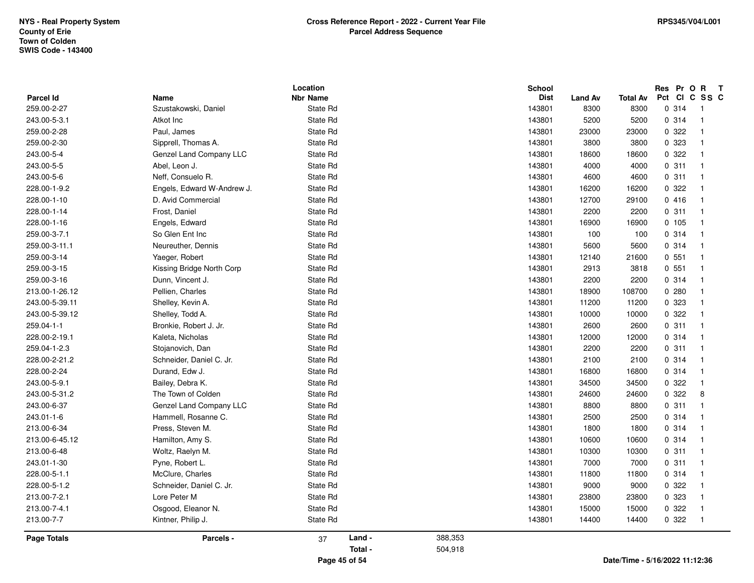| Parcel Id                   |                                               | Location<br><b>Nbr Name</b> |               |         | School<br><b>Dist</b> |                        |                         | Res Pr O R T<br>Pct CI C SS C             |
|-----------------------------|-----------------------------------------------|-----------------------------|---------------|---------|-----------------------|------------------------|-------------------------|-------------------------------------------|
| 259.00-2-27                 | Name<br>Szustakowski, Daniel                  | State Rd                    |               |         | 143801                | <b>Land Av</b><br>8300 | <b>Total Av</b><br>8300 | 0.314<br>-1                               |
| 243.00-5-3.1                | Atkot Inc                                     | State Rd                    |               |         | 143801                | 5200                   | 5200                    | 0.314<br>$\overline{1}$                   |
| 259.00-2-28                 | Paul, James                                   | State Rd                    |               |         | 143801                | 23000                  | 23000                   | 0.322<br>$\overline{1}$                   |
| 259.00-2-30                 | Sipprell, Thomas A.                           | State Rd                    |               |         | 143801                | 3800                   | 3800                    | 0 323<br>$\overline{1}$                   |
| 243.00-5-4                  | Genzel Land Company LLC                       | State Rd                    |               |         | 143801                | 18600                  | 18600                   | 0.322<br>$\overline{1}$                   |
| 243.00-5-5                  | Abel, Leon J.                                 | State Rd                    |               |         | 143801                | 4000                   | 4000                    | 0.311<br>$\overline{1}$                   |
| 243.00-5-6                  | Neff, Consuelo R.                             | State Rd                    |               |         | 143801                | 4600                   | 4600                    | 0.311<br>$\overline{1}$                   |
| 228.00-1-9.2                | Engels, Edward W-Andrew J.                    | State Rd                    |               |         | 143801                | 16200                  | 16200                   | 0 322<br>$\overline{\mathbf{1}}$          |
| 228.00-1-10                 | D. Avid Commercial                            | State Rd                    |               |         | 143801                | 12700                  | 29100                   | 0416<br>$\overline{1}$                    |
|                             |                                               |                             |               |         |                       |                        |                         | $\overline{\mathbf{1}}$                   |
| 228.00-1-14<br>228.00-1-16  | Frost, Daniel<br>Engels, Edward               | State Rd<br>State Rd        |               |         | 143801<br>143801      | 2200<br>16900          | 2200<br>16900           | 0.311<br>0.105<br>$\overline{1}$          |
| 259.00-3-7.1                | So Glen Ent Inc                               | State Rd                    |               |         | 143801                | 100                    | 100                     | 0.314<br>$\overline{\mathbf{1}}$          |
| 259.00-3-11.1               | Neureuther, Dennis                            | State Rd                    |               |         | 143801                | 5600                   | 5600                    | 0.314<br>$\overline{1}$                   |
| 259.00-3-14                 | Yaeger, Robert                                | State Rd                    |               |         | 143801                | 12140                  |                         | 0,551<br>$\overline{\mathbf{1}}$          |
| 259.00-3-15                 | Kissing Bridge North Corp                     | State Rd                    |               |         | 143801                |                        | 21600<br>3818           | 0,551<br>$\overline{1}$                   |
| 259.00-3-16                 | Dunn, Vincent J.                              | State Rd                    |               |         | 143801                | 2913<br>2200           | 2200                    | 0.314<br>$\overline{1}$                   |
| 213.00-1-26.12              | Pellien, Charles                              | State Rd                    |               |         | 143801                | 18900                  | 108700                  | 0.280<br>$\overline{1}$                   |
| 243.00-5-39.11              | Shelley, Kevin A.                             | State Rd                    |               |         | 143801                | 11200                  | 11200                   | 0 323<br>$\overline{1}$                   |
|                             |                                               |                             |               |         | 143801                |                        |                         | 0.322<br>$\overline{1}$                   |
| 243.00-5-39.12              | Shelley, Todd A.                              | State Rd                    |               |         |                       | 10000                  | 10000<br>2600           | $\overline{1}$                            |
| 259.04-1-1<br>228.00-2-19.1 | Bronkie, Robert J. Jr.                        | State Rd                    |               |         | 143801                | 2600                   |                         | 0.311<br>$\overline{\mathbf{1}}$          |
|                             | Kaleta, Nicholas                              | State Rd                    |               |         | 143801                | 12000                  | 12000                   | 0.314<br>$\overline{\mathbf{1}}$          |
| 259.04-1-2.3                | Stojanovich, Dan                              | State Rd                    |               |         | 143801                | 2200                   | 2200                    | 0.311<br>$\overline{1}$                   |
| 228.00-2-21.2               | Schneider, Daniel C. Jr.                      | State Rd                    |               |         | 143801                | 2100                   | 2100                    | 0.314<br>$\overline{\mathbf{1}}$          |
| 228.00-2-24<br>243.00-5-9.1 | Durand, Edw J.                                | State Rd                    |               |         | 143801                | 16800                  | 16800                   | 0.314<br>$\overline{1}$                   |
|                             | Bailey, Debra K.                              | State Rd                    |               |         | 143801                | 34500                  | 34500                   | 0.322                                     |
| 243.00-5-31.2               | The Town of Colden<br>Genzel Land Company LLC | State Rd                    |               |         | 143801                | 24600                  | 24600                   | 0.322<br>8<br>$\overline{\mathbf{1}}$     |
| 243.00-6-37<br>243.01-1-6   | Hammell, Rosanne C.                           | State Rd<br>State Rd        |               |         | 143801<br>143801      | 8800                   | 8800<br>2500            | 0.311<br>0.314<br>$\overline{1}$          |
|                             |                                               |                             |               |         |                       | 2500                   |                         | $\overline{\mathbf{1}}$                   |
| 213.00-6-34                 | Press, Steven M.                              | State Rd                    |               |         | 143801<br>143801      | 1800                   | 1800                    | 0.314<br>0.314<br>$\overline{\mathbf{1}}$ |
| 213.00-6-45.12              | Hamilton, Amy S.                              | State Rd                    |               |         |                       | 10600                  | 10600                   | $\overline{1}$                            |
| 213.00-6-48<br>243.01-1-30  | Woltz, Raelyn M.<br>Pyne, Robert L.           | State Rd<br>State Rd        |               |         | 143801<br>143801      | 10300<br>7000          | 10300<br>7000           | 0.311<br>0.311<br>$\overline{1}$          |
| 228.00-5-1.1                |                                               |                             |               |         |                       |                        |                         | $\overline{1}$                            |
|                             | McClure, Charles                              | State Rd                    |               |         | 143801                | 11800                  | 11800                   | 0.314<br>$\mathbf{1}$                     |
| 228.00-5-1.2                | Schneider, Daniel C. Jr.                      | State Rd                    |               |         | 143801                | 9000                   | 9000                    | 0.322<br>$\overline{1}$                   |
| 213.00-7-2.1                | Lore Peter M                                  | State Rd                    |               |         | 143801                | 23800                  | 23800                   | 0 323                                     |
| 213.00-7-4.1                | Osgood, Eleanor N.                            | State Rd                    |               |         | 143801                | 15000                  | 15000                   | 0.322<br>$\overline{1}$                   |
| 213.00-7-7                  | Kintner, Philip J.                            | State Rd                    |               |         | 143801                | 14400                  | 14400                   | 0.322<br>$\overline{1}$                   |
| <b>Page Totals</b>          | Parcels -                                     | 37                          | Land -        | 388,353 |                       |                        |                         |                                           |
|                             |                                               |                             | Total -       | 504,918 |                       |                        |                         |                                           |
|                             |                                               |                             | Page 45 of 54 |         |                       |                        |                         | Date/Time - 5/16/2022 11:12:36            |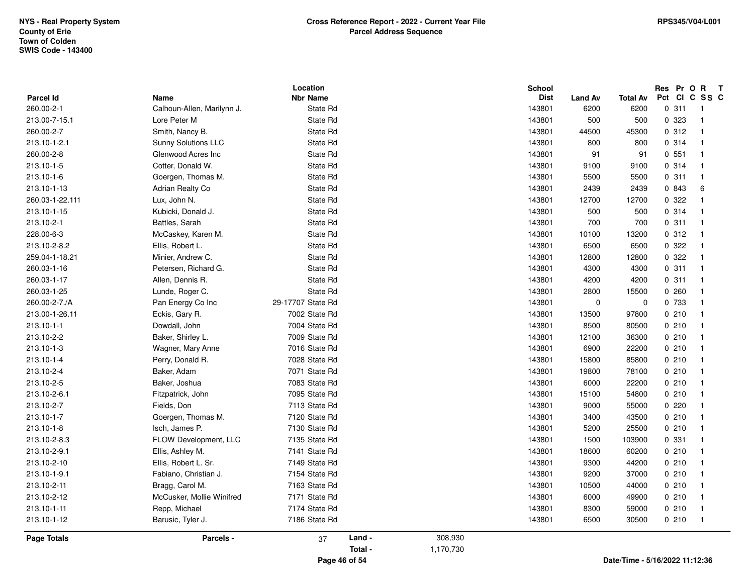| <b>Parcel Id</b>   | Name                       | Location<br><b>Nbr Name</b> |         |           | <b>School</b><br>Dist |                 | <b>Total Av</b> | Res Pr O R T<br>Pct CI C SS C |                         |
|--------------------|----------------------------|-----------------------------|---------|-----------|-----------------------|-----------------|-----------------|-------------------------------|-------------------------|
| 260.00-2-1         | Calhoun-Allen, Marilynn J. | State Rd                    |         |           | 143801                | Land Av<br>6200 | 6200            | 0.311                         | - 1                     |
| 213.00-7-15.1      | Lore Peter M               | State Rd                    |         |           | 143801                | 500             | 500             | 0 323                         | $\overline{1}$          |
| 260.00-2-7         | Smith, Nancy B.            | State Rd                    |         |           | 143801                | 44500           | 45300           | 0.312                         | $\overline{1}$          |
| 213.10-1-2.1       | <b>Sunny Solutions LLC</b> | State Rd                    |         |           | 143801                | 800             | 800             | 0.314                         | $\overline{1}$          |
| 260.00-2-8         |                            |                             |         |           |                       |                 |                 | 0.551                         | $\overline{1}$          |
|                    | Glenwood Acres Inc         | State Rd                    |         |           | 143801                | 91              | 91              |                               | $\overline{\mathbf{1}}$ |
| 213.10-1-5         | Cotter, Donald W.          | State Rd                    |         |           | 143801                | 9100            | 9100            | 0.314                         |                         |
| 213.10-1-6         | Goergen, Thomas M.         | State Rd                    |         |           | 143801                | 5500            | 5500            | 0.311                         | $\overline{1}$          |
| 213.10-1-13        | Adrian Realty Co           | State Rd                    |         |           | 143801                | 2439            | 2439            | 0 843                         | 6                       |
| 260.03-1-22.111    | Lux, John N.               | State Rd                    |         |           | 143801                | 12700           | 12700           | 0.322                         | $\overline{1}$          |
| 213.10-1-15        | Kubicki, Donald J.         | State Rd                    |         |           | 143801                | 500             | 500             | 0.314                         | $\mathbf{1}$            |
| 213.10-2-1         | Battles, Sarah             | State Rd                    |         |           | 143801                | 700             | 700             | 0.311                         | $\overline{1}$          |
| 228.00-6-3         | McCaskey, Karen M.         | State Rd                    |         |           | 143801                | 10100           | 13200           | 0.312                         | $\overline{1}$          |
| 213.10-2-8.2       | Ellis, Robert L.           | State Rd                    |         |           | 143801                | 6500            | 6500            | 0 322                         | $\overline{\mathbf{1}}$ |
| 259.04-1-18.21     | Minier, Andrew C.          | State Rd                    |         |           | 143801                | 12800           | 12800           | 0.322                         | $\overline{1}$          |
| 260.03-1-16        | Petersen, Richard G.       | State Rd                    |         |           | 143801                | 4300            | 4300            | 0.311                         | $\overline{1}$          |
| 260.03-1-17        | Allen, Dennis R.           | State Rd                    |         |           | 143801                | 4200            | 4200            | 0.311                         | $\overline{\mathbf{1}}$ |
| 260.03-1-25        | Lunde, Roger C.            | State Rd                    |         |           | 143801                | 2800            | 15500           | 0.260                         | $\mathbf{1}$            |
| 260.00-2-7./A      | Pan Energy Co Inc          | 29-17707 State Rd           |         |           | 143801                | $\mathbf 0$     | 0               | 0 733                         | $\overline{1}$          |
| 213.00-1-26.11     | Eckis, Gary R.             | 7002 State Rd               |         |           | 143801                | 13500           | 97800           | 0210                          | $\mathbf{1}$            |
| 213.10-1-1         | Dowdall, John              | 7004 State Rd               |         |           | 143801                | 8500            | 80500           | 0210                          | $\overline{1}$          |
| 213.10-2-2         | Baker, Shirley L.          | 7009 State Rd               |         |           | 143801                | 12100           | 36300           | 0210                          | $\overline{1}$          |
| 213.10-1-3         | Wagner, Mary Anne          | 7016 State Rd               |         |           | 143801                | 6900            | 22200           | 0210                          | $\overline{1}$          |
| 213.10-1-4         | Perry, Donald R.           | 7028 State Rd               |         |           | 143801                | 15800           | 85800           | 0210                          | $\overline{1}$          |
| 213.10-2-4         | Baker, Adam                | 7071 State Rd               |         |           | 143801                | 19800           | 78100           | 0210                          | $\mathbf{1}$            |
| 213.10-2-5         | Baker, Joshua              | 7083 State Rd               |         |           | 143801                | 6000            | 22200           | 0210                          | $\mathbf{1}$            |
| 213.10-2-6.1       | Fitzpatrick, John          | 7095 State Rd               |         |           | 143801                | 15100           | 54800           | 0210                          | $\overline{1}$          |
| 213.10-2-7         | Fields, Don                | 7113 State Rd               |         |           | 143801                | 9000            | 55000           | 0220                          | $\overline{1}$          |
| 213.10-1-7         | Goergen, Thomas M.         | 7120 State Rd               |         |           | 143801                | 3400            | 43500           | 0210                          | $\mathbf{1}$            |
| 213.10-1-8         | Isch, James P.             | 7130 State Rd               |         |           | 143801                | 5200            | 25500           | 0210                          | $\overline{1}$          |
| 213.10-2-8.3       | FLOW Development, LLC      | 7135 State Rd               |         |           | 143801                | 1500            | 103900          | 0 331                         | $\mathbf{1}$            |
| 213.10-2-9.1       | Ellis, Ashley M.           | 7141 State Rd               |         |           | 143801                | 18600           | 60200           | 0210                          | $\overline{1}$          |
| 213.10-2-10        | Ellis, Robert L. Sr.       | 7149 State Rd               |         |           | 143801                | 9300            | 44200           | 0210                          | $\overline{\mathbf{1}}$ |
| 213.10-1-9.1       | Fabiano, Christian J.      | 7154 State Rd               |         |           | 143801                | 9200            | 37000           | 0210                          | $\overline{1}$          |
| 213.10-2-11        | Bragg, Carol M.            | 7163 State Rd               |         |           | 143801                | 10500           | 44000           | 0210                          | $\overline{1}$          |
| 213.10-2-12        | McCusker, Mollie Winifred  | 7171 State Rd               |         |           | 143801                | 6000            | 49900           | 0210                          | $\overline{1}$          |
| 213.10-1-11        | Repp, Michael              | 7174 State Rd               |         |           | 143801                | 8300            | 59000           | 0210                          | $\overline{1}$          |
| 213.10-1-12        | Barusic, Tyler J.          | 7186 State Rd               |         |           | 143801                | 6500            | 30500           | 0210                          | $\overline{\mathbf{1}}$ |
| <b>Page Totals</b> | Parcels -                  | 37                          | Land -  | 308,930   |                       |                 |                 |                               |                         |
|                    |                            |                             | Total - | 1,170,730 |                       |                 |                 |                               |                         |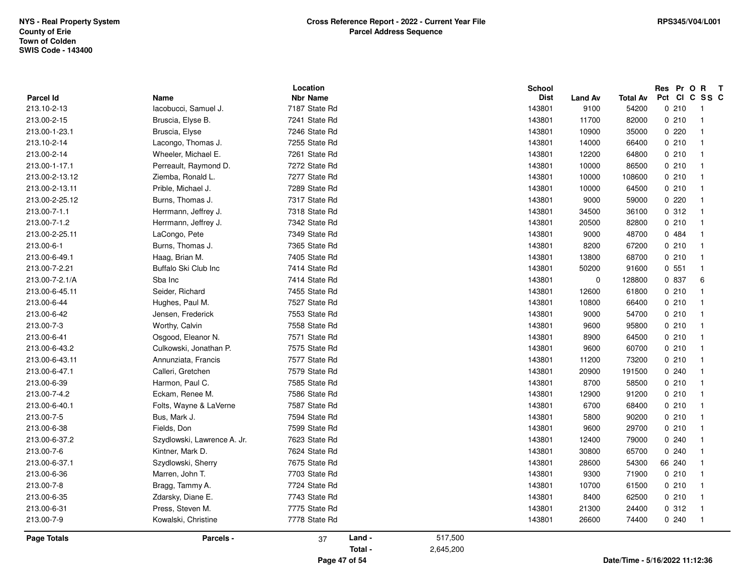| <b>Parcel Id</b> | Name                        | Location<br><b>Nbr Name</b> |         |           | School<br><b>Dist</b> | Land Av   | Total Av                       | Res Pr O R T<br>Pct CI C SS C |                |
|------------------|-----------------------------|-----------------------------|---------|-----------|-----------------------|-----------|--------------------------------|-------------------------------|----------------|
| 213.10-2-13      | lacobucci, Samuel J.        | 7187 State Rd               |         |           | 143801                | 9100      | 54200                          | 0210                          | $\overline{1}$ |
| 213.00-2-15      | Bruscia, Elyse B.           | 7241 State Rd               |         |           | 143801                | 11700     | 82000                          | 0210                          | $\mathbf{1}$   |
| 213.00-1-23.1    | Bruscia, Elyse              | 7246 State Rd               |         |           | 143801                | 10900     | 35000                          | 0220                          | $\mathbf{1}$   |
| 213.10-2-14      | Lacongo, Thomas J.          | 7255 State Rd               |         |           | 143801                | 14000     | 66400                          | 0210                          | $\mathbf{1}$   |
| 213.00-2-14      | Wheeler, Michael E.         | 7261 State Rd               |         |           | 143801                | 12200     | 64800                          | 0210                          | $\mathbf{1}$   |
| 213.00-1-17.1    | Perreault, Raymond D.       | 7272 State Rd               |         |           | 143801                | 10000     | 86500                          | 0210                          | $\mathbf{1}$   |
| 213.00-2-13.12   | Ziemba, Ronald L.           | 7277 State Rd               |         |           | 143801                | 10000     | 108600                         | 0210                          | $\mathbf{1}$   |
| 213.00-2-13.11   | Prible, Michael J.          | 7289 State Rd               |         |           | 143801                | 10000     | 64500                          | 0210                          | $\overline{1}$ |
| 213.00-2-25.12   | Burns, Thomas J.            | 7317 State Rd               |         |           | 143801                | 9000      | 59000                          | 0220                          | $\overline{1}$ |
| 213.00-7-1.1     | Herrmann, Jeffrey J.        | 7318 State Rd               |         |           | 143801                | 34500     | 36100                          | 0.312                         | $\overline{1}$ |
| 213.00-7-1.2     | Herrmann, Jeffrey J.        | 7342 State Rd               |         |           | 143801                | 20500     | 82800                          | 0210                          | $\mathbf{1}$   |
| 213.00-2-25.11   | LaCongo, Pete               | 7349 State Rd               |         |           | 143801                | 9000      | 48700                          | 0 484                         | $\mathbf{1}$   |
| 213.00-6-1       | Burns, Thomas J.            | 7365 State Rd               |         |           | 143801                | 8200      | 67200                          | 0210                          | $\mathbf{1}$   |
| 213.00-6-49.1    | Haag, Brian M.              | 7405 State Rd               |         |           | 143801                | 13800     | 68700                          | 0210                          | $\overline{1}$ |
| 213.00-7-2.21    | Buffalo Ski Club Inc        | 7414 State Rd               |         |           | 143801                | 50200     | 91600                          | 0.551                         | $\mathbf{1}$   |
| 213.00-7-2.1/A   | Sba Inc                     | 7414 State Rd               |         |           | 143801                | $\pmb{0}$ | 128800                         | 0 837                         | 6              |
| 213.00-6-45.11   | Seider, Richard             | 7455 State Rd               |         |           | 143801                | 12600     | 61800                          | 0210                          | $\mathbf{1}$   |
| 213.00-6-44      | Hughes, Paul M.             | 7527 State Rd               |         |           | 143801                | 10800     | 66400                          | 0210                          | $\overline{1}$ |
| 213.00-6-42      | Jensen, Frederick           | 7553 State Rd               |         |           | 143801                | 9000      | 54700                          | 0210                          | $\mathbf{1}$   |
| 213.00-7-3       | Worthy, Calvin              | 7558 State Rd               |         |           | 143801                | 9600      | 95800                          | 0210                          | $\mathbf{1}$   |
| 213.00-6-41      | Osgood, Eleanor N.          | 7571 State Rd               |         |           | 143801                | 8900      | 64500                          | 0210                          | $\mathbf{1}$   |
| 213.00-6-43.2    | Culkowski, Jonathan P.      | 7575 State Rd               |         |           | 143801                | 9600      | 60700                          | 0210                          | $\mathbf{1}$   |
| 213.00-6-43.11   | Annunziata, Francis         | 7577 State Rd               |         |           | 143801                | 11200     | 73200                          | 0210                          | $\mathbf{1}$   |
| 213.00-6-47.1    | Calleri, Gretchen           | 7579 State Rd               |         |           | 143801                | 20900     | 191500                         | 0.240                         | $\mathbf{1}$   |
| 213.00-6-39      | Harmon, Paul C.             | 7585 State Rd               |         |           | 143801                | 8700      | 58500                          | 0210                          | $\mathbf{1}$   |
| 213.00-7-4.2     | Eckam, Renee M.             | 7586 State Rd               |         |           | 143801                | 12900     | 91200                          | 0210                          | $\overline{1}$ |
| 213.00-6-40.1    | Folts, Wayne & LaVerne      | 7587 State Rd               |         |           | 143801                | 6700      | 68400                          | 0210                          | $\overline{1}$ |
| 213.00-7-5       | Bus, Mark J.                | 7594 State Rd               |         |           | 143801                | 5800      | 90200                          | 0210                          | $\mathbf{1}$   |
| 213.00-6-38      | Fields, Don                 | 7599 State Rd               |         |           | 143801                | 9600      | 29700                          | 0210                          | $\mathbf{1}$   |
| 213.00-6-37.2    | Szydlowski, Lawrence A. Jr. | 7623 State Rd               |         |           | 143801                | 12400     | 79000                          | 0.240                         | $\mathbf{1}$   |
| 213.00-7-6       | Kintner, Mark D.            | 7624 State Rd               |         |           | 143801                | 30800     | 65700                          | 0.240                         | $\mathbf{1}$   |
| 213.00-6-37.1    | Szydlowski, Sherry          | 7675 State Rd               |         |           | 143801                | 28600     | 54300                          | 66 240                        | $\overline{1}$ |
| 213.00-6-36      | Marren, John T.             | 7703 State Rd               |         |           | 143801                | 9300      | 71900                          | 0210                          | $\mathbf{1}$   |
| 213.00-7-8       | Bragg, Tammy A.             | 7724 State Rd               |         |           | 143801                | 10700     | 61500                          | 0210                          | $\mathbf{1}$   |
| 213.00-6-35      | Zdarsky, Diane E.           | 7743 State Rd               |         |           | 143801                | 8400      | 62500                          | 0210                          | $\mathbf{1}$   |
| 213.00-6-31      | Press, Steven M.            | 7775 State Rd               |         |           | 143801                | 21300     | 24400                          | 0.312                         | $\overline{1}$ |
| 213.00-7-9       | Kowalski, Christine         | 7778 State Rd               |         |           | 143801                | 26600     | 74400                          | 0.240                         | $\mathbf{1}$   |
| Page Totals      | Parcels -                   | 37                          | Land -  | 517,500   |                       |           |                                |                               |                |
|                  |                             |                             | Total - | 2,645,200 |                       |           |                                |                               |                |
|                  |                             | Page 47 of 54               |         |           |                       |           | Date/Time - 5/16/2022 11:12:36 |                               |                |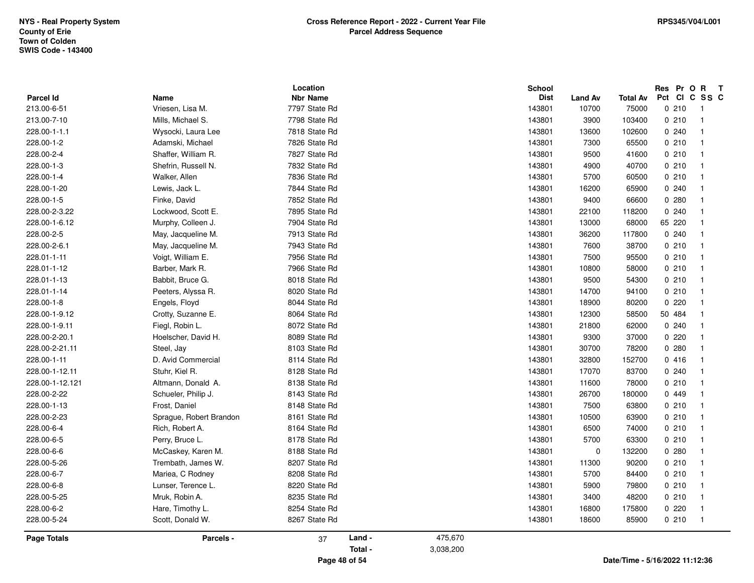| <b>Nbr Name</b><br><b>Parcel Id</b><br>Name<br><b>Dist</b><br>Land Av<br>7797 State Rd<br>213.00-6-51<br>Vriesen, Lisa M.<br>143801<br>10700<br>7798 State Rd<br>213.00-7-10<br>Mills, Michael S.<br>143801<br>3900<br>7818 State Rd<br>228.00-1-1.1<br>Wysocki, Laura Lee<br>143801<br>13600<br>7826 State Rd<br>228.00-1-2<br>Adamski, Michael<br>143801<br>7300<br>228.00-2-4<br>Shaffer, William R.<br>7827 State Rd<br>143801<br>9500 | Total Av<br>75000<br>103400<br>102600<br>65500<br>41600<br>40700<br>60500<br>65900 | Pct CI C SS C<br>0210<br>$\mathbf{1}$<br>0210<br>$\mathbf{1}$<br>0.240<br>$\mathbf{1}$<br>0210<br>$\mathbf{1}$<br>0210<br>$\mathbf{1}$<br>0210<br>$\mathbf{1}$ |
|--------------------------------------------------------------------------------------------------------------------------------------------------------------------------------------------------------------------------------------------------------------------------------------------------------------------------------------------------------------------------------------------------------------------------------------------|------------------------------------------------------------------------------------|----------------------------------------------------------------------------------------------------------------------------------------------------------------|
|                                                                                                                                                                                                                                                                                                                                                                                                                                            |                                                                                    |                                                                                                                                                                |
|                                                                                                                                                                                                                                                                                                                                                                                                                                            |                                                                                    |                                                                                                                                                                |
|                                                                                                                                                                                                                                                                                                                                                                                                                                            |                                                                                    |                                                                                                                                                                |
|                                                                                                                                                                                                                                                                                                                                                                                                                                            |                                                                                    |                                                                                                                                                                |
|                                                                                                                                                                                                                                                                                                                                                                                                                                            |                                                                                    |                                                                                                                                                                |
|                                                                                                                                                                                                                                                                                                                                                                                                                                            |                                                                                    |                                                                                                                                                                |
| 228.00-1-3<br>Shefrin, Russell N.<br>7832 State Rd<br>143801<br>4900                                                                                                                                                                                                                                                                                                                                                                       |                                                                                    |                                                                                                                                                                |
| 228.00-1-4<br>Walker, Allen<br>7836 State Rd<br>143801<br>5700                                                                                                                                                                                                                                                                                                                                                                             |                                                                                    | 0210<br>$\mathbf{1}$                                                                                                                                           |
| 228.00-1-20<br>Lewis, Jack L.<br>7844 State Rd<br>143801<br>16200                                                                                                                                                                                                                                                                                                                                                                          |                                                                                    | 0.240<br>$\mathbf{1}$                                                                                                                                          |
| 228.00-1-5<br>Finke, David<br>7852 State Rd<br>143801<br>9400                                                                                                                                                                                                                                                                                                                                                                              | 66600                                                                              | 0.280<br>$\mathbf{1}$                                                                                                                                          |
| 228.00-2-3.22<br>Lockwood, Scott E.<br>7895 State Rd<br>143801<br>22100                                                                                                                                                                                                                                                                                                                                                                    | 118200                                                                             | 0.240<br>1                                                                                                                                                     |
| 7904 State Rd<br>228.00-1-6.12<br>Murphy, Colleen J.<br>143801<br>13000                                                                                                                                                                                                                                                                                                                                                                    | 68000                                                                              | 65 220<br>$\overline{1}$                                                                                                                                       |
| 7913 State Rd<br>228.00-2-5<br>May, Jacqueline M.<br>143801<br>36200                                                                                                                                                                                                                                                                                                                                                                       | 117800                                                                             | 0.240<br>$\mathbf{1}$                                                                                                                                          |
| 228.00-2-6.1<br>May, Jacqueline M.<br>7943 State Rd<br>143801<br>7600                                                                                                                                                                                                                                                                                                                                                                      | 38700                                                                              | 0210<br>$\mathbf{1}$                                                                                                                                           |
| 228.01-1-11<br>Voigt, William E.<br>7956 State Rd<br>143801<br>7500                                                                                                                                                                                                                                                                                                                                                                        | 95500                                                                              | 0210<br>$\mathbf{1}$                                                                                                                                           |
| 228.01-1-12<br>7966 State Rd<br>Barber, Mark R.<br>143801<br>10800                                                                                                                                                                                                                                                                                                                                                                         | 58000                                                                              | 0210<br>$\mathbf{1}$                                                                                                                                           |
| 228.01-1-13<br>8018 State Rd<br>143801<br>Babbit, Bruce G.<br>9500                                                                                                                                                                                                                                                                                                                                                                         | 54300                                                                              | 0210<br>$\mathbf{1}$                                                                                                                                           |
| 228.01-1-14<br>8020 State Rd<br>143801<br>14700<br>Peeters, Alyssa R.                                                                                                                                                                                                                                                                                                                                                                      | 94100                                                                              | 0210<br>$\mathbf{1}$                                                                                                                                           |
| 228.00-1-8<br>Engels, Floyd<br>8044 State Rd<br>143801<br>18900                                                                                                                                                                                                                                                                                                                                                                            | 80200                                                                              | 0220<br>$\mathbf{1}$                                                                                                                                           |
| 228.00-1-9.12<br>Crotty, Suzanne E.<br>8064 State Rd<br>143801<br>12300                                                                                                                                                                                                                                                                                                                                                                    | 58500                                                                              | 50 484<br>$\mathbf{1}$                                                                                                                                         |
| 228.00-1-9.11<br>Fiegl, Robin L.<br>8072 State Rd<br>143801<br>21800                                                                                                                                                                                                                                                                                                                                                                       | 62000                                                                              | 0.240<br>$\mathbf{1}$                                                                                                                                          |
| 228.00-2-20.1<br>Hoelscher, David H.<br>8089 State Rd<br>143801<br>9300                                                                                                                                                                                                                                                                                                                                                                    | 37000                                                                              | 0220<br>$\mathbf{1}$                                                                                                                                           |
| 8103 State Rd<br>228.00-2-21.11<br>Steel, Jay<br>143801<br>30700                                                                                                                                                                                                                                                                                                                                                                           | 78200                                                                              | 0.280<br>$\mathbf{1}$                                                                                                                                          |
| D. Avid Commercial<br>228.00-1-11<br>8114 State Rd<br>143801<br>32800                                                                                                                                                                                                                                                                                                                                                                      | 152700                                                                             | 0416<br>$\mathbf{1}$                                                                                                                                           |
| Stuhr, Kiel R.<br>8128 State Rd<br>228.00-1-12.11<br>143801<br>17070                                                                                                                                                                                                                                                                                                                                                                       | 83700                                                                              | 0.240<br>$\mathbf{1}$                                                                                                                                          |
| 228.00-1-12.121<br>8138 State Rd<br>143801<br>Altmann, Donald A.<br>11600                                                                                                                                                                                                                                                                                                                                                                  | 78000                                                                              | 0210<br>$\mathbf{1}$                                                                                                                                           |
| Schueler, Philip J.<br>8143 State Rd<br>228.00-2-22<br>143801<br>26700                                                                                                                                                                                                                                                                                                                                                                     | 180000                                                                             | 0449<br>$\mathbf{1}$                                                                                                                                           |
| 228.00-1-13<br>Frost, Daniel<br>8148 State Rd<br>143801<br>7500                                                                                                                                                                                                                                                                                                                                                                            | 63800                                                                              | 0210<br>$\mathbf{1}$                                                                                                                                           |
| 228.00-2-23<br>Sprague, Robert Brandon<br>8161 State Rd<br>143801<br>10500                                                                                                                                                                                                                                                                                                                                                                 | 63900                                                                              | 0210<br>$\mathbf{1}$                                                                                                                                           |
| Rich, Robert A.<br>228.00-6-4<br>8164 State Rd<br>143801<br>6500                                                                                                                                                                                                                                                                                                                                                                           | 74000                                                                              | 0210<br>$\mathbf{1}$                                                                                                                                           |
| 228.00-6-5<br>8178 State Rd<br>Perry, Bruce L.<br>143801<br>5700                                                                                                                                                                                                                                                                                                                                                                           | 63300                                                                              | 0210<br>$\mathbf{1}$                                                                                                                                           |
| 228.00-6-6<br>McCaskey, Karen M.<br>8188 State Rd<br>143801<br>0                                                                                                                                                                                                                                                                                                                                                                           | 132200                                                                             | 0.280<br>$\mathbf{1}$                                                                                                                                          |
| 228.00-5-26<br>Trembath, James W.<br>8207 State Rd<br>143801<br>11300                                                                                                                                                                                                                                                                                                                                                                      | 90200                                                                              | 0210<br>$\mathbf{1}$                                                                                                                                           |
| 228.00-6-7<br>8208 State Rd<br>Mariea, C Rodney<br>143801<br>5700                                                                                                                                                                                                                                                                                                                                                                          | 84400                                                                              | 0210<br>$\mathbf{1}$                                                                                                                                           |
| 228.00-6-8<br>Lunser, Terence L.<br>8220 State Rd<br>143801<br>5900                                                                                                                                                                                                                                                                                                                                                                        | 79800                                                                              | 0210<br>$\mathbf{1}$                                                                                                                                           |
| 228.00-5-25<br>Mruk, Robin A.<br>8235 State Rd<br>143801<br>3400                                                                                                                                                                                                                                                                                                                                                                           | 48200                                                                              | 0210<br>$\mathbf{1}$                                                                                                                                           |
| 228.00-6-2<br>Hare, Timothy L.<br>8254 State Rd<br>143801<br>16800                                                                                                                                                                                                                                                                                                                                                                         | 175800                                                                             | 0220<br>$\mathbf{1}$                                                                                                                                           |
| 228.00-5-24<br>Scott, Donald W.<br>8267 State Rd<br>143801<br>18600                                                                                                                                                                                                                                                                                                                                                                        | 85900                                                                              | 0210<br>$\mathbf{1}$                                                                                                                                           |
| Land -<br>475,670<br><b>Page Totals</b><br>Parcels -<br>37                                                                                                                                                                                                                                                                                                                                                                                 |                                                                                    |                                                                                                                                                                |
| Total -<br>3,038,200                                                                                                                                                                                                                                                                                                                                                                                                                       |                                                                                    |                                                                                                                                                                |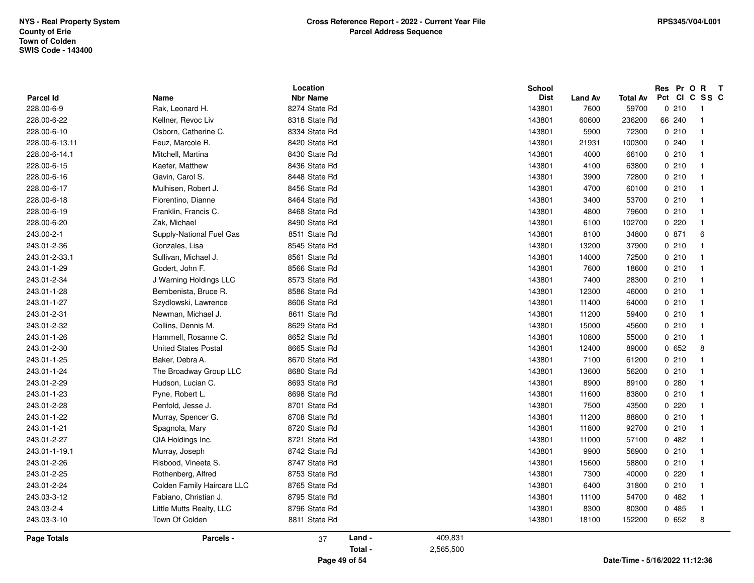|                  |                             | Location        |        |         | <b>School</b> |                |                 | Res Pr O R T  |                         |
|------------------|-----------------------------|-----------------|--------|---------|---------------|----------------|-----------------|---------------|-------------------------|
| <b>Parcel Id</b> | Name                        | <b>Nbr Name</b> |        |         | <b>Dist</b>   | <b>Land Av</b> | <b>Total Av</b> | Pct CI C SS C |                         |
| 228.00-6-9       | Rak, Leonard H.             | 8274 State Rd   |        |         | 143801        | 7600           | 59700           | 0210          | -1                      |
| 228.00-6-22      | Kellner, Revoc Liv          | 8318 State Rd   |        |         | 143801        | 60600          | 236200          | 66 240        | $\overline{1}$          |
| 228.00-6-10      | Osborn, Catherine C.        | 8334 State Rd   |        |         | 143801        | 5900           | 72300           | 0210          | $\overline{1}$          |
| 228.00-6-13.11   | Feuz, Marcole R.            | 8420 State Rd   |        |         | 143801        | 21931          | 100300          | 0.240         | $\overline{1}$          |
| 228.00-6-14.1    | Mitchell, Martina           | 8430 State Rd   |        |         | 143801        | 4000           | 66100           | 0210          | $\mathbf{1}$            |
| 228.00-6-15      | Kaefer, Matthew             | 8436 State Rd   |        |         | 143801        | 4100           | 63800           | 0210          | $\overline{1}$          |
| 228.00-6-16      | Gavin, Carol S.             | 8448 State Rd   |        |         | 143801        | 3900           | 72800           | 0210          | $\overline{1}$          |
| 228.00-6-17      | Mulhisen, Robert J.         | 8456 State Rd   |        |         | 143801        | 4700           | 60100           | 0210          | $\overline{1}$          |
| 228.00-6-18      | Fiorentino, Dianne          | 8464 State Rd   |        |         | 143801        | 3400           | 53700           | 0210          | $\overline{1}$          |
| 228.00-6-19      | Franklin, Francis C.        | 8468 State Rd   |        |         | 143801        | 4800           | 79600           | 0210          | $\overline{1}$          |
| 228.00-6-20      | Zak, Michael                | 8490 State Rd   |        |         | 143801        | 6100           | 102700          | 0220          | $\overline{1}$          |
| 243.00-2-1       | Supply-National Fuel Gas    | 8511 State Rd   |        |         | 143801        | 8100           | 34800           | 0871          | 6                       |
| 243.01-2-36      | Gonzales, Lisa              | 8545 State Rd   |        |         | 143801        | 13200          | 37900           | 0210          | $\overline{1}$          |
| 243.01-2-33.1    | Sullivan, Michael J.        | 8561 State Rd   |        |         | 143801        | 14000          | 72500           | 0210          | $\overline{1}$          |
| 243.01-1-29      | Godert, John F.             | 8566 State Rd   |        |         | 143801        | 7600           | 18600           | 0210          | $\overline{1}$          |
| 243.01-2-34      | J Warning Holdings LLC      | 8573 State Rd   |        |         | 143801        | 7400           | 28300           | 0210          | $\overline{1}$          |
| 243.01-1-28      | Bembenista, Bruce R.        | 8586 State Rd   |        |         | 143801        | 12300          | 46000           | 0210          | $\overline{1}$          |
| 243.01-1-27      | Szydlowski, Lawrence        | 8606 State Rd   |        |         | 143801        | 11400          | 64000           | 0210          | $\overline{1}$          |
| 243.01-2-31      | Newman, Michael J.          | 8611 State Rd   |        |         | 143801        | 11200          | 59400           | 0210          | $\overline{1}$          |
| 243.01-2-32      | Collins, Dennis M.          | 8629 State Rd   |        |         | 143801        | 15000          | 45600           | 0210          | $\overline{\mathbf{1}}$ |
| 243.01-1-26      | Hammell, Rosanne C.         | 8652 State Rd   |        |         | 143801        | 10800          | 55000           | 0210          | $\overline{1}$          |
| 243.01-2-30      | <b>United States Postal</b> | 8665 State Rd   |        |         | 143801        | 12400          | 89000           | 0652          | 8                       |
| 243.01-1-25      | Baker, Debra A.             | 8670 State Rd   |        |         | 143801        | 7100           | 61200           | 0210          | $\overline{1}$          |
| 243.01-1-24      | The Broadway Group LLC      | 8680 State Rd   |        |         | 143801        | 13600          | 56200           | 0210          | $\overline{\mathbf{1}}$ |
| 243.01-2-29      | Hudson, Lucian C.           | 8693 State Rd   |        |         | 143801        | 8900           | 89100           | 0280          | $\mathbf{1}$            |
| 243.01-1-23      | Pyne, Robert L.             | 8698 State Rd   |        |         | 143801        | 11600          | 83800           | 0210          | $\mathbf{1}$            |
| 243.01-2-28      | Penfold, Jesse J.           | 8701 State Rd   |        |         | 143801        | 7500           | 43500           | 0220          | $\overline{1}$          |
| 243.01-1-22      | Murray, Spencer G.          | 8708 State Rd   |        |         | 143801        | 11200          | 88800           | 0210          | $\overline{1}$          |
| 243.01-1-21      | Spagnola, Mary              | 8720 State Rd   |        |         | 143801        | 11800          | 92700           | 0210          | $\overline{1}$          |
| 243.01-2-27      | QIA Holdings Inc.           | 8721 State Rd   |        |         | 143801        | 11000          | 57100           | 0482          | $\mathbf{1}$            |
| 243.01-1-19.1    | Murray, Joseph              | 8742 State Rd   |        |         | 143801        | 9900           | 56900           | 0210          | $\mathbf{1}$            |
| 243.01-2-26      | Risbood, Vineeta S.         | 8747 State Rd   |        |         | 143801        | 15600          | 58800           | 0210          | $\overline{1}$          |
| 243.01-2-25      | Rothenberg, Alfred          | 8753 State Rd   |        |         | 143801        | 7300           | 40000           | 0220          | $\overline{1}$          |
| 243.01-2-24      | Colden Family Haircare LLC  | 8765 State Rd   |        |         | 143801        | 6400           | 31800           | 0210          | $\mathbf{1}$            |
| 243.03-3-12      | Fabiano, Christian J.       | 8795 State Rd   |        |         | 143801        | 11100          | 54700           | 0482          | $\overline{1}$          |
| 243.03-2-4       | Little Mutts Realty, LLC    | 8796 State Rd   |        |         | 143801        | 8300           | 80300           | 0 485         | $\overline{\mathbf{1}}$ |
| 243.03-3-10      | Town Of Colden              | 8811 State Rd   |        |         | 143801        | 18100          | 152200          | 0652          | 8                       |
| Page Totals      | Parcels -                   | 37              | Land - | 409,831 |               |                |                 |               |                         |
|                  |                             |                 |        |         |               |                |                 |               |                         |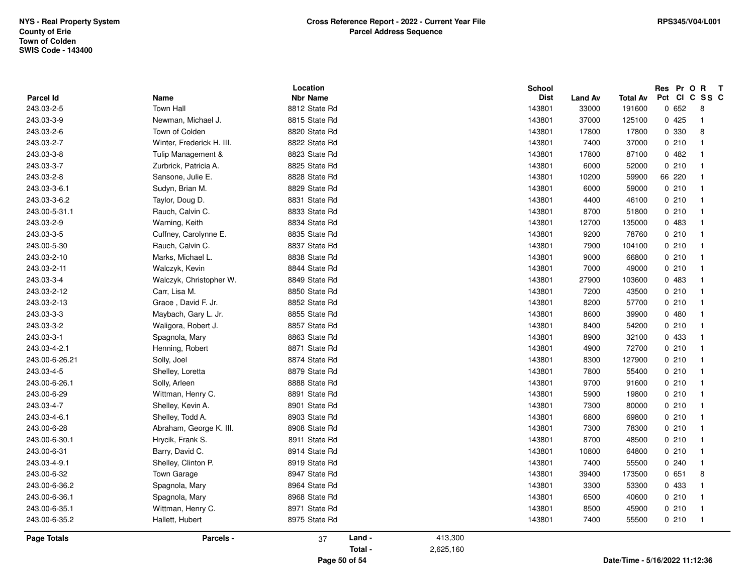|                |                           | Location        |        |         | <b>School</b> |         |          | Res Pr O R T  |                         |
|----------------|---------------------------|-----------------|--------|---------|---------------|---------|----------|---------------|-------------------------|
| Parcel Id      | Name<br><b>Town Hall</b>  | <b>Nbr Name</b> |        |         | <b>Dist</b>   | Land Av | Total Av | Pct CI C SS C |                         |
| 243.03-2-5     |                           | 8812 State Rd   |        |         | 143801        | 33000   | 191600   | 0652          | 8<br>$\overline{1}$     |
| 243.03-3-9     | Newman, Michael J.        | 8815 State Rd   |        |         | 143801        | 37000   | 125100   | 0425          |                         |
| 243.03-2-6     | Town of Colden            | 8820 State Rd   |        |         | 143801        | 17800   | 17800    | 0 330         | 8                       |
| 243.03-2-7     | Winter, Frederick H. III. | 8822 State Rd   |        |         | 143801        | 7400    | 37000    | 0210          | $\overline{1}$          |
| 243.03-3-8     | Tulip Management &        | 8823 State Rd   |        |         | 143801        | 17800   | 87100    | 0482          | $\overline{1}$          |
| 243.03-3-7     | Zurbrick, Patricia A.     | 8825 State Rd   |        |         | 143801        | 6000    | 52000    | 0210          | $\overline{1}$          |
| 243.03-2-8     | Sansone, Julie E.         | 8828 State Rd   |        |         | 143801        | 10200   | 59900    | 66 220        | $\overline{1}$          |
| 243.03-3-6.1   | Sudyn, Brian M.           | 8829 State Rd   |        |         | 143801        | 6000    | 59000    | 0210          | $\overline{1}$          |
| 243.03-3-6.2   | Taylor, Doug D.           | 8831 State Rd   |        |         | 143801        | 4400    | 46100    | 0210          | $\overline{1}$          |
| 243.00-5-31.1  | Rauch, Calvin C.          | 8833 State Rd   |        |         | 143801        | 8700    | 51800    | 0210          | $\mathbf{1}$            |
| 243.03-2-9     | Warning, Keith            | 8834 State Rd   |        |         | 143801        | 12700   | 135000   | 0 483         | $\overline{1}$          |
| 243.03-3-5     | Cuffney, Carolynne E.     | 8835 State Rd   |        |         | 143801        | 9200    | 78760    | 0210          | $\overline{\mathbf{1}}$ |
| 243.00-5-30    | Rauch, Calvin C.          | 8837 State Rd   |        |         | 143801        | 7900    | 104100   | 0210          | $\overline{1}$          |
| 243.03-2-10    | Marks, Michael L.         | 8838 State Rd   |        |         | 143801        | 9000    | 66800    | 0210          | $\overline{\mathbf{1}}$ |
| 243.03-2-11    | Walczyk, Kevin            | 8844 State Rd   |        |         | 143801        | 7000    | 49000    | 0210          | $\overline{1}$          |
| 243.03-3-4     | Walczyk, Christopher W.   | 8849 State Rd   |        |         | 143801        | 27900   | 103600   | 0 483         | $\overline{1}$          |
| 243.03-2-12    | Carr, Lisa M.             | 8850 State Rd   |        |         | 143801        | 7200    | 43500    | 0210          | $\overline{1}$          |
| 243.03-2-13    | Grace, David F. Jr.       | 8852 State Rd   |        |         | 143801        | 8200    | 57700    | 0210          | $\overline{1}$          |
| 243.03-3-3     | Maybach, Gary L. Jr.      | 8855 State Rd   |        |         | 143801        | 8600    | 39900    | 0480          | $\overline{1}$          |
| 243.03-3-2     | Waligora, Robert J.       | 8857 State Rd   |        |         | 143801        | 8400    | 54200    | 0210          | $\overline{1}$          |
| 243.03-3-1     | Spagnola, Mary            | 8863 State Rd   |        |         | 143801        | 8900    | 32100    | 0 433         | $\overline{1}$          |
| 243.03-4-2.1   | Henning, Robert           | 8871 State Rd   |        |         | 143801        | 4900    | 72700    | 0210          | $\overline{\mathbf{1}}$ |
| 243.00-6-26.21 | Solly, Joel               | 8874 State Rd   |        |         | 143801        | 8300    | 127900   | 0210          | $\overline{\mathbf{1}}$ |
| 243.03-4-5     | Shelley, Loretta          | 8879 State Rd   |        |         | 143801        | 7800    | 55400    | 0210          | $\overline{1}$          |
| 243.00-6-26.1  | Solly, Arleen             | 8888 State Rd   |        |         | 143801        | 9700    | 91600    | 0210          | $\overline{\mathbf{1}}$ |
| 243.00-6-29    | Wittman, Henry C.         | 8891 State Rd   |        |         | 143801        | 5900    | 19800    | 0210          | $\overline{1}$          |
| 243.03-4-7     | Shelley, Kevin A.         | 8901 State Rd   |        |         | 143801        | 7300    | 80000    | 0210          | $\overline{1}$          |
| 243.03-4-6.1   | Shelley, Todd A.          | 8903 State Rd   |        |         | 143801        | 6800    | 69800    | 0210          | $\overline{1}$          |
| 243.00-6-28    | Abraham, George K. III.   | 8908 State Rd   |        |         | 143801        | 7300    | 78300    | 0210          | $\overline{1}$          |
| 243.00-6-30.1  | Hrycik, Frank S.          | 8911 State Rd   |        |         | 143801        | 8700    | 48500    | 0210          | $\overline{\mathbf{1}}$ |
| 243.00-6-31    | Barry, David C.           | 8914 State Rd   |        |         | 143801        | 10800   | 64800    | 0210          | $\overline{1}$          |
| 243.03-4-9.1   | Shelley, Clinton P.       | 8919 State Rd   |        |         | 143801        | 7400    | 55500    | 0.240         | $\overline{1}$          |
| 243.00-6-32    | Town Garage               | 8947 State Rd   |        |         | 143801        | 39400   | 173500   | 0651          | 8                       |
| 243.00-6-36.2  | Spagnola, Mary            | 8964 State Rd   |        |         | 143801        | 3300    | 53300    | 0 433         | $\overline{\mathbf{1}}$ |
| 243.00-6-36.1  | Spagnola, Mary            | 8968 State Rd   |        |         | 143801        | 6500    | 40600    | 0210          | $\overline{\mathbf{1}}$ |
| 243.00-6-35.1  | Wittman, Henry C.         | 8971 State Rd   |        |         | 143801        | 8500    | 45900    | 0210          | $\mathbf{1}$            |
| 243.00-6-35.2  | Hallett, Hubert           | 8975 State Rd   |        |         | 143801        | 7400    | 55500    | 0210          | $\overline{1}$          |
| Page Totals    | Parcels -                 | 37              | Land - | 413,300 |               |         |          |               |                         |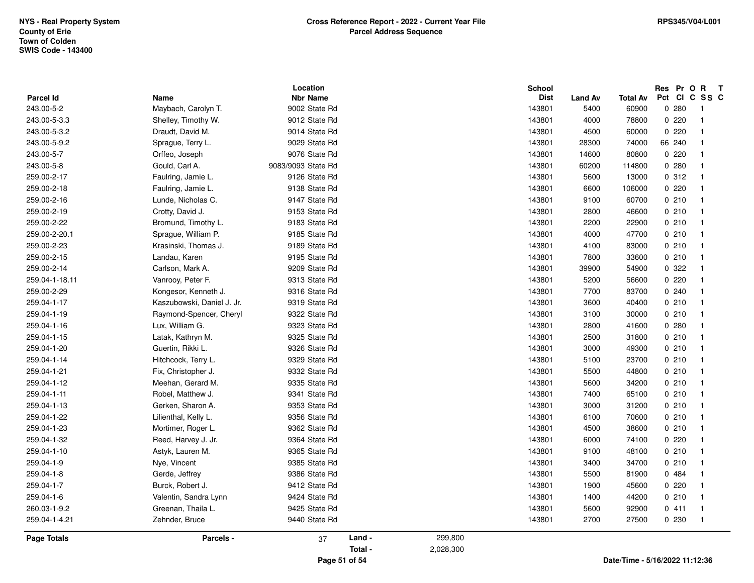|                         |                             | Location                         |        |         | School                |                        |                          | Res Pr O R             | $\mathbf{T}$            |
|-------------------------|-----------------------------|----------------------------------|--------|---------|-----------------------|------------------------|--------------------------|------------------------|-------------------------|
| Parcel Id<br>243.00-5-2 | Name<br>Maybach, Carolyn T. | <b>Nbr Name</b><br>9002 State Rd |        |         | <b>Dist</b><br>143801 | <b>Land Av</b><br>5400 | <b>Total Av</b><br>60900 | Pct CI C SS C<br>0.280 | -1                      |
|                         |                             |                                  |        |         |                       |                        |                          |                        | $\overline{1}$          |
| 243.00-5-3.3            | Shelley, Timothy W.         | 9012 State Rd                    |        |         | 143801                | 4000                   | 78800                    | 0220                   |                         |
| 243.00-5-3.2            | Draudt, David M.            | 9014 State Rd                    |        |         | 143801                | 4500                   | 60000                    | 0220                   | $\mathbf{1}$            |
| 243.00-5-9.2            | Sprague, Terry L.           | 9029 State Rd                    |        |         | 143801                | 28300                  | 74000                    | 66 240                 | $\overline{1}$          |
| 243.00-5-7              | Orffeo, Joseph              | 9076 State Rd                    |        |         | 143801                | 14600                  | 80800                    | 0220                   | $\overline{1}$          |
| 243.00-5-8              | Gould, Carl A.              | 9083/9093 State Rd               |        |         | 143801                | 60200                  | 114800                   | 0.280                  | $\overline{1}$          |
| 259.00-2-17             | Faulring, Jamie L.          | 9126 State Rd                    |        |         | 143801                | 5600                   | 13000                    | 0.312                  | $\overline{\mathbf{1}}$ |
| 259.00-2-18             | Faulring, Jamie L.          | 9138 State Rd                    |        |         | 143801                | 6600                   | 106000                   | 0220                   | $\overline{1}$          |
| 259.00-2-16             | Lunde, Nicholas C.          | 9147 State Rd                    |        |         | 143801                | 9100                   | 60700                    | 0210                   | $\overline{1}$          |
| 259.00-2-19             | Crotty, David J.            | 9153 State Rd                    |        |         | 143801                | 2800                   | 46600                    | 0210                   | $\overline{1}$          |
| 259.00-2-22             | Bromund, Timothy L.         | 9183 State Rd                    |        |         | 143801                | 2200                   | 22900                    | 0210                   | $\overline{1}$          |
| 259.00-2-20.1           | Sprague, William P.         | 9185 State Rd                    |        |         | 143801                | 4000                   | 47700                    | 0210                   | $\overline{1}$          |
| 259.00-2-23             | Krasinski, Thomas J.        | 9189 State Rd                    |        |         | 143801                | 4100                   | 83000                    | 0210                   | $\overline{1}$          |
| 259.00-2-15             | Landau, Karen               | 9195 State Rd                    |        |         | 143801                | 7800                   | 33600                    | 0210                   | $\overline{\mathbf{1}}$ |
| 259.00-2-14             | Carlson, Mark A.            | 9209 State Rd                    |        |         | 143801                | 39900                  | 54900                    | 0.322                  | $\mathbf{1}$            |
| 259.04-1-18.11          | Vanrooy, Peter F.           | 9313 State Rd                    |        |         | 143801                | 5200                   | 56600                    | 0220                   | $\overline{1}$          |
| 259.00-2-29             | Kongesor, Kenneth J.        | 9316 State Rd                    |        |         | 143801                | 7700                   | 83700                    | 0240                   | $\overline{1}$          |
| 259.04-1-17             | Kaszubowski, Daniel J. Jr.  | 9319 State Rd                    |        |         | 143801                | 3600                   | 40400                    | 0210                   | $\overline{1}$          |
| 259.04-1-19             | Raymond-Spencer, Cheryl     | 9322 State Rd                    |        |         | 143801                | 3100                   | 30000                    | 0210                   | $\overline{1}$          |
| 259.04-1-16             | Lux, William G.             | 9323 State Rd                    |        |         | 143801                | 2800                   | 41600                    | 0.280                  | $\overline{1}$          |
| 259.04-1-15             | Latak, Kathryn M.           | 9325 State Rd                    |        |         | 143801                | 2500                   | 31800                    | 0210                   | $\overline{1}$          |
| 259.04-1-20             | Guertin, Rikki L.           | 9326 State Rd                    |        |         | 143801                | 3000                   | 49300                    | 0210                   | $\overline{\mathbf{1}}$ |
| 259.04-1-14             | Hitchcock, Terry L.         | 9329 State Rd                    |        |         | 143801                | 5100                   | 23700                    | 0210                   | $\overline{1}$          |
| 259.04-1-21             | Fix, Christopher J.         | 9332 State Rd                    |        |         | 143801                | 5500                   | 44800                    | 0210                   | $\overline{1}$          |
| 259.04-1-12             | Meehan, Gerard M.           | 9335 State Rd                    |        |         | 143801                | 5600                   | 34200                    | 0210                   | $\overline{1}$          |
| 259.04-1-11             | Robel, Matthew J.           | 9341 State Rd                    |        |         | 143801                | 7400                   | 65100                    | 0210                   | $\overline{1}$          |
| 259.04-1-13             | Gerken, Sharon A.           | 9353 State Rd                    |        |         | 143801                | 3000                   | 31200                    | 0210                   | $\overline{1}$          |
| 259.04-1-22             | Lilienthal, Kelly L.        | 9356 State Rd                    |        |         | 143801                | 6100                   | 70600                    | 0210                   | $\overline{1}$          |
| 259.04-1-23             | Mortimer, Roger L.          | 9362 State Rd                    |        |         | 143801                | 4500                   | 38600                    | 0210                   | $\overline{\mathbf{1}}$ |
| 259.04-1-32             | Reed, Harvey J. Jr.         | 9364 State Rd                    |        |         | 143801                | 6000                   | 74100                    | 0220                   | $\mathbf{1}$            |
| 259.04-1-10             | Astyk, Lauren M.            | 9365 State Rd                    |        |         | 143801                | 9100                   | 48100                    | 0210                   | $\overline{1}$          |
| 259.04-1-9              | Nye, Vincent                | 9385 State Rd                    |        |         | 143801                | 3400                   | 34700                    | 0210                   | $\overline{1}$          |
| 259.04-1-8              | Gerde, Jeffrey              | 9386 State Rd                    |        |         | 143801                | 5500                   | 81900                    | 0 484                  | $\overline{1}$          |
| 259.04-1-7              | Burck, Robert J.            | 9412 State Rd                    |        |         | 143801                | 1900                   | 45600                    | 0220                   | $\overline{1}$          |
| 259.04-1-6              | Valentin, Sandra Lynn       | 9424 State Rd                    |        |         | 143801                | 1400                   | 44200                    | 0210                   | $\overline{1}$          |
| 260.03-1-9.2            | Greenan, Thaila L.          | 9425 State Rd                    |        |         | 143801                | 5600                   | 92900                    | 0411                   | $\overline{1}$          |
| 259.04-1-4.21           | Zehnder, Bruce              | 9440 State Rd                    |        |         | 143801                | 2700                   | 27500                    | 0 2 3 0                | $\overline{\mathbf{1}}$ |
|                         |                             |                                  |        |         |                       |                        |                          |                        |                         |
| <b>Page Totals</b>      | Parcels -                   | 37                               | Land - | 299,800 |                       |                        |                          |                        |                         |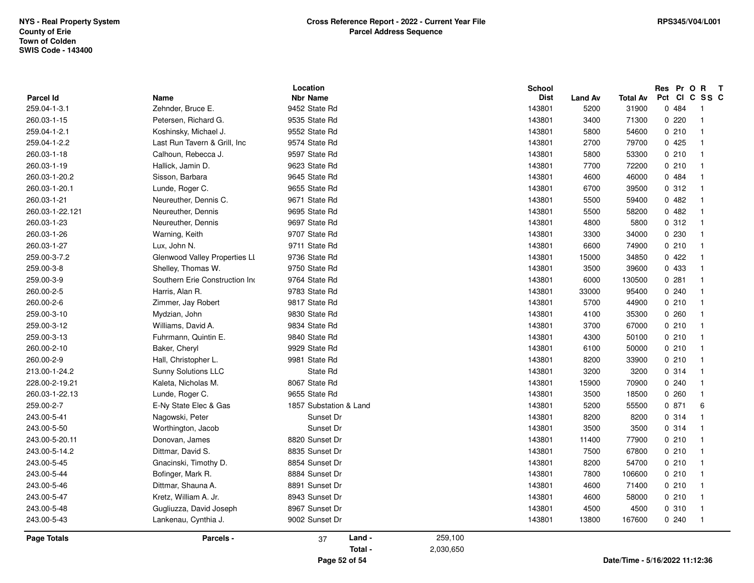|                    |                                | Location                |                      | <b>School</b> |                |                 |         | Res Pr O R T   |
|--------------------|--------------------------------|-------------------------|----------------------|---------------|----------------|-----------------|---------|----------------|
| Parcel Id          | Name                           | <b>Nbr Name</b>         |                      | <b>Dist</b>   | <b>Land Av</b> | <b>Total Av</b> |         | Pct CI C SS C  |
| 259.04-1-3.1       | Zehnder, Bruce E.              | 9452 State Rd           |                      | 143801        | 5200           | 31900           | 0 484   | $\overline{1}$ |
| 260.03-1-15        | Petersen, Richard G.           | 9535 State Rd           |                      | 143801        | 3400           | 71300           | 0220    | $\overline{1}$ |
| 259.04-1-2.1       | Koshinsky, Michael J.          | 9552 State Rd           |                      | 143801        | 5800           | 54600           | 0210    | $\overline{1}$ |
| 259.04-1-2.2       | Last Run Tavern & Grill, Inc   | 9574 State Rd           |                      | 143801        | 2700           | 79700           | 0425    | $\overline{1}$ |
| 260.03-1-18        | Calhoun, Rebecca J.            | 9597 State Rd           |                      | 143801        | 5800           | 53300           | 0210    | $\overline{1}$ |
| 260.03-1-19        | Hallick, Jamin D.              | 9623 State Rd           |                      | 143801        | 7700           | 72200           | 0210    | $\overline{1}$ |
| 260.03-1-20.2      | Sisson, Barbara                | 9645 State Rd           |                      | 143801        | 4600           | 46000           | 0 484   | $\overline{1}$ |
| 260.03-1-20.1      | Lunde, Roger C.                | 9655 State Rd           |                      | 143801        | 6700           | 39500           | 0312    | $\overline{1}$ |
| 260.03-1-21        | Neureuther, Dennis C.          | 9671 State Rd           |                      | 143801        | 5500           | 59400           | 0482    | $\overline{1}$ |
| 260.03-1-22.121    | Neureuther, Dennis             | 9695 State Rd           |                      | 143801        | 5500           | 58200           | 0482    | $\overline{1}$ |
| 260.03-1-23        | Neureuther, Dennis             | 9697 State Rd           |                      | 143801        | 4800           | 5800            | 0.312   | $\overline{1}$ |
| 260.03-1-26        | Warning, Keith                 | 9707 State Rd           |                      | 143801        | 3300           | 34000           | 0 2 3 0 | $\overline{1}$ |
| 260.03-1-27        | Lux, John N.                   | 9711 State Rd           |                      | 143801        | 6600           | 74900           | 0210    | $\overline{1}$ |
| 259.00-3-7.2       | Glenwood Valley Properties LL  | 9736 State Rd           |                      | 143801        | 15000          | 34850           | 0422    | $\overline{1}$ |
| 259.00-3-8         | Shelley, Thomas W.             | 9750 State Rd           |                      | 143801        | 3500           | 39600           | 0 433   | $\overline{1}$ |
| 259.00-3-9         | Southern Erie Construction Inc | 9764 State Rd           |                      | 143801        | 6000           | 130500          | 0.281   | $\overline{1}$ |
| 260.00-2-5         | Harris, Alan R.                | 9783 State Rd           |                      | 143801        | 33000          | 95400           | 0240    | $\overline{1}$ |
| 260.00-2-6         | Zimmer, Jay Robert             | 9817 State Rd           |                      | 143801        | 5700           | 44900           | 0210    | $\overline{1}$ |
| 259.00-3-10        | Mydzian, John                  | 9830 State Rd           |                      | 143801        | 4100           | 35300           | 0260    | $\overline{1}$ |
| 259.00-3-12        | Williams, David A.             | 9834 State Rd           |                      | 143801        | 3700           | 67000           | 0210    | $\overline{1}$ |
| 259.00-3-13        | Fuhrmann, Quintin E.           | 9840 State Rd           |                      | 143801        | 4300           | 50100           | 0210    | $\overline{1}$ |
| 260.00-2-10        | Baker, Cheryl                  | 9929 State Rd           |                      | 143801        | 6100           | 50000           | 0210    | $\overline{1}$ |
| 260.00-2-9         | Hall, Christopher L.           | 9981 State Rd           |                      | 143801        | 8200           | 33900           | 0210    | $\overline{1}$ |
| 213.00-1-24.2      | Sunny Solutions LLC            | State Rd                |                      | 143801        | 3200           | 3200            | 0.314   | $\overline{1}$ |
| 228.00-2-19.21     | Kaleta, Nicholas M.            | 8067 State Rd           |                      | 143801        | 15900          | 70900           | 0240    | $\overline{1}$ |
| 260.03-1-22.13     | Lunde, Roger C.                | 9655 State Rd           |                      | 143801        | 3500           | 18500           | 0260    | $\overline{1}$ |
| 259.00-2-7         | E-Ny State Elec & Gas          | 1857 Substation & Land  |                      | 143801        | 5200           | 55500           | 0871    | 6              |
| 243.00-5-41        | Nagowski, Peter                | Sunset Dr               |                      | 143801        | 8200           | 8200            | 0.314   | $\overline{1}$ |
| 243.00-5-50        | Worthington, Jacob             | Sunset Dr               |                      | 143801        | 3500           | 3500            | 0 314   | $\overline{1}$ |
| 243.00-5-20.11     | Donovan, James                 | 8820 Sunset Dr          |                      | 143801        | 11400          | 77900           | 0210    | $\overline{1}$ |
| 243.00-5-14.2      | Dittmar, David S.              | 8835 Sunset Dr          |                      | 143801        | 7500           | 67800           | 0210    | $\overline{1}$ |
| 243.00-5-45        | Gnacinski, Timothy D.          | 8854 Sunset Dr          |                      | 143801        | 8200           | 54700           | 0210    | $\overline{1}$ |
| 243.00-5-44        | Bofinger, Mark R.              | 8884 Sunset Dr          |                      | 143801        | 7800           | 106600          | 0210    | $\overline{1}$ |
| 243.00-5-46        | Dittmar, Shauna A.             | 8891 Sunset Dr          |                      | 143801        | 4600           | 71400           | 0210    | $\overline{1}$ |
| 243.00-5-47        | Kretz, William A. Jr.          | 8943 Sunset Dr          |                      | 143801        | 4600           | 58000           | 0210    | $\overline{1}$ |
| 243.00-5-48        | Gugliuzza, David Joseph        | 8967 Sunset Dr          |                      | 143801        | 4500           | 4500            | 0.310   | $\overline{1}$ |
| 243.00-5-43        | Lankenau, Cynthia J.           | 9002 Sunset Dr          |                      | 143801        | 13800          | 167600          | 0240    | $\overline{1}$ |
| <b>Page Totals</b> | Parcels -                      | Land -<br>37<br>Total - | 259,100<br>2,030,650 |               |                |                 |         |                |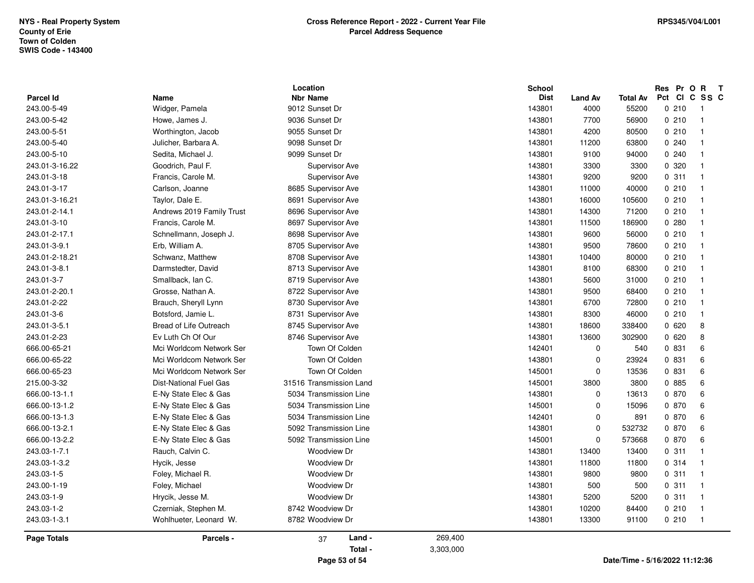|                                 |                           | Location                          |           | <b>School</b>         |                        |                          | Res Pr O | $\mathsf{R}$<br>$\mathbf{T}$<br>Pct CI C SS C |
|---------------------------------|---------------------------|-----------------------------------|-----------|-----------------------|------------------------|--------------------------|----------|-----------------------------------------------|
| <b>Parcel Id</b><br>243.00-5-49 | Name<br>Widger, Pamela    | <b>Nbr Name</b><br>9012 Sunset Dr |           | <b>Dist</b><br>143801 | <b>Land Av</b><br>4000 | <b>Total Av</b><br>55200 | 0210     | - 1                                           |
|                                 |                           | 9036 Sunset Dr                    |           |                       |                        |                          | 0210     | $\overline{1}$                                |
| 243.00-5-42                     | Howe, James J.            |                                   |           | 143801                | 7700                   | 56900                    |          |                                               |
| 243.00-5-51                     | Worthington, Jacob        | 9055 Sunset Dr                    |           | 143801                | 4200                   | 80500                    | 0210     | - 1                                           |
| 243.00-5-40                     | Julicher, Barbara A.      | 9098 Sunset Dr                    |           | 143801                | 11200                  | 63800                    | 0240     | $\overline{1}$                                |
| 243.00-5-10                     | Sedita, Michael J.        | 9099 Sunset Dr                    |           | 143801                | 9100                   | 94000                    | 0240     | - 1                                           |
| 243.01-3-16.22                  | Goodrich, Paul F.         | Supervisor Ave                    |           | 143801                | 3300                   | 3300                     | 0 320    | - 1                                           |
| 243.01-3-18                     | Francis, Carole M.        | Supervisor Ave                    |           | 143801                | 9200                   | 9200                     | 0.311    | - 1                                           |
| 243.01-3-17                     | Carlson, Joanne           | 8685 Supervisor Ave               |           | 143801                | 11000                  | 40000                    | 0210     | $\overline{1}$                                |
| 243.01-3-16.21                  | Taylor, Dale E.           | 8691 Supervisor Ave               |           | 143801                | 16000                  | 105600                   | 0210     | - 1                                           |
| 243.01-2-14.1                   | Andrews 2019 Family Trust | 8696 Supervisor Ave               |           | 143801                | 14300                  | 71200                    | 0210     | - 1                                           |
| 243.01-3-10                     | Francis, Carole M.        | 8697 Supervisor Ave               |           | 143801                | 11500                  | 186900                   | 0.280    | - 1                                           |
| 243.01-2-17.1                   | Schnellmann, Joseph J.    | 8698 Supervisor Ave               |           | 143801                | 9600                   | 56000                    | 0210     | - 1                                           |
| 243.01-3-9.1                    | Erb, William A.           | 8705 Supervisor Ave               |           | 143801                | 9500                   | 78600                    | 0210     | $\overline{1}$                                |
| 243.01-2-18.21                  | Schwanz, Matthew          | 8708 Supervisor Ave               |           | 143801                | 10400                  | 80000                    | 0210     | $\overline{1}$                                |
| 243.01-3-8.1                    | Darmstedter, David        | 8713 Supervisor Ave               |           | 143801                | 8100                   | 68300                    | 0210     | - 1                                           |
| 243.01-3-7                      | Smallback, Ian C.         | 8719 Supervisor Ave               |           | 143801                | 5600                   | 31000                    | 0210     | $\overline{\phantom{0}}$                      |
| 243.01-2-20.1                   | Grosse, Nathan A.         | 8722 Supervisor Ave               |           | 143801                | 9500                   | 68400                    | 0210     | $\overline{\phantom{0}}$                      |
| 243.01-2-22                     | Brauch, Sheryll Lynn      | 8730 Supervisor Ave               |           | 143801                | 6700                   | 72800                    | 0210     | $\overline{1}$                                |
| 243.01-3-6                      | Botsford, Jamie L.        | 8731 Supervisor Ave               |           | 143801                | 8300                   | 46000                    | 0210     | $\overline{1}$                                |
| 243.01-3-5.1                    | Bread of Life Outreach    | 8745 Supervisor Ave               |           | 143801                | 18600                  | 338400                   | 0620     | 8                                             |
| 243.01-2-23                     | Ev Luth Ch Of Our         | 8746 Supervisor Ave               |           | 143801                | 13600                  | 302900                   | 0620     | 8                                             |
| 666.00-65-21                    | Mci Worldcom Network Ser  | Town Of Colden                    |           | 142401                | $\mathbf 0$            | 540                      | 0 831    | 6                                             |
| 666.00-65-22                    | Mci Worldcom Network Ser  | Town Of Colden                    |           | 143801                | $\mathsf 0$            | 23924                    | 0 831    | 6                                             |
| 666.00-65-23                    | Mci Worldcom Network Ser  | Town Of Colden                    |           | 145001                | $\mathbf 0$            | 13536                    | 0 831    | 6                                             |
| 215.00-3-32                     | Dist-National Fuel Gas    | 31516 Transmission Land           |           | 145001                | 3800                   | 3800                     | 0 885    | 6                                             |
| 666.00-13-1.1                   | E-Ny State Elec & Gas     | 5034 Transmission Line            |           | 143801                | $\mathbf 0$            | 13613                    | 0 870    | 6                                             |
| 666.00-13-1.2                   | E-Ny State Elec & Gas     | 5034 Transmission Line            |           | 145001                | $\mathbf 0$            | 15096                    | 0 870    | 6                                             |
| 666.00-13-1.3                   | E-Ny State Elec & Gas     | 5034 Transmission Line            |           | 142401                | $\mathbf 0$            | 891                      | 0 870    | 6                                             |
| 666.00-13-2.1                   | E-Ny State Elec & Gas     | 5092 Transmission Line            |           | 143801                | $\mathbf 0$            | 532732                   | 0 870    | 6                                             |
| 666.00-13-2.2                   | E-Ny State Elec & Gas     | 5092 Transmission Line            |           | 145001                | $\mathbf 0$            | 573668                   | 0 870    | 6                                             |
| 243.03-1-7.1                    | Rauch, Calvin C.          | Woodview Dr                       |           | 143801                | 13400                  | 13400                    | 0.311    | - 1                                           |
| 243.03-1-3.2                    | Hycik, Jesse              | Woodview Dr                       |           | 143801                | 11800                  | 11800                    | 0.314    | -1                                            |
| 243.03-1-5                      | Foley, Michael R.         | Woodview Dr                       |           | 143801                | 9800                   | 9800                     | 0.311    | - 1                                           |
| 243.00-1-19                     | Foley, Michael            | Woodview Dr                       |           | 143801                | 500                    | 500                      | 0.311    | $\overline{1}$                                |
| 243.03-1-9                      | Hrycik, Jesse M.          | Woodview Dr                       |           | 143801                | 5200                   | 5200                     | 0.311    | $\overline{1}$                                |
| 243.03-1-2                      | Czerniak, Stephen M.      | 8742 Woodview Dr                  |           | 143801                | 10200                  | 84400                    | 0210     | - 1                                           |
| 243.03-1-3.1                    | Wohlhueter, Leonard W.    | 8782 Woodview Dr                  |           | 143801                | 13300                  | 91100                    | 0210     | $\overline{\mathbf{1}}$                       |
| <b>Page Totals</b>              | Parcels -                 | Land -<br>37                      | 269,400   |                       |                        |                          |          |                                               |
|                                 |                           | Total -                           | 3,303,000 |                       |                        |                          |          |                                               |